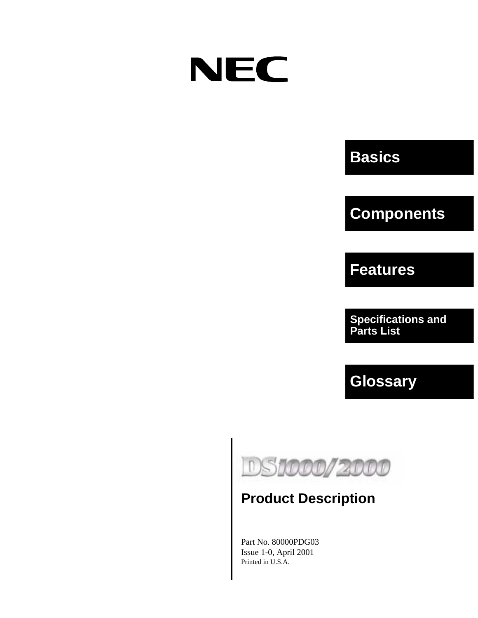# **NEC**

# **Basics**

# **Components**

**Features**

**Specifications and Parts List**

**Glossary**



# **Product Description**

Part No. 80000PDG03 Issue 1-0, April 2001 Printed in U.S.A.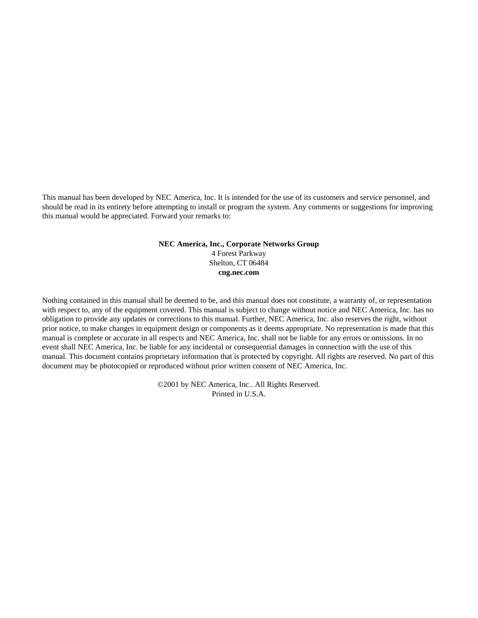This manual has been developed by NEC America, Inc. It is intended for the use of its customers and service personnel, and should be read in its entirety before attempting to install or program the system. Any comments or suggestions for improving this manual would be appreciated. Forward your remarks to:

#### **NEC America, Inc., Corporate Networks Group** 4 Forest Parkway Shelton, CT 06484 **cng.nec.com**

Nothing contained in this manual shall be deemed to be, and this manual does not constitute, a warranty of, or representation with respect to, any of the equipment covered. This manual is subject to change without notice and NEC America, Inc. has no obligation to provide any updates or corrections to this manual. Further, NEC America, Inc. also reserves the right, without prior notice, to make changes in equipment design or components as it deems appropriate. No representation is made that this manual is complete or accurate in all respects and NEC America, Inc. shall not be liable for any errors or omissions. In no event shall NEC America, Inc. be liable for any incidental or consequential damages in connection with the use of this manual. This document contains proprietary information that is protected by copyright. All rights are reserved. No part of this document may be photocopied or reproduced without prior written consent of NEC America, Inc.

> ©2001 by NEC America, Inc.. All Rights Reserved. Printed in U.S.A.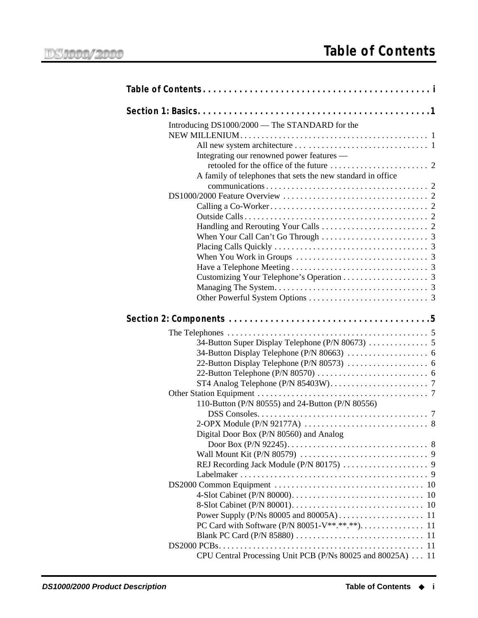<span id="page-2-0"></span>

| Introducing DS1000/2000 - The STANDARD for the              |
|-------------------------------------------------------------|
|                                                             |
|                                                             |
| Integrating our renowned power features —                   |
|                                                             |
| A family of telephones that sets the new standard in office |
|                                                             |
|                                                             |
|                                                             |
|                                                             |
|                                                             |
|                                                             |
|                                                             |
|                                                             |
|                                                             |
|                                                             |
|                                                             |
|                                                             |
|                                                             |
|                                                             |
|                                                             |
|                                                             |
|                                                             |
|                                                             |
|                                                             |
|                                                             |
|                                                             |
| 110-Button (P/N 80555) and 24-Button (P/N 80556)            |
|                                                             |
|                                                             |
| Digital Door Box (P/N 80560) and Analog                     |
|                                                             |
|                                                             |
|                                                             |
|                                                             |
|                                                             |
|                                                             |
|                                                             |
|                                                             |
|                                                             |
|                                                             |
| CPU Central Processing Unit PCB (P/Ns 80025 and 80025A) 11  |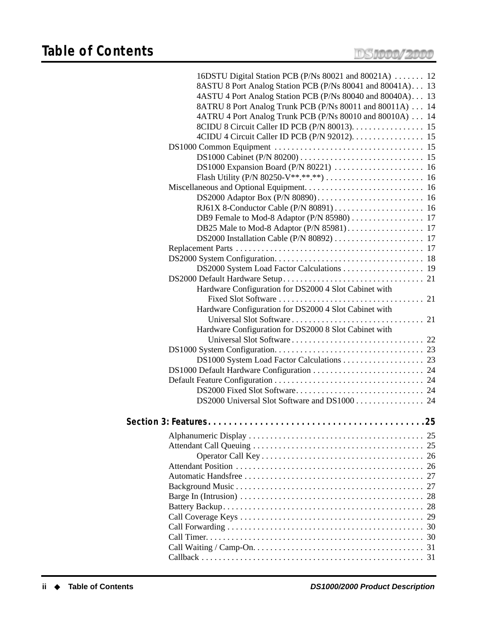| 16DSTU Digital Station PCB (P/Ns 80021 and 80021A)  12     |  |
|------------------------------------------------------------|--|
| 8ASTU 8 Port Analog Station PCB (P/Ns 80041 and 80041A) 13 |  |
| 4ASTU 4 Port Analog Station PCB (P/Ns 80040 and 80040A) 13 |  |
| 8ATRU 8 Port Analog Trunk PCB (P/Ns 80011 and 80011A) 14   |  |
| 4ATRU 4 Port Analog Trunk PCB (P/Ns 80010 and 80010A) 14   |  |
|                                                            |  |
|                                                            |  |
|                                                            |  |
|                                                            |  |
|                                                            |  |
|                                                            |  |
|                                                            |  |
|                                                            |  |
|                                                            |  |
|                                                            |  |
|                                                            |  |
| DB25 Male to Mod-8 Adaptor (P/N 85981) 17                  |  |
|                                                            |  |
|                                                            |  |
|                                                            |  |
|                                                            |  |
|                                                            |  |
| Hardware Configuration for DS2000 4 Slot Cabinet with      |  |
|                                                            |  |
| Hardware Configuration for DS2000 4 Slot Cabinet with      |  |
|                                                            |  |
| Hardware Configuration for DS2000 8 Slot Cabinet with      |  |
|                                                            |  |
|                                                            |  |
|                                                            |  |
|                                                            |  |
|                                                            |  |
|                                                            |  |
|                                                            |  |
|                                                            |  |
|                                                            |  |
|                                                            |  |
|                                                            |  |
|                                                            |  |
|                                                            |  |
|                                                            |  |
|                                                            |  |
|                                                            |  |
|                                                            |  |
|                                                            |  |
|                                                            |  |
|                                                            |  |
|                                                            |  |
|                                                            |  |
|                                                            |  |
|                                                            |  |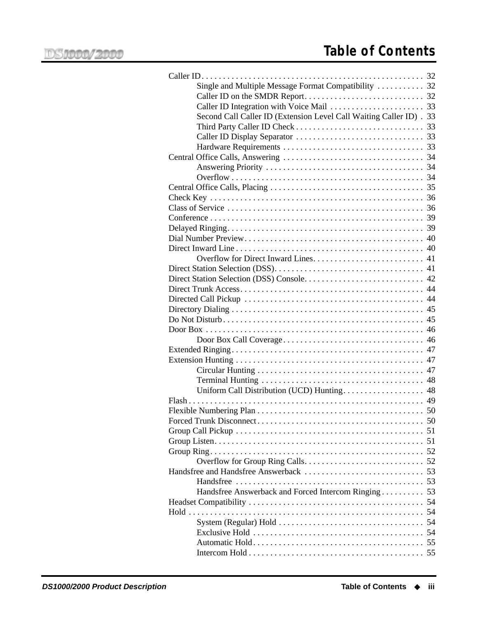| Single and Multiple Message Format Compatibility  32                |  |
|---------------------------------------------------------------------|--|
|                                                                     |  |
|                                                                     |  |
| Second Call Caller ID (Extension Level Call Waiting Caller ID) . 33 |  |
|                                                                     |  |
|                                                                     |  |
|                                                                     |  |
|                                                                     |  |
|                                                                     |  |
|                                                                     |  |
|                                                                     |  |
|                                                                     |  |
|                                                                     |  |
|                                                                     |  |
|                                                                     |  |
|                                                                     |  |
|                                                                     |  |
|                                                                     |  |
|                                                                     |  |
|                                                                     |  |
|                                                                     |  |
|                                                                     |  |
|                                                                     |  |
|                                                                     |  |
|                                                                     |  |
|                                                                     |  |
|                                                                     |  |
|                                                                     |  |
|                                                                     |  |
|                                                                     |  |
|                                                                     |  |
|                                                                     |  |
|                                                                     |  |
|                                                                     |  |
|                                                                     |  |
|                                                                     |  |
|                                                                     |  |
|                                                                     |  |
|                                                                     |  |
|                                                                     |  |
| Handsfree Answerback and Forced Intercom Ringing 53                 |  |
|                                                                     |  |
|                                                                     |  |
|                                                                     |  |
|                                                                     |  |
|                                                                     |  |
|                                                                     |  |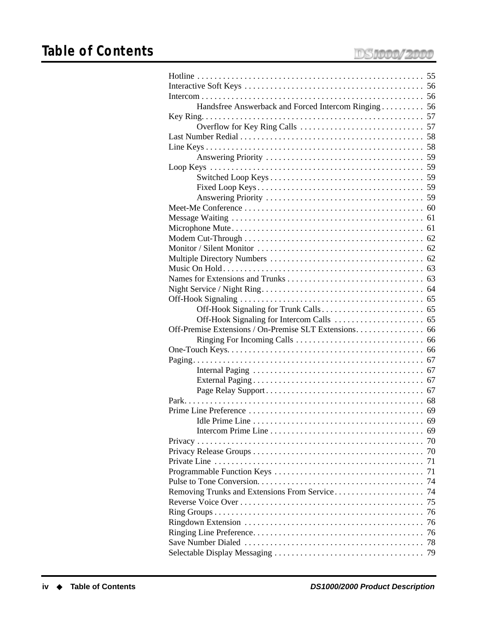| Handsfree Answerback and Forced Intercom Ringing 56 |    |
|-----------------------------------------------------|----|
|                                                     |    |
|                                                     |    |
|                                                     |    |
|                                                     |    |
|                                                     |    |
|                                                     |    |
|                                                     |    |
|                                                     |    |
|                                                     |    |
|                                                     |    |
|                                                     |    |
|                                                     |    |
|                                                     |    |
|                                                     |    |
|                                                     |    |
|                                                     |    |
|                                                     |    |
|                                                     |    |
|                                                     |    |
|                                                     |    |
|                                                     |    |
|                                                     |    |
|                                                     |    |
|                                                     |    |
|                                                     |    |
|                                                     |    |
|                                                     |    |
|                                                     |    |
|                                                     |    |
|                                                     |    |
|                                                     | 69 |
|                                                     | 69 |
|                                                     | 70 |
|                                                     | 70 |
|                                                     | 71 |
|                                                     | 71 |
|                                                     | 74 |
| Removing Trunks and Extensions From Service         | 74 |
|                                                     | 75 |
|                                                     | 76 |
|                                                     | 76 |
|                                                     | 76 |
|                                                     | 78 |
|                                                     |    |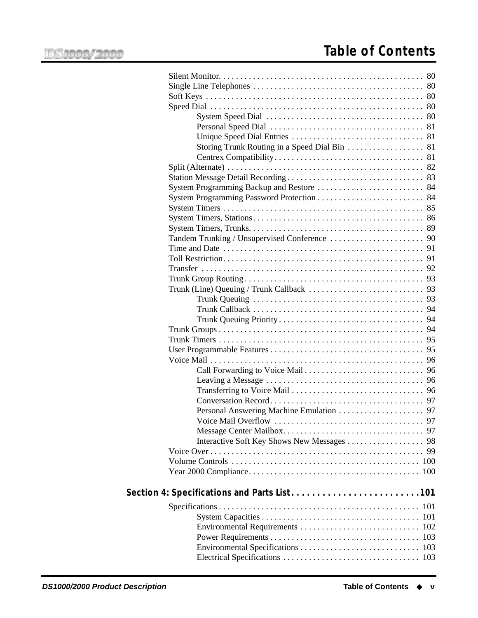| Storing Trunk Routing in a Speed Dial Bin 81 |    |
|----------------------------------------------|----|
|                                              |    |
|                                              |    |
|                                              |    |
|                                              |    |
|                                              |    |
|                                              |    |
|                                              |    |
|                                              |    |
|                                              |    |
|                                              |    |
|                                              |    |
|                                              |    |
|                                              |    |
|                                              |    |
|                                              |    |
|                                              |    |
|                                              |    |
|                                              |    |
|                                              |    |
|                                              |    |
|                                              |    |
|                                              |    |
|                                              |    |
|                                              |    |
|                                              |    |
|                                              |    |
|                                              |    |
|                                              |    |
|                                              |    |
|                                              | 99 |
|                                              |    |
|                                              |    |
|                                              |    |
| Section 4: Specifications and Parts List101  |    |
|                                              |    |
|                                              |    |
|                                              |    |
|                                              |    |
|                                              |    |
|                                              |    |
|                                              |    |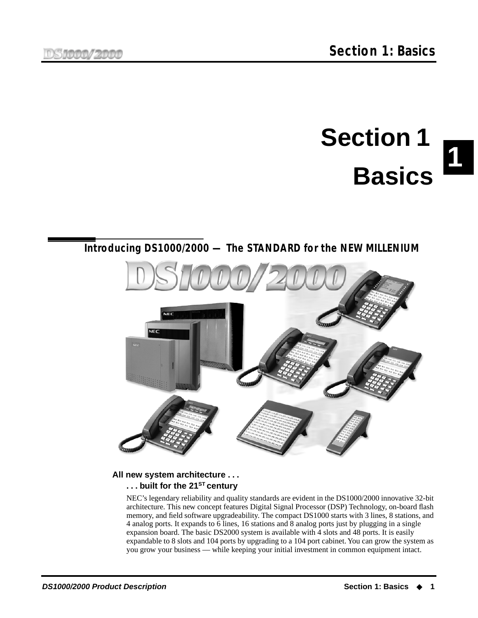# **1 Section 1 Basics**

# <span id="page-8-1"></span><span id="page-8-0"></span>**Introducing DS1000/2000 — The STANDARD for the NEW MILLENIUM**



#### <span id="page-8-2"></span>**All new system architecture . . . . . . built for the 21ST century**

NEC's legendary reliability and quality standards are evident in the DS1000/2000 innovative 32-bit architecture. This new concept features Digital Signal Processor (DSP) Technology, on-board flash memory, and field software upgradeability. The compact DS1000 starts with 3 lines, 8 stations, and 4 analog ports. It expands to 6 lines, 16 stations and 8 analog ports just by plugging in a single expansion board. The basic DS2000 system is available with 4 slots and 48 ports. It is easily expandable to 8 slots and 104 ports by upgrading to a 104 port cabinet. You can grow the system as you grow your business — while keeping your initial investment in common equipment intact.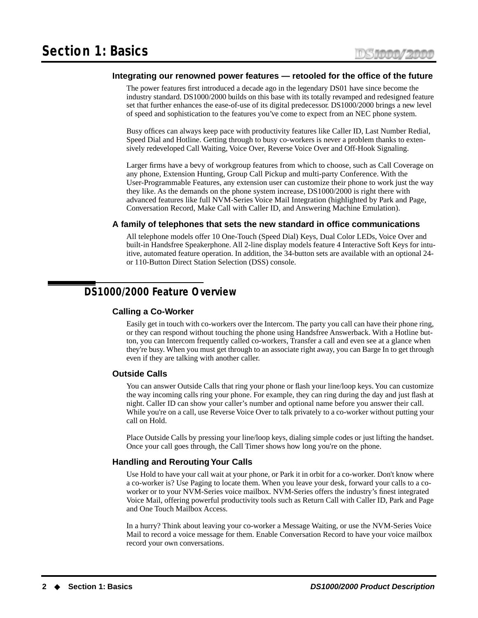#### <span id="page-9-0"></span>**Integrating our renowned power features — retooled for the office of the future**

The power features first introduced a decade ago in the legendary DS01 have since become the industry standard. DS1000/2000 builds on this base with its totally revamped and redesigned feature set that further enhances the ease-of-use of its digital predecessor. DS1000/2000 brings a new level of speed and sophistication to the features you've come to expect from an NEC phone system.

Busy offices can always keep pace with productivity features like Caller ID, Last Number Redial, Speed Dial and Hotline. Getting through to busy co-workers is never a problem thanks to extensively redeveloped Call Waiting, Voice Over, Reverse Voice Over and Off-Hook Signaling.

Larger firms have a bevy of workgroup features from which to choose, such as Call Coverage on any phone, Extension Hunting, Group Call Pickup and multi-party Conference. With the User-Programmable Features, any extension user can customize their phone to work just the way they like. As the demands on the phone system increase, DS1000/2000 is right there with advanced features like full NVM-Series Voice Mail Integration (highlighted by Park and Page, Conversation Record, Make Call with Caller ID, and Answering Machine Emulation).

#### <span id="page-9-1"></span>**A family of telephones that sets the new standard in office communications**

All telephone models offer 10 One-Touch (Speed Dial) Keys, Dual Color LEDs, Voice Over and built-in Handsfree Speakerphone. All 2-line display models feature 4 Interactive Soft Keys for intuitive, automated feature operation. In addition, the 34-button sets are available with an optional 24 or 110-Button Direct Station Selection (DSS) console.

# <span id="page-9-3"></span><span id="page-9-2"></span>**DS1000/2000 Feature Overview**

#### **Calling a Co-Worker**

Easily get in touch with co-workers over the Intercom. The party you call can have their phone ring, or they can respond without touching the phone using Handsfree Answerback. With a Hotline button, you can Intercom frequently called co-workers, Transfer a call and even see at a glance when they're busy. When you must get through to an associate right away, you can Barge In to get through even if they are talking with another caller.

#### <span id="page-9-4"></span>**Outside Calls**

You can answer Outside Calls that ring your phone or flash your line/loop keys. You can customize the way incoming calls ring your phone. For example, they can ring during the day and just flash at night. Caller ID can show your caller's number and optional name before you answer their call. While you're on a call, use Reverse Voice Over to talk privately to a co-worker without putting your call on Hold.

Place Outside Calls by pressing your line/loop keys, dialing simple codes or just lifting the handset. Once your call goes through, the Call Timer shows how long you're on the phone.

#### <span id="page-9-5"></span>**Handling and Rerouting Your Calls**

Use Hold to have your call wait at your phone, or Park it in orbit for a co-worker. Don't know where a co-worker is? Use Paging to locate them. When you leave your desk, forward your calls to a coworker or to your NVM-Series voice mailbox. NVM-Series offers the industry's finest integrated Voice Mail, offering powerful productivity tools such as Return Call with Caller ID, Park and Page and One Touch Mailbox Access.

In a hurry? Think about leaving your co-worker a Message Waiting, or use the NVM-Series Voice Mail to record a voice message for them. Enable Conversation Record to have your voice mailbox record your own conversations.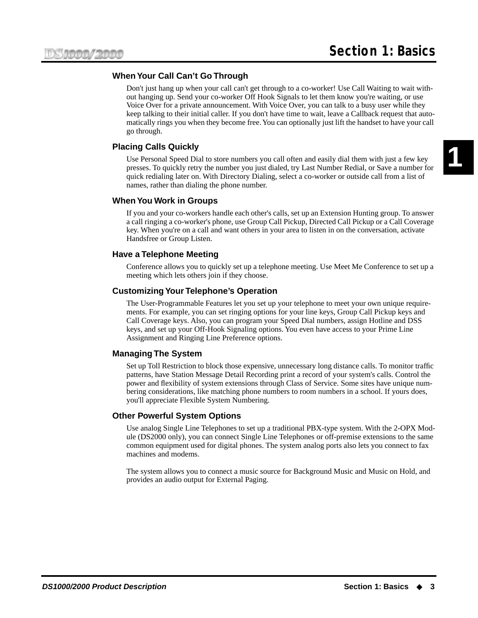#### <span id="page-10-0"></span>**When Your Call Can't Go Through**

Don't just hang up when your call can't get through to a co-worker! Use Call Waiting to wait without hanging up. Send your co-worker Off Hook Signals to let them know you're waiting, or use Voice Over for a private announcement. With Voice Over, you can talk to a busy user while they keep talking to their initial caller. If you don't have time to wait, leave a Callback request that automatically rings you when they become free. You can optionally just lift the handset to have your call go through.

#### <span id="page-10-1"></span>**Placing Calls Quickly**

Use Personal Speed Dial to store numbers you call often and easily dial them with just a few key presses. To quickly retry the number you just dialed, try Last Number Redial, or Save a number for quick redialing later on. With Directory Dialing, select a co-worker or outside call from a list of names, rather than dialing the phone number.

#### <span id="page-10-2"></span>**When You Work in Groups**

If you and your co-workers handle each other's calls, set up an Extension Hunting group. To answer a call ringing a co-worker's phone, use Group Call Pickup, Directed Call Pickup or a Call Coverage key. When you're on a call and want others in your area to listen in on the conversation, activate Handsfree or Group Listen.

#### <span id="page-10-3"></span>**Have a Telephone Meeting**

Conference allows you to quickly set up a telephone meeting. Use Meet Me Conference to set up a meeting which lets others join if they choose.

#### <span id="page-10-4"></span>**Customizing Your Telephone's Operation**

The User-Programmable Features let you set up your telephone to meet your own unique requirements. For example, you can set ringing options for your line keys, Group Call Pickup keys and Call Coverage keys. Also, you can program your Speed Dial numbers, assign Hotline and DSS keys, and set up your Off-Hook Signaling options. You even have access to your Prime Line Assignment and Ringing Line Preference options.

#### <span id="page-10-5"></span>**Managing The System**

Set up Toll Restriction to block those expensive, unnecessary long distance calls. To monitor traffic patterns, have Station Message Detail Recording print a record of your system's calls. Control the power and flexibility of system extensions through Class of Service. Some sites have unique numbering considerations, like matching phone numbers to room numbers in a school. If yours does, you'll appreciate Flexible System Numbering.

#### <span id="page-10-6"></span>**Other Powerful System Options**

Use analog Single Line Telephones to set up a traditional PBX-type system. With the 2-OPX Module (DS2000 only), you can connect Single Line Telephones or off-premise extensions to the same common equipment used for digital phones. The system analog ports also lets you connect to fax machines and modems.

The system allows you to connect a music source for Background Music and Music on Hold, and provides an audio output for External Paging.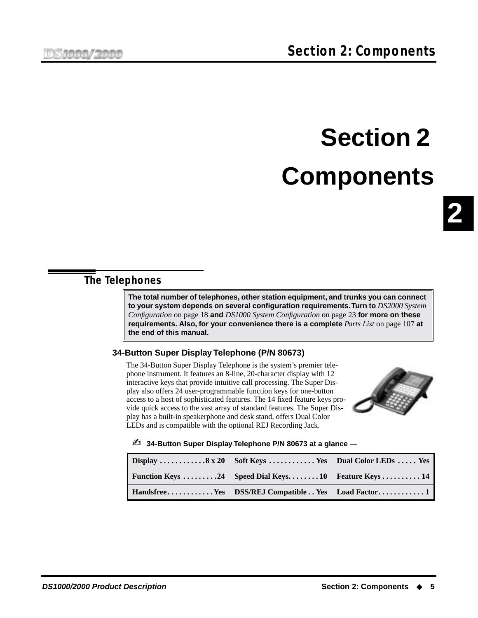# **Section 2 Components**

# <span id="page-12-1"></span><span id="page-12-0"></span>**The Telephones**

**The total number of telephones, other station equipment, and trunks you can connect to your system depends on several configuration requirements. Turn to** *[DS2000 System](#page-25-0)  [Configuration](#page-25-0)* on page 18 **and** *[DS1000 System Configuration](#page-30-0)* on page 23 **for more on these requirements. Also, for your convenience there is a complete** *Parts List* [on page 107](#page-114-3) **at the end of this manual.**

### <span id="page-12-2"></span>**34-Button Super Display Telephone (P/N 80673)**

The 34-Button Super Display Telephone is the system's premier telephone instrument. It features an 8-line, 20-character display with 12 interactive keys that provide intuitive call processing. The Super Display also offers 24 user-programmable function keys for one-button access to a host of sophisticated features. The 14 fixed feature keys provide quick access to the vast array of standard features. The Super Display has a built-in speakerphone and desk stand, offers Dual Color LEDs and is compatible with the optional REJ Recording Jack.



✍ **34-Button Super Display Telephone P/N 80673 at a glance —**

| Display 8 x 20 Soft Keys Yes Dual Color LEDs Yes   |  |
|----------------------------------------------------|--|
| Function Keys 24 Speed Dial Keys10 Feature Keys 14 |  |
| HandsfreeYes DSS/REJ CompatibleYes Load Factor 1   |  |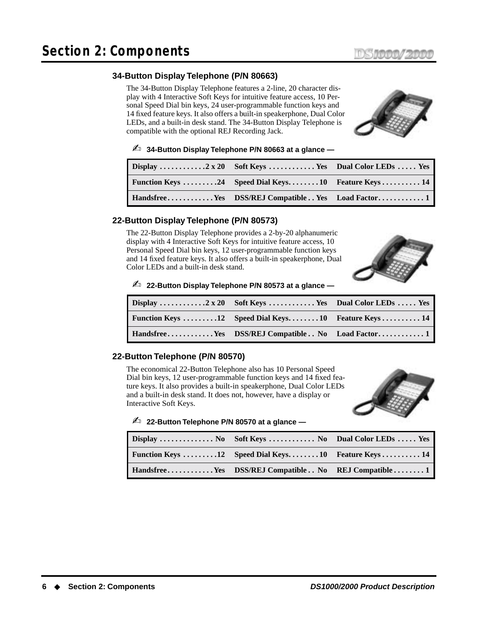#### <span id="page-13-0"></span>**34-Button Display Telephone (P/N 80663)**

The 34-Button Display Telephone features a 2-line, 20 character display with 4 Interactive Soft Keys for intuitive feature access, 10 Personal Speed Dial bin keys, 24 user-programmable function keys and 14 fixed feature keys. It also offers a built-in speakerphone, Dual Color LEDs, and a built-in desk stand. The 34-Button Display Telephone is compatible with the optional REJ Recording Jack.



#### ✍ **34-Button Display Telephone P/N 80663 at a glance —**

| Function Keys 24 Speed Dial Keys10 Feature Keys 14 |  |
|----------------------------------------------------|--|
|                                                    |  |

#### <span id="page-13-1"></span>**22-Button Display Telephone (P/N 80573)**

The 22-Button Display Telephone provides a 2-by-20 alphanumeric display with 4 Interactive Soft Keys for intuitive feature access, 10 Personal Speed Dial bin keys, 12 user-programmable function keys and 14 fixed feature keys. It also offers a built-in speakerphone, Dual Color LEDs and a built-in desk stand.



#### ✍ **22-Button Display Telephone P/N 80573 at a glance —**

| Function Keys 12 Speed Dial Keys10 Feature Keys 14 |  |
|----------------------------------------------------|--|
|                                                    |  |

#### <span id="page-13-2"></span>**22-Button Telephone (P/N 80570)**

The economical 22-Button Telephone also has 10 Personal Speed Dial bin keys, 12 user-programmable function keys and 14 fixed feature keys. It also provides a built-in speakerphone, Dual Color LEDs and a built-in desk stand. It does not, however, have a display or Interactive Soft Keys.



✍ **22-Button Telephone P/N 80570 at a glance —**

| Display  No Soft Keys  No Dual Color LEDs  Yes           |  |
|----------------------------------------------------------|--|
| <b>Function Keys 12</b> Speed Dial Keys10 Feature Keys14 |  |
| HandsfreeYes DSS/REJ Compatible No REJ Compatible1       |  |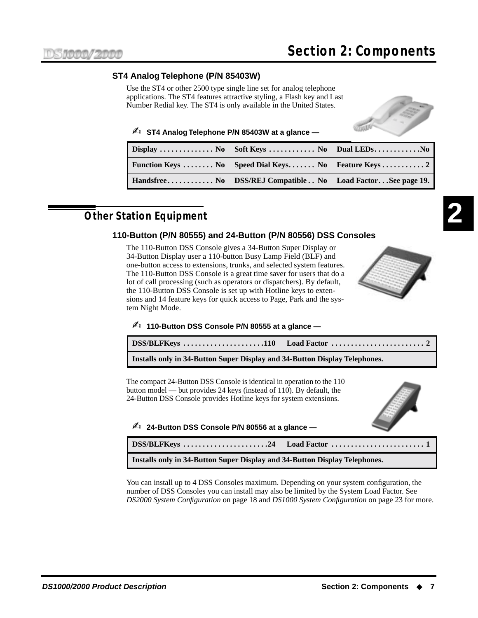#### <span id="page-14-0"></span>**ST4 Analog Telephone (P/N 85403W)**

Use the ST4 or other 2500 type single line set for analog telephone applications. The ST4 features attractive styling, a Flash key and Last Number Redial key. The ST4 is only available in the United States.



#### ✍ **ST4 Analog Telephone P/N 85403W at a glance —**

| Handsfree No DSS/REJ Compatible No Load FactorSee page 19. |  |
|------------------------------------------------------------|--|

# <span id="page-14-2"></span><span id="page-14-1"></span>**Other Station Equipment**

#### **110-Button (P/N 80555) and 24-Button (P/N 80556) DSS Consoles**

The 110-Button DSS Console gives a 34-Button Super Display or 34-Button Display user a 110-button Busy Lamp Field (BLF) and one-button access to extensions, trunks, and selected system features. The 110-Button DSS Console is a great time saver for users that do a lot of call processing (such as operators or dispatchers). By default, the 110-Button DSS Console is set up with Hotline keys to extensions and 14 feature keys for quick access to Page, Park and the system Night Mode.



#### ✍ **110-Button DSS Console P/N 80555 at a glance —**

| Installs only in 34-Button Super Display and 34-Button Display Telephones. |  |
|----------------------------------------------------------------------------|--|

The compact 24-Button DSS Console is identical in operation to the 110 button model — but provides 24 keys (instead of 110). By default, the 24-Button DSS Console provides Hotline keys for system extensions.

✍ **24-Button DSS Console P/N 80556 at a glance —**



| Installs only in 34-Button Super Display and 34-Button Display Telephones. |  |
|----------------------------------------------------------------------------|--|

You can install up to 4 DSS Consoles maximum. Depending on your system configuration, the number of DSS Consoles you can install may also be limited by the System Load Factor. See *[DS2000 System Configuration](#page-25-0)* on page 18 and *[DS1000 System Configuration](#page-30-0)* on page 23 for more.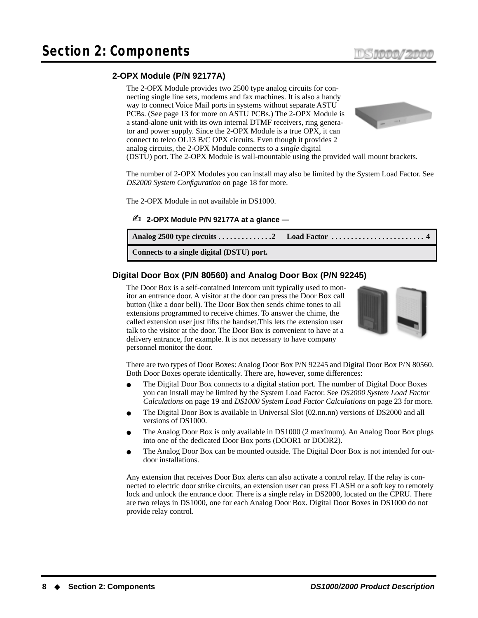#### <span id="page-15-0"></span>**2-OPX Module (P/N 92177A)**

The 2-OPX Module provides two 2500 type analog circuits for connecting single line sets, modems and fax machines. It is also a handy way to connect Voice Mail ports in systems without separate ASTU PCBs. (See [page 13](#page-20-0) for more on ASTU PCBs.) The 2-OPX Module is a stand-alone unit with its own internal DTMF receivers, ring generator and power supply. Since the 2-OPX Module is a true OPX, it can connect to telco OL13 B/C OPX circuits. Even though it provides 2 analog circuits, the 2-OPX Module connects to a *single* digital



(DSTU) port. The 2-OPX Module is wall-mountable using the provided wall mount brackets.

The number of 2-OPX Modules you can install may also be limited by the System Load Factor. See *[DS2000 System Configuration](#page-25-0)* on page 18 for more.

The 2-OPX Module in not available in DS1000.

#### ✍ **2-OPX Module P/N 92177A at a glance —**

| Connects to a single digital (DSTU) port. |  |
|-------------------------------------------|--|

#### <span id="page-15-1"></span>**Digital Door Box (P/N 80560) and Analog Door Box (P/N 92245)**

The Door Box is a self-contained Intercom unit typically used to monitor an entrance door. A visitor at the door can press the Door Box call button (like a door bell). The Door Box then sends chime tones to all extensions programmed to receive chimes. To answer the chime, the called extension user just lifts the handset.This lets the extension user talk to the visitor at the door. The Door Box is convenient to have at a delivery entrance, for example. It is not necessary to have company personnel monitor the door.



There are two types of Door Boxes: Analog Door Box P/N 92245 and Digital Door Box P/N 80560. Both Door Boxes operate identically. There are, however, some differences:

- The Digital Door Box connects to a digital station port. The number of Digital Door Boxes you can install may be limited by the System Load Factor. See *[DS2000 System Load Factor](#page-26-0)  [Calculations](#page-26-0)* on page 19 and *[DS1000 System Load Factor Calculations](#page-30-1)* on page 23 for more.
- The Digital Door Box is available in Universal Slot (02.nn.nn) versions of DS2000 and all versions of DS1000.
- The Analog Door Box is only available in DS1000 (2 maximum). An Analog Door Box plugs into one of the dedicated Door Box ports (DOOR1 or DOOR2).
- The Analog Door Box can be mounted outside. The Digital Door Box is not intended for outdoor installations.

Any extension that receives Door Box alerts can also activate a control relay. If the relay is connected to electric door strike circuits, an extension user can press FLASH or a soft key to remotely lock and unlock the entrance door. There is a single relay in DS2000, located on the CPRU. There are two relays in DS1000, one for each Analog Door Box. Digital Door Boxes in DS1000 do not provide relay control.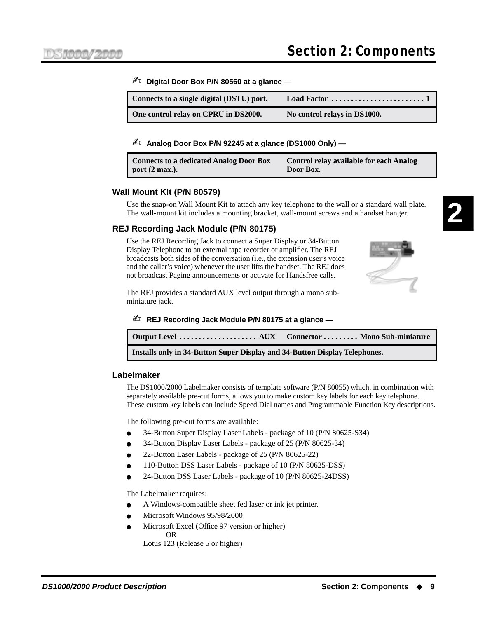#### ✍ **Digital Door Box P/N 80560 at a glance —**

| Connects to a single digital (DSTU) port. | Load Factor $\dots\dots\dots\dots\dots\dots\dots\dots\dots$ |
|-------------------------------------------|-------------------------------------------------------------|
| One control relay on CPRU in DS2000.      | No control relays in DS1000.                                |

#### ✍ **Analog Door Box P/N 92245 at a glance (DS1000 Only) —**

| <b>Connects to a dedicated Analog Door Box</b> | <b>Control relay available for each Analog</b> |
|------------------------------------------------|------------------------------------------------|
| port $(2 \text{ max.})$ .                      | Door Box.                                      |

#### <span id="page-16-0"></span>**Wall Mount Kit (P/N 80579)**

Use the snap-on Wall Mount Kit to attach any key telephone to the wall or a standard wall plate. The wall-mount kit includes a mounting bracket, wall-mount screws and a handset hanger.

#### <span id="page-16-1"></span>**REJ Recording Jack Module (P/N 80175)**

Use the REJ Recording Jack to connect a Super Display or 34-Button Display Telephone to an external tape recorder or amplifier. The REJ broadcasts both sides of the conversation (i.e., the extension user's voice and the caller's voice) whenever the user lifts the handset. The REJ does not broadcast Paging announcements or activate for Handsfree calls.



The REJ provides a standard AUX level output through a mono subminiature jack.

✍ **REJ Recording Jack Module P/N 80175 at a glance —**

| Installs only in 34-Button Super Display and 34-Button Display Telephones. |  |
|----------------------------------------------------------------------------|--|

#### <span id="page-16-2"></span>**Labelmaker**

The DS1000/2000 Labelmaker consists of template software (P/N 80055) which, in combination with separately available pre-cut forms, allows you to make custom key labels for each key telephone. These custom key labels can include Speed Dial names and Programmable Function Key descriptions.

The following pre-cut forms are available:

- 34-Button Super Display Laser Labels package of 10 (P/N 80625-S34)
- 34-Button Display Laser Labels package of 25 (P/N 80625-34)
- 22-Button Laser Labels package of 25 (P/N 80625-22)
- 110-Button DSS Laser Labels package of 10 (P/N 80625-DSS)
- 24-Button DSS Laser Labels package of 10 (P/N 80625-24DSS)

The Labelmaker requires:

- A Windows-compatible sheet fed laser or ink jet printer.
- Microsoft Windows 95/98/2000
- Microsoft Excel (Office 97 version or higher) OR

Lotus 123 (Release 5 or higher)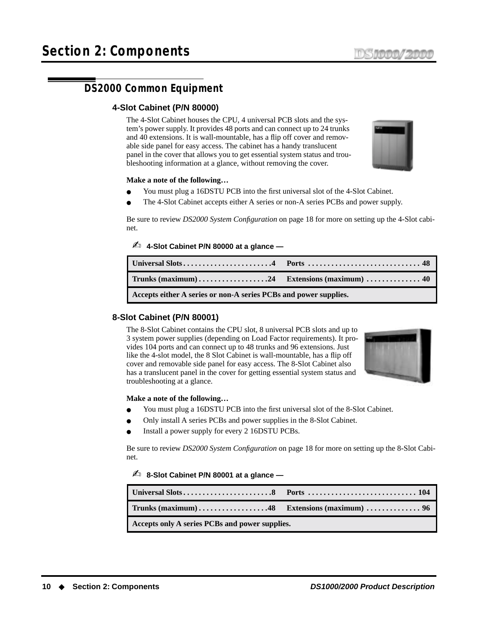# <span id="page-17-1"></span><span id="page-17-0"></span>**DS2000 Common Equipment**

#### **4-Slot Cabinet (P/N 80000)**

The 4-Slot Cabinet houses the CPU, 4 universal PCB slots and the system's power supply. It provides 48 ports and can connect up to 24 trunks and 40 extensions. It is wall-mountable, has a flip off cover and removable side panel for easy access. The cabinet has a handy translucent panel in the cover that allows you to get essential system status and troubleshooting information at a glance, without removing the cover.



#### **Make a note of the following…**

- You must plug a 16DSTU PCB into the first universal slot of the 4-Slot Cabinet.
- The 4-Slot Cabinet accepts either A series or non-A series PCBs and power supply.

Be sure to review *[DS2000 System Configuration](#page-25-0)* on page 18 for more on setting up the 4-Slot cabinet.

#### ✍ **4-Slot Cabinet P/N 80000 at a glance —**

| Accepts either A series or non-A series PCBs and power supplies. |  |
|------------------------------------------------------------------|--|

#### <span id="page-17-2"></span>**8-Slot Cabinet (P/N 80001)**

The 8-Slot Cabinet contains the CPU slot, 8 universal PCB slots and up to 3 system power supplies (depending on Load Factor requirements). It provides 104 ports and can connect up to 48 trunks and 96 extensions. Just like the 4-slot model, the 8 Slot Cabinet is wall-mountable, has a flip off cover and removable side panel for easy access. The 8-Slot Cabinet also has a translucent panel in the cover for getting essential system status and troubleshooting at a glance.



#### **Make a note of the following…**

- You must plug a 16DSTU PCB into the first universal slot of the 8-Slot Cabinet.
- Only install A series PCBs and power supplies in the 8-Slot Cabinet.
- Install a power supply for every 2 16DSTU PCBs.

Be sure to review *[DS2000 System Configuration](#page-25-0)* on page 18 for more on setting up the 8-Slot Cabinet.

#### ✍ **8-Slot Cabinet P/N 80001 at a glance —**

| Accepts only A series PCBs and power supplies. |  |
|------------------------------------------------|--|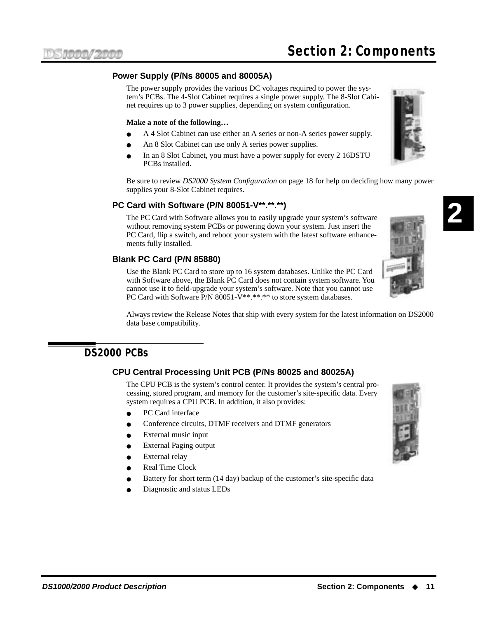#### <span id="page-18-0"></span>**Power Supply (P/Ns 80005 and 80005A)**

The power supply provides the various DC voltages required to power the system's PCBs. The 4-Slot Cabinet requires a single power supply. The 8-Slot Cabinet requires up to 3 power supplies, depending on system configuration.

#### **Make a note of the following…**

- A 4 Slot Cabinet can use either an A series or non-A series power supply.
- An 8 Slot Cabinet can use only A series power supplies.
- In an 8 Slot Cabinet, you must have a power supply for every 2 16DSTU PCBs installed.

Be sure to review *[DS2000 System Configuration](#page-25-0)* on page 18 for help on deciding how many power supplies your 8-Slot Cabinet requires.

#### <span id="page-18-1"></span>**PC Card with Software (P/N 80051-V\*\*.\*\*.\*\*)**

The PC Card with Software allows you to easily upgrade your system's software without removing system PCBs or powering down your system. Just insert the PC Card, flip a switch, and reboot your system with the latest software enhancements fully installed.

#### <span id="page-18-2"></span>**Blank PC Card (P/N 85880)**

Use the Blank PC Card to store up to 16 system databases. Unlike the PC Card with Software above, the Blank PC Card does not contain system software. You cannot use it to field-upgrade your system's software. Note that you cannot use PC Card with Software P/N 80051-V\*\*.\*\*.\*\* to store system databases.

Always review the Release Notes that ship with every system for the latest information on DS2000 data base compatibility.

## <span id="page-18-4"></span><span id="page-18-3"></span>**DS2000 PCBs**

#### **CPU Central Processing Unit PCB (P/Ns 80025 and 80025A)**

The CPU PCB is the system's control center. It provides the system's central processing, stored program, and memory for the customer's site-specific data. Every system requires a CPU PCB. In addition, it also provides:

- PC Card interface
- Conference circuits, DTMF receivers and DTMF generators
- External music input
- **External Paging output**
- External relay
- **Real Time Clock**
- Battery for short term (14 day) backup of the customer's site-specific data
- Diagnostic and status LEDs





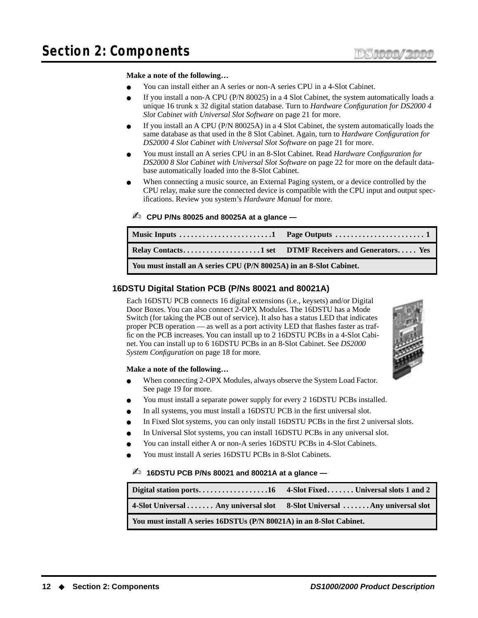#### **Make a note of the following…**

- You can install either an A series or non-A series CPU in a 4-Slot Cabinet.
- If you install a non-A CPU (P/N  $80025$ ) in a 4 Slot Cabinet, the system automatically loads a unique 16 trunk x 32 digital station database. Turn to *[Hardware Configuration for DS2000 4](#page-28-2)  [Slot Cabinet with Universal Slot Software](#page-28-2)* on page 21 for more.
- If you install an A CPU (P/N 80025A) in a 4 Slot Cabinet, the system automatically loads the same database as that used in the 8 Slot Cabinet. Again, turn to *[Hardware Configuration for](#page-28-2)  [DS2000 4 Slot Cabinet with Universal Slot Software](#page-28-2)* on page 21 for more.
- You must install an A series CPU in an 8-Slot Cabinet. Read *[Hardware Configuration for](#page-29-0)  [DS2000 8 Slot Cabinet with Universal Slot Software](#page-29-0)* on page 22 for more on the default database automatically loaded into the 8-Slot Cabinet.
- When connecting a music source, an External Paging system, or a device controlled by the CPU relay, make sure the connected device is compatible with the CPU input and output specifications. Review you system's *Hardware Manual* for more.

#### ✍ **CPU P/Ns 80025 and 80025A at a glance —**

| You must install an A series CPU (P/N 80025A) in an 8-Slot Cabinet. |  |
|---------------------------------------------------------------------|--|

#### <span id="page-19-0"></span>**16DSTU Digital Station PCB (P/Ns 80021 and 80021A)**

Each 16DSTU PCB connects 16 digital extensions (i.e., keysets) and/or Digital Door Boxes. You can also connect 2-OPX Modules. The 16DSTU has a Mode Switch (for taking the PCB out of service). It also has a status LED that indicates proper PCB operation — as well as a port activity LED that flashes faster as traffic on the PCB increases. You can install up to 2 16DSTU PCBs in a 4-Slot Cabinet. You can install up to 6 16DSTU PCBs in an 8-Slot Cabinet. See *[DS2000](#page-25-0)  [System Configuration](#page-25-0)* on page 18 for more.



#### **Make a note of the following…**

- When connecting 2-OPX Modules, always observe the System Load Factor. See [page 19](#page-26-0) for more.
- You must install a separate power supply for every 2 16DSTU PCBs installed.
- In all systems, you must install a 16DSTU PCB in the first universal slot.
- In Fixed Slot systems, you can only install 16DSTU PCBs in the first 2 universal slots.
- In Universal Slot systems, you can install 16DSTU PCBs in any universal slot.
- You can install either A or non-A series 16DSTU PCBs in 4-Slot Cabinets.
- You must install A series 16DSTU PCBs in 8-Slot Cabinets.

#### ✍ **16DSTU PCB P/Ns 80021 and 80021A at a glance —**

| 4-Slot Universal  Any universal slot 8-Slot Universal  Any universal slot |  |
|---------------------------------------------------------------------------|--|
| You must install A series 16DSTUs (P/N 80021A) in an 8-Slot Cabinet.      |  |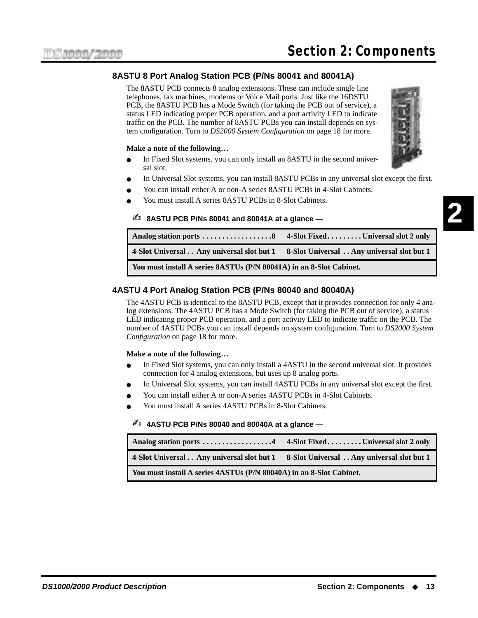#### <span id="page-20-0"></span>**8ASTU 8 Port Analog Station PCB (P/Ns 80041 and 80041A)**

The 8ASTU PCB connects 8 analog extensions. These can include single line telephones, fax machines, modems or Voice Mail ports. Just like the 16DSTU PCB, the 8ASTU PCB has a Mode Switch (for taking the PCB out of service), a status LED indicating proper PCB operation, and a port activity LED to indicate traffic on the PCB. The number of 8ASTU PCBs you can install depends on system configuration. Turn to *[DS2000 System Configuration](#page-25-0)* on page 18 for more.

#### **Make a note of the following…**

- In Fixed Slot systems, you can only install an 8ASTU in the second universal slot.
- In Universal Slot systems, you can install 8ASTU PCBs in any universal slot except the first.
- You can install either A or non-A series 8ASTU PCBs in 4-Slot Cabinets.
- You must install A series 8ASTU PCBs in 8-Slot Cabinets.

#### ✍ **8ASTU PCB P/Ns 80041 and 80041A at a glance —**

| 4-Slot Universal Any universal slot but 1 8-Slot Universal Any universal slot but 1 |  |
|-------------------------------------------------------------------------------------|--|
| You must install A series 8ASTUs (P/N 80041A) in an 8-Slot Cabinet.                 |  |

#### <span id="page-20-1"></span>**4ASTU 4 Port Analog Station PCB (P/Ns 80040 and 80040A)**

The 4ASTU PCB is identical to the 8ASTU PCB, except that it provides connection for only 4 analog extensions. The 4ASTU PCB has a Mode Switch (for taking the PCB out of service), a status LED indicating proper PCB operation, and a port activity LED to indicate traffic on the PCB. The number of 4ASTU PCBs you can install depends on system configuration. Turn to *[DS2000 System](#page-25-0)  [Configuration](#page-25-0)* on page 18 for more.

#### **Make a note of the following…**

- In Fixed Slot systems, you can only install a 4ASTU in the second universal slot. It provides connection for 4 analog extensions, but uses up 8 analog ports.
- In Universal Slot systems, you can install 4ASTU PCBs in any universal slot except the first.
- You can install either A or non-A series 4ASTU PCBs in 4-Slot Cabinets.
- You must install A series 4ASTU PCBs in 8-Slot Cabinets.

#### ✍ **4ASTU PCB P/Ns 80040 and 80040A at a glance —**

| 4-Slot Universal Any universal slot but 1                           | 8-Slot Universal Any universal slot but 1 |
|---------------------------------------------------------------------|-------------------------------------------|
| You must install A series 4ASTUs (P/N 80040A) in an 8-Slot Cabinet. |                                           |

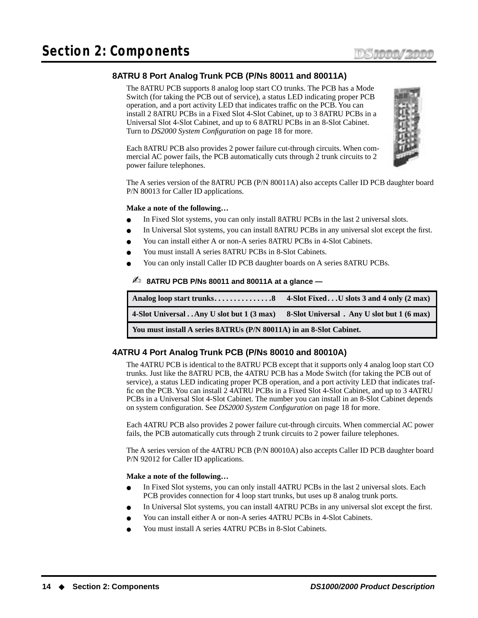#### <span id="page-21-0"></span>**8ATRU 8 Port Analog Trunk PCB (P/Ns 80011 and 80011A)**

The 8ATRU PCB supports 8 analog loop start CO trunks. The PCB has a Mode Switch (for taking the PCB out of service), a status LED indicating proper PCB operation, and a port activity LED that indicates traffic on the PCB. You can install 2 8ATRU PCBs in a Fixed Slot 4-Slot Cabinet, up to 3 8ATRU PCBs in a Universal Slot 4-Slot Cabinet, and up to 6 8ATRU PCBs in an 8-Slot Cabinet. Turn to *[DS2000 System Configuration](#page-25-0)* on page 18 for more.

Each 8ATRU PCB also provides 2 power failure cut-through circuits. When commercial AC power fails, the PCB automatically cuts through 2 trunk circuits to 2 power failure telephones.



The A series version of the 8ATRU PCB (P/N 80011A) also accepts Caller ID PCB daughter board P/N 80013 for Caller ID applications.

#### **Make a note of the following…**

- In Fixed Slot systems, you can only install 8ATRU PCBs in the last 2 universal slots.
- In Universal Slot systems, you can install 8ATRU PCBs in any universal slot except the first.
- You can install either A or non-A series 8ATRU PCBs in 4-Slot Cabinets.
- You must install A series 8ATRU PCBs in 8-Slot Cabinets.
- You can only install Caller ID PCB daughter boards on A series 8ATRU PCBs.

#### ✍ **8ATRU PCB P/Ns 80011 and 80011A at a glance —**

| 4-Slot UniversalAny U slot but 1 (3 max)                            | 8-Slot Universal. Any U slot but 1 (6 max) |
|---------------------------------------------------------------------|--------------------------------------------|
| You must install A series 8ATRUs (P/N 80011A) in an 8-Slot Cabinet. |                                            |

#### <span id="page-21-1"></span>**4ATRU 4 Port Analog Trunk PCB (P/Ns 80010 and 80010A)**

The 4ATRU PCB is identical to the 8ATRU PCB except that it supports only 4 analog loop start CO trunks. Just like the 8ATRU PCB, the 4ATRU PCB has a Mode Switch (for taking the PCB out of service), a status LED indicating proper PCB operation, and a port activity LED that indicates traffic on the PCB. You can install 2 4ATRU PCBs in a Fixed Slot 4-Slot Cabinet, and up to 3 4ATRU PCBs in a Universal Slot 4-Slot Cabinet. The number you can install in an 8-Slot Cabinet depends on system configuration. See *[DS2000 System Configuration](#page-25-0)* on page 18 for more.

Each 4ATRU PCB also provides 2 power failure cut-through circuits. When commercial AC power fails, the PCB automatically cuts through 2 trunk circuits to 2 power failure telephones.

The A series version of the 4ATRU PCB (P/N 80010A) also accepts Caller ID PCB daughter board P/N 92012 for Caller ID applications.

#### **Make a note of the following…**

- In Fixed Slot systems, you can only install 4ATRU PCBs in the last 2 universal slots. Each PCB provides connection for 4 loop start trunks, but uses up 8 analog trunk ports.
- In Universal Slot systems, you can install 4ATRU PCBs in any universal slot except the first.
- You can install either A or non-A series 4ATRU PCBs in 4-Slot Cabinets.
- You must install A series 4ATRU PCBs in 8-Slot Cabinets.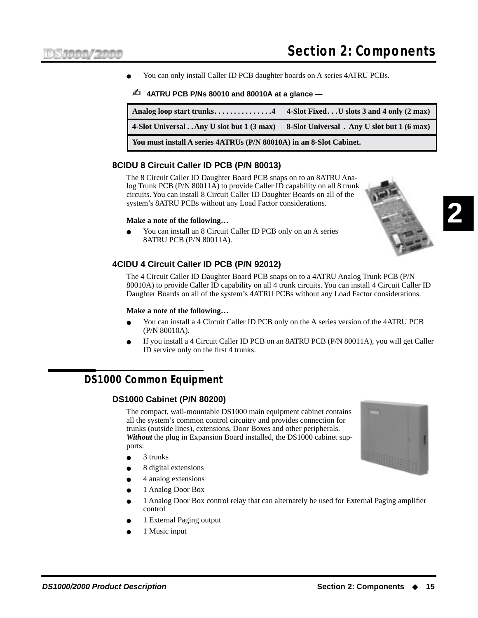You can only install Caller ID PCB daughter boards on A series 4ATRU PCBs.

#### ✍ **4ATRU PCB P/Ns 80010 and 80010A at a glance —**

| 4-Slot UniversalAny U slot but 1 (3 max)                            | 8-Slot Universal. Any U slot but 1 (6 max) |  |  |  |
|---------------------------------------------------------------------|--------------------------------------------|--|--|--|
| You must install A series 4ATRUs (P/N 80010A) in an 8-Slot Cabinet. |                                            |  |  |  |

#### <span id="page-22-0"></span>**8CIDU 8 Circuit Caller ID PCB (P/N 80013)**

The 8 Circuit Caller ID Daughter Board PCB snaps on to an 8ATRU Analog Trunk PCB (P/N 80011A) to provide Caller ID capability on all 8 trunk circuits. You can install 8 Circuit Caller ID Daughter Boards on all of the system's 8ATRU PCBs without any Load Factor considerations.

#### **Make a note of the following…**

You can install an 8 Circuit Caller ID PCB only on an A series 8ATRU PCB (P/N 80011A).

#### <span id="page-22-1"></span>**4CIDU 4 Circuit Caller ID PCB (P/N 92012)**

The 4 Circuit Caller ID Daughter Board PCB snaps on to a 4ATRU Analog Trunk PCB (P/N 80010A) to provide Caller ID capability on all 4 trunk circuits. You can install 4 Circuit Caller ID Daughter Boards on all of the system's 4ATRU PCBs without any Load Factor considerations.

#### **Make a note of the following…**

- You can install a 4 Circuit Caller ID PCB only on the A series version of the 4ATRU PCB (P/N 80010A).
- If you install a 4 Circuit Caller ID PCB on an 8ATRU PCB (P/N 80011A), you will get Caller ID service only on the first 4 trunks.

# <span id="page-22-3"></span><span id="page-22-2"></span>**DS1000 Common Equipment**

#### **DS1000 Cabinet (P/N 80200)**

The compact, wall-mountable DS1000 main equipment cabinet contains all the system's common control circuitry and provides connection for trunks (outside lines), extensions, Door Boxes and other peripherals. *Without* the plug in Expansion Board installed, the DS1000 cabinet supports:

- 3 trunks
- 8 digital extensions
- 4 analog extensions
- 1 Analog Door Box
- 1 Analog Door Box control relay that can alternately be used for External Paging amplifier control
- 1 External Paging output
- 1 Music input

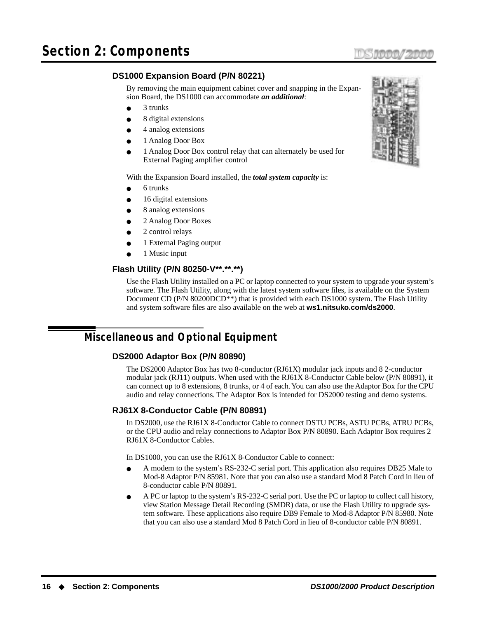# <span id="page-23-0"></span>**DS1000 Expansion Board (P/N 80221)**

By removing the main equipment cabinet cover and snapping in the Expansion Board, the DS1000 can accommodate *an additional*:

- 3 trunks
- 8 digital extensions
- 4 analog extensions
- 1 Analog Door Box
- 1 Analog Door Box control relay that can alternately be used for External Paging amplifier control

With the Expansion Board installed, the *total system capacity* is:

- 6 trunks
- 16 digital extensions
- 8 analog extensions
- 2 Analog Door Boxes
- 2 control relays
- 1 External Paging output
- 1 Music input

# <span id="page-23-1"></span>**Flash Utility (P/N 80250-V\*\*.\*\*.\*\*)**

Use the Flash Utility installed on a PC or laptop connected to your system to upgrade your system's software. The Flash Utility, along with the latest system software files, is available on the System Document CD (P/N 80200DCD<sup>\*\*</sup>) that is provided with each DS1000 system. The Flash Utility and system software files are also available on the web at **ws1.nitsuko.com/ds2000**.

# <span id="page-23-3"></span><span id="page-23-2"></span>**Miscellaneous and Optional Equipment**

#### **DS2000 Adaptor Box (P/N 80890)**

The DS2000 Adaptor Box has two 8-conductor (RJ61X) modular jack inputs and 8 2-conductor modular jack (RJ11) outputs. When used with the RJ61X 8-Conductor Cable below (P/N 80891), it can connect up to 8 extensions, 8 trunks, or 4 of each. You can also use the Adaptor Box for the CPU audio and relay connections. The Adaptor Box is intended for DS2000 testing and demo systems.

#### <span id="page-23-4"></span>**RJ61X 8-Conductor Cable (P/N 80891)**

In DS2000, use the RJ61X 8-Conductor Cable to connect DSTU PCBs, ASTU PCBs, ATRU PCBs, or the CPU audio and relay connections to Adaptor Box P/N 80890. Each Adaptor Box requires 2 RJ61X 8-Conductor Cables.

In DS1000, you can use the RJ61X 8-Conductor Cable to connect:

- A modem to the system's RS-232-C serial port. This application also requires DB25 Male to Mod-8 Adaptor P/N 85981. Note that you can also use a standard Mod 8 Patch Cord in lieu of 8-conductor cable P/N 80891.
- A PC or laptop to the system's RS-232-C serial port. Use the PC or laptop to collect call history, view Station Message Detail Recording (SMDR) data, or use the Flash Utility to upgrade system software. These applications also require DB9 Female to Mod-8 Adaptor P/N 85980. Note that you can also use a standard Mod 8 Patch Cord in lieu of 8-conductor cable P/N 80891.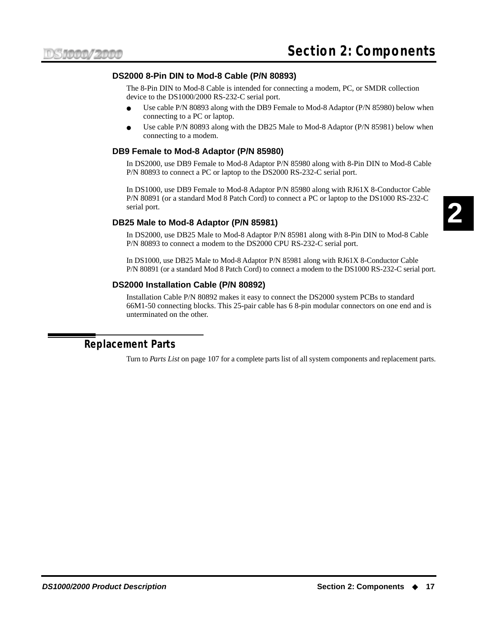#### **DS2000 8-Pin DIN to Mod-8 Cable (P/N 80893)**

The 8-Pin DIN to Mod-8 Cable is intended for connecting a modem, PC, or SMDR collection device to the DS1000/2000 RS-232-C serial port.

- Use cable P/N 80893 along with the DB9 Female to Mod-8 Adaptor (P/N 85980) below when connecting to a PC or laptop.
- Use cable P/N 80893 along with the DB25 Male to Mod-8 Adaptor (P/N 85981) below when connecting to a modem.

#### <span id="page-24-0"></span>**DB9 Female to Mod-8 Adaptor (P/N 85980)**

In DS2000, use DB9 Female to Mod-8 Adaptor P/N 85980 along with 8-Pin DIN to Mod-8 Cable P/N 80893 to connect a PC or laptop to the DS2000 RS-232-C serial port.

In DS1000, use DB9 Female to Mod-8 Adaptor P/N 85980 along with RJ61X 8-Conductor Cable P/N 80891 (or a standard Mod 8 Patch Cord) to connect a PC or laptop to the DS1000 RS-232-C serial port.

#### <span id="page-24-1"></span>**DB25 Male to Mod-8 Adaptor (P/N 85981)**

In DS2000, use DB25 Male to Mod-8 Adaptor P/N 85981 along with 8-Pin DIN to Mod-8 Cable P/N 80893 to connect a modem to the DS2000 CPU RS-232-C serial port.

In DS1000, use DB25 Male to Mod-8 Adaptor P/N 85981 along with RJ61X 8-Conductor Cable P/N 80891 (or a standard Mod 8 Patch Cord) to connect a modem to the DS1000 RS-232-C serial port.

#### <span id="page-24-2"></span>**DS2000 Installation Cable (P/N 80892)**

Installation Cable P/N 80892 makes it easy to connect the DS2000 system PCBs to standard 66M1-50 connecting blocks. This 25-pair cable has 6 8-pin modular connectors on one end and is unterminated on the other.

## <span id="page-24-3"></span>**Replacement Parts**

Turn to *Parts List* [on page 107](#page-114-3) for a complete parts list of all system components and replacement parts.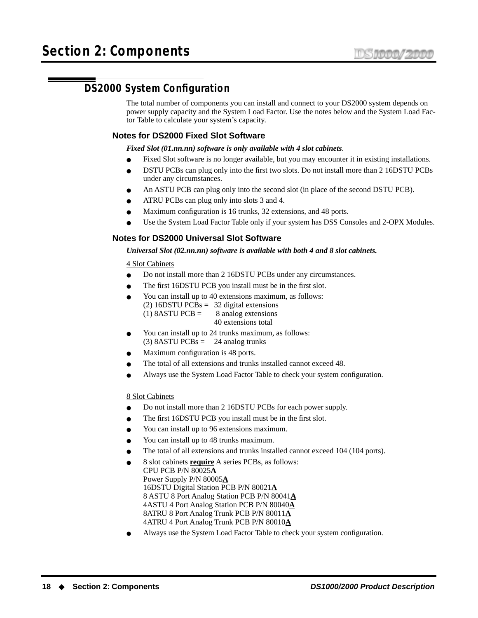# <span id="page-25-0"></span>**DS2000 System Configuration**

The total number of components you can install and connect to your DS2000 system depends on power supply capacity and the System Load Factor. Use the notes below and the System Load Factor Table to calculate your system's capacity.

#### **Notes for DS2000 Fixed Slot Software**

*Fixed Slot (01.nn.nn) software is only available with 4 slot cabinets*.

- Fixed Slot software is no longer available, but you may encounter it in existing installations.
- DSTU PCBs can plug only into the first two slots. Do not install more than 2 16DSTU PCBs under any circumstances.
- An ASTU PCB can plug only into the second slot (in place of the second DSTU PCB).
- ATRU PCBs can plug only into slots 3 and 4.
- Maximum configuration is 16 trunks, 32 extensions, and 48 ports.
- Use the System Load Factor Table only if your system has DSS Consoles and 2-OPX Modules.

#### **Notes for DS2000 Universal Slot Software**

#### *Universal Slot (02.nn.nn) software is available with both 4 and 8 slot cabinets.*

#### 4 Slot Cabinets

- Do not install more than 2 16DSTU PCBs under any circumstances.
- The first 16DSTU PCB you install must be in the first slot.
- You can install up to 40 extensions maximum, as follows: (2) 16DSTU PCBs = 32 digital extensions (1) 8ASTU PCB =  $\frac{8}{2}$  analog extensions
	- 40 extensions total
- You can install up to 24 trunks maximum, as follows:  $(3)$  8ASTU PCBs = 24 analog trunks
- Maximum configuration is 48 ports.
- The total of all extensions and trunks installed cannot exceed 48.
- Always use the System Load Factor Table to check your system configuration.

#### 8 Slot Cabinets

- Do not install more than 2 16DSTU PCBs for each power supply.
- The first 16DSTU PCB you install must be in the first slot.
- You can install up to 96 extensions maximum.
- You can install up to 48 trunks maximum.
- The total of all extensions and trunks installed cannot exceed 104 (104 ports).
- 8 slot cabinets **require** A series PCBs, as follows: CPU PCB P/N 80025**A** Power Supply P/N 80005**A** 16DSTU Digital Station PCB P/N 80021**A** 8 ASTU 8 Port Analog Station PCB P/N 80041**A** 4ASTU 4 Port Analog Station PCB P/N 80040**A** 8ATRU 8 Port Analog Trunk PCB P/N 80011**A** 4ATRU 4 Port Analog Trunk PCB P/N 80010**A**
- Always use the System Load Factor Table to check your system configuration.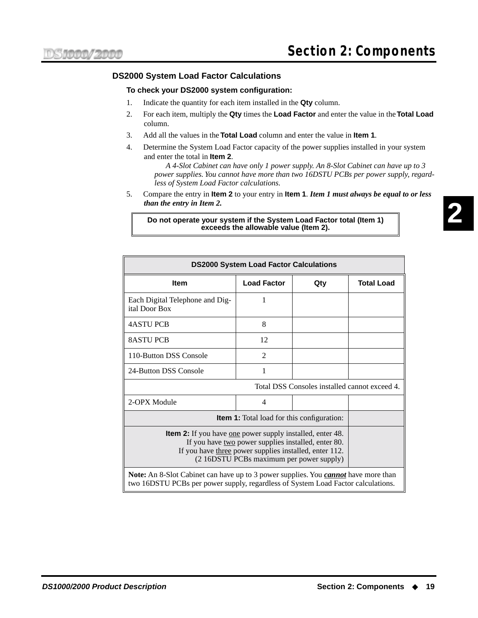#### <span id="page-26-0"></span>**DS2000 System Load Factor Calculations**

#### **To check your DS2000 system configuration:**

- 1. Indicate the quantity for each item installed in the **Qty** column.
- 2. For each item, multiply the **Qty** times the **Load Factor** and enter the value in the **Total Load** column.
- 3. Add all the values in the **Total Load** column and enter the value in **Item 1**.
- 4. Determine the System Load Factor capacity of the power supplies installed in your system and enter the total in **Item 2**.

*A 4-Slot Cabinet can have only 1 power supply. An 8-Slot Cabinet can have up to 3 power supplies. You cannot have more than two 16DSTU PCBs per power supply, regardless of System Load Factor calculations.*

5. Compare the entry in **Item 2** to your entry in **Item 1**. *Item 1 must always be equal to or less than the entry in Item 2.*

#### **Do not operate your system if the System Load Factor total (Item 1) exceeds the allowable value (Item 2).**

| <b>DS2000 System Load Factor Calculations</b>                                                                                                                                                                                        |                    |     |                   |
|--------------------------------------------------------------------------------------------------------------------------------------------------------------------------------------------------------------------------------------|--------------------|-----|-------------------|
| <b>Item</b>                                                                                                                                                                                                                          | <b>Load Factor</b> | Qty | <b>Total Load</b> |
| Each Digital Telephone and Dig-<br>ital Door Box                                                                                                                                                                                     | 1                  |     |                   |
| <b>4ASTU PCB</b>                                                                                                                                                                                                                     | 8                  |     |                   |
| <b>8ASTU PCB</b>                                                                                                                                                                                                                     | 12                 |     |                   |
| 110-Button DSS Console                                                                                                                                                                                                               | $\overline{2}$     |     |                   |
| 24-Button DSS Console                                                                                                                                                                                                                |                    |     |                   |
| Total DSS Consoles installed cannot exceed 4.                                                                                                                                                                                        |                    |     |                   |
| 2-OPX Module                                                                                                                                                                                                                         | 4                  |     |                   |
| <b>Item 1:</b> Total load for this configuration:                                                                                                                                                                                    |                    |     |                   |
| <b>Item 2:</b> If you have <u>one</u> power supply installed, enter 48.<br>If you have two power supplies installed, enter 80.<br>If you have three power supplies installed, enter 112.<br>(2 16DSTU PCBs maximum per power supply) |                    |     |                   |
| Note: An 8-Slot Cabinet can have up to 3 power supplies. You <i>cannot</i> have more than<br>two 16DSTU PCBs per power supply, regardless of System Load Factor calculations.                                                        |                    |     |                   |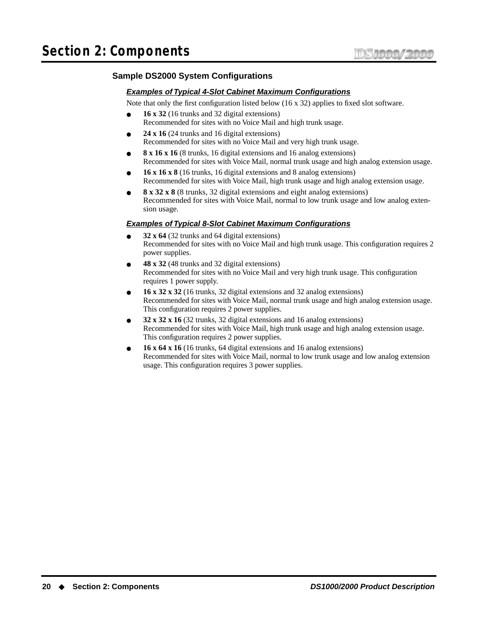#### **Sample DS2000 System Configurations**

#### **Examples of Typical 4-Slot Cabinet Maximum Configurations**

Note that only the first configuration listed below (16 x 32) applies to fixed slot software.

- 16 x 32 (16 trunks and 32 digital extensions) Recommended for sites with no Voice Mail and high trunk usage.
- $24 \times 16$  (24 trunks and 16 digital extensions) Recommended for sites with no Voice Mail and very high trunk usage.
- **8 x 16 x 16** (8 trunks, 16 digital extensions and 16 analog extensions) Recommended for sites with Voice Mail, normal trunk usage and high analog extension usage.
- **16 x 16 x 8** (16 trunks, 16 digital extensions and 8 analog extensions) Recommended for sites with Voice Mail, high trunk usage and high analog extension usage.
- **8 x 32 x 8** (8 trunks, 32 digital extensions and eight analog extensions) Recommended for sites with Voice Mail, normal to low trunk usage and low analog extension usage.

#### **Examples of Typical 8-Slot Cabinet Maximum Configurations**

- **32 x 64** (32 trunks and 64 digital extensions) Recommended for sites with no Voice Mail and high trunk usage. This configuration requires 2 power supplies.
- **48 x 32** (48 trunks and 32 digital extensions) Recommended for sites with no Voice Mail and very high trunk usage. This configuration requires 1 power supply.
- **16 x 32 x 32** (16 trunks, 32 digital extensions and 32 analog extensions) Recommended for sites with Voice Mail, normal trunk usage and high analog extension usage. This configuration requires 2 power supplies.
- **32 x 32 x 16** (32 trunks, 32 digital extensions and 16 analog extensions) Recommended for sites with Voice Mail, high trunk usage and high analog extension usage. This configuration requires 2 power supplies.
- **16 x 64 x 16** (16 trunks, 64 digital extensions and 16 analog extensions) Recommended for sites with Voice Mail, normal to low trunk usage and low analog extension usage. This configuration requires 3 power supplies.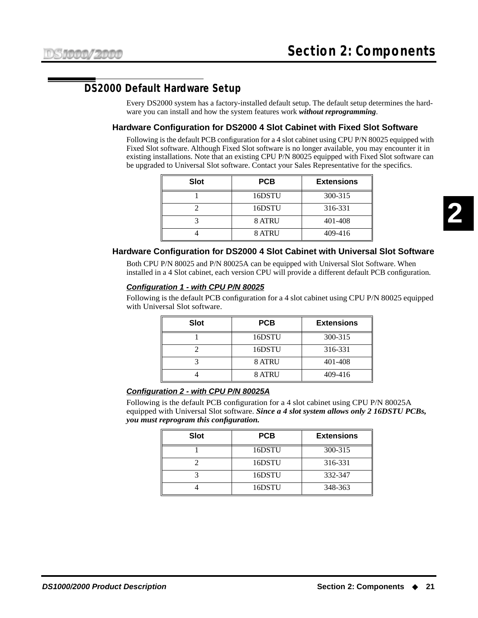# <span id="page-28-1"></span><span id="page-28-0"></span>**DS2000 Default Hardware Setup**

Every DS2000 system has a factory-installed default setup. The default setup determines the hardware you can install and how the system features work *without reprogramming*.

#### **Hardware Configuration for DS2000 4 Slot Cabinet with Fixed Slot Software**

Following is the default PCB configuration for a 4 slot cabinet using CPU P/N 80025 equipped with Fixed Slot software. Although Fixed Slot software is no longer available, you may encounter it in existing installations. Note that an existing CPU P/N 80025 equipped with Fixed Slot software can be upgraded to Universal Slot software. Contact your Sales Representative for the specifics.

| <b>Slot</b> | <b>Extensions</b><br><b>PCB</b> |         |
|-------------|---------------------------------|---------|
|             | 16DSTU                          | 300-315 |
|             | 16DSTU                          | 316-331 |
|             | <b>8 ATRU</b>                   | 401-408 |
|             | 8 ATRU                          | 409-416 |

#### <span id="page-28-2"></span>**Hardware Configuration for DS2000 4 Slot Cabinet with Universal Slot Software**

Both CPU P/N 80025 and P/N 80025A can be equipped with Universal Slot Software. When installed in a 4 Slot cabinet, each version CPU will provide a different default PCB configuration.

#### **Configuration 1 - with CPU P/N 80025**

Following is the default PCB configuration for a 4 slot cabinet using CPU P/N 80025 equipped with Universal Slot software.

| <b>Slot</b> | <b>PCB</b>    | <b>Extensions</b> |
|-------------|---------------|-------------------|
|             | 16DSTU        | 300-315           |
|             | 16DSTU        | 316-331           |
|             | 8 ATRU        | 401-408           |
|             | <b>8 ATRU</b> | 409-416           |

#### **Configuration 2 - with CPU P/N 80025A**

Following is the default PCB configuration for a 4 slot cabinet using CPU P/N 80025A equipped with Universal Slot software. *Since a 4 slot system allows only 2 16DSTU PCBs, you must reprogram this configuration.*

| <b>Slot</b> | <b>PCB</b> | <b>Extensions</b> |
|-------------|------------|-------------------|
|             | 16DSTU     | 300-315           |
|             | 16DSTU     | 316-331           |
|             | 16DSTU     | 332-347           |
|             | 16DSTU     | 348-363           |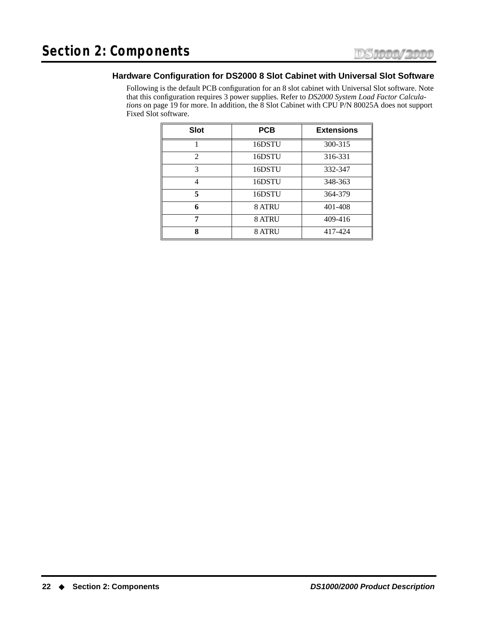#### <span id="page-29-0"></span>**Hardware Configuration for DS2000 8 Slot Cabinet with Universal Slot Software**

Following is the default PCB configuration for an 8 slot cabinet with Universal Slot software. Note that this configuration requires 3 power supplies. Refer to *[DS2000 System Load Factor Calcula](#page-26-0)tions* [on page 19](#page-26-0) for more. In addition, the 8 Slot Cabinet with CPU P/N 80025A does not support Fixed Slot software.

| <b>Slot</b>    | <b>PCB</b>    | <b>Extensions</b> |
|----------------|---------------|-------------------|
|                | 16DSTU        | 300-315           |
| $\mathfrak{D}$ | 16DSTU        | 316-331           |
| 3              | 16DSTU        | 332-347           |
|                | 16DSTU        | 348-363           |
| 5              | 16DSTU        | 364-379           |
| 6              | <b>8 ATRU</b> | 401-408           |
|                | 8 ATRU        | 409-416           |
| 8              | 8 ATRU        | 417-424           |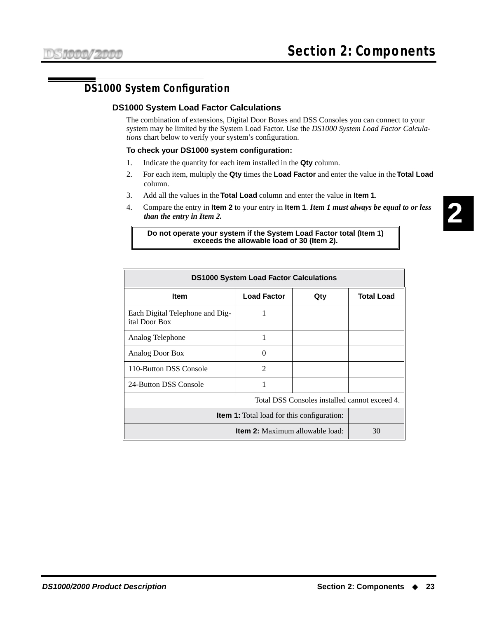# <span id="page-30-1"></span><span id="page-30-0"></span>**DS1000 System Configuration**

#### **DS1000 System Load Factor Calculations**

The combination of extensions, Digital Door Boxes and DSS Consoles you can connect to your system may be limited by the System Load Factor. Use the *DS1000 System Load Factor Calculations* chart below to verify your system's configuration.

#### **To check your DS1000 system configuration:**

- 1. Indicate the quantity for each item installed in the **Qty** column.
- 2. For each item, multiply the **Qty** times the **Load Factor** and enter the value in the **Total Load** column.
- 3. Add all the values in the **Total Load** column and enter the value in **Item 1**.
- 4. Compare the entry in **Item 2** to your entry in **Item 1**. *Item 1 must always be equal to or less than the entry in Item 2.*

#### **Do not operate your system if the System Load Factor total (Item 1) exceeds the allowable load of 30 (Item 2).**

| <b>DS1000 System Load Factor Calculations</b>     |                    |     |                   |
|---------------------------------------------------|--------------------|-----|-------------------|
| <b>Item</b>                                       | <b>Load Factor</b> | Qty | <b>Total Load</b> |
| Each Digital Telephone and Dig-<br>ital Door Box  |                    |     |                   |
| Analog Telephone                                  |                    |     |                   |
| Analog Door Box                                   | $\Omega$           |     |                   |
| 110-Button DSS Console                            | $\mathfrak{D}$     |     |                   |
| 24-Button DSS Console                             |                    |     |                   |
| Total DSS Consoles installed cannot exceed 4.     |                    |     |                   |
| <b>Item 1:</b> Total load for this configuration: |                    |     |                   |
| <b>Item 2:</b> Maximum allowable load:            |                    |     | 30                |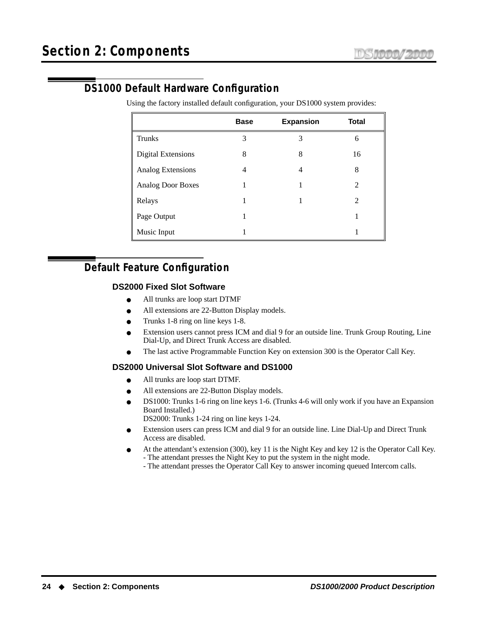# <span id="page-31-0"></span>**DS1000 Default Hardware Configuration**

Using the factory installed default configuration, your DS1000 system provides:

|                           | <b>Base</b> | <b>Expansion</b> | <b>Total</b> |
|---------------------------|-------------|------------------|--------------|
| <b>Trunks</b>             | 3           | 3                | 6            |
| <b>Digital Extensions</b> | 8           | 8                | 16           |
| Analog Extensions         | 4           | 4                | 8            |
| <b>Analog Door Boxes</b>  |             |                  | 2            |
| Relays                    |             |                  | 2            |
| Page Output               |             |                  |              |
| Music Input               |             |                  |              |

# <span id="page-31-2"></span><span id="page-31-1"></span>**Default Feature Configuration**

#### **DS2000 Fixed Slot Software**

- All trunks are loop start DTMF
- All extensions are 22-Button Display models.
- Trunks 1-8 ring on line keys 1-8.
- Extension users cannot press ICM and dial 9 for an outside line. Trunk Group Routing, Line Dial-Up, and Direct Trunk Access are disabled.
- The last active Programmable Function Key on extension 300 is the Operator Call Key.

#### <span id="page-31-3"></span>**DS2000 Universal Slot Software and DS1000**

- All trunks are loop start DTMF.
- All extensions are 22-Button Display models.
- DS1000: Trunks 1-6 ring on line keys 1-6. (Trunks 4-6 will only work if you have an Expansion Board Installed.)

DS2000: Trunks 1-24 ring on line keys 1-24.

- Extension users can press ICM and dial 9 for an outside line. Line Dial-Up and Direct Trunk Access are disabled.
- At the attendant's extension (300), key 11 is the Night Key and key 12 is the Operator Call Key. - The attendant presses the Night Key to put the system in the night mode.
	- The attendant presses the Operator Call Key to answer incoming queued Intercom calls.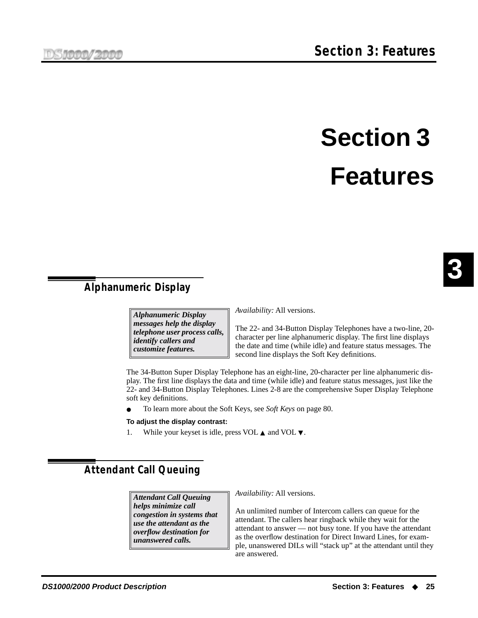# **Section 3 Features**

# <span id="page-32-1"></span><span id="page-32-0"></span>**Alphanumeric Display**

*Alphanumeric Display messages help the display telephone user process calls, identify callers and customize features.*

*Availability:* All versions.

The 22- and 34-Button Display Telephones have a two-line, 20 character per line alphanumeric display. The first line displays the date and time (while idle) and feature status messages. The second line displays the Soft Key definitions.

The 34-Button Super Display Telephone has an eight-line, 20-character per line alphanumeric display. The first line displays the data and time (while idle) and feature status messages, just like the 22- and 34-Button Display Telephones. Lines 2-8 are the comprehensive Super Display Telephone soft key definitions.

● To learn more about the Soft Keys, see *Soft Keys* [on page 80](#page-87-2).

#### **To adjust the display contrast:**

1. While your keyset is idle, press VOL ▲ and VOL ▼.

# <span id="page-32-2"></span>**Attendant Call Queuing**

*Attendant Call Queuing helps minimize call congestion in systems that use the attendant as the overflow destination for unanswered calls.*

*Availability:* All versions.

An unlimited number of Intercom callers can queue for the attendant. The callers hear ringback while they wait for the attendant to answer — not busy tone. If you have the attendant as the overflow destination for Direct Inward Lines, for example, unanswered DILs will "stack up" at the attendant until they are answered.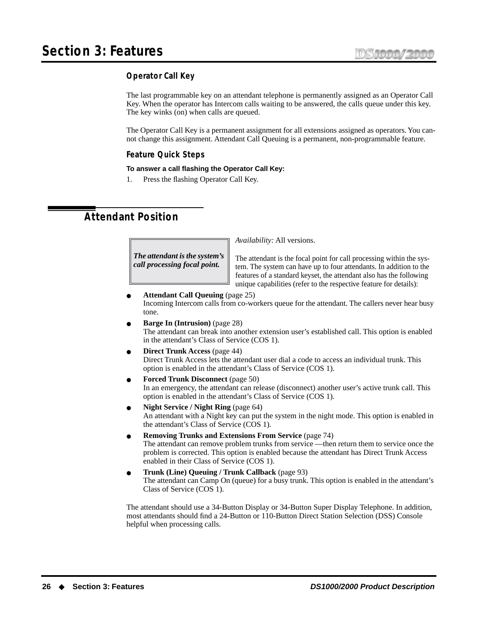#### <span id="page-33-0"></span>**Operator Call Key**

The last programmable key on an attendant telephone is permanently assigned as an Operator Call Key. When the operator has Intercom calls waiting to be answered, the calls queue under this key. The key winks (on) when calls are queued.

The Operator Call Key is a permanent assignment for all extensions assigned as operators. You cannot change this assignment. Attendant Call Queuing is a permanent, non-programmable feature.

#### **Feature Quick Steps**

#### **To answer a call flashing the Operator Call Key:**

1. Press the flashing Operator Call Key.

# <span id="page-33-1"></span>**Attendant Position**

*The attendant is the system's call processing focal point.*

*Availability:* All versions.

The attendant is the focal point for call processing within the system. The system can have up to four attendants. In addition to the features of a standard keyset, the attendant also has the following unique capabilities (refer to the respective feature for details):

● **[Attendant Call Queuing](#page-32-2)** (page 25) Incoming Intercom calls from co-workers queue for the attendant. The callers never hear busy tone.

- **[Barge In \(Intrusion\)](#page-35-0)** (page 28) The attendant can break into another extension user's established call. This option is enabled in the attendant's Class of Service (COS 1).
- **[Direct Trunk Access](#page-51-0)** (page 44) Direct Trunk Access lets the attendant user dial a code to access an individual trunk. This option is enabled in the attendant's Class of Service (COS 1).
- **[Forced Trunk Disconnect](#page-57-1)** (page 50) In an emergency, the attendant can release (disconnect) another user's active trunk call. This option is enabled in the attendant's Class of Service (COS 1).
- **[Night Service / Night Ring](#page-71-0)** (page 64) An attendant with a Night key can put the system in the night mode. This option is enabled in the attendant's Class of Service (COS 1).
- **[Removing Trunks and Extensions From Service](#page-81-1)** (page 74) The attendant can remove problem trunks from service —then return them to service once the problem is corrected. This option is enabled because the attendant has Direct Trunk Access enabled in their Class of Service (COS 1).
- **[Trunk \(Line\) Queuing / Trunk Callback](#page-100-1)** (page 93) The attendant can Camp On (queue) for a busy trunk. This option is enabled in the attendant's Class of Service (COS 1).

The attendant should use a 34-Button Display or 34-Button Super Display Telephone. In addition, most attendants should find a 24-Button or 110-Button [Direct Station Selection \(DSS\) Console](#page-49-0) helpful when processing calls.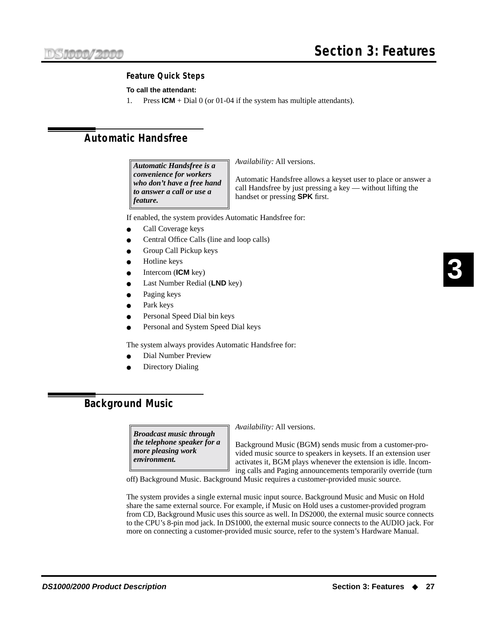#### **Feature Quick Steps**

#### **To call the attendant:**

1. Press **ICM** + Dial 0 (or 01-04 if the system has multiple attendants).

# <span id="page-34-0"></span>**Automatic Handsfree**

*Automatic Handsfree is a convenience for workers who don't have a free hand to answer a call or use a feature.*

*Availability:* All versions.

Automatic Handsfree allows a keyset user to place or answer a call Handsfree by just pressing a key — without lifting the handset or pressing **SPK** first.

If enabled, the system provides Automatic Handsfree for:

- Call Coverage keys
- Central Office Calls (line and loop calls)
- **[Group Call Pickup](#page-58-0) keys**
- Hotline keys
- [Intercom](#page-63-1) (**ICM** key)
- [Last Number Redial](#page-65-0) (LND key)
- [Paging](#page-74-0) keys
- [Park](#page-75-0) keys
- Personal Speed Dial bin keys
- Personal and System Speed Dial keys

The system always provides Automatic Handsfree for:

- Dial Number Preview
- **Directory Dialing**

## <span id="page-34-1"></span>**Background Music**

*Broadcast music through the telephone speaker for a more pleasing work environment.*

*Availability:* All versions.

Background Music (BGM) sends music from a customer-provided music source to speakers in keysets. If an extension user activates it, BGM plays whenever the extension is idle. Incoming calls and Paging announcements temporarily override (turn

off) Background Music. Background Music requires a customer-provided music source.

The system provides a single external music input source. Background Music and Music on Hold share the same external source. For example, if Music on Hold uses a customer-provided program from CD, Background Music uses this source as well. In DS2000, the external music source connects to the CPU's 8-pin mod jack. In DS1000, the external music source connects to the AUDIO jack. For more on connecting a customer-provided music source, refer to the system's Hardware Manual.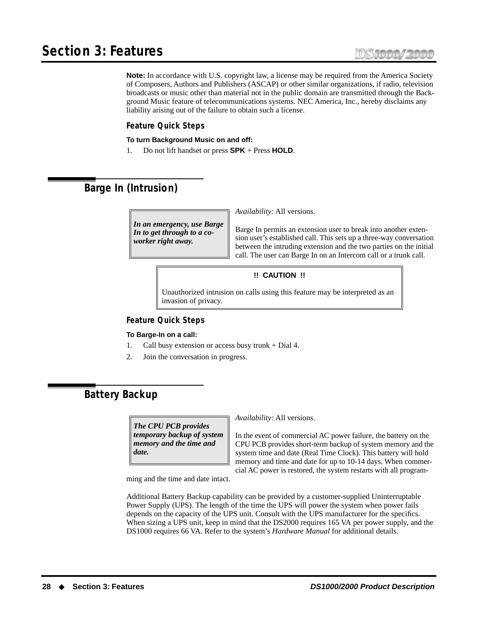**Note:** In accordance with U.S. copyright law, a license may be required from the America Society of Composers, Authors and Publishers (ASCAP) or other similar organizations, if radio, television broadcasts or music other than material not in the public domain are transmitted through the Background Music feature of telecommunications systems. NEC America, Inc., hereby disclaims any liability arising out of the failure to obtain such a license.

#### **Feature Quick Steps**

#### **To turn Background Music on and off:**

1. Do not lift handset or press **SPK** + Press **HOLD**.

# <span id="page-35-0"></span>**Barge In (Intrusion)**

*In an emergency, use Barge In to get through to a coworker right away.*

*Availability:* All versions.

Barge In permits an extension user to break into another extension user's established call. This sets up a three-way conversation between the intruding extension and the two parties on the initial call. The user can Barge In on an Intercom call or a trunk call.

#### **!! CAUTION !!**

Unauthorized intrusion on calls using this feature may be interpreted as an invasion of privacy.

#### **Feature Quick Steps**

#### **To Barge-In on a call:**

- 1. Call busy extension or access busy trunk + Dial 4.
- 2. Join the conversation in progress.

## <span id="page-35-1"></span>**Battery Backup**

*The CPU PCB provides temporary backup of system memory and the time and date.*

*Availability:* All versions.

In the event of commercial AC power failure, the battery on the CPU PCB provides short-term backup of system memory and the system time and date (Real Time Clock). This battery will hold memory and time and date for up to 10-14 days. When commercial AC power is restored, the system restarts with all program-

ming and the time and date intact.

Additional Battery Backup capability can be provided by a customer-supplied Uninterruptable Power Supply (UPS). The length of the time the UPS will power the system when power fails depends on the capacity of the UPS unit. Consult with the UPS manufacturer for the specifics. When sizing a UPS unit, keep in mind that the DS2000 requires 165 VA per power supply, and the DS1000 requires 66 VA. Refer to the system's *Hardware Manual* for additional details.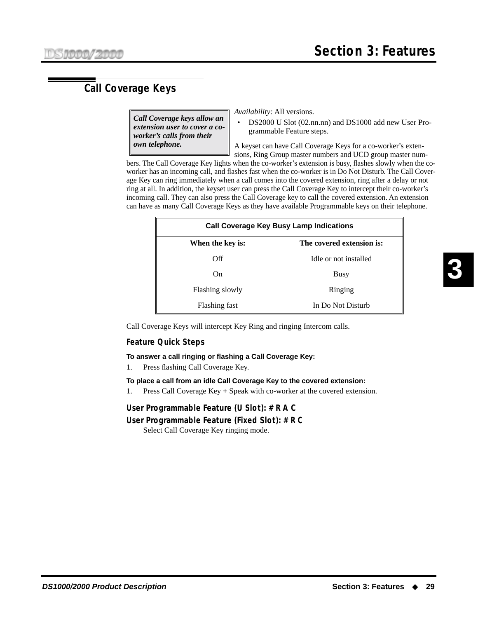# <span id="page-36-0"></span>**Call Coverage Keys**

*Call Coverage keys allow an extension user to cover a coworker's calls from their own telephone.*

*Availability:* All versions.

• DS2000 U Slot (02.nn.nn) and DS1000 add new User Programmable Feature steps.

A keyset can have Call Coverage Keys for a co-worker's extensions, Ring Group master numbers and UCD group master num-

bers. The Call Coverage Key lights when the co-worker's extension is busy, flashes slowly when the coworker has an incoming call, and flashes fast when the co-worker is in Do Not Disturb. The Call Coverage Key can ring immediately when a call comes into the covered extension, ring after a delay or not ring at all. In addition, the keyset user can press the Call Coverage Key to intercept their co-worker's incoming call. They can also press the Call Coverage key to call the covered extension. An extension can have as many Call Coverage Keys as they have available Programmable keys on their telephone.

| <b>Call Coverage Key Busy Lamp Indications</b> |                       |  |  |  |
|------------------------------------------------|-----------------------|--|--|--|
| The covered extension is:<br>When the key is:  |                       |  |  |  |
| Off                                            | Idle or not installed |  |  |  |
| On.                                            | Busy                  |  |  |  |
| Flashing slowly                                | Ringing               |  |  |  |
| Flashing fast                                  | In Do Not Disturb     |  |  |  |

Call Coverage Keys will intercept Key Ring and ringing Intercom calls.

### **Feature Quick Steps**

### **To answer a call ringing or flashing a Call Coverage Key:**

1. Press flashing Call Coverage Key.

### **To place a call from an idle Call Coverage Key to the covered extension:**

1. Press Call Coverage Key + Speak with co-worker at the covered extension.

### **User Programmable Feature (U Slot): # R A C**

## **User Programmable Feature (Fixed Slot): # R C**

Select Call Coverage Key ringing mode.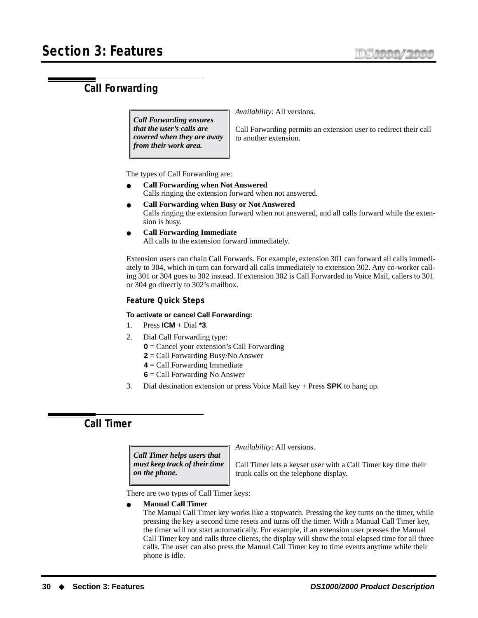# <span id="page-37-0"></span>**Call Forwarding**

*Call Forwarding ensures that the user's calls are covered when they are away from their work area.*

*Availability:* All versions.

Call Forwarding permits an extension user to redirect their call to another extension.

The types of Call Forwarding are:

- **Call Forwarding when Not Answered** Calls ringing the extension forward when not answered.
- **Call Forwarding when Busy or Not Answered** Calls ringing the extension forward when not answered, and all calls forward while the extension is busy.
- **Call Forwarding Immediate** All calls to the extension forward immediately.

Extension users can chain Call Forwards. For example, extension 301 can forward all calls immediately to 304, which in turn can forward all calls immediately to extension 302. Any co-worker calling 301 or 304 goes to 302 instead. If extension 302 is Call Forwarded to Voice Mail, callers to 301 or 304 go directly to 302's mailbox.

# **Feature Quick Steps**

### **To activate or cancel Call Forwarding:**

- 1. Press **ICM** + Dial **\*3**.
- 2. Dial Call Forwarding type:
	- **0** = Cancel your extension's Call Forwarding
	- **2** = Call Forwarding Busy/No Answer
	- **4** = Call Forwarding Immediate
	- **6** = Call Forwarding No Answer
- 3. Dial destination extension or press Voice Mail key + Press **SPK** to hang up.

# **Call Timer**

*Call Timer helps users that must keep track of their time on the phone.*

*Availability:* All versions.

Call Timer lets a keyset user with a Call Timer key time their trunk calls on the telephone display.

There are two types of Call Timer keys:

● **Manual Call Timer** 

The Manual Call Timer key works like a stopwatch. Pressing the key turns on the timer, while pressing the key a second time resets and turns off the timer. With a Manual Call Timer key, the timer will not start automatically. For example, if an extension user presses the Manual Call Timer key and calls three clients, the display will show the total elapsed time for all three calls. The user can also press the Manual Call Timer key to time events anytime while their phone is idle.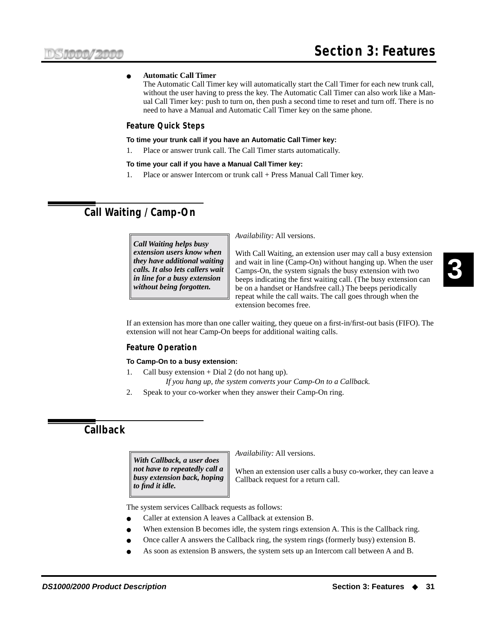### ● **Automatic Call Timer**

The Automatic Call Timer key will automatically start the Call Timer for each new trunk call, without the user having to press the key. The Automatic Call Timer can also work like a Manual Call Timer key: push to turn on, then push a second time to reset and turn off. There is no need to have a Manual and Automatic Call Timer key on the same phone.

### **Feature Quick Steps**

#### **To time your trunk call if you have an Automatic Call Timer key:**

1. Place or answer trunk call. The Call Timer starts automatically.

### **To time your call if you have a Manual Call Timer key:**

1. Place or answer Intercom or trunk call + Press Manual Call Timer key.

# <span id="page-38-0"></span>**Call Waiting / Camp-On**

*Call Waiting helps busy extension users know when they have additional waiting calls. It also lets callers wait in line for a busy extension without being forgotten.*

*Availability:* All versions.

With Call Waiting, an extension user may call a busy extension and wait in line (Camp-On) without hanging up. When the user Camps-On, the system signals the busy extension with two beeps indicating the first waiting call. (The busy extension can be on a handset or Handsfree call.) The beeps periodically repeat while the call waits. The call goes through when the extension becomes free.

If an extension has more than one caller waiting, they queue on a first-in/first-out basis (FIFO). The extension will not hear Camp-On beeps for additional waiting calls.

### **Feature Operation**

### **To Camp-On to a busy extension:**

- 1. Call busy extension  $+$  Dial 2 (do not hang up). *If you hang up, the system converts your Camp-On to a Callback.*
- 2. Speak to your co-worker when they answer their Camp-On ring.

# **Callback**

*With Callback, a user does not have to repeatedly call a busy extension back, hoping to find it idle.*

*Availability:* All versions.

When an extension user calls a busy co-worker, they can leave a Callback request for a return call.

The system services Callback requests as follows:

- Caller at extension A leaves a Callback at extension B.
- When extension B becomes idle, the system rings extension A. This is the Callback ring.
- Once caller A answers the Callback ring, the system rings (formerly busy) extension B.
- As soon as extension B answers, the system sets up an Intercom call between A and B.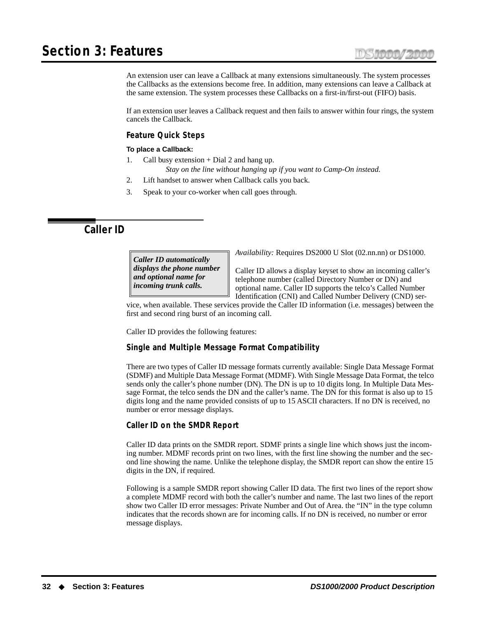# **Section 3: Features**

An extension user can leave a Callback at many extensions simultaneously. The system processes the Callbacks as the extensions become free. In addition, many extensions can leave a Callback at the same extension. The system processes these Callbacks on a first-in/first-out (FIFO) basis.

If an extension user leaves a Callback request and then fails to answer within four rings, the system cancels the Callback.

### **Feature Quick Steps**

### **To place a Callback:**

- 1. Call busy extension + Dial 2 and hang up.
	- *Stay on the line without hanging up if you want to Camp-On instead.*
- 2. Lift handset to answer when Callback calls you back.
- 3. Speak to your co-worker when call goes through.

# <span id="page-39-0"></span>**Caller ID**

*Caller ID automatically displays the phone number and optional name for incoming trunk calls.*

*Availability:* Requires DS2000 U Slot (02.nn.nn) or DS1000.

Caller ID allows a display keyset to show an incoming caller's telephone number (called Directory Number or DN) and optional name. Caller ID supports the telco's Called Number Identification (CNI) and Called Number Delivery (CND) ser-

vice, when available. These services provide the Caller ID information (i.e. messages) between the first and second ring burst of an incoming call.

Caller ID provides the following features:

# **Single and Multiple Message Format Compatibility**

There are two types of Caller ID message formats currently available: Single Data Message Format (SDMF) and Multiple Data Message Format (MDMF). With Single Message Data Format, the telco sends only the caller's phone number (DN). The DN is up to 10 digits long. In Multiple Data Message Format, the telco sends the DN and the caller's name. The DN for this format is also up to 15 digits long and the name provided consists of up to 15 ASCII characters. If no DN is received, no number or error message displays.

### **Caller ID on the SMDR Report**

Caller ID data prints on the SMDR report. SDMF prints a single line which shows just the incoming number. MDMF records print on two lines, with the first line showing the number and the second line showing the name. Unlike the telephone display, the SMDR report can show the entire 15 digits in the DN, if required.

Following is a sample SMDR report showing Caller ID data. The first two lines of the report show a complete MDMF record with both the caller's number and name. The last two lines of the report show two Caller ID error messages: Private Number and Out of Area. the "IN" in the type column indicates that the records shown are for incoming calls. If no DN is received, no number or error message displays.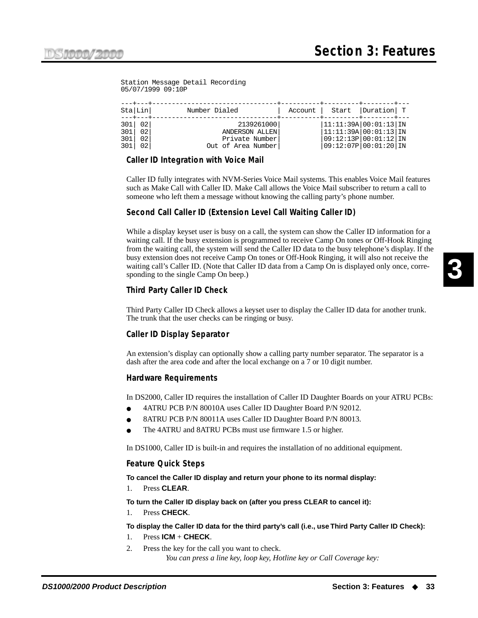Station Message Detail Recording 05/07/1999 09:10P

|                   | Sta Lin <br>$--++---.$    | ---+---+------------<br>Number Dialed                                | Account   Start   Duration   T                                                                      |  |
|-------------------|---------------------------|----------------------------------------------------------------------|-----------------------------------------------------------------------------------------------------|--|
| 301<br>301<br>301 | 301 02 <br>02<br>02<br>02 | 2139261000<br>ANDERSON ALLEN<br>Private Number<br>Out of Area Number | 11:11:39A 00:01:13 1N<br> 11:11:39A 00:01:13 1N<br> 09:12:13P 00:01:12 IN<br> 09:12:07P 00:01:20 1N |  |

## **Caller ID Integration with Voice Mail**

Caller ID fully integrates with NVM-Series Voice Mail systems. This enables Voice Mail features such as Make Call with Caller ID. Make Call allows the Voice Mail subscriber to return a call to someone who left them a message without knowing the calling party's phone number.

## **Second Call Caller ID (Extension Level Call Waiting Caller ID)**

While a display keyset user is busy on a call, the system can show the Caller ID information for a waiting call. If the busy extension is programmed to receive Camp On tones or Off-Hook Ringing from the waiting call, the system will send the Caller ID data to the busy telephone's display. If the busy extension does not receive Camp On tones or Off-Hook Ringing, it will also not receive the waiting call's Caller ID. (Note that Caller ID data from a Camp On is displayed only once, corresponding to the single Camp On beep.)

### **Third Party Caller ID Check**

Third Party Caller ID Check allows a keyset user to display the Caller ID data for another trunk. The trunk that the user checks can be ringing or busy.

### **Caller ID Display Separator**

An extension's display can optionally show a calling party number separator. The separator is a dash after the area code and after the local exchange on a 7 or 10 digit number.

### **Hardware Requirements**

In DS2000, Caller ID requires the installation of Caller ID Daughter Boards on your ATRU PCBs:

- 4ATRU PCB P/N 80010A uses Caller ID Daughter Board P/N 92012.
- 8ATRU PCB P/N 80011A uses Caller ID Daughter Board P/N 80013.
- The 4ATRU and 8ATRU PCBs must use firmware 1.5 or higher.

In DS1000, Caller ID is built-in and requires the installation of no additional equipment.

### **Feature Quick Steps**

**To cancel the Caller ID display and return your phone to its normal display:**

1. Press **CLEAR**.

**To turn the Caller ID display back on (after you press CLEAR to cancel it):**

1. Press **CHECK**.

### **To display the Caller ID data for the third party's call (i.e., use Third Party Caller ID Check):**

- 1. Press **ICM** + **CHECK**.
- 2. Press the key for the call you want to check. *You can press a line key, loop key, Hotline key or Call Coverage key:*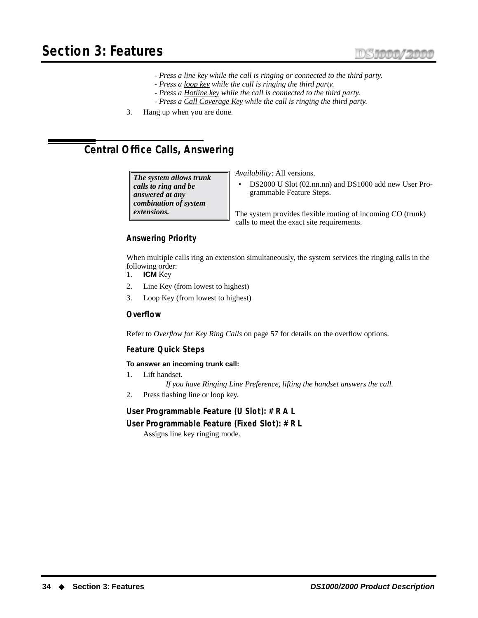- *Press a line key while the call is ringing or connected to the third party.*
- *Press a loop key while the call is ringing the third party.*
- *Press a Hotline key while the call is connected to the third party.*
- *Press a Call Coverage Key while the call is ringing the third party.*
- 3. Hang up when you are done.

# <span id="page-41-0"></span>**Central Office Calls, Answering**

*The system allows trunk calls to ring and be answered at any combination of system extensions.*

*Availability:* All versions.

• DS2000 U Slot (02.nn.nn) and DS1000 add new User Programmable Feature Steps.

The system provides flexible routing of incoming CO (trunk) calls to meet the exact site requirements.

# **Answering Priority**

When multiple calls ring an extension simultaneously, the system services the ringing calls in the following order:

- 1. **ICM** Key
- 2. Line Key (from lowest to highest)
- 3. Loop Key (from lowest to highest)

### **Overflow**

Refer to *[Overflow for Key Ring Calls](#page-64-0)* on page 57 for details on the overflow options.

### **Feature Quick Steps**

### **To answer an incoming trunk call:**

- 1. Lift handset.
	- *If you have Ringing Line Preference, lifting the handset answers the call.*
- 2. Press flashing line or loop key.

### **User Programmable Feature (U Slot): # R A L**

### **User Programmable Feature (Fixed Slot): # R L**

Assigns line key ringing mode.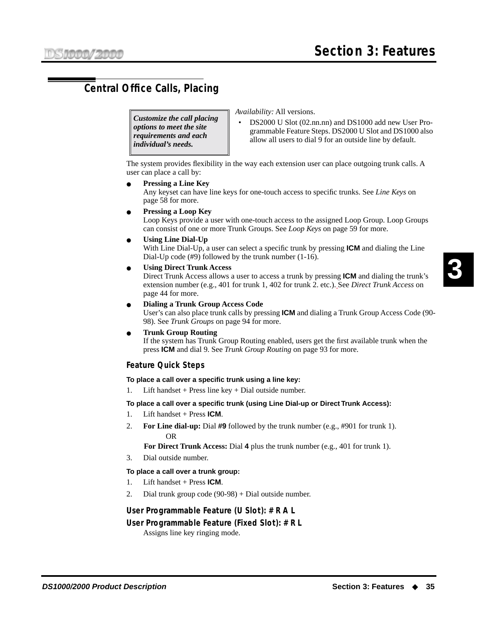# <span id="page-42-0"></span>**Central Office Calls, Placing**

*Customize the call placing options to meet the site requirements and each individual's needs.*

*Availability:* All versions.

• DS2000 U Slot (02.nn.nn) and DS1000 add new User Programmable Feature Steps. DS2000 U Slot and DS1000 also allow all users to dial 9 for an outside line by default.

The system provides flexibility in the way each extension user can place outgoing trunk calls. A user can place a call by:

### ● **Pressing a Line Key**

Any keyset can have line keys for one-touch access to specific trunks. See *[Line Keys](#page-65-0)* on [page 58 for more.](#page-65-0)

**Pressing a Loop Key** 

Loop Keys provide a user with one-touch access to the assigned Loop Group. Loop Groups can consist of one or more Trunk Groups. See *Loop Keys* [on page 59 for more.](#page-66-0)

**Using Line Dial-Up** 

With Line Dial-Up, a user can select a specific trunk by pressing **ICM** and dialing the Line Dial-Up code (#9) followed by the trunk number (1-16).

**Using Direct Trunk Access** 

Direct Trunk Access allows a user to access a trunk by pressing **ICM** and dialing the trunk's extension number (e.g., 401 for trunk 1, 402 for trunk 2. etc.). See *[Direct Trunk Access](#page-51-0)* on [page 44 for more.](#page-51-0)

● **Dialing a Trunk Group Access Code**

User's can also place trunk calls by pressing **ICM** and dialing a Trunk Group Access Code (90- 98). See *Trunk Groups* [on page 94 for more.](#page-101-0)

● **Trunk Group Routing**

If the system has Trunk Group Routing enabled, users get the first available trunk when the press **ICM** and dial 9. See *[Trunk Group Routing](#page-100-0)* on page 93 for more.

# **Feature Quick Steps**

### **To place a call over a specific trunk using a line key:**

1. Lift handset + Press line key + Dial outside number.

### **To place a call over a specific trunk (using Line Dial-up or Direct Trunk Access):**

- 1. Lift handset + Press **ICM**.
- 2. **For Line dial-up:** Dial **#9** followed by the trunk number (e.g., #901 for trunk 1). OR

**For Direct Trunk Access:** Dial **4** plus the trunk number (e.g., 401 for trunk 1).

3. Dial outside number.

### **To place a call over a trunk group:**

- 1. Lift handset + Press **ICM**.
- 2. Dial trunk group code (90-98) + Dial outside number.

### **User Programmable Feature (U Slot): # R A L**

# **User Programmable Feature (Fixed Slot): # R L**

Assigns line key ringing mode.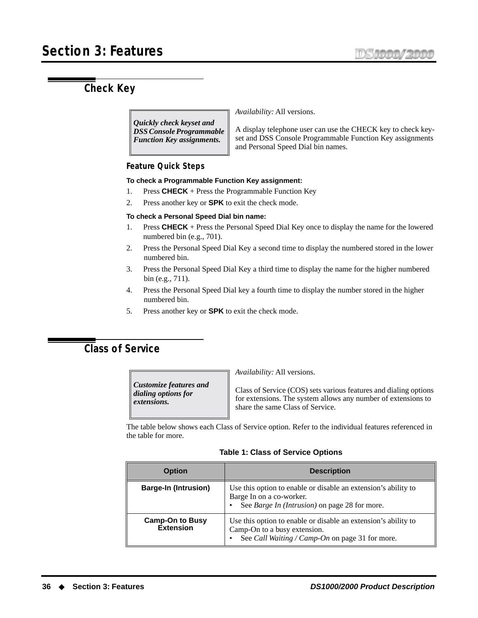# **Check Key**

*Quickly check keyset and DSS Console Programmable Function Key assignments.*

*Availability:* All versions.

A display telephone user can use the CHECK key to check keyset and DSS Console Programmable Function Key assignments and Personal Speed Dial bin names.

## **Feature Quick Steps**

### **To check a Programmable Function Key assignment:**

- 1. Press **CHECK** + Press the Programmable Function Key
- 2. Press another key or **SPK** to exit the check mode.

### **To check a Personal Speed Dial bin name:**

- 1. Press **CHECK** + Press the Personal Speed Dial Key once to display the name for the lowered numbered bin (e.g., 701).
- 2. Press the Personal Speed Dial Key a second time to display the numbered stored in the lower numbered bin.
- 3. Press the Personal Speed Dial Key a third time to display the name for the higher numbered bin (e.g., 711).
- 4. Press the Personal Speed Dial key a fourth time to display the number stored in the higher numbered bin.
- 5. Press another key or **SPK** to exit the check mode.

# **Class of Service**

*Customize features and dialing options for extensions.*

*Availability:* All versions.

Class of Service (COS) sets various features and dialing options for extensions. The system allows any number of extensions to share the same Class of Service.

The table below shows each Class of Service option. Refer to the individual features referenced in the table for more.

|  |  |  |  | <b>Table 1: Class of Service Options</b> |  |  |
|--|--|--|--|------------------------------------------|--|--|
|--|--|--|--|------------------------------------------|--|--|

| <b>Option</b>                       | <b>Description</b>                                                                                                                                |
|-------------------------------------|---------------------------------------------------------------------------------------------------------------------------------------------------|
| <b>Barge-In (Intrusion)</b>         | Use this option to enable or disable an extension's ability to<br>Barge In on a co-worker.<br>See Barge In (Intrusion) on page 28 for more.       |
| <b>Camp-On to Busy</b><br>Extension | Use this option to enable or disable an extension's ability to<br>Camp-On to a busy extension.<br>See Call Waiting / Camp-On on page 31 for more. |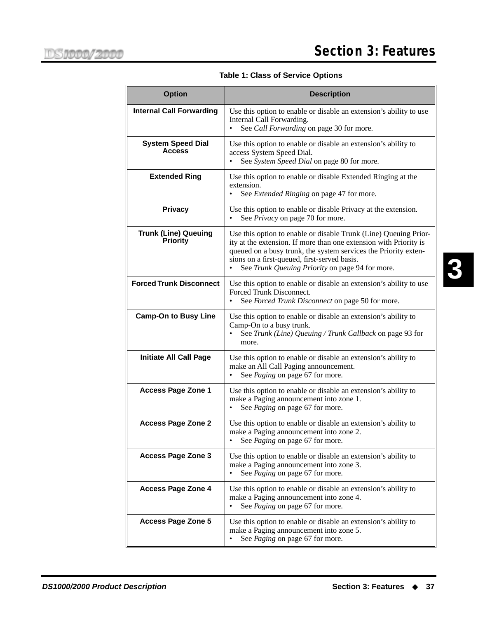| <b>Option</b>                                  | <b>Description</b>                                                                                                                                                                                                                                                                                          |
|------------------------------------------------|-------------------------------------------------------------------------------------------------------------------------------------------------------------------------------------------------------------------------------------------------------------------------------------------------------------|
| <b>Internal Call Forwarding</b>                | Use this option to enable or disable an extension's ability to use<br>Internal Call Forwarding.<br>See Call Forwarding on page 30 for more.                                                                                                                                                                 |
| <b>System Speed Dial</b><br><b>Access</b>      | Use this option to enable or disable an extension's ability to<br>access System Speed Dial.<br>See System Speed Dial on page 80 for more.                                                                                                                                                                   |
| <b>Extended Ring</b>                           | Use this option to enable or disable Extended Ringing at the<br>extension.<br>See <i>Extended Ringing</i> on page 47 for more.                                                                                                                                                                              |
| <b>Privacy</b>                                 | Use this option to enable or disable Privacy at the extension.<br>See Privacy on page 70 for more.<br>$\bullet$                                                                                                                                                                                             |
| <b>Trunk (Line) Queuing</b><br><b>Priority</b> | Use this option to enable or disable Trunk (Line) Queuing Prior-<br>ity at the extension. If more than one extension with Priority is<br>queued on a busy trunk, the system services the Priority exten-<br>sions on a first-queued, first-served basis.<br>See Trunk Queuing Priority on page 94 for more. |
| <b>Forced Trunk Disconnect</b>                 | Use this option to enable or disable an extension's ability to use<br>Forced Trunk Disconnect.<br>See Forced Trunk Disconnect on page 50 for more.                                                                                                                                                          |
| <b>Camp-On to Busy Line</b>                    | Use this option to enable or disable an extension's ability to<br>Camp-On to a busy trunk.<br>See Trunk (Line) Queuing / Trunk Callback on page 93 for<br>more.                                                                                                                                             |
| <b>Initiate All Call Page</b>                  | Use this option to enable or disable an extension's ability to<br>make an All Call Paging announcement.<br>See Paging on page 67 for more.                                                                                                                                                                  |
| <b>Access Page Zone 1</b>                      | Use this option to enable or disable an extension's ability to<br>make a Paging announcement into zone 1.<br>See Paging on page 67 for more.                                                                                                                                                                |
| <b>Access Page Zone 2</b>                      | Use this option to enable or disable an extension's ability to<br>make a Paging announcement into zone 2.<br>See <i>Paging</i> on page 67 for more.                                                                                                                                                         |
| <b>Access Page Zone 3</b>                      | Use this option to enable or disable an extension's ability to<br>make a Paging announcement into zone 3.<br>See <i>Paging</i> on page 67 for more.                                                                                                                                                         |
| <b>Access Page Zone 4</b>                      | Use this option to enable or disable an extension's ability to<br>make a Paging announcement into zone 4.<br>See <i>Paging</i> on page 67 for more.                                                                                                                                                         |
| <b>Access Page Zone 5</b>                      | Use this option to enable or disable an extension's ability to<br>make a Paging announcement into zone 5.<br>See <i>Paging</i> on page 67 for more.                                                                                                                                                         |

**Table 1: Class of Service Options**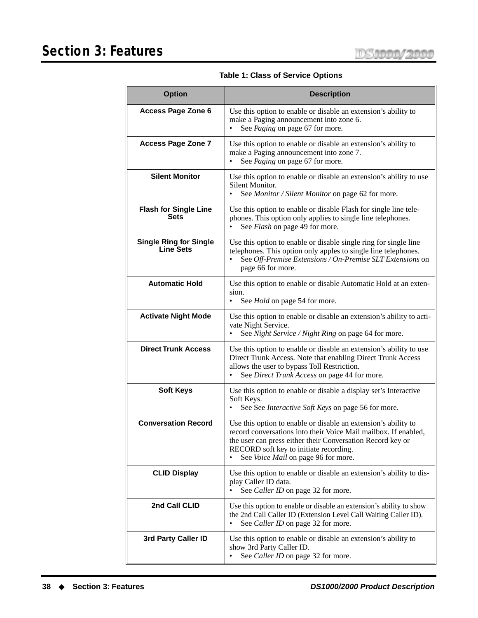| <b>Option</b>                                     | <b>Description</b>                                                                                                                                                                                                                                                                    |
|---------------------------------------------------|---------------------------------------------------------------------------------------------------------------------------------------------------------------------------------------------------------------------------------------------------------------------------------------|
| <b>Access Page Zone 6</b>                         | Use this option to enable or disable an extension's ability to<br>make a Paging announcement into zone 6.<br>See Paging on page 67 for more.                                                                                                                                          |
| <b>Access Page Zone 7</b>                         | Use this option to enable or disable an extension's ability to<br>make a Paging announcement into zone 7.<br>See <i>Paging</i> on page 67 for more.                                                                                                                                   |
| <b>Silent Monitor</b>                             | Use this option to enable or disable an extension's ability to use<br>Silent Monitor.<br>See Monitor / Silent Monitor on page 62 for more.<br>$\bullet$                                                                                                                               |
| <b>Flash for Single Line</b><br>Sets              | Use this option to enable or disable Flash for single line tele-<br>phones. This option only applies to single line telephones.<br>See Flash on page 49 for more.<br>$\bullet$                                                                                                        |
| <b>Single Ring for Single</b><br><b>Line Sets</b> | Use this option to enable or disable single ring for single line<br>telephones. This option only apples to single line telephones.<br>See Off-Premise Extensions / On-Premise SLT Extensions on<br>page 66 for more.                                                                  |
| <b>Automatic Hold</b>                             | Use this option to enable or disable Automatic Hold at an exten-<br>sion.<br>See <i>Hold</i> on page 54 for more.                                                                                                                                                                     |
| <b>Activate Night Mode</b>                        | Use this option to enable or disable an extension's ability to acti-<br>vate Night Service.<br>See Night Service / Night Ring on page 64 for more.                                                                                                                                    |
| <b>Direct Trunk Access</b>                        | Use this option to enable or disable an extension's ability to use<br>Direct Trunk Access. Note that enabling Direct Trunk Access<br>allows the user to bypass Toll Restriction.<br>See Direct Trunk Access on page 44 for more.                                                      |
| <b>Soft Keys</b>                                  | Use this option to enable or disable a display set's Interactive<br>Soft Keys.<br>See See Interactive Soft Keys on page 56 for more.                                                                                                                                                  |
| <b>Conversation Record</b>                        | Use this option to enable or disable an extension's ability to<br>record conversations into their Voice Mail mailbox. If enabled,<br>the user can press either their Conversation Record key or<br>RECORD soft key to initiate recording.<br>See Voice Mail on page 96 for more.<br>٠ |
| <b>CLID Display</b>                               | Use this option to enable or disable an extension's ability to dis-<br>play Caller ID data.<br>See Caller ID on page 32 for more.                                                                                                                                                     |
| 2nd Call CLID                                     | Use this option to enable or disable an extension's ability to show<br>the 2nd Call Caller ID (Extension Level Call Waiting Caller ID).<br>See Caller ID on page 32 for more.<br>٠                                                                                                    |
| 3rd Party Caller ID                               | Use this option to enable or disable an extension's ability to<br>show 3rd Party Caller ID.<br>See Caller ID on page 32 for more.<br>٠                                                                                                                                                |

**Table 1: Class of Service Options**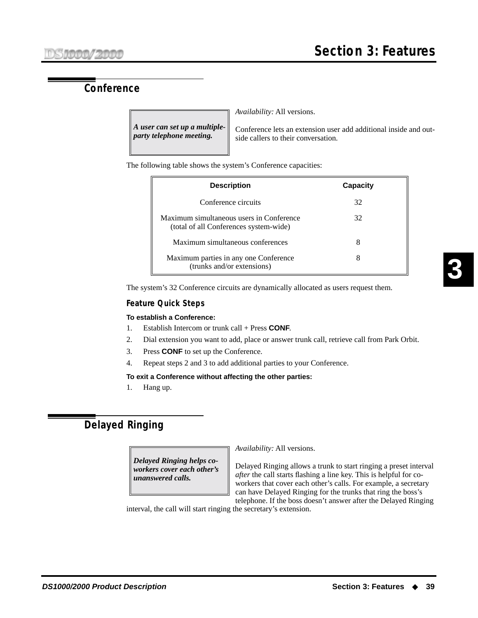# **Conference**

*A user can set up a multipleparty telephone meeting.*

*Availability:* All versions.

Conference lets an extension user add additional inside and outside callers to their conversation.

The following table shows the system's Conference capacities:

| <b>Description</b>                                                                 | Capacity |
|------------------------------------------------------------------------------------|----------|
| Conference circuits                                                                | 32       |
| Maximum simultaneous users in Conference<br>(total of all Conferences system-wide) | 32       |
| Maximum simultaneous conferences                                                   | 8        |
| Maximum parties in any one Conference<br>(trunks and/or extensions)                | 8        |

The system's 32 Conference circuits are dynamically allocated as users request them.

# **Feature Quick Steps**

### **To establish a Conference:**

- 1. Establish Intercom or trunk call + Press **CONF**.
- 2. Dial extension you want to add, place or answer trunk call, retrieve call from Park Orbit.
- 3. Press **CONF** to set up the Conference.
- 4. Repeat steps 2 and 3 to add additional parties to your Conference.

### **To exit a Conference without affecting the other parties:**

1. Hang up.

# **Delayed Ringing**

*Delayed Ringing helps coworkers cover each other's unanswered calls.*

*Availability:* All versions.

Delayed Ringing allows a trunk to start ringing a preset interval *after* the call starts flashing a line key. This is helpful for coworkers that cover each other's calls. For example, a secretary can have Delayed Ringing for the trunks that ring the boss's telephone. If the boss doesn't answer after the Delayed Ringing

interval, the call will start ringing the secretary's extension.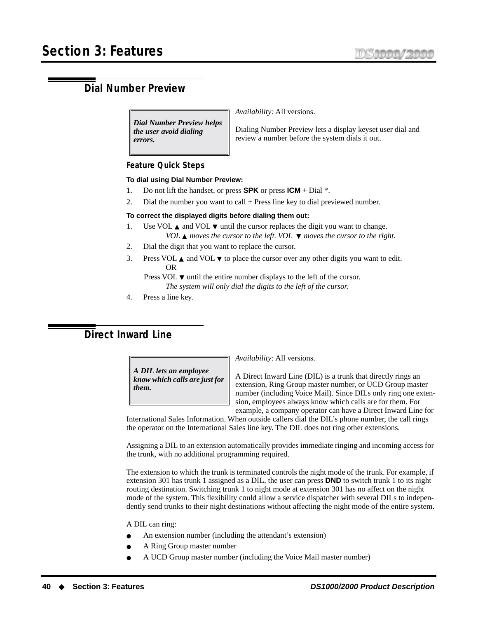# **Dial Number Preview**

*Dial Number Preview helps the user avoid dialing errors.*

*Availability:* All versions.

Dialing Number Preview lets a display keyset user dial and review a number before the system dials it out.

### **Feature Quick Steps**

### **To dial using Dial Number Preview:**

- 1. Do not lift the handset, or press **SPK** or press **ICM** + Dial \*.
- 2. Dial the number you want to call + Press line key to dial previewed number.

### **To correct the displayed digits before dialing them out:**

- 1. Use VOL  $\blacktriangle$  and VOL  $\nblacktriangledown$  until the cursor replaces the digit you want to change. *VOL* ▲ *moves the cursor to the left. VOL* ▼ *moves the cursor to the right.*
- 2. Dial the digit that you want to replace the cursor.
- 3. Press VOL  $\blacktriangle$  and VOL  $\nabla$  to place the cursor over any other digits you want to edit. OR

Press VOL  $\blacktriangledown$  until the entire number displays to the left of the cursor. *The system will only dial the digits to the left of the cursor.*

4. Press a line key.

# <span id="page-47-0"></span>**Direct Inward Line**

*A DIL lets an employee know which calls are just for them.*

*Availability:* All versions.

A Direct Inward Line (DIL) is a trunk that directly rings an extension, Ring Group master number, or UCD Group master number (including Voice Mail). Since DILs only ring one extension, employees always know which calls are for them. For example, a company operator can have a Direct Inward Line for

International Sales Information. When outside callers dial the DIL's phone number, the call rings the operator on the International Sales line key. The DIL does not ring other extensions.

Assigning a DIL to an extension automatically provides immediate ringing and incoming access for the trunk, with no additional programming required.

The extension to which the trunk is terminated controls the night mode of the trunk. For example, if extension 301 has trunk 1 assigned as a DIL, the user can press **DND** to switch trunk 1 to its night routing destination. Switching trunk 1 to night mode at extension 301 has no affect on the night mode of the system. This flexibility could allow a service dispatcher with several DILs to independently send trunks to their night destinations without affecting the night mode of the entire system.

### A DIL can ring:

- An extension number (including the attendant's extension)
- A Ring Group master number
- A UCD Group master number (including the Voice Mail master number)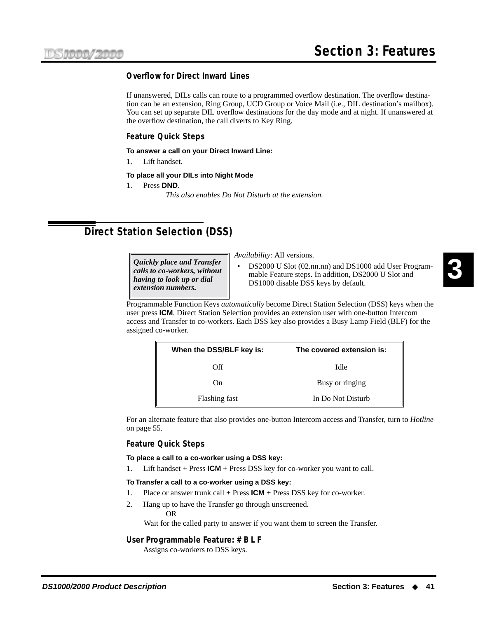# **Overflow for Direct Inward Lines**

If unanswered, DILs calls can route to a programmed overflow destination. The overflow destination can be an extension, Ring Group, UCD Group or Voice Mail (i.e., DIL destination's mailbox). You can set up separate DIL overflow destinations for the day mode and at night. If unanswered at the overflow destination, the call diverts to Key Ring.

# **Feature Quick Steps**

**To answer a call on your Direct Inward Line:**

1. Lift handset.

### **To place all your DILs into Night Mode**

1. Press **DND**.

*This also enables Do Not Disturb at the extension.*

# <span id="page-48-0"></span>**Direct Station Selection (DSS)**

*extension numbers.*

*Quickly place and Transfer calls to co-workers, without having to look up or dial* 

*Availability:* All versions.

• DS2000 U Slot (02.nn.nn) and DS1000 add User Programmable Feature steps. In addition, DS2000 U Slot and DS1000 disable DSS keys by default.

Programmable Function Keys *automatically* become Direct Station Selection (DSS) keys when the user press **ICM**. Direct Station Selection provides an extension user with one-button Intercom access and Transfer to co-workers. Each DSS key also provides a Busy Lamp Field (BLF) for the assigned co-worker.

| When the DSS/BLF key is: | The covered extension is: |
|--------------------------|---------------------------|
| Off                      | Idle                      |
| O <sub>n</sub>           | Busy or ringing           |
| Flashing fast            | In Do Not Disturb         |

For an alternate feature that also provides one-button Intercom access and Transfer, turn to *[Hotline](#page-62-0)* [on page 55.](#page-62-0)

### **Feature Quick Steps**

**To place a call to a co-worker using a DSS key:**

1. Lift handset + Press **ICM** + Press DSS key for co-worker you want to call.

### **To Transfer a call to a co-worker using a DSS key:**

- 1. Place or answer trunk call + Press **ICM** + Press DSS key for co-worker.
- 2. Hang up to have the Transfer go through unscreened. OR

Wait for the called party to answer if you want them to screen the Transfer.

### **User Programmable Feature: # B L F**

Assigns co-workers to DSS keys.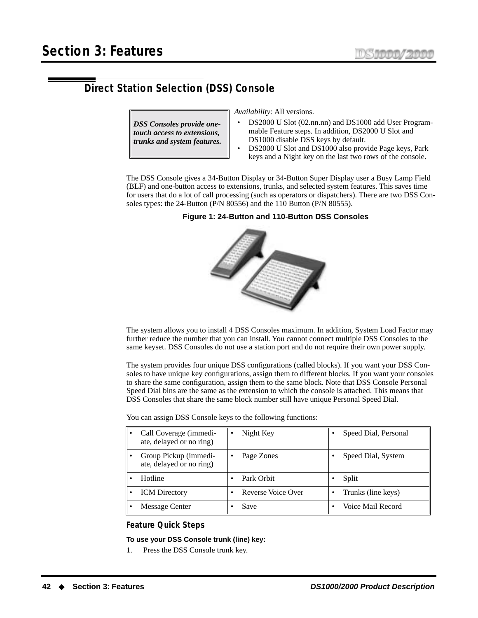# **Direct Station Selection (DSS) Console**

*DSS Consoles provide onetouch access to extensions, trunks and system features.* *Availability:* All versions.

- DS2000 U Slot (02.nn.nn) and DS1000 add User Programmable Feature steps. In addition, DS2000 U Slot and DS1000 disable DSS keys by default.
- DS2000 U Slot and DS1000 also provide Page keys, Park keys and a Night key on the last two rows of the console.

The DSS Console gives a 34-Button Display or 34-Button Super Display user a Busy Lamp Field (BLF) and one-button access to extensions, trunks, and selected system features. This saves time for users that do a lot of call processing (such as operators or dispatchers). There are two DSS Consoles types: the 24-Button (P/N 80556) and the 110 Button (P/N 80555).

## **Figure 1: 24-Button and 110-Button DSS Consoles**



The system allows you to install 4 DSS Consoles maximum. In addition, System Load Factor may further reduce the number that you can install. You cannot connect multiple DSS Consoles to the same keyset. DSS Consoles do not use a station port and do not require their own power supply.

The system provides four unique DSS configurations (called blocks). If you want your DSS Consoles to have unique key configurations, assign them to different blocks. If you want your consoles to share the same configuration, assign them to the same block. Note that DSS Console Personal Speed Dial bins are the same as the extension to which the console is attached. This means that DSS Consoles that share the same block number still have unique Personal Speed Dial.

You can assign DSS Console keys to the following functions:

| Call Coverage (immedi-<br>ate, delayed or no ring) | Night Key          | Speed Dial, Personal |
|----------------------------------------------------|--------------------|----------------------|
| Group Pickup (immedi-<br>ate, delayed or no ring)  | Page Zones         | Speed Dial, System   |
| Hotline                                            | Park Orbit         | Split                |
| <b>ICM</b> Directory                               | Reverse Voice Over | Trunks (line keys)   |
| Message Center                                     | Save               | Voice Mail Record    |

### **Feature Quick Steps**

### **To use your DSS Console trunk (line) key:**

1. Press the DSS Console trunk key.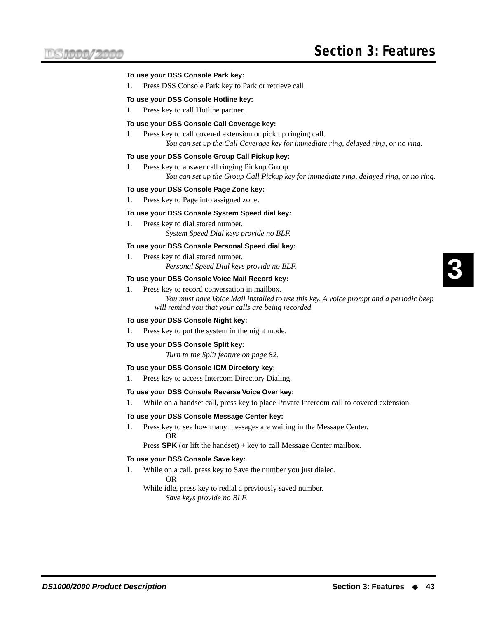### **To use your DSS Console Park key:**

1. Press DSS Console Park key to Park or retrieve call.

### **To use your DSS Console Hotline key:**

1. Press key to call Hotline partner.

### **To use your DSS Console Call Coverage key:**

1. Press key to call covered extension or pick up ringing call. *You can set up the Call Coverage key for immediate ring, delayed ring, or no ring.*

### **To use your DSS Console Group Call Pickup key:**

1. Press key to answer call ringing Pickup Group. *You can set up the Group Call Pickup key for immediate ring, delayed ring, or no ring.*

### **To use your DSS Console Page Zone key:**

1. Press key to Page into assigned zone.

#### **To use your DSS Console System Speed dial key:**

1. Press key to dial stored number. *System Speed Dial keys provide no BLF.*

#### **To use your DSS Console Personal Speed dial key:**

- 1. Press key to dial stored number.
	- *Personal Speed Dial keys provide no BLF.*

### **To use your DSS Console Voice Mail Record key:**

1. Press key to record conversation in mailbox.

*You must have Voice Mail installed to use this key. A voice prompt and a periodic beep will remind you that your calls are being recorded.*

### **To use your DSS Console Night key:**

1. Press key to put the system in the night mode.

#### **To use your DSS Console Split key:**

*Turn to the Split feature on [page 82](#page-89-0).*

#### **To use your DSS Console ICM Directory key:**

1. Press key to access Intercom Directory Dialing.

#### **To use your DSS Console Reverse Voice Over key:**

1. While on a handset call, press key to place Private Intercom call to covered extension.

#### **To use your DSS Console Message Center key:**

1. Press key to see how many messages are waiting in the Message Center. OR

Press **SPK** (or lift the handset) + key to call Message Center mailbox.

#### **To use your DSS Console Save key:**

1. While on a call, press key to Save the number you just dialed. OR

While idle, press key to redial a previously saved number. *Save keys provide no BLF.*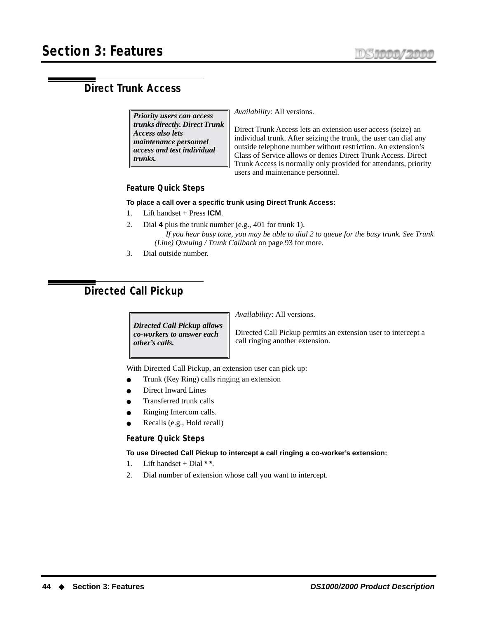# <span id="page-51-0"></span>**Direct Trunk Access**

*Priority users can access trunks directly. Direct Trunk Access also lets maintenance personnel access and test individual trunks.*

*Availability:* All versions.

Direct Trunk Access lets an extension user access (seize) an individual trunk. After seizing the trunk, the user can dial any outside telephone number without restriction. An extension's Class of Service allows or denies Direct Trunk Access. Direct Trunk Access is normally only provided for attendants, priority users and maintenance personnel.

# **Feature Quick Steps**

### **To place a call over a specific trunk using Direct Trunk Access:**

- 1. Lift handset + Press **ICM**.
- 2. Dial **4** plus the trunk number (e.g., 401 for trunk 1). *If you hear busy tone, you may be able to dial 2 to queue for the busy trunk. [See Trunk](#page-100-1)  [\(Line\) Queuing / Trunk Callback](#page-100-1)* on page 93 for more.
- 3. Dial outside number.

# <span id="page-51-1"></span>**Directed Call Pickup**

*Directed Call Pickup allows co-workers to answer each other's calls.*

*Availability:* All versions.

Directed Call Pickup permits an extension user to intercept a call ringing another extension.

With Directed Call Pickup, an extension user can pick up:

- Trunk (Key Ring) calls ringing an extension
- Direct Inward Lines
- Transferred trunk calls
- Ringing Intercom calls.
- Recalls (e.g., Hold recall)

### **Feature Quick Steps**

**To use Directed Call Pickup to intercept a call ringing a co-worker's extension:**

- 1. Lift handset + Dial **\* \***.
- 2. Dial number of extension whose call you want to intercept.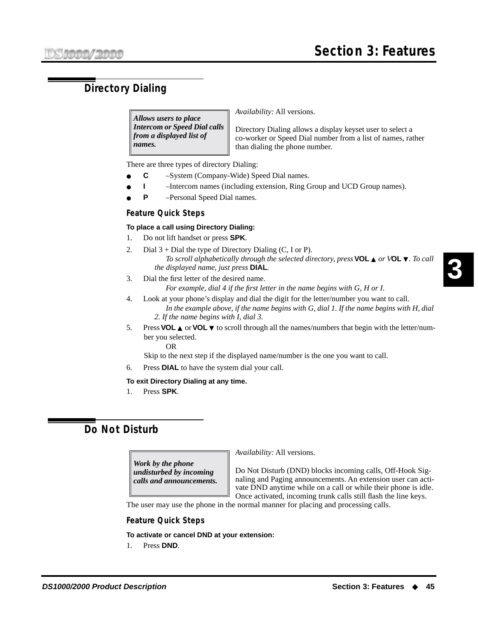# **Directory Dialing**

*Allows users to place Intercom or Speed Dial calls from a displayed list of names.*

*Availability:* All versions.

Directory Dialing allows a display keyset user to select a co-worker or Speed Dial number from a list of names, rather than dialing the phone number.

There are three types of directory Dialing:

- **C** System (Company-Wide) Speed Dial names.
- **I** –Intercom names (including extension, Ring Group and UCD Group names).
- **P** Personal Speed Dial names.

## **Feature Quick Steps**

### **To place a call using Directory Dialing:**

- 1. Do not lift handset or press **SPK**.
- 2. Dial  $3 +$  Dial the type of Directory Dialing (C, I or P). *To scroll alphabetically through the selected directory, press* **VOL** ▲ *or V***OL** ▼*. To call the displayed name, just press* **DIAL***.*
- 3. Dial the first letter of the desired name.

*For example, dial 4 if the first letter in the name begins with G, H or I.* 

- 4. Look at your phone's display and dial the digit for the letter/number you want to call.
	- *In the example above, if the name begins with G, dial 1. If the name begins with H, dial 2. If the name begins with I, dial 3.*
- 5. Press **VOL** ▲ or **VOL** ▼ to scroll through all the names/numbers that begin with the letter/number you selected.

OR

Skip to the next step if the displayed name/number is the one you want to call.

6. Press **DIAL** to have the system dial your call.

### **To exit Directory Dialing at any time.**

1. Press **SPK**.

# **Do Not Disturb**

*Work by the phone undisturbed by incoming calls and announcements.* *Availability:* All versions.

Do Not Disturb (DND) blocks incoming calls, Off-Hook Signaling and Paging announcements. An extension user can activate DND anytime while on a call or while their phone is idle. Once activated, incoming trunk calls still flash the line keys.

The user may use the phone in the normal manner for placing and processing calls.

## **Feature Quick Steps**

### **To activate or cancel DND at your extension:**

1. Press **DND**.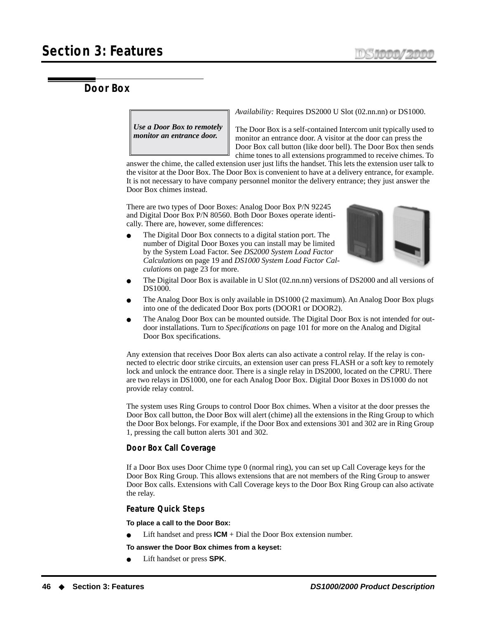# **Door Box**

*Use a Door Box to remotely monitor an entrance door.*

*Availability:* Requires DS2000 U Slot (02.nn.nn) or DS1000.

The Door Box is a self-contained Intercom unit typically used to monitor an entrance door. A visitor at the door can press the Door Box call button (like door bell). The Door Box then sends chime tones to all extensions programmed to receive chimes. To

answer the chime, the called extension user just lifts the handset. This lets the extension user talk to the visitor at the Door Box. The Door Box is convenient to have at a delivery entrance, for example. It is not necessary to have company personnel monitor the delivery entrance; they just answer the Door Box chimes instead.

There are two types of Door Boxes: Analog Door Box P/N 92245 and Digital Door Box P/N 80560. Both Door Boxes operate identically. There are, however, some differences:

The Digital Door Box connects to a digital station port. The number of Digital Door Boxes you can install may be limited by the System Load Factor. See *[DS2000 System Load Factor](#page-26-0)  [Calculations](#page-26-0)* on page 19 and *[DS1000 System Load Factor Cal](#page-30-0)culations* [on page 23](#page-30-0) for more.



- The Digital Door Box is available in U Slot (02.nn.nn) versions of DS2000 and all versions of DS1000.
- The Analog Door Box is only available in DS1000 (2 maximum). An Analog Door Box plugs into one of the dedicated Door Box ports (DOOR1 or DOOR2).
- The Analog Door Box can be mounted outside. The Digital Door Box is not intended for outdoor installations. Turn to *[Specifications](#page-108-0)* on page 101 for more on the Analog and Digital Door Box specifications.

Any extension that receives Door Box alerts can also activate a control relay. If the relay is connected to electric door strike circuits, an extension user can press FLASH or a soft key to remotely lock and unlock the entrance door. There is a single relay in DS2000, located on the CPRU. There are two relays in DS1000, one for each Analog Door Box. Digital Door Boxes in DS1000 do not provide relay control.

The system uses Ring Groups to control Door Box chimes. When a visitor at the door presses the Door Box call button, the Door Box will alert (chime) all the extensions in the Ring Group to which the Door Box belongs. For example, if the Door Box and extensions 301 and 302 are in Ring Group 1, pressing the call button alerts 301 and 302.

# **Door Box Call Coverage**

If a Door Box uses Door Chime type 0 (normal ring), you can set up Call Coverage keys for the Door Box Ring Group. This allows extensions that are not members of the Ring Group to answer Door Box calls. Extensions with Call Coverage keys to the Door Box Ring Group can also activate the relay.

# **Feature Quick Steps**

**To place a call to the Door Box:**

Lift handset and press  $ICM + Dial$  the Door Box extension number.

**To answer the Door Box chimes from a keyset:**

Lift handset or press **SPK**.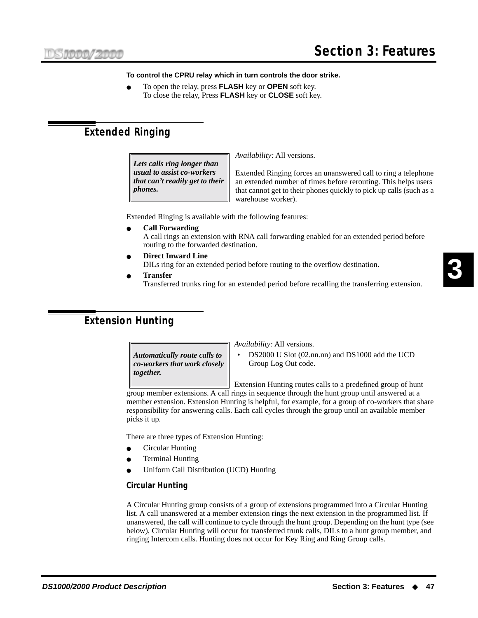### **To control the CPRU relay which in turn controls the door strike.**

● To open the relay, press **FLASH** key or **OPEN** soft key. To close the relay, Press **FLASH** key or **CLOSE** soft key.

# <span id="page-54-0"></span>**Extended Ringing**

*Lets calls ring longer than usual to assist co-workers that can't readily get to their phones.*

*Availability:* All versions.

Extended Ringing forces an unanswered call to ring a telephone an extended number of times before rerouting. This helps users that cannot get to their phones quickly to pick up calls (such as a warehouse worker).

Extended Ringing is available with the following features:

● **[Call Forwarding](#page-37-0)**

A call rings an extension with RNA call forwarding enabled for an extended period before routing to the forwarded destination.

- **[Direct Inward Line](#page-47-0)** DILs ring for an extended period before routing to the overflow destination.
- **[Transfer](#page-99-0)**

Transferred trunks ring for an extended period before recalling the transferring extension.

# **Extension Hunting**

*Automatically route calls to co-workers that work closely together.*

*Availability:* All versions.

• DS2000 U Slot (02.nn.nn) and DS1000 add the UCD Group Log Out code.

Extension Hunting routes calls to a predefined group of hunt group member extensions. A call rings in sequence through the hunt group until answered at a member extension. Extension Hunting is helpful, for example, for a group of co-workers that share responsibility for answering calls. Each call cycles through the group until an available member picks it up.

There are three types of Extension Hunting:

- Circular Hunting
- **Terminal Hunting**
- Uniform Call Distribution (UCD) Hunting

# **Circular Hunting**

A Circular Hunting group consists of a group of extensions programmed into a Circular Hunting list. A call unanswered at a member extension rings the next extension in the programmed list. If unanswered, the call will continue to cycle through the hunt group. Depending on the hunt type (see below), Circular Hunting will occur for transferred trunk calls, DILs to a hunt group member, and ringing Intercom calls. Hunting does not occur for Key Ring and Ring Group calls.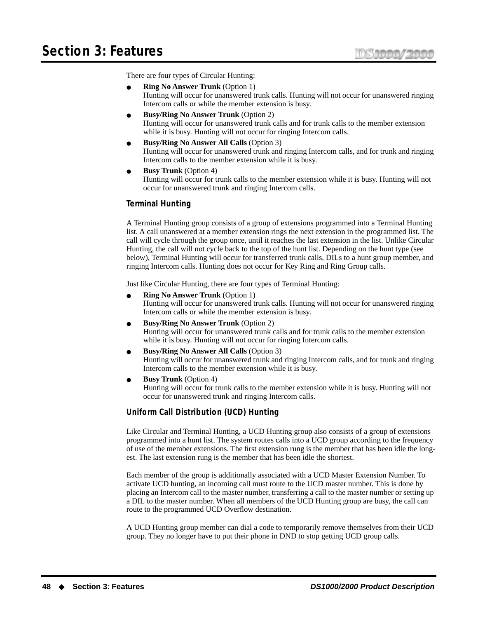There are four types of Circular Hunting:

- **Ring No Answer Trunk** (Option 1) Hunting will occur for unanswered trunk calls. Hunting will not occur for unanswered ringing Intercom calls or while the member extension is busy.
- **Busy/Ring No Answer Trunk** (Option 2) Hunting will occur for unanswered trunk calls and for trunk calls to the member extension while it is busy. Hunting will not occur for ringing Intercom calls.
- **Busy/Ring No Answer All Calls** (Option 3) Hunting will occur for unanswered trunk and ringing Intercom calls, and for trunk and ringing Intercom calls to the member extension while it is busy.
	- **Busy Trunk** (Option 4) Hunting will occur for trunk calls to the member extension while it is busy. Hunting will not occur for unanswered trunk and ringing Intercom calls.

## **Terminal Hunting**

A Terminal Hunting group consists of a group of extensions programmed into a Terminal Hunting list. A call unanswered at a member extension rings the next extension in the programmed list. The call will cycle through the group once, until it reaches the last extension in the list. Unlike Circular Hunting, the call will not cycle back to the top of the hunt list. Depending on the hunt type (see below), Terminal Hunting will occur for transferred trunk calls, DILs to a hunt group member, and ringing Intercom calls. Hunting does not occur for Key Ring and Ring Group calls.

Just like Circular Hunting, there are four types of Terminal Hunting:

- **Ring No Answer Trunk** (Option 1) Hunting will occur for unanswered trunk calls. Hunting will not occur for unanswered ringing Intercom calls or while the member extension is busy.
- **Busy/Ring No Answer Trunk** (Option 2) Hunting will occur for unanswered trunk calls and for trunk calls to the member extension while it is busy. Hunting will not occur for ringing Intercom calls.
- **Busy/Ring No Answer All Calls** (Option 3) Hunting will occur for unanswered trunk and ringing Intercom calls, and for trunk and ringing Intercom calls to the member extension while it is busy.
- **Busy Trunk** (Option 4) Hunting will occur for trunk calls to the member extension while it is busy. Hunting will not occur for unanswered trunk and ringing Intercom calls.

# **Uniform Call Distribution (UCD) Hunting**

Like Circular and Terminal Hunting, a UCD Hunting group also consists of a group of extensions programmed into a hunt list. The system routes calls into a UCD group according to the frequency of use of the member extensions. The first extension rung is the member that has been idle the longest. The last extension rung is the member that has been idle the shortest.

Each member of the group is additionally associated with a UCD Master Extension Number. To activate UCD hunting, an incoming call must route to the UCD master number. This is done by placing an Intercom call to the master number, transferring a call to the master number or setting up a DIL to the master number. When all members of the UCD Hunting group are busy, the call can route to the programmed UCD Overflow destination.

A UCD Hunting group member can dial a code to temporarily remove themselves from their UCD group. They no longer have to put their phone in DND to stop getting UCD group calls.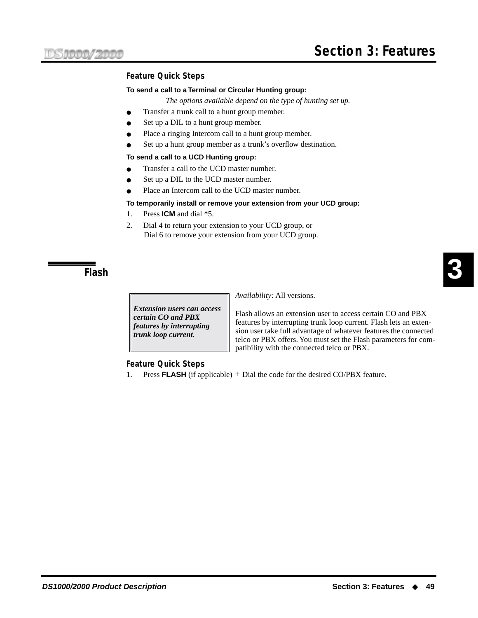# **Feature Quick Steps**

### **To send a call to a Terminal or Circular Hunting group:**

- *The options available depend on the type of hunting set up.*
- Transfer a trunk call to a hunt group member.
- Set up a DIL to a hunt group member.
- Place a ringing Intercom call to a hunt group member.
- Set up a hunt group member as a trunk's overflow destination.

### **To send a call to a UCD Hunting group:**

- Transfer a call to the UCD master number.
- Set up a DIL to the UCD master number.
- Place an Intercom call to the UCD master number.

### **To temporarily install or remove your extension from your UCD group:**

- 1. Press **ICM** and dial \*5.
- 2. Dial 4 to return your extension to your UCD group, or Dial 6 to remove your extension from your UCD group.

<span id="page-56-0"></span>**Flash**

*Extension users can access certain CO and PBX features by interrupting trunk loop current.*

*Availability:* All versions.

Flash allows an extension user to access certain CO and PBX features by interrupting trunk loop current. Flash lets an extension user take full advantage of whatever features the connected telco or PBX offers. You must set the Flash parameters for compatibility with the connected telco or PBX.

### **Feature Quick Steps**

1. Press **FLASH** (if applicable) + Dial the code for the desired CO/PBX feature.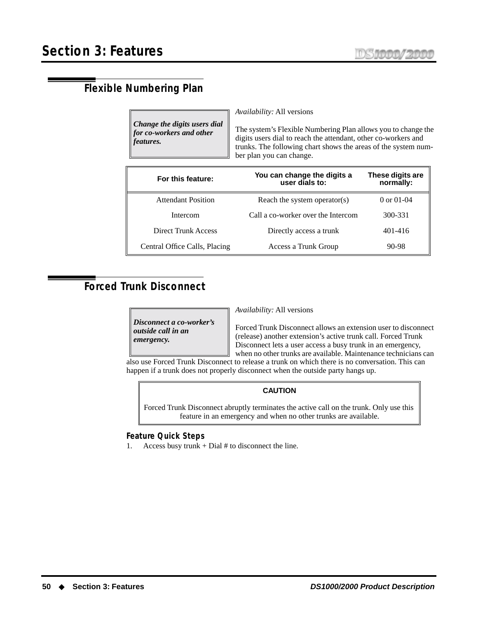# **Flexible Numbering Plan**

*Change the digits users dial for co-workers and other features.*

*Availability:* All versions

The system's Flexible Numbering Plan allows you to change the digits users dial to reach the attendant, other co-workers and trunks. The following chart shows the areas of the system number plan you can change.

| For this feature:             | You can change the digits a<br>user dials to: | These digits are<br>normally: |
|-------------------------------|-----------------------------------------------|-------------------------------|
| <b>Attendant Position</b>     | Reach the system operator(s)                  | 0 or $01-04$                  |
| Intercom                      | Call a co-worker over the Intercom            | 300-331                       |
| <b>Direct Trunk Access</b>    | Directly access a trunk                       | 401-416                       |
| Central Office Calls, Placing | Access a Trunk Group                          | 90-98                         |

# <span id="page-57-0"></span>**Forced Trunk Disconnect**

*Disconnect a co-worker's outside call in an emergency.*

*Availability:* All versions

Forced Trunk Disconnect allows an extension user to disconnect (release) another extension's active trunk call. Forced Trunk Disconnect lets a user access a busy trunk in an emergency, when no other trunks are available. Maintenance technicians can also use Forced Trunk Disconnect to release a trunk on which there is no conversation. This can

happen if a trunk does not properly disconnect when the outside party hangs up.

# **CAUTION**

Forced Trunk Disconnect abruptly terminates the active call on the trunk. Only use this feature in an emergency and when no other trunks are available.

# **Feature Quick Steps**

1. Access busy trunk  $+$  Dial # to disconnect the line.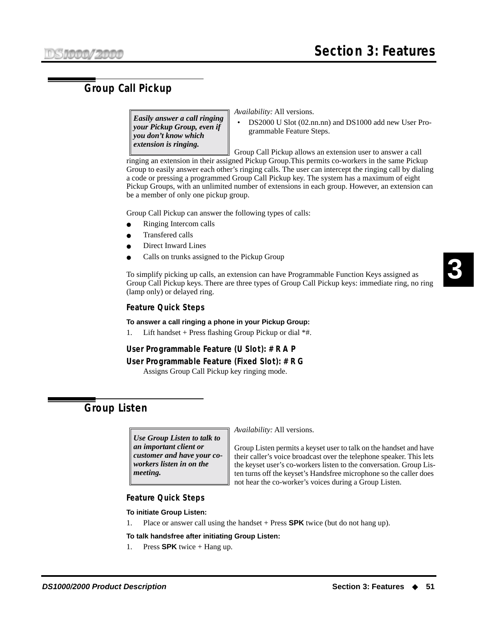# **Group Call Pickup**

*Easily answer a call ringing your Pickup Group, even if you don't know which extension is ringing.*

*Availability:* All versions.

• DS2000 U Slot (02.nn.nn) and DS1000 add new User Programmable Feature Steps.

Group Call Pickup allows an extension user to answer a call ringing an extension in their assigned Pickup Group.This permits co-workers in the same Pickup Group to easily answer each other's ringing calls. The user can intercept the ringing call by dialing a code or pressing a programmed Group Call Pickup key. The system has a maximum of eight Pickup Groups, with an unlimited number of extensions in each group. However, an extension can be a member of only one pickup group.

Group Call Pickup can answer the following types of calls:

- Ringing [Intercom](#page-63-1) calls
- [Transfer](#page-99-0)ed calls
- [Direct Inward Line](#page-47-0)s
- Calls on trunks assigned to the Pickup Group

To simplify picking up calls, an extension can have Programmable Function Keys assigned as Group Call Pickup keys. There are three types of Group Call Pickup keys: immediate ring, no ring (lamp only) or delayed ring.

### **Feature Quick Steps**

### **To answer a call ringing a phone in your Pickup Group:**

1. Lift handset + Press flashing Group Pickup or dial  $*$ #.

### **User Programmable Feature (U Slot): # R A P**

### **User Programmable Feature (Fixed Slot): # R G**

Assigns Group Call Pickup key ringing mode.

# **Group Listen**

*Use Group Listen to talk to an important client or customer and have your coworkers listen in on the meeting.*

*Availability:* All versions.

Group Listen permits a keyset user to talk on the handset and have their caller's voice broadcast over the telephone speaker. This lets the keyset user's co-workers listen to the conversation. Group Listen turns off the keyset's Handsfree microphone so the caller does not hear the co-worker's voices during a Group Listen.

### **Feature Quick Steps**

### **To initiate Group Listen:**

1. Place or answer call using the handset + Press **SPK** twice (but do not hang up).

### **To talk handsfree after initiating Group Listen:**

1. Press **SPK** twice + Hang up.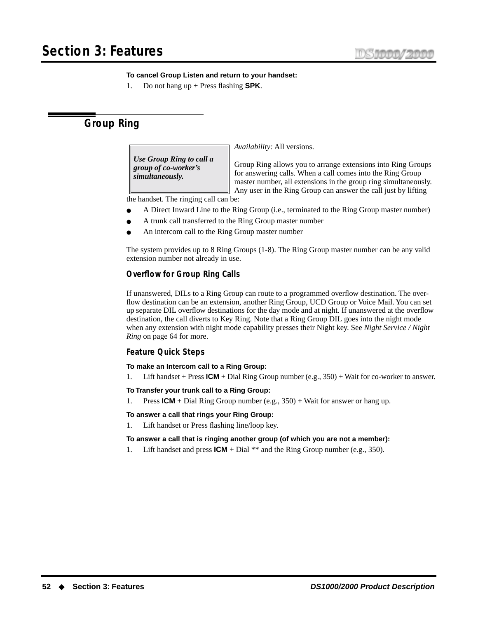## **To cancel Group Listen and return to your handset:**

1. Do not hang up + Press flashing **SPK**.

# **Group Ring**

*Use Group Ring to call a group of co-worker's simultaneously.*

*Availability:* All versions.

Group Ring allows you to arrange extensions into Ring Groups for answering calls. When a call comes into the Ring Group master number, all extensions in the group ring simultaneously. Any user in the Ring Group can answer the call just by lifting

the handset. The ringing call can be:

- A [Direct Inward Line](#page-47-0) to the Ring Group (i.e., terminated to the Ring Group master number)
- A trunk call transferred to the Ring Group master number
- An intercom call to the Ring Group master number

The system provides up to 8 Ring Groups (1-8). The Ring Group master number can be any valid extension number not already in use.

# **Overflow for Group Ring Calls**

If unanswered, DILs to a Ring Group can route to a programmed overflow destination. The overflow destination can be an extension, another Ring Group, UCD Group or Voice Mail. You can set up separate DIL overflow destinations for the day mode and at night. If unanswered at the overflow destination, the call diverts to Key Ring. Note that a Ring Group DIL goes into the night mode when any extension with night mode capability presses their Night key. See *[Night Service / Night](#page-71-0)  Ring* [on page 64](#page-71-0) for more.

# **Feature Quick Steps**

**To make an Intercom call to a Ring Group:**

1. Lift handset + Press **ICM** + Dial Ring Group number (e.g., 350) + Wait for co-worker to answer.

**To Transfer your trunk call to a Ring Group:**

1. Press **ICM** + Dial Ring Group number (e.g., 350) + Wait for answer or hang up.

### **To answer a call that rings your Ring Group:**

1. Lift handset or Press flashing line/loop key.

### **To answer a call that is ringing another group (of which you are not a member):**

1. Lift handset and press **ICM** + Dial \*\* and the Ring Group number (e.g., 350).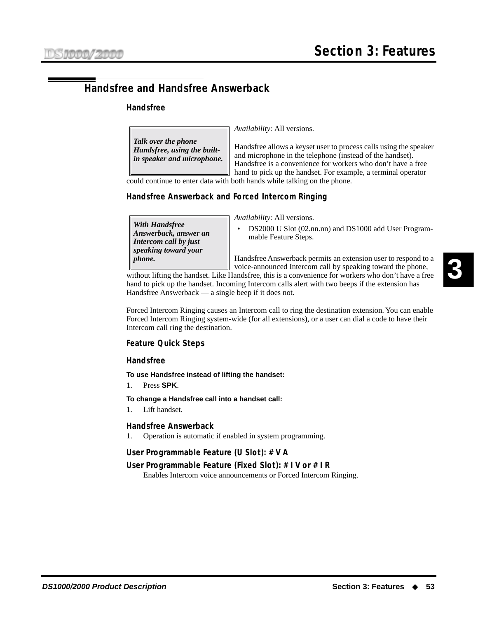# <span id="page-60-0"></span>**Handsfree and Handsfree Answerback**

## **Handsfree**

*Talk over the phone Handsfree, using the builtin speaker and microphone.* *Availability:* All versions.

Handsfree allows a keyset user to process calls using the speaker and microphone in the telephone (instead of the handset). Handsfree is a convenience for workers who don't have a free hand to pick up the handset. For example, a terminal operator

could continue to enter data with both hands while talking on the phone.

# **Handsfree Answerback and Forced Intercom Ringing**

*With Handsfree Answerback, answer an Intercom call by just speaking toward your phone.*

*Availability:* All versions.

• DS2000 U Slot (02.nn.nn) and DS1000 add User Programmable Feature Steps.

Handsfree Answerback permits an extension user to respond to a voice-announced Intercom call by speaking toward the phone,

without lifting the handset. Like Handsfree, this is a convenience for workers who don't have a free hand to pick up the handset. Incoming Intercom calls alert with two beeps if the extension has Handsfree Answerback — a single beep if it does not.

Forced Intercom Ringing causes an Intercom call to ring the destination extension. You can enable Forced Intercom Ringing system-wide (for all extensions), or a user can dial a code to have their Intercom call ring the destination.

# **Feature Quick Steps**

### **Handsfree**

### **To use Handsfree instead of lifting the handset:**

1. Press **SPK**.

**To change a Handsfree call into a handset call:**

1. Lift handset.

### **Handsfree Answerback**

1. Operation is automatic if enabled in system programming.

# **User Programmable Feature (U Slot): # V A**

# **User Programmable Feature (Fixed Slot): # I V or # I R**

Enables Intercom voice announcements or Forced Intercom Ringing.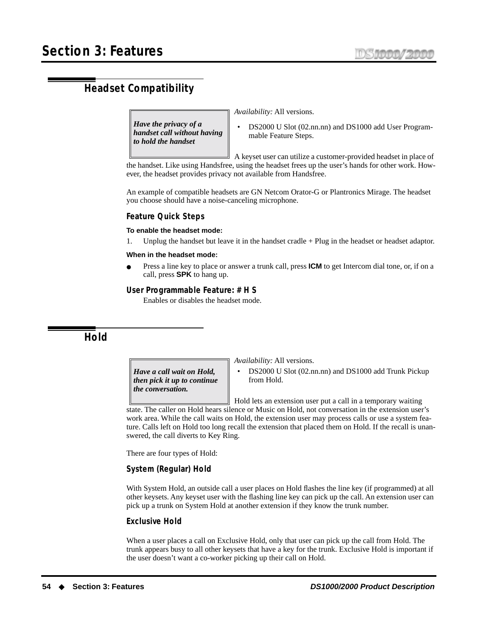# **Headset Compatibility**

*Have the privacy of a handset call without having to hold the handset*

*Availability:* All versions.

• DS2000 U Slot (02.nn.nn) and DS1000 add User Programmable Feature Steps.

A keyset user can utilize a customer-provided headset in place of the handset. Like using Handsfree, using the headset frees up the user's hands for other work. However, the headset provides privacy not available from Handsfree.

An example of compatible headsets are GN Netcom Orator-G or Plantronics Mirage. The headset you choose should have a noise-canceling microphone.

### **Feature Quick Steps**

### **To enable the headset mode:**

Unplug the handset but leave it in the handset cradle  $+$  Plug in the headset or headset adaptor.

#### **When in the headset mode:**

Press a line key to place or answer a trunk call, press **ICM** to get Intercom dial tone, or, if on a call, press **SPK** to hang up.

### **User Programmable Feature: # H S**

Enables or disables the headset mode.

<span id="page-61-0"></span>**Hold**

*Have a call wait on Hold, then pick it up to continue the conversation.*

*Availability:* All versions.

• DS2000 U Slot (02.nn.nn) and DS1000 add Trunk Pickup from Hold.

Hold lets an extension user put a call in a temporary waiting state. The caller on Hold hears silence or Music on Hold, not conversation in the extension user's work area. While the call waits on Hold, the extension user may process calls or use a system feature. Calls left on Hold too long recall the extension that placed them on Hold. If the recall is unanswered, the call diverts to [Key Ring.](#page-64-1)

There are four types of Hold:

### **System (Regular) Hold**

With System Hold, an outside call a user places on Hold flashes the line key (if programmed) at all other keysets. Any keyset user with the flashing line key can pick up the call. An extension user can pick up a trunk on System Hold at another extension if they know the trunk number.

### **Exclusive Hold**

When a user places a call on Exclusive Hold, only that user can pick up the call from Hold. The trunk appears busy to all other keysets that have a key for the trunk. Exclusive Hold is important if the user doesn't want a co-worker picking up their call on Hold.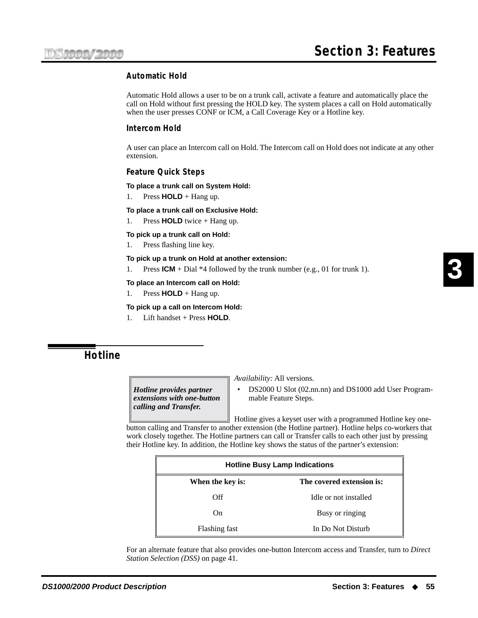## **Automatic Hold**

Automatic Hold allows a user to be on a trunk call, activate a feature and automatically place the call on Hold without first pressing the HOLD key. The system places a call on Hold automatically when the user presses CONF or ICM, a Call Coverage Key or a Hotline key.

### **Intercom Hold**

A user can place an Intercom call on Hold. The Intercom call on Hold does not indicate at any other extension.

### **Feature Quick Steps**

### **To place a trunk call on System Hold:**

1. Press  $HOLD + Hang$ up.

### **To place a trunk call on Exclusive Hold:**

1. Press **HOLD** twice + Hang up.

**To pick up a trunk call on Hold:**

1. Press flashing line key.

### **To pick up a trunk on Hold at another extension:**

1. Press **ICM** + Dial \*4 followed by the trunk number (e.g., 01 for trunk 1).

### **To place an Intercom call on Hold:**

1. Press  $HOLD + Hang$ up.

### **To pick up a call on Intercom Hold:**

1. Lift handset + Press **HOLD**.

# <span id="page-62-0"></span>**Hotline**

*Hotline provides partner extensions with one-button calling and Transfer.*

*Availability:* All versions.

• DS2000 U Slot (02.nn.nn) and DS1000 add User Programmable Feature Steps.

Hotline gives a keyset user with a programmed Hotline key onebutton calling and Transfer to another extension (the Hotline partner). Hotline helps co-workers that work closely together. The Hotline partners can call or Transfer calls to each other just by pressing their Hotline key. In addition, the Hotline key shows the status of the partner's extension:

| <b>Hotline Busy Lamp Indications</b>          |                       |  |  |  |
|-----------------------------------------------|-----------------------|--|--|--|
| The covered extension is:<br>When the key is: |                       |  |  |  |
| Off                                           | Idle or not installed |  |  |  |
| Busy or ringing<br>On.                        |                       |  |  |  |
| In Do Not Disturb<br>Flashing fast            |                       |  |  |  |

For an alternate feature that also provides one-button Intercom access and Transfer, turn to *[Direct](#page-48-0)  [Station Selection \(DSS\)](#page-48-0)* on page 41.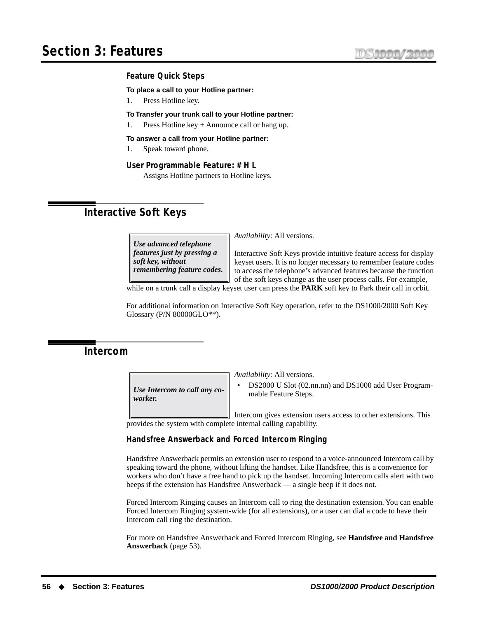### **Feature Quick Steps**

**To place a call to your Hotline partner:**

1. Press Hotline key.

### **To Transfer your trunk call to your Hotline partner:**

1. Press Hotline key + Announce call or hang up.

#### **To answer a call from your Hotline partner:**

1. Speak toward phone.

### **User Programmable Feature: # H L**

Assigns Hotline partners to Hotline keys.

# <span id="page-63-0"></span>**Interactive Soft Keys**

*Use advanced telephone features just by pressing a soft key, without remembering feature codes.* *Availability:* All versions.

Interactive Soft Keys provide intuitive feature access for display keyset users. It is no longer necessary to remember feature codes to access the telephone's advanced features because the function of the soft keys change as the user process calls. For example,

while on a trunk call a display keyset user can press the **PARK** soft key to Park their call in orbit.

For additional information on Interactive Soft Key operation, refer to the DS1000/2000 Soft Key Glossary (P/N 80000GLO\*\*).

# <span id="page-63-1"></span>**Intercom**

*Use Intercom to call any coworker.*

*Availability:* All versions.

• DS2000 U Slot (02.nn.nn) and DS1000 add User Programmable Feature Steps.

Intercom gives extension users access to other extensions. This provides the system with complete internal calling capability.

### **Handsfree Answerback and Forced Intercom Ringing**

Handsfree Answerback permits an extension user to respond to a voice-announced Intercom call by speaking toward the phone, without lifting the handset. Like Handsfree, this is a convenience for workers who don't have a free hand to pick up the handset. Incoming Intercom calls alert with two beeps if the extension has Handsfree Answerback — a single beep if it does not.

Forced Intercom Ringing causes an Intercom call to ring the destination extension. You can enable Forced Intercom Ringing system-wide (for all extensions), or a user can dial a code to have their Intercom call ring the destination.

For more on Handsfree Answerback and Forced Intercom Ringing, see **[Handsfree and Handsfree](#page-60-0)  [Answerback](#page-60-0)** (page 53).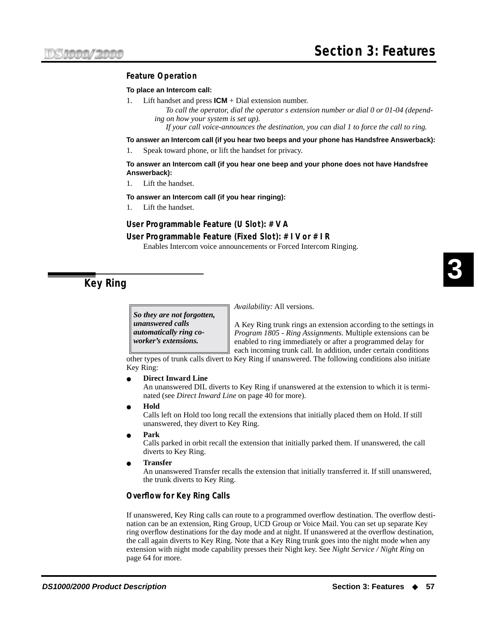# **Feature Operation**

### **To place an Intercom call:**

Lift handset and press  $ICM + Dial$  extension number.

*To call the operator, dial the operator s extension number or dial 0 or 01-04 (depending on how your system is set up).*

*If your call voice-announces the destination, you can dial 1 to force the call to ring.*

**To answer an Intercom call (if you hear two beeps and your phone has Handsfree Answerback):**

1. Speak toward phone, or lift the handset for privacy.

### **To answer an Intercom call (if you hear one beep and your phone does not have Handsfree Answerback):**

1. Lift the handset.

**To answer an Intercom call (if you hear ringing):**

1. Lift the handset.

## **User Programmable Feature (U Slot): # V A**

### **User Programmable Feature (Fixed Slot): # I V or # I R**

Enables Intercom voice announcements or Forced Intercom Ringing.

<span id="page-64-1"></span>**Key Ring**

*So they are not forgotten, unanswered calls automatically ring coworker's extensions.*

*Availability:* All versions.

A Key Ring trunk rings an extension according to the settings in *Program 1805 - Ring Assignments*. Multiple extensions can be enabled to ring immediately or after a programmed delay for each incoming trunk call. In addition, under certain conditions

other types of trunk calls divert to Key Ring if unanswered. The following conditions also initiate Key Ring:

#### **[Direct Inward Line](#page-47-0)**

An unanswered DIL diverts to Key Ring if unanswered at the extension to which it is terminated (see *[Direct Inward Line](#page-47-0)* on page 40 for more).

● **[Hold](#page-61-0)**

Calls left on Hold too long recall the extensions that initially placed them on Hold. If still unanswered, they divert to Key Ring.

● **[Park](#page-75-0)**

Calls parked in orbit recall the extension that initially parked them. If unanswered, the call diverts to Key Ring.

● **[Transfer](#page-99-0)**

An unanswered Transfer recalls the extension that initially transferred it. If still unanswered, the trunk diverts to Key Ring.

### <span id="page-64-0"></span>**Overflow for Key Ring Calls**

If unanswered, Key Ring calls can route to a programmed overflow destination. The overflow destination can be an extension, Ring Group, UCD Group or Voice Mail. You can set up separate Key ring overflow destinations for the day mode and at night. If unanswered at the overflow destination, the call again diverts to Key Ring. Note that a Key Ring trunk goes into the night mode when any extension with night mode capability presses their Night key. See *[Night Service / Night Ring](#page-71-0)* on [page 64](#page-71-0) for more.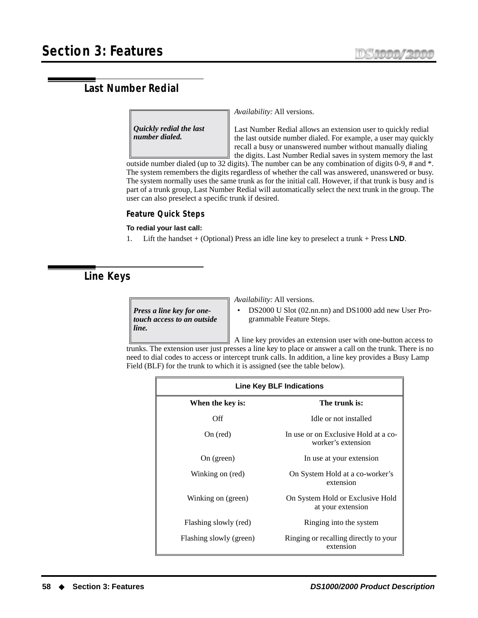# <span id="page-65-1"></span>**Last Number Redial**

*Quickly redial the last number dialed.*

*Availability:* All versions.

Last Number Redial allows an extension user to quickly redial the last outside number dialed. For example, a user may quickly recall a busy or unanswered number without manually dialing the digits. Last Number Redial saves in system memory the last

outside number dialed (up to 32 digits). The number can be any combination of digits 0-9, # and \*. The system remembers the digits regardless of whether the call was answered, unanswered or busy. The system normally uses the same trunk as for the initial call. However, if that trunk is busy and is part of a trunk group, Last Number Redial will automatically select the next trunk in the group. The user can also preselect a specific trunk if desired.

### **Feature Quick Steps**

### **To redial your last call:**

1. Lift the handset + (Optional) Press an idle line key to preselect a trunk + Press **LND**.

# <span id="page-65-0"></span>**Line Keys**

*Press a line key for onetouch access to an outside line.*

*Availability:* All versions.

• DS2000 U Slot (02.nn.nn) and DS1000 add new User Programmable Feature Steps.

A line key provides an extension user with one-button access to trunks. The extension user just presses a line key to place or answer a call on the trunk. There is no need to dial codes to access or intercept trunk calls. In addition, a line key provides a Busy Lamp Field (BLF) for the trunk to which it is assigned (see the table below).

| Line Key BLF Indications |                                                            |  |  |  |
|--------------------------|------------------------------------------------------------|--|--|--|
| When the key is:         | The trunk is:                                              |  |  |  |
| Off                      | Idle or not installed                                      |  |  |  |
| On (red)                 | In use or on Exclusive Hold at a co-<br>worker's extension |  |  |  |
| On (green)               | In use at your extension                                   |  |  |  |
| Winking on (red)         | On System Hold at a co-worker's<br>extension               |  |  |  |
| Winking on (green)       | On System Hold or Exclusive Hold<br>at your extension      |  |  |  |
| Flashing slowly (red)    | Ringing into the system                                    |  |  |  |
| Flashing slowly (green)  | Ringing or recalling directly to your<br>extension         |  |  |  |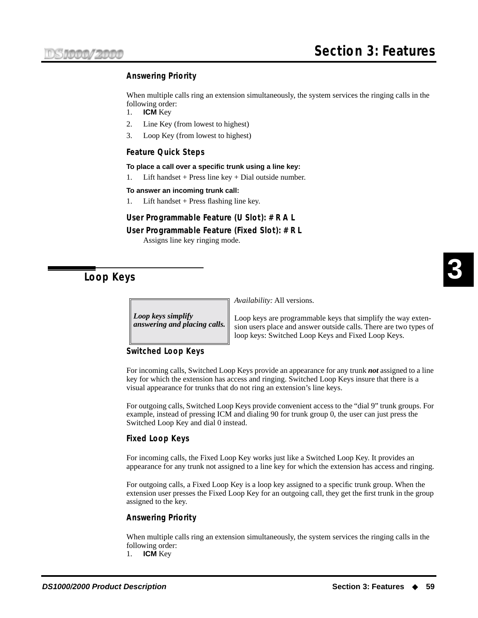# **Answering Priority**

When multiple calls ring an extension simultaneously, the system services the ringing calls in the following order:

- 1. **ICM** Key
- 2. Line Key (from lowest to highest)
- 3. Loop Key (from lowest to highest)

### **Feature Quick Steps**

#### **To place a call over a specific trunk using a line key:**

1. Lift handset + Press line key + Dial outside number.

### **To answer an incoming trunk call:**

1. Lift handset + Press flashing line key.

# **User Programmable Feature (U Slot): # R A L**

### **User Programmable Feature (Fixed Slot): # R L**

Assigns line key ringing mode.

# <span id="page-66-0"></span>**Loop Keys**

*Loop keys simplify answering and placing calls.* *Availability:* All versions.

Loop keys are programmable keys that simplify the way extension users place and answer outside calls. There are two types of loop keys: Switched Loop Keys and Fixed Loop Keys.

## **Switched Loop Keys**

For incoming calls, Switched Loop Keys provide an appearance for any trunk *not* assigned to a line key for which the extension has access and ringing. Switched Loop Keys insure that there is a visual appearance for trunks that do not ring an extension's line keys.

For outgoing calls, Switched Loop Keys provide convenient access to the "dial 9" trunk groups. For example, instead of pressing ICM and dialing 90 for trunk group 0, the user can just press the Switched Loop Key and dial 0 instead.

### **Fixed Loop Keys**

For incoming calls, the Fixed Loop Key works just like a Switched Loop Key. It provides an appearance for any trunk not assigned to a line key for which the extension has access and ringing.

For outgoing calls, a Fixed Loop Key is a loop key assigned to a specific trunk group. When the extension user presses the Fixed Loop Key for an outgoing call, they get the first trunk in the group assigned to the key.

# **Answering Priority**

When multiple calls ring an extension simultaneously, the system services the ringing calls in the following order:

1. **ICM** Key

**3**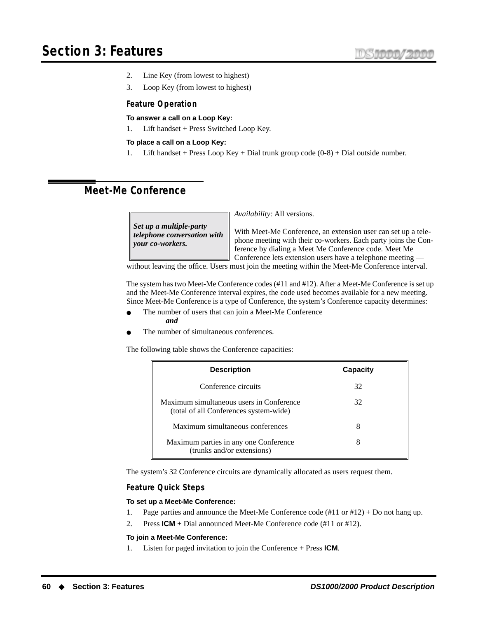- 2. Line Key (from lowest to highest)
- 3. Loop Key (from lowest to highest)

## **Feature Operation**

### **To answer a call on a Loop Key:**

1. Lift handset + Press Switched Loop Key.

### **To place a call on a Loop Key:**

1. Lift handset + Press Loop Key + Dial trunk group code (0-8) + Dial outside number.

# **Meet-Me Conference**

*Set up a multiple-party telephone conversation with your co-workers.*

*Availability:* All versions.

With Meet-Me Conference, an extension user can set up a telephone meeting with their co-workers. Each party joins the Conference by dialing a Meet Me Conference code. Meet Me Conference lets extension users have a telephone meeting —

without leaving the office. Users must join the meeting within the Meet-Me Conference interval.

The system has two Meet-Me Conference codes (#11 and #12). After a Meet-Me Conference is set up and the Meet-Me Conference interval expires, the code used becomes available for a new meeting. Since Meet-Me Conference is a type of Conference, the system's Conference capacity determines:

- The number of users that can join a Meet-Me Conference *and*
- The number of simultaneous conferences.

The following table shows the Conference capacities:

| <b>Description</b>                                                                 | Capacity |
|------------------------------------------------------------------------------------|----------|
| Conference circuits                                                                | 32       |
| Maximum simultaneous users in Conference<br>(total of all Conferences system-wide) | 32       |
| Maximum simultaneous conferences                                                   | 8        |
| Maximum parties in any one Conference<br>(trunks and/or extensions)                | 8        |

The system's 32 Conference circuits are dynamically allocated as users request them.

### **Feature Quick Steps**

### **To set up a Meet-Me Conference:**

- 1. Page parties and announce the Meet-Me Conference code (#11 or #12) + Do not hang up.
- 2. Press **ICM** + Dial announced Meet-Me Conference code (#11 or #12).

### **To join a Meet-Me Conference:**

1. Listen for paged invitation to join the Conference + Press **ICM**.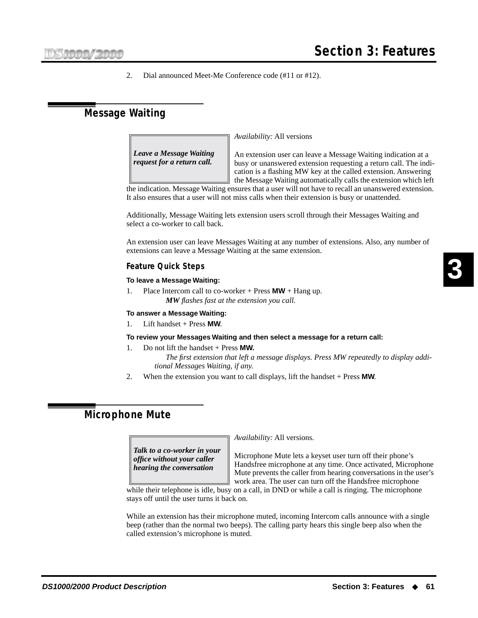2. Dial announced Meet-Me Conference code (#11 or #12).

# **Message Waiting**

*Availability:* All versions

*Leave a Message Waiting request for a return call.*

An extension user can leave a Message Waiting indication at a busy or unanswered extension requesting a return call. The indication is a flashing MW key at the called extension. Answering the Message Waiting automatically calls the extension which left

the indication. Message Waiting ensures that a user will not have to recall an unanswered extension. It also ensures that a user will not miss calls when their extension is busy or unattended.

Additionally, Message Waiting lets extension users scroll through their Messages Waiting and select a co-worker to call back.

An extension user can leave Messages Waiting at any number of extensions. Also, any number of extensions can leave a Message Waiting at the same extension.

## **Feature Quick Steps**

### **To leave a Message Waiting:**

1. Place Intercom call to co-worker + Press **MW** + Hang up. *MW flashes fast at the extension you call.*

### **To answer a Message Waiting:**

1. Lift handset + Press **MW**.

### **To review your Messages Waiting and then select a message for a return call:**

- 1. Do not lift the handset + Press **MW.**
	- *The first extension that left a message displays. Press MW repeatedly to display additional Messages Waiting, if any.*
- 2. When the extension you want to call displays, lift the handset + Press **MW**.

# **Microphone Mute**

*Talk to a co-worker in your office without your caller hearing the conversation*

*Availability:* All versions.

Microphone Mute lets a keyset user turn off their phone's Handsfree microphone at any time. Once activated, Microphone Mute prevents the caller from hearing conversations in the user's work area. The user can turn off the Handsfree microphone

while their telephone is idle, busy on a call, in DND or while a call is ringing. The microphone stays off until the user turns it back on.

While an extension has their microphone muted, incoming Intercom calls announce with a single beep (rather than the normal two beeps). The calling party hears this single beep also when the called extension's microphone is muted.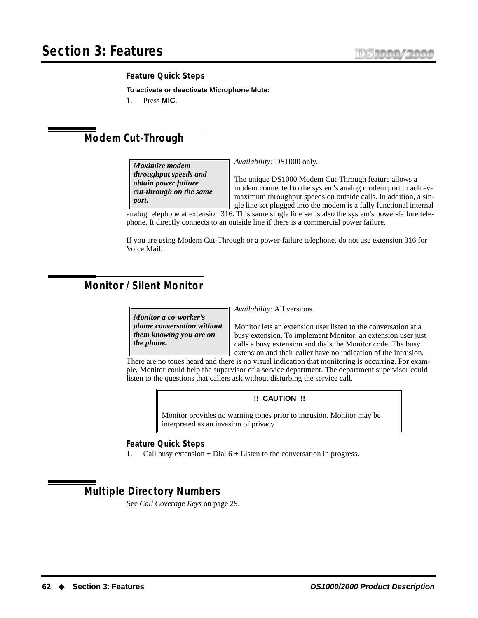## **Feature Quick Steps**

**To activate or deactivate Microphone Mute:**

1. Press **MIC**.

# **Modem Cut-Through**

*Maximize modem throughput speeds and obtain power failure cut-through on the same port.*

*Availability:* DS1000 only.

The unique DS1000 Modem Cut-Through feature allows a modem connected to the system's analog modem port to achieve maximum throughput speeds on outside calls. In addition, a single line set plugged into the modem is a fully functional internal

analog telephone at extension 316. This same single line set is also the system's power-failure telephone. It directly connects to an outside line if there is a commercial power failure.

If you are using Modem Cut-Through or a power-failure telephone, do not use extension 316 for Voice Mail.

# <span id="page-69-0"></span>**Monitor / Silent Monitor**

*Monitor a co-worker's phone conversation without them knowing you are on the phone.*

*Availability:* All versions.

Monitor lets an extension user listen to the conversation at a busy extension. To implement Monitor, an extension user just calls a busy extension and dials the Monitor code. The busy extension and their caller have no indication of the intrusion.

There are no tones heard and there is no visual indication that monitoring is occurring. For example, Monitor could help the supervisor of a service department. The department supervisor could listen to the questions that callers ask without disturbing the service call.

## **!! CAUTION !!**

Monitor provides no warning tones prior to intrusion. Monitor may be interpreted as an invasion of privacy.

### **Feature Quick Steps**

1. Call busy extension + Dial 6 + Listen to the conversation in progress.

# **Multiple Directory Numbers**

See *[Call Coverage Keys](#page-36-0)* on page 29.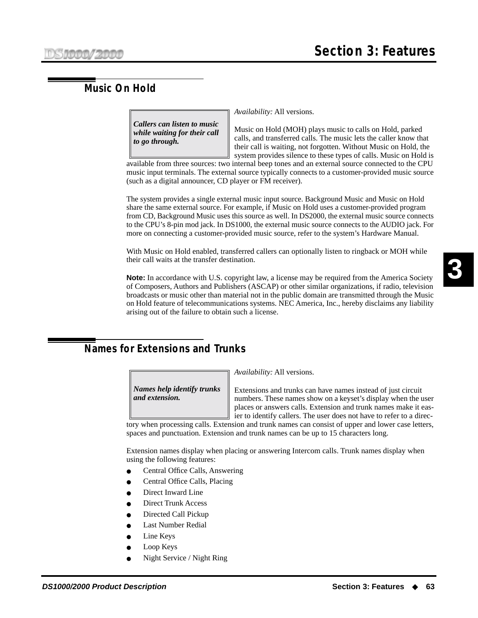# **Music On Hold**

*Callers can listen to music while waiting for their call to go through.*

*Availability:* All versions.

Music on Hold (MOH) plays music to calls on Hold, parked calls, and transferred calls. The music lets the caller know that their call is waiting, not forgotten. Without Music on Hold, the system provides silence to these types of calls. Music on Hold is

available from three sources: two internal beep tones and an external source connected to the CPU music input terminals. The external source typically connects to a customer-provided music source (such as a digital announcer, CD player or FM receiver).

The system provides a single external music input source. Background Music and Music on Hold share the same external source. For example, if Music on Hold uses a customer-provided program from CD, Background Music uses this source as well. In DS2000, the external music source connects to the CPU's 8-pin mod jack. In DS1000, the external music source connects to the AUDIO jack. For more on connecting a customer-provided music source, refer to the system's Hardware Manual.

With Music on Hold enabled, transferred callers can optionally listen to ringback or MOH while their call waits at the transfer destination.

**Note:** In accordance with U.S. copyright law, a license may be required from the America Society of Composers, Authors and Publishers (ASCAP) or other similar organizations, if radio, television broadcasts or music other than material not in the public domain are transmitted through the Music on Hold feature of telecommunications systems. NEC America, Inc., hereby disclaims any liability arising out of the failure to obtain such a license.

# **Names for Extensions and Trunks**

*Names help identify trunks and extension.*

*Availability:* All versions.

Extensions and trunks can have names instead of just circuit numbers. These names show on a keyset's display when the user places or answers calls. Extension and trunk names make it easier to identify callers. The user does not have to refer to a direc-

tory when processing calls. Extension and trunk names can consist of upper and lower case letters, spaces and punctuation. Extension and trunk names can be up to 15 characters long.

Extension names display when placing or answering Intercom calls. Trunk names display when using the following features:

- [Central Office Calls, Answering](#page-41-0)
- [Central Office Calls, Placing](#page-42-0)
- [Direct Inward Line](#page-47-0)
- **[Direct Trunk Access](#page-51-0)**
- [Directed Call Pickup](#page-51-1)
- **[Last Number Redial](#page-65-1)**
- **[Line Keys](#page-65-0)**
- [Loop Keys](#page-66-0)
- [Night Service / Night Ring](#page-71-0)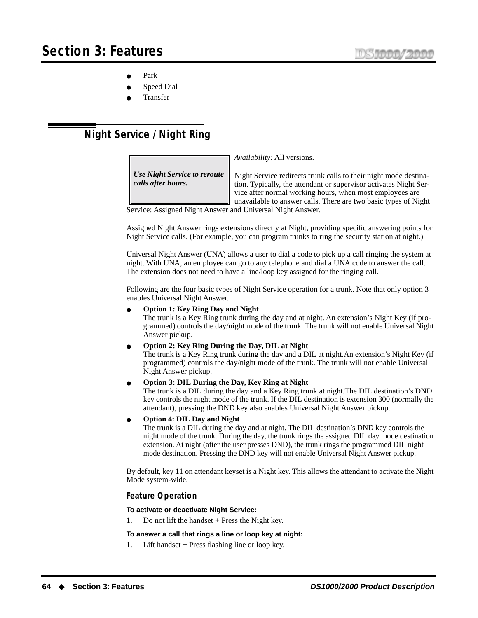- [Park](#page-75-0)
- **[Speed Dial](#page-87-1)**
- **[Transfer](#page-99-0)**

# <span id="page-71-0"></span>**Night Service / Night Ring**

*Use Night Service to reroute calls after hours.*

*Availability:* All versions.

Night Service redirects trunk calls to their night mode destination. Typically, the attendant or supervisor activates Night Service after normal working hours, when most employees are unavailable to answer calls. There are two basic types of Night

Service: Assigned Night Answer and Universal Night Answer.

Assigned Night Answer rings extensions directly at Night, providing specific answering points for Night Service calls. (For example, you can program trunks to ring the security station at night.)

Universal Night Answer (UNA) allows a user to dial a code to pick up a call ringing the system at night. With UNA, an employee can go to any telephone and dial a UNA code to answer the call. The extension does not need to have a line/loop key assigned for the ringing call.

Following are the four basic types of Night Service operation for a trunk. Note that only option 3 enables Universal Night Answer.

● **Option 1: Key Ring Day and Night**

The trunk is a Key Ring trunk during the day and at night. An extension's Night Key (if programmed) controls the day/night mode of the trunk. The trunk will not enable Universal Night Answer pickup.

● **Option 2: Key Ring During the Day, DIL at Night**

The trunk is a Key Ring trunk during the day and a DIL at night.An extension's Night Key (if programmed) controls the day/night mode of the trunk. The trunk will not enable Universal Night Answer pickup.

● **Option 3: DIL During the Day, Key Ring at Night**

The trunk is a DIL during the day and a Key Ring trunk at night.The DIL destination's DND key controls the night mode of the trunk. If the DIL destination is extension 300 (normally the attendant), pressing the DND key also enables Universal Night Answer pickup.

● **Option 4: DIL Day and Night**

The trunk is a DIL during the day and at night. The DIL destination's DND key controls the night mode of the trunk. During the day, the trunk rings the assigned DIL day mode destination extension. At night (after the user presses DND), the trunk rings the programmed DIL night mode destination. Pressing the DND key will not enable Universal Night Answer pickup.

By default, key 11 on attendant keyset is a Night key. This allows the attendant to activate the Night Mode system-wide.

### **Feature Operation**

**To activate or deactivate Night Service:**

Do not lift the handset  $+$  Press the Night key.

**To answer a call that rings a line or loop key at night:**

1. Lift handset + Press flashing line or loop key.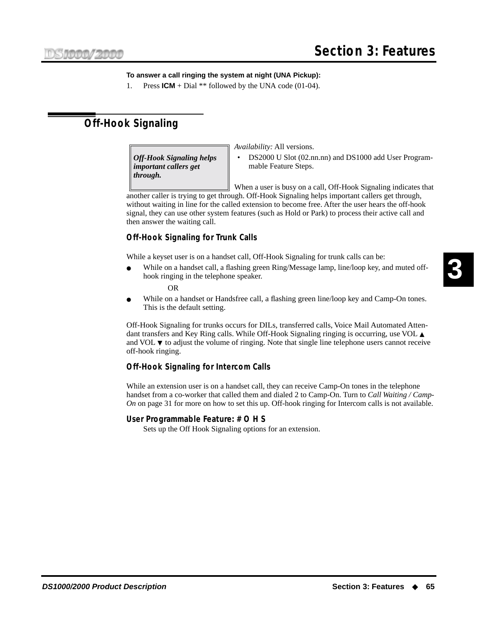#### **To answer a call ringing the system at night (UNA Pickup):**

1. Press **ICM** + Dial \*\* followed by the UNA code (01-04).

# <span id="page-72-0"></span>**Off-Hook Signaling**

*Off-Hook Signaling helps important callers get through.*

*Availability:* All versions.

• DS2000 U Slot (02.nn.nn) and DS1000 add User Programmable Feature Steps.

When a user is busy on a call, Off-Hook Signaling indicates that

another caller is trying to get through. Off-Hook Signaling helps important callers get through, without waiting in line for the called extension to become free. After the user hears the off-hook signal, they can use other system features (such as Hold or Park) to process their active call and then answer the waiting call.

#### **Off-Hook Signaling for Trunk Calls**

While a keyset user is on a handset call, Off-Hook Signaling for trunk calls can be:

While on a handset call, a flashing green Ring/Message lamp, line/loop key, and muted offhook ringing in the telephone speaker.

OR

While on a handset or Handsfree call, a flashing green line/loop key and Camp-On tones. This is the default setting.

Off-Hook Signaling for trunks occurs for DILs, transferred calls, Voice Mail Automated Attendant transfers and Key Ring calls. While Off-Hook Signaling ringing is occurring, use VOL ▲ and VOL ▼ to adjust the volume of ringing. Note that single line telephone users cannot receive off-hook ringing.

#### **Off-Hook Signaling for Intercom Calls**

While an extension user is on a handset call, they can receive Camp-On tones in the telephone handset from a co-worker that called them and dialed 2 to Camp-On. Turn to *[Call Waiting / Camp-](#page-38-0)On* [on page 31](#page-38-0) for more on how to set this up. Off-hook ringing for Intercom calls is not available.

#### **User Programmable Feature: # O H S**

Sets up the Off Hook Signaling options for an extension.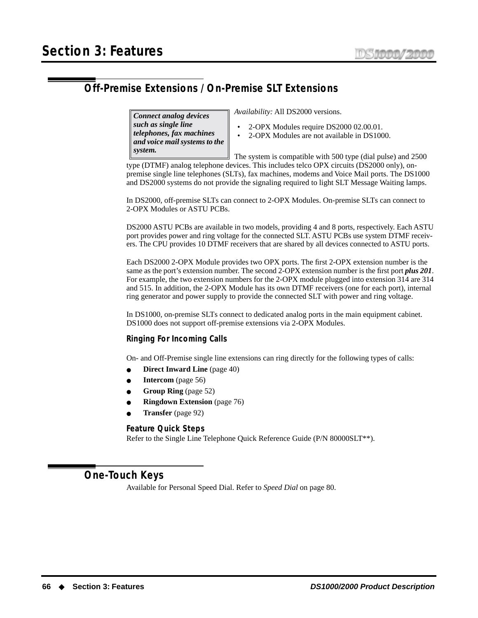# <span id="page-73-0"></span>**Off-Premise Extensions / On-Premise SLT Extensions**

*Connect analog devices such as single line telephones, fax machines and voice mail systems to the system.*

*Availability:* All DS2000 versions.

- 2-OPX Modules require DS2000 02.00.01.
- 2-OPX Modules are not available in DS1000.

The system is compatible with 500 type (dial pulse) and 2500 type (DTMF) analog telephone devices. This includes telco OPX circuits (DS2000 only), onpremise single line telephones (SLTs), fax machines, modems and Voice Mail ports. The DS1000

and DS2000 systems do not provide the signaling required to light SLT Message Waiting lamps.

In DS2000, off-premise SLTs can connect to 2-OPX Modules. On-premise SLTs can connect to 2-OPX Modules or ASTU PCBs.

DS2000 ASTU PCBs are available in two models, providing 4 and 8 ports, respectively. Each ASTU port provides power and ring voltage for the connected SLT. ASTU PCBs use system DTMF receivers. The CPU provides 10 DTMF receivers that are shared by all devices connected to ASTU ports.

Each DS2000 2-OPX Module provides two OPX ports. The first 2-OPX extension number is the same as the port's extension number. The second 2-OPX extension number is the first port *plus 201*. For example, the two extension numbers for the 2-OPX module plugged into extension 314 are 314 and 515. In addition, the 2-OPX Module has its own DTMF receivers (one for each port), internal ring generator and power supply to provide the connected SLT with power and ring voltage.

In DS1000, on-premise SLTs connect to dedicated analog ports in the main equipment cabinet. DS1000 does not support off-premise extensions via 2-OPX Modules.

#### **Ringing For Incoming Calls**

On- and Off-Premise single line extensions can ring directly for the following types of calls:

- **[Direct Inward Line](#page-47-0)** (page 40)
- **Intercom** [\(page 56\)](#page-63-0)
- **[Group Ring](#page-59-0)** (page 52)
- **[Ringdown Extension](#page-83-0)** (page 76)
- **Transfer** [\(page 92\)](#page-99-0)

#### **Feature Quick Steps**

Refer to the Single Line Telephone Quick Reference Guide (P/N 80000SLT\*\*).

**One-Touch Keys**

Available for Personal Speed Dial. Refer to *Speed Dial* [on page 80](#page-87-0).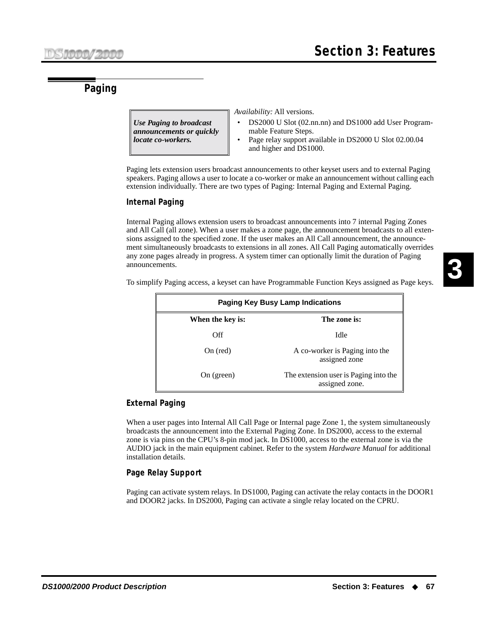# <span id="page-74-0"></span>**Paging**

*Use Paging to broadcast announcements or quickly locate co-workers.*

*Availability:* All versions.

• DS2000 U Slot (02.nn.nn) and DS1000 add User Programmable Feature Steps.

assigned zone.

• Page relay support available in DS2000 U Slot 02.00.04 and higher and DS1000.

Paging lets extension users broadcast announcements to other keyset users and to external Paging speakers. Paging allows a user to locate a co-worker or make an announcement without calling each extension individually. There are two types of Paging: Internal Paging and External Paging.

#### **Internal Paging**

Internal Paging allows extension users to broadcast announcements into 7 internal Paging Zones and All Call (all zone). When a user makes a zone page, the announcement broadcasts to all extensions assigned to the specified zone. If the user makes an All Call announcement, the announcement simultaneously broadcasts to extensions in all zones. All Call Paging automatically overrides any zone pages already in progress. A system timer can optionally limit the duration of Paging announcements.

To simplify Paging access, a keyset can have Programmable Function Keys assigned as Page keys.

**3**

**Paging Key Busy Lamp Indications When the key is: The zone is:** Off Idle On (red) A co-worker is Paging into the assigned zone On (green) The extension user is Paging into the

**External Paging**

When a user pages into Internal All Call Page or Internal page Zone 1, the system simultaneously broadcasts the announcement into the External Paging Zone. In DS2000, access to the external zone is via pins on the CPU's 8-pin mod jack. In DS1000, access to the external zone is via the AUDIO jack in the main equipment cabinet. Refer to the system *Hardware Manual* for additional installation details.

#### **Page Relay Support**

Paging can activate system relays. In DS1000, Paging can activate the relay contacts in the DOOR1 and DOOR2 jacks. In DS2000, Paging can activate a single relay located on the CPRU.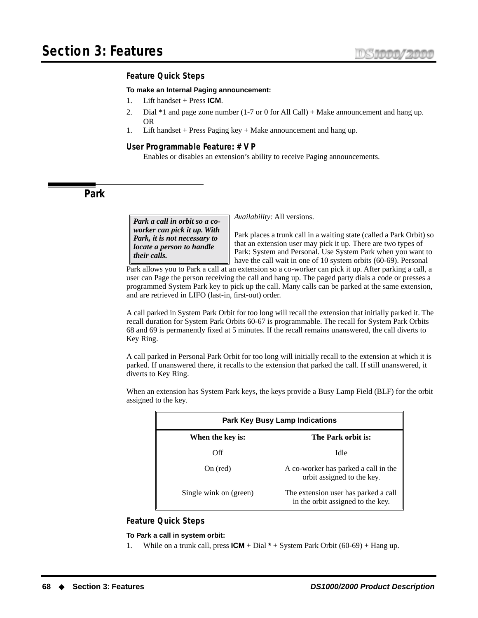#### **Feature Quick Steps**

#### **To make an Internal Paging announcement:**

- 1. Lift handset + Press **ICM**.
- 2. Dial \*1 and page zone number (1-7 or 0 for All Call) + Make announcement and hang up. OR
- 1. Lift handset + Press Paging key + Make announcement and hang up.

#### **User Programmable Feature: # V P**

Enables or disables an extension's ability to receive Paging announcements.

**Park**

*Park a call in orbit so a coworker can pick it up. With Park, it is not necessary to locate a person to handle their calls.*

*Availability:* All versions.

Park places a trunk call in a waiting state (called a Park Orbit) so that an extension user may pick it up. There are two types of Park: System and Personal. Use System Park when you want to have the call wait in one of 10 system orbits (60-69). Personal

Park allows you to Park a call at an extension so a co-worker can pick it up. After parking a call, a user can Page the person receiving the call and hang up. The paged party dials a code or presses a programmed System Park key to pick up the call. Many calls can be parked at the same extension, and are retrieved in LIFO (last-in, first-out) order.

A call parked in System Park Orbit for too long will recall the extension that initially parked it. The recall duration for System Park Orbits 60-67 is programmable. The recall for System Park Orbits 68 and 69 is permanently fixed at 5 minutes. If the recall remains unanswered, the call diverts to Key Ring.

A call parked in Personal Park Orbit for too long will initially recall to the extension at which it is parked. If unanswered there, it recalls to the extension that parked the call. If still unanswered, it diverts to Key Ring.

When an extension has System Park keys, the keys provide a Busy Lamp Field (BLF) for the orbit assigned to the key.

| <b>Park Key Busy Lamp Indications</b> |                                                                           |  |
|---------------------------------------|---------------------------------------------------------------------------|--|
| When the key is:                      | The Park orbit is:                                                        |  |
| Off                                   | Idle                                                                      |  |
| On (red)                              | A co-worker has parked a call in the<br>orbit assigned to the key.        |  |
| Single wink on (green)                | The extension user has parked a call<br>in the orbit assigned to the key. |  |

#### **Feature Quick Steps**

#### **To Park a call in system orbit:**

1. While on a trunk call, press **ICM** + Dial **\*** + System Park Orbit (60-69) + Hang up.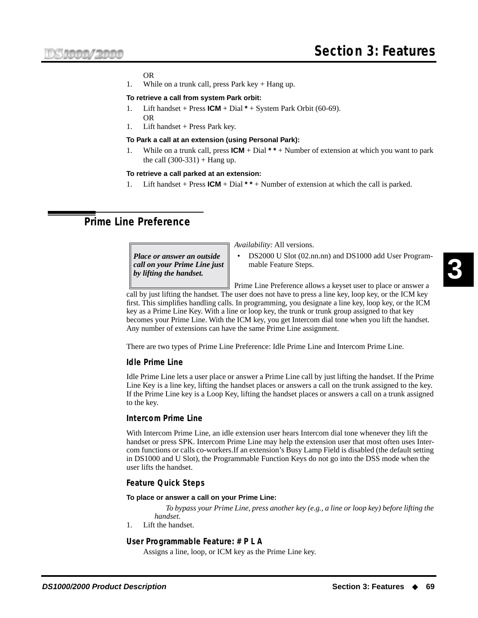#### OR

1. While on a trunk call, press Park key  $+$  Hang up.

#### **To retrieve a call from system Park orbit:**

- Lift handset + Press  $ICM$  + Dial  $*$  + System Park Orbit (60-69). OR
- 1. Lift handset + Press Park key.

#### **To Park a call at an extension (using Personal Park):**

1. While on a trunk call, press **ICM** + Dial **\* \*** + Number of extension at which you want to park the call  $(300-331)$  + Hang up.

#### **To retrieve a call parked at an extension:**

1. Lift handset + Press **ICM** + Dial **\* \*** + Number of extension at which the call is parked.

# <span id="page-76-0"></span>**Prime Line Preference**

*Place or answer an outside call on your Prime Line just by lifting the handset.*

*Availability:* All versions.

DS2000 U Slot (02.nn.nn) and DS1000 add User Programmable Feature Steps.

Prime Line Preference allows a keyset user to place or answer a

call by just lifting the handset. The user does not have to press a line key, loop key, or the ICM key first. This simplifies handling calls. In programming, you designate a line key, loop key, or the ICM key as a Prime Line Key. With a line or loop key, the trunk or trunk group assigned to that key becomes your Prime Line. With the ICM key, you get Intercom dial tone when you lift the handset. Any number of extensions can have the same Prime Line assignment.

There are two types of Prime Line Preference: Idle Prime Line and Intercom Prime Line.

#### **Idle Prime Line**

Idle Prime Line lets a user place or answer a Prime Line call by just lifting the handset. If the Prime Line Key is a line key, lifting the handset places or answers a call on the trunk assigned to the key. If the Prime Line key is a Loop Key, lifting the handset places or answers a call on a trunk assigned to the key.

#### **Intercom Prime Line**

With Intercom Prime Line, an idle extension user hears Intercom dial tone whenever they lift the handset or press SPK. Intercom Prime Line may help the extension user that most often uses Intercom functions or calls co-workers.If an extension's Busy Lamp Field is disabled (the default setting in DS1000 and U Slot), the Programmable Function Keys do not go into the DSS mode when the user lifts the handset.

#### **Feature Quick Steps**

#### **To place or answer a call on your Prime Line:**

*To bypass your Prime Line, press another key (e.g., a line or loop key) before lifting the handset.*

1. Lift the handset.

#### **User Programmable Feature: # P L A**

Assigns a line, loop, or ICM key as the Prime Line key.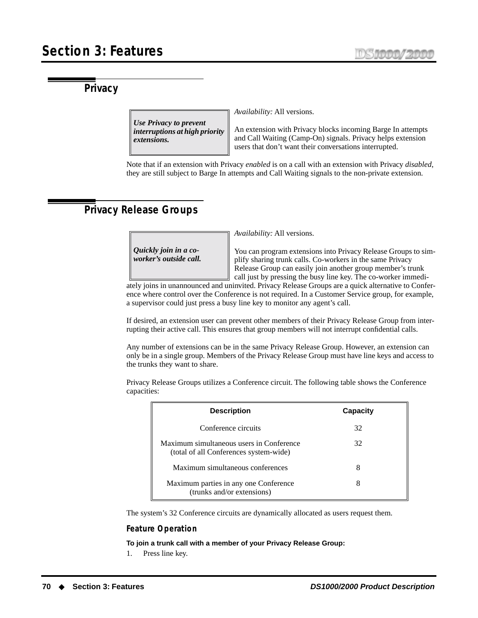# **Privacy**

*Use Privacy to prevent interruptions at high priority extensions.*

*Availability:* All versions.

An extension with Privacy blocks incoming Barge In attempts and Call Waiting (Camp-On) signals. Privacy helps extension users that don't want their conversations interrupted.

Note that if an extension with Privacy *enabled* is on a call with an extension with Privacy *disabled*, they are still subject to Barge In attempts and Call Waiting signals to the non-private extension.

# **Privacy Release Groups**

*Quickly join in a coworker's outside call.* *Availability:* All versions.

You can program extensions into Privacy Release Groups to simplify sharing trunk calls. Co-workers in the same Privacy Release Group can easily join another group member's trunk call just by pressing the busy line key. The co-worker immedi-

ately joins in unannounced and uninvited. Privacy Release Groups are a quick alternative to Conference where control over the Conference is not required. In a Customer Service group, for example, a supervisor could just press a busy line key to monitor any agent's call.

If desired, an extension user can prevent other members of their Privacy Release Group from interrupting their active call. This ensures that group members will not interrupt confidential calls.

Any number of extensions can be in the same Privacy Release Group. However, an extension can only be in a single group. Members of the Privacy Release Group must have line keys and access to the trunks they want to share.

Privacy Release Groups utilizes a Conference circuit. The following table shows the Conference capacities:

| <b>Description</b>                                                                 | Capacity |
|------------------------------------------------------------------------------------|----------|
| Conference circuits                                                                | 32       |
| Maximum simultaneous users in Conference<br>(total of all Conferences system-wide) | 32       |
| Maximum simultaneous conferences                                                   | 8        |
| Maximum parties in any one Conference<br>(trunks and/or extensions)                | 8        |

The system's 32 Conference circuits are dynamically allocated as users request them.

#### **Feature Operation**

**To join a trunk call with a member of your Privacy Release Group:**

1. Press line key.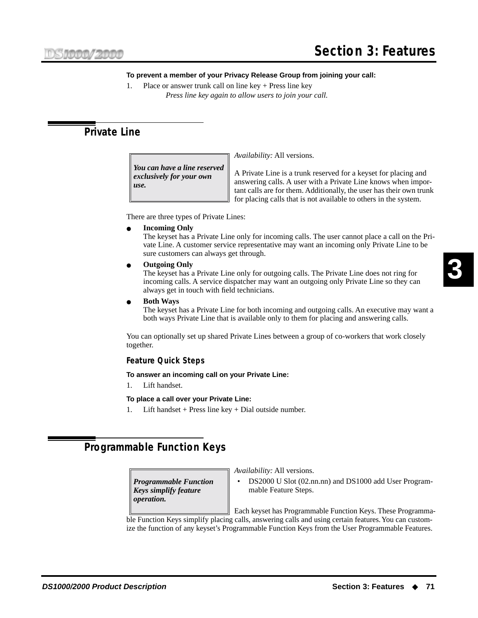# **Section 3: Features**

#### **To prevent a member of your Privacy Release Group from joining your call:**

1. Place or answer trunk call on line key + Press line key *Press line key again to allow users to join your call.*

# **Private Line**

*You can have a line reserved exclusively for your own use.*

*Availability:* All versions.

A Private Line is a trunk reserved for a keyset for placing and answering calls. A user with a Private Line knows when important calls are for them. Additionally, the user has their own trunk for placing calls that is not available to others in the system.

There are three types of Private Lines:

**Incoming Only** 

The keyset has a Private Line only for incoming calls. The user cannot place a call on the Private Line. A customer service representative may want an incoming only Private Line to be sure customers can always get through.

**Outgoing Only** 

The keyset has a Private Line only for outgoing calls. The Private Line does not ring for incoming calls. A service dispatcher may want an outgoing only Private Line so they can always get in touch with field technicians.

**Both Ways** 

The keyset has a Private Line for both incoming and outgoing calls. An executive may want a both ways Private Line that is available only to them for placing and answering calls.

You can optionally set up shared Private Lines between a group of co-workers that work closely together.

#### **Feature Quick Steps**

#### **To answer an incoming call on your Private Line:**

1. Lift handset.

#### **To place a call over your Private Line:**

1. Lift handset + Press line key + Dial outside number.

# <span id="page-78-0"></span>**Programmable Function Keys**

*Programmable Function Keys simplify feature operation.*

*Availability:* All versions.

• DS2000 U Slot (02.nn.nn) and DS1000 add User Programmable Feature Steps.

Each keyset has Programmable Function Keys. These Programmable Function Keys simplify placing calls, answering calls and using certain features. You can customize the function of any keyset's Programmable Function Keys from the User Programmable Features.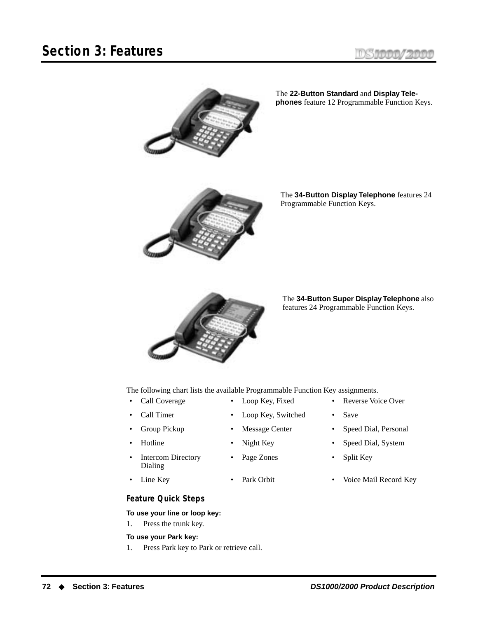



The **22-Button Standard** and **Display Telephones** feature 12 Programmable Function Keys.



The **34-Button Display Telephone** features 24 Programmable Function Keys.



The **34-Button Super Display Telephone** also features 24 Programmable Function Keys.

The following chart lists the available Programmable Function Key assignments.

- 
- Call Timer Loop Key, Switched Save
- 
- 
- Intercom Directory Dialing
- 

#### **Feature Quick Steps**

#### **To use your line or loop key:**

1. Press the trunk key.

#### **To use your Park key:**

1. Press Park key to Park or retrieve call.

- Call Coverage Loop Key, Fixed Reverse Voice Over
	-
	- Group Pickup Message Center Speed Dial, Personal
	- Hotline Night Key Speed Dial, System
		- Page Zones Split Key
- Line Key Park Orbit Voice Mail Record Key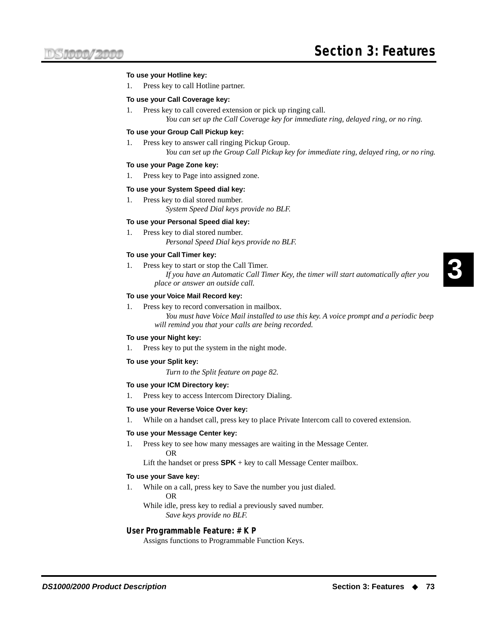#### **To use your Hotline key:**

1. Press key to call Hotline partner.

#### **To use your Call Coverage key:**

1. Press key to call covered extension or pick up ringing call. *You can set up the Call Coverage key for immediate ring, delayed ring, or no ring.*

#### **To use your Group Call Pickup key:**

- 1. Press key to answer call ringing Pickup Group.
	- *You can set up the Group Call Pickup key for immediate ring, delayed ring, or no ring.*

#### **To use your Page Zone key:**

1. Press key to Page into assigned zone.

#### **To use your System Speed dial key:**

1. Press key to dial stored number. *System Speed Dial keys provide no BLF.*

#### **To use your Personal Speed dial key:**

1. Press key to dial stored number. *Personal Speed Dial keys provide no BLF.*

#### **To use your Call Timer key:**

1. Press key to start or stop the Call Timer. *If you have an Automatic Call Timer Key, the timer will start automatically after you place or answer an outside call.*

#### **To use your Voice Mail Record key:**

1. Press key to record conversation in mailbox.

*You must have Voice Mail installed to use this key. A voice prompt and a periodic beep will remind you that your calls are being recorded.*

#### **To use your Night key:**

1. Press key to put the system in the night mode.

#### **To use your Split key:**

*Turn to the Split feature on [page 82](#page-89-0).*

#### **To use your ICM Directory key:**

1. Press key to access Intercom Directory Dialing.

#### **To use your Reverse Voice Over key:**

1. While on a handset call, press key to place Private Intercom call to covered extension.

#### **To use your Message Center key:**

1. Press key to see how many messages are waiting in the Message Center. OR

Lift the handset or press  $SPK + key$  to call Message Center mailbox.

#### **To use your Save key:**

- 1. While on a call, press key to Save the number you just dialed.
	- OR

While idle, press key to redial a previously saved number. *Save keys provide no BLF.*

#### **User Programmable Feature: # K P**

Assigns functions to Programmable Function Keys.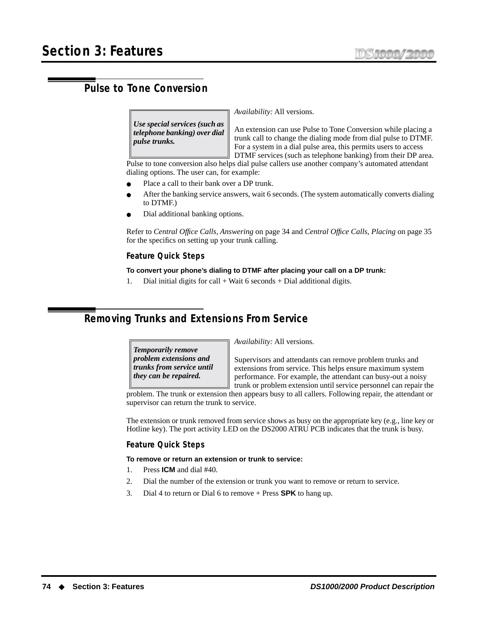# **Pulse to Tone Conversion**

*Use special services (such as telephone banking) over dial pulse trunks.*

*Availability:* All versions.

An extension can use Pulse to Tone Conversion while placing a trunk call to change the dialing mode from dial pulse to DTMF. For a system in a dial pulse area, this permits users to access DTMF services (such as telephone banking) from their DP area.

Pulse to tone conversion also helps dial pulse callers use another company's automated attendant dialing options. The user can, for example:

- Place a call to their bank over a DP trunk.
- After the banking service answers, wait 6 seconds. (The system automatically converts dialing to DTMF.)
- Dial additional banking options.

Refer to *[Central Office Calls, Answering](#page-41-0)* on page 34 and *[Central Office Calls, Placing](#page-42-0)* on page 35 for the specifics on setting up your trunk calling.

#### **Feature Quick Steps**

#### **To convert your phone's dialing to DTMF after placing your call on a DP trunk:**

1. Dial initial digits for call  $+$  Wait 6 seconds  $+$  Dial additional digits.

# **Removing Trunks and Extensions From Service**

*Temporarily remove problem extensions and trunks from service until they can be repaired.*

*Availability:* All versions.

Supervisors and attendants can remove problem trunks and extensions from service. This helps ensure maximum system performance. For example, the attendant can busy-out a noisy trunk or problem extension until service personnel can repair the

problem. The trunk or extension then appears busy to all callers. Following repair, the attendant or supervisor can return the trunk to service.

The extension or trunk removed from service shows as busy on the appropriate key (e.g., line key or Hotline key). The port activity LED on the DS2000 ATRU PCB indicates that the trunk is busy.

#### **Feature Quick Steps**

#### **To remove or return an extension or trunk to service:**

- 1. Press **ICM** and dial #40.
- 2. Dial the number of the extension or trunk you want to remove or return to service.
- 3. Dial 4 to return or Dial 6 to remove + Press **SPK** to hang up.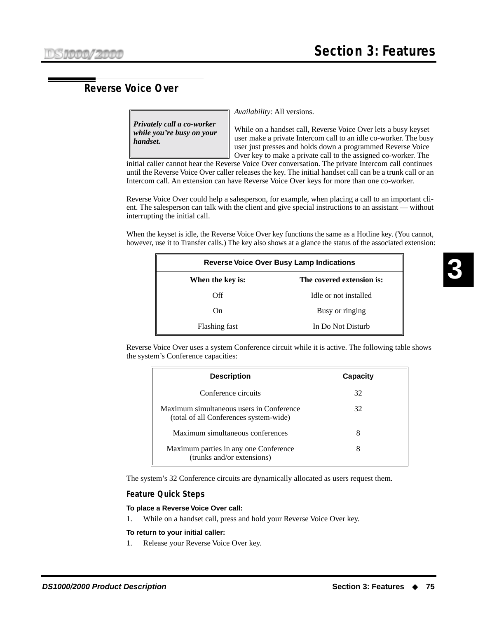# **Reverse Voice Over**

*Privately call a co-worker while you're busy on your handset.*

*Availability:* All versions.

While on a handset call, Reverse Voice Over lets a busy keyset user make a private Intercom call to an idle co-worker. The busy user just presses and holds down a programmed Reverse Voice Over key to make a private call to the assigned co-worker. The

initial caller cannot hear the Reverse Voice Over conversation. The private Intercom call continues until the Reverse Voice Over caller releases the key. The initial handset call can be a trunk call or an Intercom call. An extension can have Reverse Voice Over keys for more than one co-worker.

Reverse Voice Over could help a salesperson, for example, when placing a call to an important client. The salesperson can talk with the client and give special instructions to an assistant — without interrupting the initial call.

When the keyset is idle, the Reverse Voice Over key functions the same as a Hotline key. (You cannot, however, use it to Transfer calls.) The key also shows at a glance the status of the associated extension:

| <b>Reverse Voice Over Busy Lamp Indications</b> |                           |  |
|-------------------------------------------------|---------------------------|--|
| When the key is:                                | The covered extension is: |  |
| Off                                             | Idle or not installed     |  |
| On.                                             | Busy or ringing           |  |
| Flashing fast                                   | In Do Not Disturb         |  |

Reverse Voice Over uses a system Conference circuit while it is active. The following table shows the system's Conference capacities:

| <b>Description</b>                                                                 | Capacity |
|------------------------------------------------------------------------------------|----------|
| Conference circuits                                                                | 32       |
| Maximum simultaneous users in Conference<br>(total of all Conferences system-wide) | 32       |
| Maximum simultaneous conferences                                                   |          |
| Maximum parties in any one Conference<br>(trunks and/or extensions)                | 8        |

The system's 32 Conference circuits are dynamically allocated as users request them.

#### **Feature Quick Steps**

#### **To place a Reverse Voice Over call:**

1. While on a handset call, press and hold your Reverse Voice Over key.

#### **To return to your initial caller:**

1. Release your Reverse Voice Over key.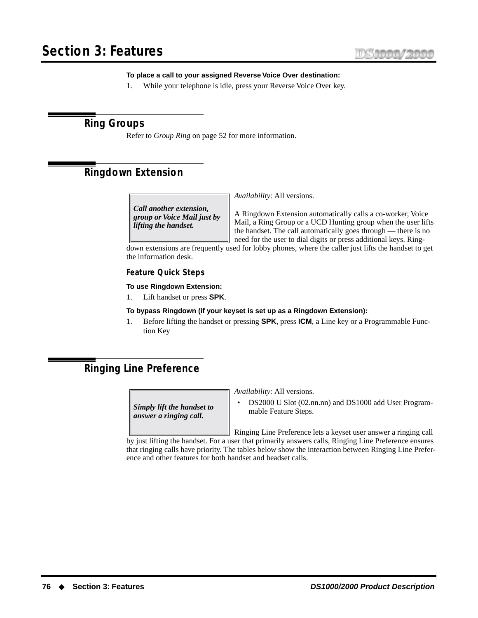#### **To place a call to your assigned Reverse Voice Over destination:**

1. While your telephone is idle, press your Reverse Voice Over key.

# **Ring Groups**

Refer to *[Group Ring](#page-59-0)* on page 52 for more information.

# <span id="page-83-0"></span>**Ringdown Extension**

*Call another extension, group or Voice Mail just by lifting the handset.*

*Availability:* All versions.

A Ringdown Extension automatically calls a co-worker, Voice Mail, a Ring Group or a UCD Hunting group when the user lifts the handset. The call automatically goes through — there is no need for the user to dial digits or press additional keys. Ring-

down extensions are frequently used for lobby phones, where the caller just lifts the handset to get the information desk.

#### **Feature Quick Steps**

#### **To use Ringdown Extension:**

1. Lift handset or press **SPK**.

#### **To bypass Ringdown (if your keyset is set up as a Ringdown Extension):**

1. Before lifting the handset or pressing **SPK**, press **ICM**, a Line key or a Programmable Function Key

# <span id="page-83-1"></span>**Ringing Line Preference**

*Simply lift the handset to answer a ringing call.*

*Availability:* All versions.

• DS2000 U Slot (02.nn.nn) and DS1000 add User Programmable Feature Steps.

Ringing Line Preference lets a keyset user answer a ringing call by just lifting the handset. For a user that primarily answers calls, Ringing Line Preference ensures that ringing calls have priority. The tables below show the interaction between Ringing Line Preference and other features for both handset and headset calls.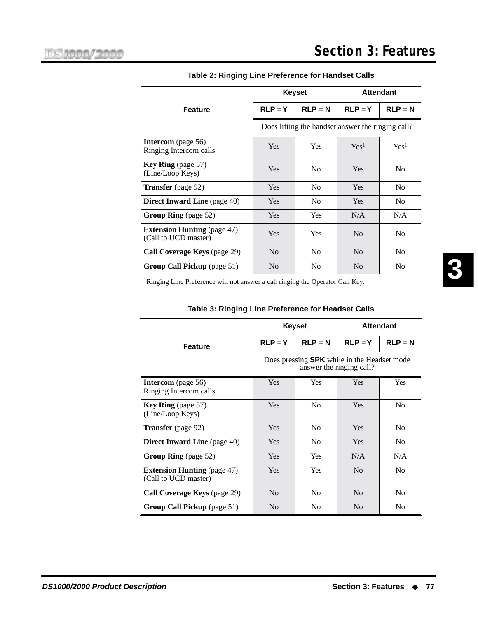|                                                                                            | <b>Keyset</b>  |                                                   | <b>Attendant</b> |                  |
|--------------------------------------------------------------------------------------------|----------------|---------------------------------------------------|------------------|------------------|
| <b>Feature</b>                                                                             | $RLP = Y$      | $RLP = N$                                         | $RLP = Y$        | $RLP = N$        |
|                                                                                            |                | Does lifting the handset answer the ringing call? |                  |                  |
| <b>Intercom</b> (page 56)<br>Ringing Intercom calls                                        | <b>Yes</b>     | <b>Yes</b>                                        | Yes <sup>1</sup> | Yes <sup>1</sup> |
| <b>Key Ring</b> (page 57)<br>(Line/Loop Keys)                                              | <b>Yes</b>     | N <sub>0</sub>                                    | Yes              | N <sub>0</sub>   |
| Transfer (page 92)                                                                         | <b>Yes</b>     | N <sub>0</sub>                                    | <b>Yes</b>       | N <sub>0</sub>   |
| <b>Direct Inward Line</b> (page 40)                                                        | <b>Yes</b>     | N <sub>0</sub>                                    | <b>Yes</b>       | N <sub>0</sub>   |
| Group Ring (page 52)                                                                       | <b>Yes</b>     | Yes                                               | N/A              | N/A              |
| <b>Extension Hunting</b> (page 47)<br>(Call to UCD master)                                 | Yes            | Yes                                               | N <sub>0</sub>   | N <sub>0</sub>   |
| Call Coverage Keys (page 29)                                                               | N <sub>0</sub> | N <sub>0</sub>                                    | N <sub>0</sub>   | N <sub>0</sub>   |
| Group Call Pickup (page 51)                                                                | N <sub>0</sub> | N <sub>0</sub>                                    | N <sub>0</sub>   | N <sub>0</sub>   |
| <sup>1</sup> Ringing Line Preference will not answer a call ringing the Operator Call Key. |                |                                                   |                  |                  |

### **Table 2: Ringing Line Preference for Handset Calls**

### **Table 3: Ringing Line Preference for Headset Calls**

|                                                            | <b>Keyset</b>                                                                  |                | <b>Attendant</b> |                |
|------------------------------------------------------------|--------------------------------------------------------------------------------|----------------|------------------|----------------|
| <b>Feature</b>                                             | $RLP = Y$                                                                      | $RLP = N$      | $RLP = Y$        | $RLP = N$      |
|                                                            | Does pressing <b>SPK</b> while in the Headset mode<br>answer the ringing call? |                |                  |                |
| <b>Intercom</b> (page 56)<br>Ringing Intercom calls        | <b>Yes</b>                                                                     | <b>Yes</b>     | Yes              | Yes            |
| <b>Key Ring</b> (page 57)<br>(Line/Loop Keys)              | Yes                                                                            | N <sub>0</sub> | Yes              | N <sub>0</sub> |
| <b>Transfer</b> (page 92)                                  | <b>Yes</b>                                                                     | N <sub>0</sub> | <b>Yes</b>       | N <sub>0</sub> |
| <b>Direct Inward Line</b> (page 40)                        | <b>Yes</b>                                                                     | N <sub>0</sub> | Yes              | N <sub>0</sub> |
| <b>Group Ring</b> (page 52)                                | <b>Yes</b>                                                                     | <b>Yes</b>     | N/A              | N/A            |
| <b>Extension Hunting</b> (page 47)<br>(Call to UCD master) | Yes                                                                            | Yes            | N <sub>0</sub>   | N <sub>0</sub> |
| <b>Call Coverage Keys</b> (page 29)                        | No                                                                             | N <sub>0</sub> | N <sub>0</sub>   | N <sub>0</sub> |
| <b>Group Call Pickup</b> (page 51)                         | N <sub>0</sub>                                                                 | No             | N <sub>0</sub>   | N <sub>0</sub> |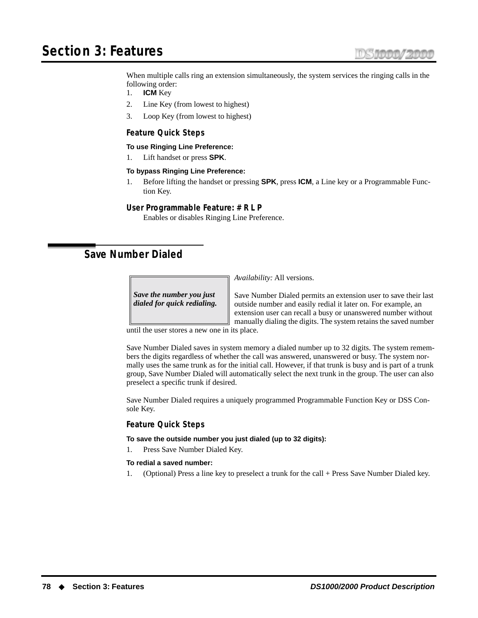# **Section 3: Features**

When multiple calls ring an extension simultaneously, the system services the ringing calls in the following order:

- 1. **ICM** Key
- 2. Line Key (from lowest to highest)
- 3. Loop Key (from lowest to highest)

#### **Feature Quick Steps**

#### **To use Ringing Line Preference:**

1. Lift handset or press **SPK**.

#### **To bypass Ringing Line Preference:**

1. Before lifting the handset or pressing **SPK**, press **ICM**, a Line key or a Programmable Function Key.

#### **User Programmable Feature: # R L P**

Enables or disables Ringing Line Preference.

# **Save Number Dialed**

*Save the number you just dialed for quick redialing.* *Availability:* All versions.

Save Number Dialed permits an extension user to save their last outside number and easily redial it later on. For example, an extension user can recall a busy or unanswered number without manually dialing the digits. The system retains the saved number

until the user stores a new one in its place.

Save Number Dialed saves in system memory a dialed number up to 32 digits. The system remembers the digits regardless of whether the call was answered, unanswered or busy. The system normally uses the same trunk as for the initial call. However, if that trunk is busy and is part of a trunk group, Save Number Dialed will automatically select the next trunk in the group. The user can also preselect a specific trunk if desired.

Save Number Dialed requires a uniquely programmed Programmable Function Key or DSS Console Key.

#### **Feature Quick Steps**

**To save the outside number you just dialed (up to 32 digits):**

1. Press Save Number Dialed Key.

#### **To redial a saved number:**

1. (Optional) Press a line key to preselect a trunk for the call + Press Save Number Dialed key.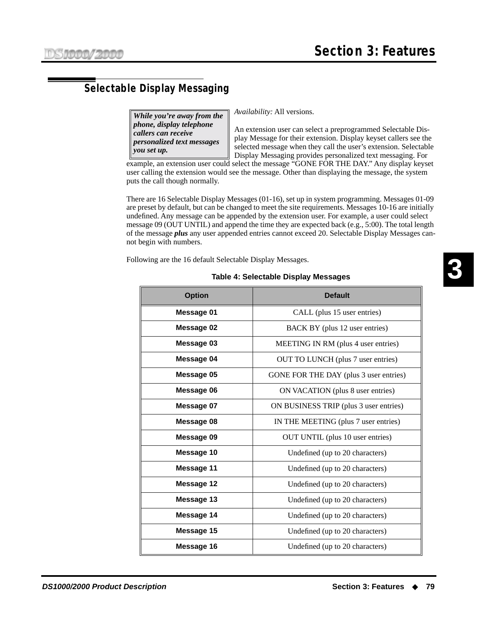# **Selectable Display Messaging**

*While you're away from the phone, display telephone callers can receive personalized text messages you set up.*

*Availability:* All versions.

An extension user can select a preprogrammed Selectable Display Message for their extension. Display keyset callers see the selected message when they call the user's extension. Selectable Display Messaging provides personalized text messaging. For

example, an extension user could select the message "GONE FOR THE DAY." Any display keyset user calling the extension would see the message. Other than displaying the message, the system puts the call though normally.

There are 16 Selectable Display Messages (01-16), set up in system programming. Messages 01-09 are preset by default, but can be changed to meet the site requirements. Messages 10-16 are initially undefined. Any message can be appended by the extension user. For example, a user could select message 09 (OUT UNTIL) and append the time they are expected back (e.g., 5:00). The total length of the message *plus* any user appended entries cannot exceed 20. Selectable Display Messages cannot begin with numbers.

Following are the 16 default Selectable Display Messages.

# **Option Default Message 01** CALL (plus 15 user entries) **Message 02** BACK BY (plus 12 user entries) **Message 03** MEETING IN RM (plus 4 user entries) **Message 04** OUT TO LUNCH (plus 7 user entries) **Message 05** GONE FOR THE DAY (plus 3 user entries) **Message 06** ON VACATION (plus 8 user entries) **Message 07** ON BUSINESS TRIP (plus 3 user entries) **Message 08** IN THE MEETING (plus 7 user entries) **Message 09** OUT UNTIL (plus 10 user entries) **Message 10** Undefined (up to 20 characters) **Message 11** Undefined (up to 20 characters) **Message 12 Undefined (up to 20 characters) Message 13** Undefined (up to 20 characters) **Message 14** Undefined (up to 20 characters) **Message 15** Undefined (up to 20 characters) **Message 16** Undefined (up to 20 characters)

#### **Table 4: Selectable Display Messages**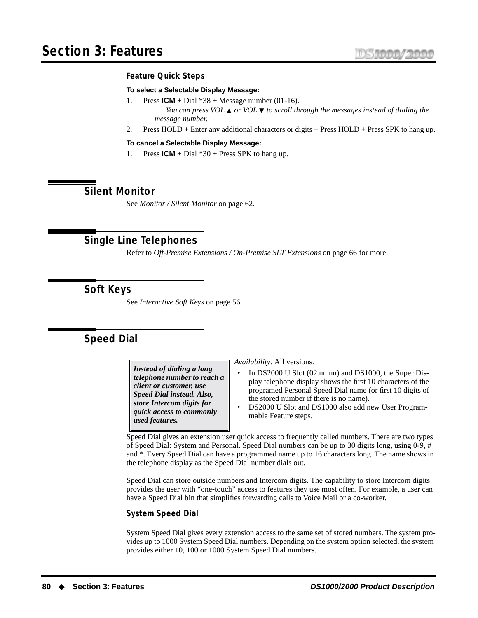#### **Feature Quick Steps**

#### **To select a Selectable Display Message:**

- 1. Press  $ICM + Dial * 38 + Message number (01-16)$ . *You can press VOL* ▲ *or VOL* ▼ *to scroll through the messages instead of dialing the message number.*
- 2. Press HOLD + Enter any additional characters or digits + Press HOLD + Press SPK to hang up.

**To cancel a Selectable Display Message:**

1. Press  $ICM + Dial * 30 + Press SPK$  to hang up.

### **Silent Monitor**

See *[Monitor / Silent Monitor](#page-69-0)* on page 62.

# **Single Line Telephones**

Refer to *[Off-Premise Extensions / On-Premise SLT Extensions](#page-73-0)* on page 66 for more.

# **Soft Keys**

See *[Interactive Soft Keys](#page-63-1)* on page 56.

# <span id="page-87-0"></span>**Speed Dial**

*Instead of dialing a long telephone number to reach a client or customer, use Speed Dial instead. Also, store Intercom digits for quick access to commonly used features.*

*Availability:* All versions.

- In DS2000 U Slot (02.nn.nn) and DS1000, the Super Display telephone display shows the first 10 characters of the programed Personal Speed Dial name (or first 10 digits of the stored number if there is no name).
- DS2000 U Slot and DS1000 also add new User Programmable Feature steps.

Speed Dial gives an extension user quick access to frequently called numbers. There are two types of Speed Dial: System and Personal. Speed Dial numbers can be up to 30 digits long, using 0-9, # and \*. Every Speed Dial can have a programmed name up to 16 characters long. The name shows in the telephone display as the Speed Dial number dials out.

Speed Dial can store outside numbers and Intercom digits. The capability to store Intercom digits provides the user with "one-touch" access to features they use most often. For example, a user can have a Speed Dial bin that simplifies forwarding calls to Voice Mail or a co-worker.

#### **System Speed Dial**

System Speed Dial gives every extension access to the same set of stored numbers. The system provides up to 1000 System Speed Dial numbers. Depending on the system option selected, the system provides either 10, 100 or 1000 System Speed Dial numbers.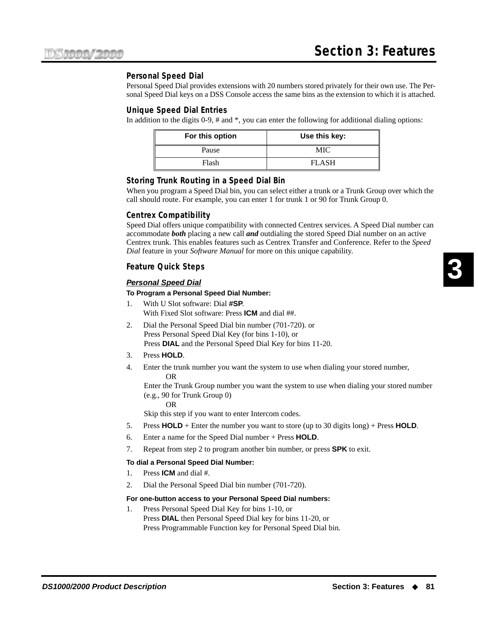#### **Personal Speed Dial**

Personal Speed Dial provides extensions with 20 numbers stored privately for their own use. The Personal Speed Dial keys on a DSS Console access the same bins as the extension to which it is attached.

#### **Unique Speed Dial Entries**

In addition to the digits 0-9, # and \*, you can enter the following for additional dialing options:

| For this option | Use this key: |
|-----------------|---------------|
| Pause           | MIC           |
| Flash           | FLASH         |

#### **Storing Trunk Routing in a Speed Dial Bin**

When you program a Speed Dial bin, you can select either a trunk or a Trunk Group over which the call should route. For example, you can enter 1 for trunk 1 or 90 for Trunk Group 0.

#### **Centrex Compatibility**

Speed Dial offers unique compatibility with connected Centrex services. A Speed Dial number can accommodate *both* placing a new call *and* outdialing the stored Speed Dial number on an active Centrex trunk. This enables features such as Centrex Transfer and Conference. Refer to the *Speed Dial* feature in your *Software Manual* for more on this unique capability.

#### **Feature Quick Steps**

#### **Personal Speed Dial**

#### **To Program a Personal Speed Dial Number:**

- 1. With U Slot software: Dial **#SP**. With Fixed Slot software: Press **ICM** and dial ##.
- 2. Dial the Personal Speed Dial bin number (701-720). or Press Personal Speed Dial Key (for bins 1-10), or Press **DIAL** and the Personal Speed Dial Key for bins 11-20.
- 3. Press **HOLD**.
- 4. Enter the trunk number you want the system to use when dialing your stored number, OR

Enter the Trunk Group number you want the system to use when dialing your stored number (e.g., 90 for Trunk Group 0)

OR

Skip this step if you want to enter Intercom codes.

- 5. Press **HOLD** + Enter the number you want to store (up to 30 digits long) + Press **HOLD**.
- 6. Enter a name for the Speed Dial number + Press **HOLD**.
- 7. Repeat from step 2 to program another bin number, or press **SPK** to exit.

#### **To dial a Personal Speed Dial Number:**

- 1. Press **ICM** and dial #.
- 2. Dial the Personal Speed Dial bin number (701-720).

#### **For one-button access to your Personal Speed Dial numbers:**

1. Press Personal Speed Dial Key for bins 1-10, or Press **DIAL** then Personal Speed Dial key for bins 11-20, or Press Programmable Function key for Personal Speed Dial bin.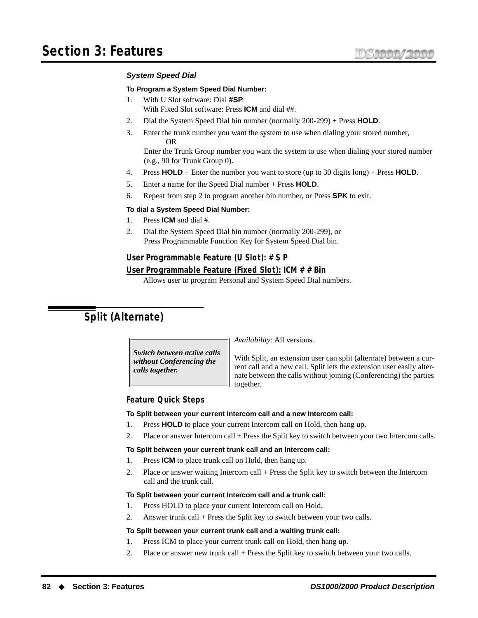#### **System Speed Dial**

#### **To Program a System Speed Dial Number:**

- 1. With U Slot software: Dial **#SP**. With Fixed Slot software: Press **ICM** and dial ##.
- 2. Dial the System Speed Dial bin number (normally 200-299) + Press **HOLD**.
- 3. Enter the trunk number you want the system to use when dialing your stored number, OR

Enter the Trunk Group number you want the system to use when dialing your stored number (e.g., 90 for Trunk Group 0).

- 4. Press **HOLD** + Enter the number you want to store (up to 30 digits long) + Press **HOLD**.
- 5. Enter a name for the Speed Dial number + Press **HOLD**.
- 6. Repeat from step 2 to program another bin number, or Press **SPK** to exit.

#### **To dial a System Speed Dial Number:**

- 1. Press **ICM** and dial #.
- 2. Dial the System Speed Dial bin number (normally 200-299), or Press Programmable Function Key for System Speed Dial bin.

#### **User Programmable Feature (U Slot): # S P**

#### **User Programmable Feature (Fixed Slot): ICM # # Bin**

Allows user to program Personal and System Speed Dial numbers.

# <span id="page-89-0"></span>**Split (Alternate)**

*Switch between active calls without Conferencing the calls together.*

*Availability:* All versions.

With Split, an extension user can split (alternate) between a current call and a new call. Split lets the extension user easily alternate between the calls without joining (Conferencing) the parties together.

#### **Feature Quick Steps**

#### **To Split between your current Intercom call and a new Intercom call:**

- 1. Press **HOLD** to place your current Intercom call on Hold, then hang up.
- 2. Place or answer Intercom call + Press the Split key to switch between your two Intercom calls.

#### **To Split between your current trunk call and an Intercom call:**

- 1. Press **ICM** to place trunk call on Hold, then hang up.
- 2. Place or answer waiting Intercom call + Press the Split key to switch between the Intercom call and the trunk call.

#### **To Split between your current Intercom call and a trunk call:**

- 1. Press HOLD to place your current Intercom call on Hold.
- 2. Answer trunk call + Press the Split key to switch between your two calls.

#### **To Split between your current trunk call and a waiting trunk call:**

- 1. Press ICM to place your current trunk call on Hold, then hang up.
- 2. Place or answer new trunk call + Press the Split key to switch between your two calls.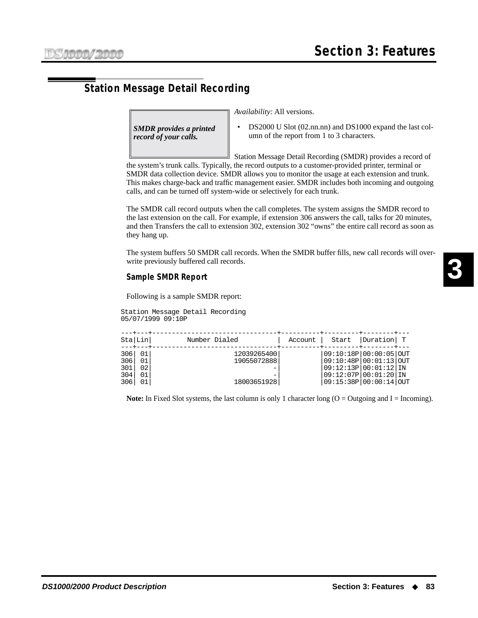# **Station Message Detail Recording**

*SMDR provides a printed record of your calls.*

*Availability:* All versions.

• DS2000 U Slot (02.nn.nn) and DS1000 expand the last column of the report from 1 to 3 characters.

Station Message Detail Recording (SMDR) provides a record of

the system's trunk calls. Typically, the record outputs to a customer-provided printer, terminal or SMDR data collection device. SMDR allows you to monitor the usage at each extension and trunk. This makes charge-back and traffic management easier. SMDR includes both incoming and outgoing calls, and can be turned off system-wide or selectively for each trunk.

The SMDR call record outputs when the call completes. The system assigns the SMDR record to the last extension on the call. For example, if extension 306 answers the call, talks for 20 minutes, and then Transfers the call to extension 302, extension 302 "owns" the entire call record as soon as they hang up.

The system buffers 50 SMDR call records. When the SMDR buffer fills, new call records will overwrite previously buffered call records.

#### **Sample SMDR Report**

Following is a sample SMDR report:

Station Message Detail Recording 05/07/1999 09:10P

|     | Sta Lin | Number Dialed | Account | Start                  | Duration T |  |
|-----|---------|---------------|---------|------------------------|------------|--|
| 306 | 01      | 12039265400   |         | 09:10:18P 00:00:05 0UT |            |  |
| 306 | 01      | 19055072888   |         | 09:10:48P 00:01:13 OUT |            |  |
| 301 | 02      |               |         | 09:12:13P 00:01:12 IN  |            |  |
| 304 | 01      |               |         | 09:12:07P 00:01:20 IN  |            |  |
| 306 | 01      | 18003651928   |         | 09:15:38P 00:00:14 0UT |            |  |

**Note:** In Fixed Slot systems, the last column is only 1 character long  $(O = Outgoing and I = Incoming)$ .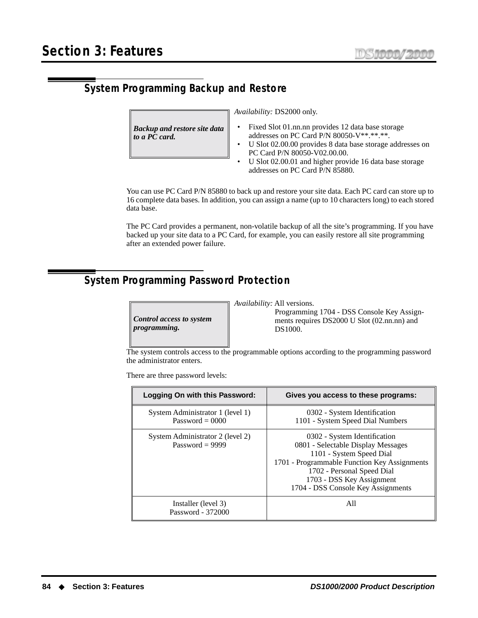# **System Programming Backup and Restore**

*Backup and restore site data to a PC card.*

*Availability:* DS2000 only.

- Fixed Slot 01.nn.nn provides 12 data base storage addresses on PC Card P/N 80050-V\*\*.\*\*.\*\*.
- U Slot 02.00.00 provides 8 data base storage addresses on PC Card P/N 80050-V02.00.00.
- U Slot 02.00.01 and higher provide 16 data base storage addresses on PC Card P/N 85880.

You can use PC Card P/N 85880 to back up and restore your site data. Each PC card can store up to 16 complete data bases. In addition, you can assign a name (up to 10 characters long) to each stored data base.

The PC Card provides a permanent, non-volatile backup of all the site's programming. If you have backed up your site data to a PC Card, for example, you can easily restore all site programming after an extended power failure.

# **System Programming Password Protection**



*Availability:* All versions.

Programming 1704 - DSS Console Key Assignments requires DS2000 U Slot (02.nn.nn) and DS1000.

The system controls access to the programmable options according to the programming password the administrator enters.

There are three password levels:

| Logging On with this Password:                        | Gives you access to these programs:                                                                                                                                                                                                             |
|-------------------------------------------------------|-------------------------------------------------------------------------------------------------------------------------------------------------------------------------------------------------------------------------------------------------|
| System Administrator 1 (level 1)<br>Password = $0000$ | 0302 - System Identification<br>1101 - System Speed Dial Numbers                                                                                                                                                                                |
| System Administrator 2 (level 2)<br>Password = $9999$ | 0302 - System Identification<br>0801 - Selectable Display Messages<br>1101 - System Speed Dial<br>1701 - Programmable Function Key Assignments<br>1702 - Personal Speed Dial<br>1703 - DSS Key Assignment<br>1704 - DSS Console Key Assignments |
| Installer (level 3)<br>Password - 372000              | All                                                                                                                                                                                                                                             |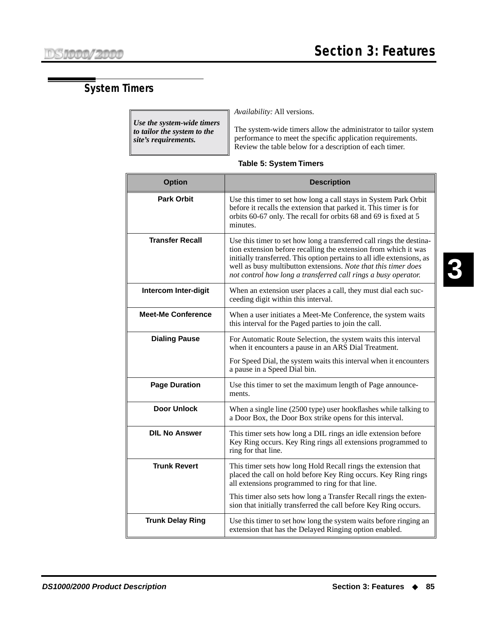# **System Timers**

*Use the system-wide timers to tailor the system to the site's requirements.*

*Availability:* All versions.

The system-wide timers allow the administrator to tailor system performance to meet the specific application requirements. Review the table below for a description of each timer.

| <b>Option</b>               | <b>Description</b>                                                                                                                                                                                                                                                                                                                                    |
|-----------------------------|-------------------------------------------------------------------------------------------------------------------------------------------------------------------------------------------------------------------------------------------------------------------------------------------------------------------------------------------------------|
| <b>Park Orbit</b>           | Use this timer to set how long a call stays in System Park Orbit<br>before it recalls the extension that parked it. This timer is for<br>orbits 60-67 only. The recall for orbits 68 and 69 is fixed at 5<br>minutes.                                                                                                                                 |
| <b>Transfer Recall</b>      | Use this timer to set how long a transferred call rings the destina-<br>tion extension before recalling the extension from which it was<br>initially transferred. This option pertains to all idle extensions, as<br>well as busy multibutton extensions. Note that this timer does<br>not control how long a transferred call rings a busy operator. |
| <b>Intercom Inter-digit</b> | When an extension user places a call, they must dial each suc-<br>ceeding digit within this interval.                                                                                                                                                                                                                                                 |
| <b>Meet-Me Conference</b>   | When a user initiates a Meet-Me Conference, the system waits<br>this interval for the Paged parties to join the call.                                                                                                                                                                                                                                 |
| <b>Dialing Pause</b>        | For Automatic Route Selection, the system waits this interval<br>when it encounters a pause in an ARS Dial Treatment.                                                                                                                                                                                                                                 |
|                             | For Speed Dial, the system waits this interval when it encounters<br>a pause in a Speed Dial bin.                                                                                                                                                                                                                                                     |
| <b>Page Duration</b>        | Use this timer to set the maximum length of Page announce-<br>ments.                                                                                                                                                                                                                                                                                  |
| <b>Door Unlock</b>          | When a single line (2500 type) user hookflashes while talking to<br>a Door Box, the Door Box strike opens for this interval.                                                                                                                                                                                                                          |
| <b>DIL No Answer</b>        | This timer sets how long a DIL rings an idle extension before<br>Key Ring occurs. Key Ring rings all extensions programmed to<br>ring for that line.                                                                                                                                                                                                  |
| <b>Trunk Revert</b>         | This timer sets how long Hold Recall rings the extension that<br>placed the call on hold before Key Ring occurs. Key Ring rings<br>all extensions programmed to ring for that line.                                                                                                                                                                   |
|                             | This timer also sets how long a Transfer Recall rings the exten-<br>sion that initially transferred the call before Key Ring occurs.                                                                                                                                                                                                                  |
| <b>Trunk Delay Ring</b>     | Use this timer to set how long the system waits before ringing an<br>extension that has the Delayed Ringing option enabled.                                                                                                                                                                                                                           |

#### **Table 5: System Timers**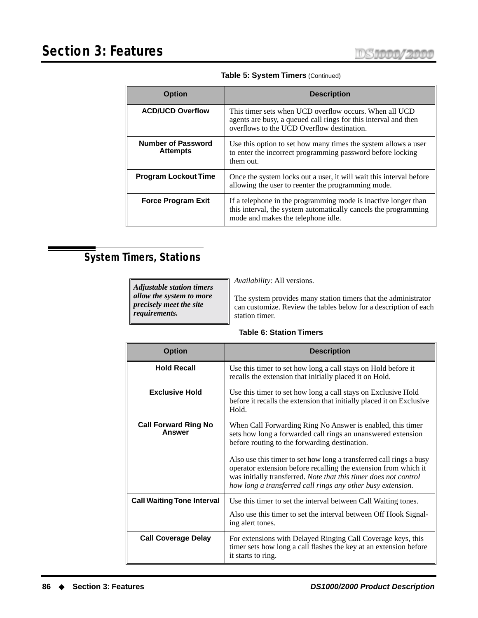| <b>Option</b>                                | <b>Description</b>                                                                                                                                                      |
|----------------------------------------------|-------------------------------------------------------------------------------------------------------------------------------------------------------------------------|
| <b>ACD/UCD Overflow</b>                      | This timer sets when UCD overflow occurs. When all UCD<br>agents are busy, a queued call rings for this interval and then<br>overflows to the UCD Overflow destination. |
| <b>Number of Password</b><br><b>Attempts</b> | Use this option to set how many times the system allows a user<br>to enter the incorrect programming password before locking<br>them out.                               |
| <b>Program Lockout Time</b>                  | Once the system locks out a user, it will wait this interval before<br>allowing the user to reenter the programming mode.                                               |
| <b>Force Program Exit</b>                    | If a telephone in the programming mode is inactive longer than<br>this interval, the system automatically cancels the programming<br>mode and makes the telephone idle. |

**Table 5: System Timers** (Continued)

# **System Timers, Stations**

| <b>Adjustable station timers</b> | <i>Availability: All versions.</i>                               |
|----------------------------------|------------------------------------------------------------------|
| allow the system to more         | The system provides many station timers that the administrator   |
| precisely meet the site          | can customize. Review the tables below for a description of each |
| requirements.                    | station timer.                                                   |

#### **Table 6: Station Timers**

| <b>Option</b>                                | <b>Description</b>                                                                                                                                                                                                                                                                                                                                                                                                                                       |
|----------------------------------------------|----------------------------------------------------------------------------------------------------------------------------------------------------------------------------------------------------------------------------------------------------------------------------------------------------------------------------------------------------------------------------------------------------------------------------------------------------------|
| <b>Hold Recall</b>                           | Use this timer to set how long a call stays on Hold before it<br>recalls the extension that initially placed it on Hold.                                                                                                                                                                                                                                                                                                                                 |
| <b>Exclusive Hold</b>                        | Use this timer to set how long a call stays on Exclusive Hold<br>before it recalls the extension that initially placed it on Exclusive<br>Hold.                                                                                                                                                                                                                                                                                                          |
| <b>Call Forward Ring No</b><br><b>Answer</b> | When Call Forwarding Ring No Answer is enabled, this timer<br>sets how long a forwarded call rings an unanswered extension<br>before routing to the forwarding destination.<br>Also use this timer to set how long a transferred call rings a busy<br>operator extension before recalling the extension from which it<br>was initially transferred. Note that this timer does not control<br>how long a transferred call rings any other busy extension. |
| <b>Call Waiting Tone Interval</b>            | Use this timer to set the interval between Call Waiting tones.<br>Also use this timer to set the interval between Off Hook Signal-<br>ing alert tones.                                                                                                                                                                                                                                                                                                   |
| <b>Call Coverage Delay</b>                   | For extensions with Delayed Ringing Call Coverage keys, this<br>timer sets how long a call flashes the key at an extension before<br>it starts to ring.                                                                                                                                                                                                                                                                                                  |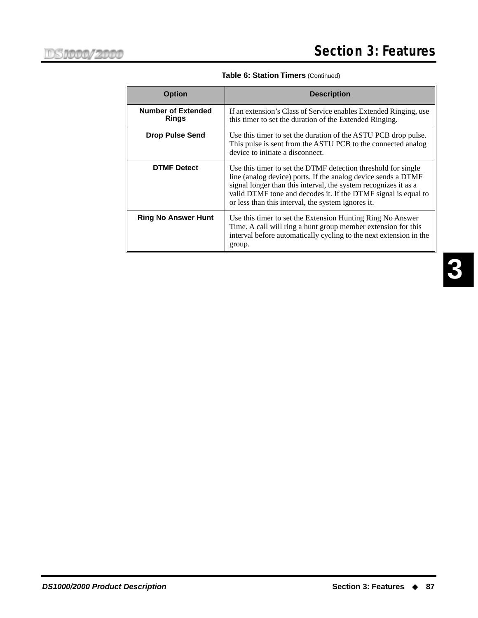| <b>Option</b>                             | <b>Description</b>                                                                                                                                                                                                                                                                                                        |  |
|-------------------------------------------|---------------------------------------------------------------------------------------------------------------------------------------------------------------------------------------------------------------------------------------------------------------------------------------------------------------------------|--|
| <b>Number of Extended</b><br><b>Rings</b> | If an extension's Class of Service enables Extended Ringing, use<br>this timer to set the duration of the Extended Ringing.                                                                                                                                                                                               |  |
| <b>Drop Pulse Send</b>                    | Use this timer to set the duration of the ASTU PCB drop pulse.<br>This pulse is sent from the ASTU PCB to the connected analog<br>device to initiate a disconnect.                                                                                                                                                        |  |
| <b>DTMF</b> Detect                        | Use this timer to set the DTMF detection threshold for single<br>line (analog device) ports. If the analog device sends a DTMF<br>signal longer than this interval, the system recognizes it as a<br>valid DTMF tone and decodes it. If the DTMF signal is equal to<br>or less than this interval, the system ignores it. |  |
| <b>Ring No Answer Hunt</b>                | Use this timer to set the Extension Hunting Ring No Answer<br>Time. A call will ring a hunt group member extension for this<br>interval before automatically cycling to the next extension in the<br>group.                                                                                                               |  |

**Table 6: Station Timers (Continued)**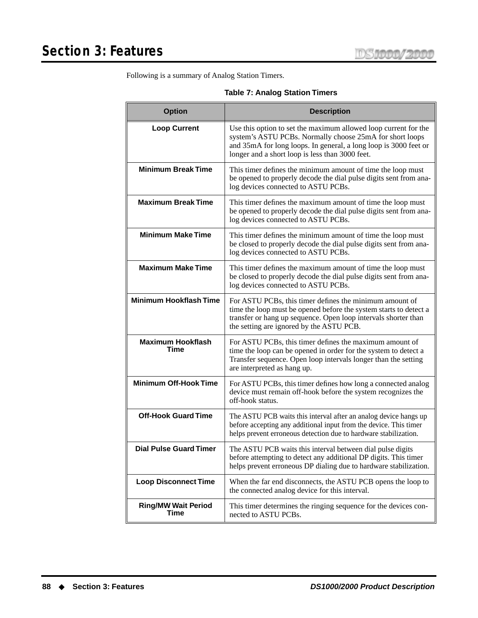Following is a summary of Analog Station Timers.

|  |  |  |  | <b>Table 7: Analog Station Timers</b> |
|--|--|--|--|---------------------------------------|
|--|--|--|--|---------------------------------------|

| <b>Option</b>                      | <b>Description</b>                                                                                                                                                                                                                                 |  |
|------------------------------------|----------------------------------------------------------------------------------------------------------------------------------------------------------------------------------------------------------------------------------------------------|--|
| <b>Loop Current</b>                | Use this option to set the maximum allowed loop current for the<br>system's ASTU PCBs. Normally choose 25mA for short loops<br>and 35mA for long loops. In general, a long loop is 3000 feet or<br>longer and a short loop is less than 3000 feet. |  |
| <b>Minimum Break Time</b>          | This timer defines the minimum amount of time the loop must<br>be opened to properly decode the dial pulse digits sent from ana-<br>log devices connected to ASTU PCBs.                                                                            |  |
| <b>Maximum Break Time</b>          | This timer defines the maximum amount of time the loop must<br>be opened to properly decode the dial pulse digits sent from ana-<br>log devices connected to ASTU PCBs.                                                                            |  |
| <b>Minimum Make Time</b>           | This timer defines the minimum amount of time the loop must<br>be closed to properly decode the dial pulse digits sent from ana-<br>log devices connected to ASTU PCBs.                                                                            |  |
| <b>Maximum Make Time</b>           | This timer defines the maximum amount of time the loop must<br>be closed to properly decode the dial pulse digits sent from ana-<br>log devices connected to ASTU PCBs.                                                                            |  |
| <b>Minimum Hookflash Time</b>      | For ASTU PCBs, this timer defines the minimum amount of<br>time the loop must be opened before the system starts to detect a<br>transfer or hang up sequence. Open loop intervals shorter than<br>the setting are ignored by the ASTU PCB.         |  |
| <b>Maximum Hookflash</b><br>Time   | For ASTU PCBs, this timer defines the maximum amount of<br>time the loop can be opened in order for the system to detect a<br>Transfer sequence. Open loop intervals longer than the setting<br>are interpreted as hang up.                        |  |
| <b>Minimum Off-Hook Time</b>       | For ASTU PCBs, this timer defines how long a connected analog<br>device must remain off-hook before the system recognizes the<br>off-hook status.                                                                                                  |  |
| <b>Off-Hook Guard Time</b>         | The ASTU PCB waits this interval after an analog device hangs up<br>before accepting any additional input from the device. This timer<br>helps prevent erroneous detection due to hardware stabilization.                                          |  |
| <b>Dial Pulse Guard Timer</b>      | The ASTU PCB waits this interval between dial pulse digits<br>before attempting to detect any additional DP digits. This timer<br>helps prevent erroneous DP dialing due to hardware stabilization.                                                |  |
| <b>Loop Disconnect Time</b>        | When the far end disconnects, the ASTU PCB opens the loop to<br>the connected analog device for this interval.                                                                                                                                     |  |
| <b>Ring/MW Wait Period</b><br>Time | This timer determines the ringing sequence for the devices con-<br>nected to ASTU PCBs.                                                                                                                                                            |  |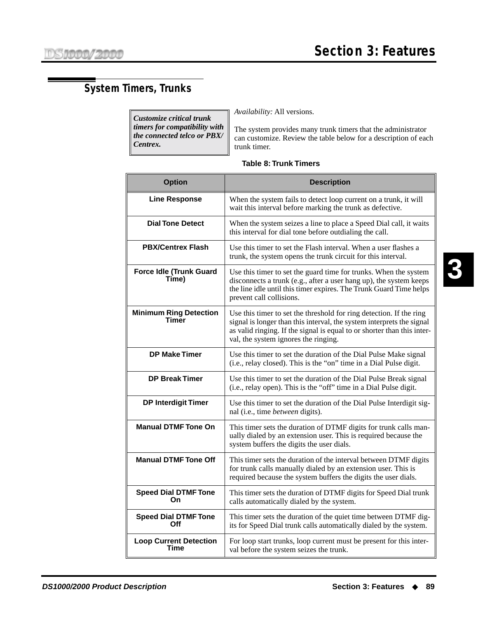# <span id="page-96-0"></span>**System Timers, Trunks**

*Customize critical trunk timers for compatibility with the connected telco or PBX/ Centrex.*

*Availability:* All versions.

The system provides many trunk timers that the administrator can customize. Review the table below for a description of each trunk timer.

| <b>Option</b>                           | <b>Description</b>                                                                                                                                                                                                                                              |
|-----------------------------------------|-----------------------------------------------------------------------------------------------------------------------------------------------------------------------------------------------------------------------------------------------------------------|
| <b>Line Response</b>                    | When the system fails to detect loop current on a trunk, it will<br>wait this interval before marking the trunk as defective.                                                                                                                                   |
| <b>Dial Tone Detect</b>                 | When the system seizes a line to place a Speed Dial call, it waits<br>this interval for dial tone before outdialing the call.                                                                                                                                   |
| <b>PBX/Centrex Flash</b>                | Use this timer to set the Flash interval. When a user flashes a<br>trunk, the system opens the trunk circuit for this interval.                                                                                                                                 |
| <b>Force Idle (Trunk Guard</b><br>Time) | Use this timer to set the guard time for trunks. When the system<br>disconnects a trunk (e.g., after a user hang up), the system keeps<br>the line idle until this timer expires. The Trunk Guard Time helps<br>prevent call collisions.                        |
| <b>Minimum Ring Detection</b><br>Timer  | Use this timer to set the threshold for ring detection. If the ring<br>signal is longer than this interval, the system interprets the signal<br>as valid ringing. If the signal is equal to or shorter than this inter-<br>val, the system ignores the ringing. |
| <b>DP Make Timer</b>                    | Use this timer to set the duration of the Dial Pulse Make signal<br>(i.e., relay closed). This is the "on" time in a Dial Pulse digit.                                                                                                                          |
| <b>DP Break Timer</b>                   | Use this timer to set the duration of the Dial Pulse Break signal<br>(i.e., relay open). This is the "off" time in a Dial Pulse digit.                                                                                                                          |
| <b>DP Interdigit Timer</b>              | Use this timer to set the duration of the Dial Pulse Interdigit sig-<br>nal (i.e., time <i>between</i> digits).                                                                                                                                                 |
| <b>Manual DTMF Tone On</b>              | This timer sets the duration of DTMF digits for trunk calls man-<br>ually dialed by an extension user. This is required because the<br>system buffers the digits the user dials.                                                                                |
| <b>Manual DTMF Tone Off</b>             | This timer sets the duration of the interval between DTMF digits<br>for trunk calls manually dialed by an extension user. This is<br>required because the system buffers the digits the user dials.                                                             |
| <b>Speed Dial DTMF Tone</b><br>On       | This timer sets the duration of DTMF digits for Speed Dial trunk<br>calls automatically dialed by the system.                                                                                                                                                   |
| <b>Speed Dial DTMF Tone</b><br>Off      | This timer sets the duration of the quiet time between DTMF dig-<br>its for Speed Dial trunk calls automatically dialed by the system.                                                                                                                          |
| <b>Loop Current Detection</b><br>Time   | For loop start trunks, loop current must be present for this inter-<br>val before the system seizes the trunk.                                                                                                                                                  |

#### **Table 8: Trunk Timers**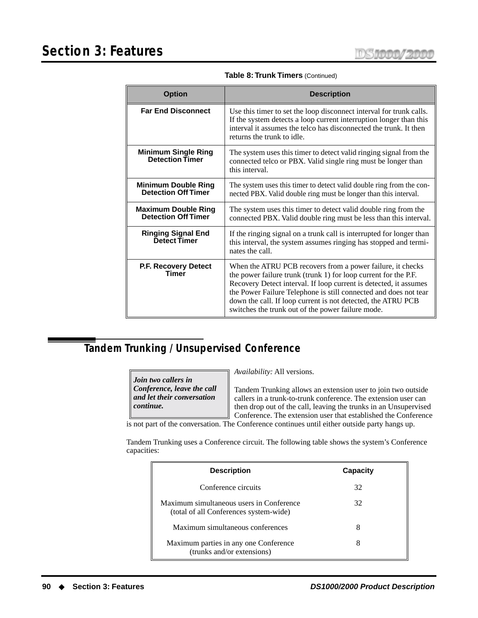| <b>Option</b>                                            | <b>Description</b>                                                                                                                                                                                                                                                                                                                                                                          |  |
|----------------------------------------------------------|---------------------------------------------------------------------------------------------------------------------------------------------------------------------------------------------------------------------------------------------------------------------------------------------------------------------------------------------------------------------------------------------|--|
| <b>Far End Disconnect</b>                                | Use this timer to set the loop disconnect interval for trunk calls.<br>If the system detects a loop current interruption longer than this<br>interval it assumes the telco has disconnected the trunk. It then<br>returns the trunk to idle.                                                                                                                                                |  |
| <b>Minimum Single Ring</b><br><b>Detection Timer</b>     | The system uses this timer to detect valid ringing signal from the<br>connected telco or PBX. Valid single ring must be longer than<br>this interval.                                                                                                                                                                                                                                       |  |
| <b>Minimum Double Ring</b><br><b>Detection Off Timer</b> | The system uses this timer to detect valid double ring from the con-<br>nected PBX. Valid double ring must be longer than this interval.                                                                                                                                                                                                                                                    |  |
| <b>Maximum Double Ring</b><br><b>Detection Off Timer</b> | The system uses this timer to detect valid double ring from the<br>connected PBX. Valid double ring must be less than this interval.                                                                                                                                                                                                                                                        |  |
| <b>Ringing Signal End</b><br><b>Detect Timer</b>         | If the ringing signal on a trunk call is interrupted for longer than<br>this interval, the system assumes ringing has stopped and termi-<br>nates the call.                                                                                                                                                                                                                                 |  |
| P.F. Recovery Detect<br>Timer                            | When the ATRU PCB recovers from a power failure, it checks<br>the power failure trunk (trunk 1) for loop current for the P.F.<br>Recovery Detect interval. If loop current is detected, it assumes<br>the Power Failure Telephone is still connected and does not tear<br>down the call. If loop current is not detected, the ATRU PCB<br>switches the trunk out of the power failure mode. |  |

**Table 8: Trunk Timers** (Continued)

# **Tandem Trunking / Unsupervised Conference**

*Join two callers in Conference, leave the call and let their conversation continue.*

*Availability:* All versions.

Tandem Trunking allows an extension user to join two outside callers in a trunk-to-trunk conference. The extension user can then drop out of the call, leaving the trunks in an Unsupervised Conference. The extension user that established the Conference

is not part of the conversation. The Conference continues until either outside party hangs up.

Tandem Trunking uses a Conference circuit. The following table shows the system's Conference capacities:

| <b>Description</b>                                                                 | Capacity |
|------------------------------------------------------------------------------------|----------|
| Conference circuits                                                                | 32       |
| Maximum simultaneous users in Conference<br>(total of all Conferences system-wide) | 32       |
| Maximum simultaneous conferences                                                   | 8        |
| Maximum parties in any one Conference<br>(trunks and/or extensions)                | 8        |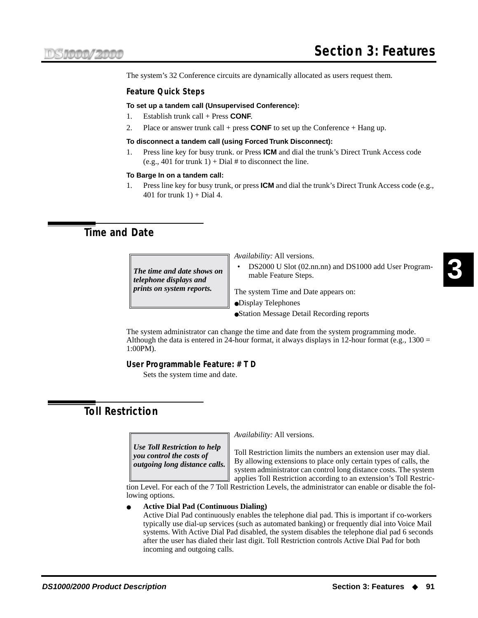The system's 32 Conference circuits are dynamically allocated as users request them.

#### **Feature Quick Steps**

#### **To set up a tandem call (Unsupervised Conference):**

- 1. Establish trunk call + Press **CONF**.
- 2. Place or answer trunk call + press **CONF** to set up the Conference + Hang up.

#### **To disconnect a tandem call (using Forced Trunk Disconnect):**

1. Press line key for busy trunk. or Press **ICM** and dial the trunk's Direct Trunk Access code (e.g., 401 for trunk  $1$ ) + Dial # to disconnect the line.

#### **To Barge In on a tandem call:**

1. Press line key for busy trunk, or press **ICM** and dial the trunk's Direct Trunk Access code (e.g., 401 for trunk  $1$ ) + Dial 4.

# <span id="page-98-0"></span>**Time and Date**

mable Feature Steps. *The time and date shows on telephone displays and prints on system reports.*

*Availability:* All versions.

• DS2000 U Slot (02.nn.nn) and DS1000 add User Program-

The system Time and Date appears on:

- ●Display Telephones
- ●Station Message Detail Recording reports

The system administrator can change the time and date from the system programming mode. Although the data is entered in 24-hour format, it always displays in 12-hour format (e.g.,  $1300 =$ 1:00PM).

#### **User Programmable Feature: # T D**

Sets the system time and date.

# **Toll Restriction**

*Use Toll Restriction to help you control the costs of outgoing long distance calls.* *Availability:* All versions.

Toll Restriction limits the numbers an extension user may dial. By allowing extensions to place only certain types of calls, the system administrator can control long distance costs. The system applies Toll Restriction according to an extension's Toll Restric-

tion Level. For each of the 7 Toll Restriction Levels, the administrator can enable or disable the following options.

#### ● **Active Dial Pad (Continuous Dialing)**

Active Dial Pad continuously enables the telephone dial pad. This is important if co-workers typically use dial-up services (such as automated banking) or frequently dial into Voice Mail systems. With Active Dial Pad disabled, the system disables the telephone dial pad 6 seconds after the user has dialed their last digit. Toll Restriction controls Active Dial Pad for both incoming and outgoing calls.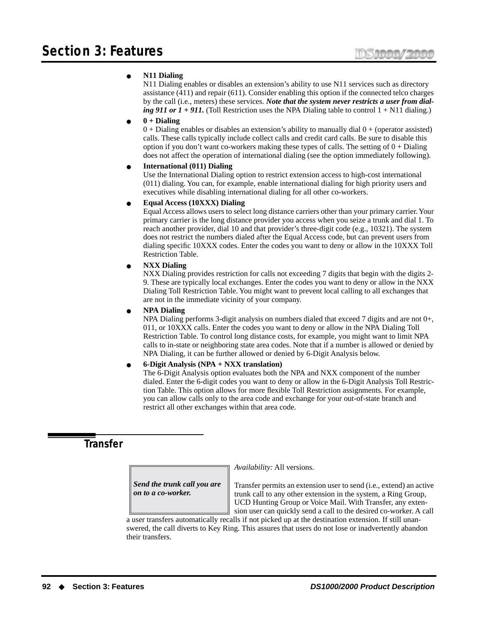#### ● **N11 Dialing**

N11 Dialing enables or disables an extension's ability to use N11 services such as directory assistance (411) and repair (611). Consider enabling this option if the connected telco charges by the call (i.e., meters) these services. *Note that the system never restricts a user from dialing 911 or 1* + 911. (Toll Restriction uses the NPA Dialing table to control 1 + N11 dialing.)

#### ● **0 + Dialing**

 $0 +$  Dialing enables or disables an extension's ability to manually dial  $0 +$  (operator assisted) calls. These calls typically include collect calls and credit card calls. Be sure to disable this option if you don't want co-workers making these types of calls. The setting of  $0 +$  Dialing does not affect the operation of international dialing (see the option immediately following).

#### ● **International (011) Dialing**

Use the International Dialing option to restrict extension access to high-cost international (011) dialing. You can, for example, enable international dialing for high priority users and executives while disabling international dialing for all other co-workers.

#### ● **Equal Access (10XXX) Dialing**

Equal Access allows users to select long distance carriers other than your primary carrier. Your primary carrier is the long distance provider you access when you seize a trunk and dial 1. To reach another provider, dial 10 and that provider's three-digit code (e.g., 10321). The system does not restrict the numbers dialed after the Equal Access code, but can prevent users from dialing specific 10XXX codes. Enter the codes you want to deny or allow in the 10XXX Toll Restriction Table.

#### ● **NXX Dialing**

NXX Dialing provides restriction for calls not exceeding 7 digits that begin with the digits 2- 9. These are typically local exchanges. Enter the codes you want to deny or allow in the NXX Dialing Toll Restriction Table. You might want to prevent local calling to all exchanges that are not in the immediate vicinity of your company.

#### ● **NPA Dialing**

NPA Dialing performs 3-digit analysis on numbers dialed that exceed 7 digits and are not 0+, 011, or 10XXX calls. Enter the codes you want to deny or allow in the NPA Dialing Toll Restriction Table. To control long distance costs, for example, you might want to limit NPA calls to in-state or neighboring state area codes. Note that if a number is allowed or denied by NPA Dialing, it can be further allowed or denied by 6-Digit Analysis below.

#### ● **6-Digit Analysis (NPA + NXX translation)**

The 6-Digit Analysis option evaluates both the NPA and NXX component of the number dialed. Enter the 6-digit codes you want to deny or allow in the 6-Digit Analysis Toll Restriction Table. This option allows for more flexible Toll Restriction assignments. For example, you can allow calls only to the area code and exchange for your out-of-state branch and restrict all other exchanges within that area code.

# <span id="page-99-0"></span>**Transfer**

*Send the trunk call you are on to a co-worker.*

*Availability:* All versions.

Transfer permits an extension user to send (i.e., extend) an active trunk call to any other extension in the system, a Ring Group, UCD Hunting Group or Voice Mail. With Transfer, any extension user can quickly send a call to the desired co-worker. A call

a user transfers automatically recalls if not picked up at the destination extension. If still unanswered, the call diverts to Key Ring. This assures that users do not lose or inadvertently abandon their transfers.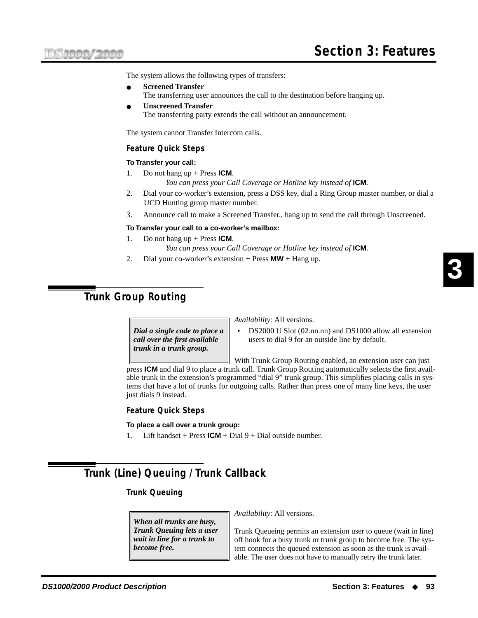The system allows the following types of transfers:

- **Screened Transfer** The transferring user announces the call to the destination before hanging up.
- **Unscreened Transfer** The transferring party extends the call without an announcement.

The system cannot Transfer Intercom calls.

#### **Feature Quick Steps**

#### **To Transfer your call:**

1. Do not hang up + Press **ICM**.

*You can press your Call Coverage or Hotline key instead of* **ICM***.*

- 2. Dial your co-worker's extension, press a DSS key, dial a Ring Group master number, or dial a UCD Hunting group master number.
- 3. Announce call to make a Screened Transfer., hang up to send the call through Unscreened.

#### **To Transfer your call to a co-worker's mailbox:**

- 1. Do not hang up + Press **ICM**. *You can press your Call Coverage or Hotline key instead of* **ICM***.*
- 2. Dial your co-worker's extension + Press **MW** + Hang up.

# <span id="page-100-0"></span>**Trunk Group Routing**

*Dial a single code to place a call over the first available trunk in a trunk group.*

*Availability:* All versions.

• DS2000 U Slot (02.nn.nn) and DS1000 allow all extension users to dial 9 for an outside line by default.

With Trunk Group Routing enabled, an extension user can just

press **ICM** and dial 9 to place a trunk call. Trunk Group Routing automatically selects the first available trunk in the extension's programmed "dial 9" trunk group. This simplifies placing calls in systems that have a lot of trunks for outgoing calls. Rather than press one of many line keys, the user just dials 9 instead.

#### **Feature Quick Steps**

**To place a call over a trunk group:**

1. Lift handset + Press  $ICM$  + Dial 9 + Dial outside number.

# <span id="page-100-1"></span>**Trunk (Line) Queuing / Trunk Callback**

#### **Trunk Queuing**

*When all trunks are busy, Trunk Queuing lets a user wait in line for a trunk to become free.*

*Availability:* All versions.

Trunk Queueing permits an extension user to queue (wait in line) off hook for a busy trunk or trunk group to become free. The system connects the queued extension as soon as the trunk is available. The user does not have to manually retry the trunk later.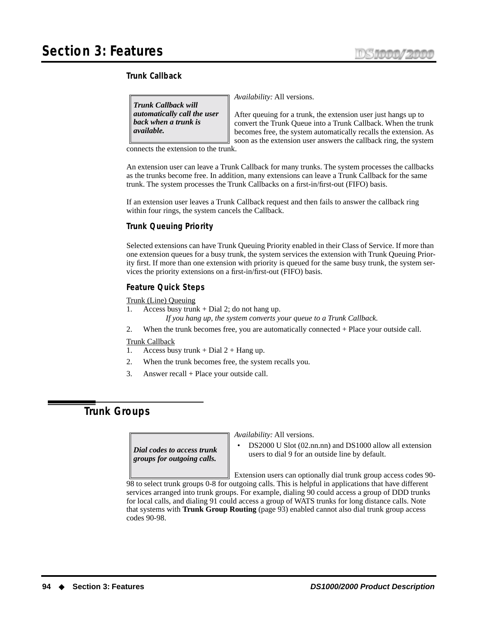#### **Trunk Callback**

*Trunk Callback will automatically call the user back when a trunk is available.*

*Availability:* All versions.

After queuing for a trunk, the extension user just hangs up to convert the Trunk Queue into a Trunk Callback. When the trunk becomes free, the system automatically recalls the extension. As soon as the extension user answers the callback ring, the system

connects the extension to the trunk.

An extension user can leave a Trunk Callback for many trunks. The system processes the callbacks as the trunks become free. In addition, many extensions can leave a Trunk Callback for the same trunk. The system processes the Trunk Callbacks on a first-in/first-out (FIFO) basis.

If an extension user leaves a Trunk Callback request and then fails to answer the callback ring within four rings, the system cancels the Callback.

#### **Trunk Queuing Priority**

Selected extensions can have Trunk Queuing Priority enabled in their Class of Service. If more than one extension queues for a busy trunk, the system services the extension with Trunk Queuing Priority first. If more than one extension with priority is queued for the same busy trunk, the system services the priority extensions on a first-in/first-out (FIFO) basis.

#### **Feature Quick Steps**

Trunk (Line) Queuing

- 1. Access busy trunk + Dial 2; do not hang up.
	- *If you hang up, the system converts your queue to a Trunk Callback.*
- 2. When the trunk becomes free, you are automatically connected + Place your outside call.

#### Trunk Callback

- 1. Access busy trunk + Dial  $2 +$  Hang up.
- 2. When the trunk becomes free, the system recalls you.
- 3. Answer recall + Place your outside call.

# **Trunk Groups**

*Dial codes to access trunk groups for outgoing calls.*

*Availability:* All versions.

• DS2000 U Slot (02.nn.nn) and DS1000 allow all extension users to dial 9 for an outside line by default.

Extension users can optionally dial trunk group access codes 90-

98 to select trunk groups 0-8 for outgoing calls. This is helpful in applications that have different services arranged into trunk groups. For example, dialing 90 could access a group of DDD trunks for local calls, and dialing 91 could access a group of WATS trunks for long distance calls. Note that systems with **[Trunk Group Routing](#page-100-0)** (page 93) enabled cannot also dial trunk group access codes 90-98.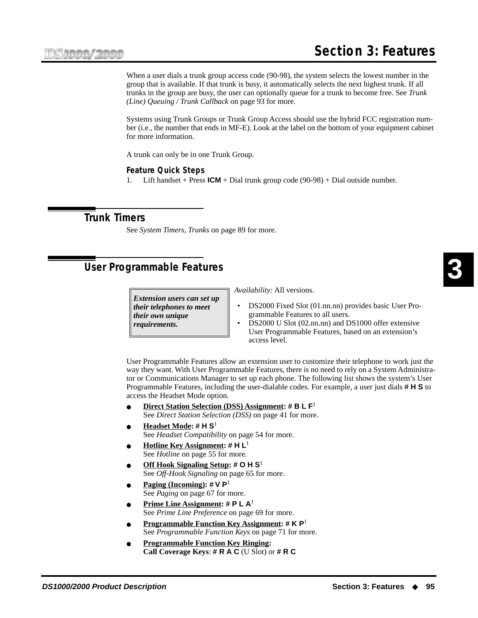When a user dials a trunk group access code (90-98), the system selects the lowest number in the group that is available. If that trunk is busy, it automatically selects the next highest trunk. If all trunks in the group are busy, the user can optionally queue for a trunk to become free. See *[Trunk](#page-100-1)  [\(Line\) Queuing / Trunk Callback](#page-100-1)* on page 93 for more.

Systems using Trunk Groups or Trunk Group Access should use the hybrid FCC registration number (i.e., the number that ends in MF-E). Look at the label on the bottom of your equipment cabinet for more information.

A trunk can only be in one Trunk Group.

#### **Feature Quick Steps**

1. Lift handset + Press **ICM** + Dial trunk group code (90-98) + Dial outside number.

### **Trunk Timers**

See *[System Timers, Trunks](#page-96-0)* on page 89 for more.

# **User Programmable Features**

*Extension users can set up their telephones to meet their own unique requirements.*

*Availability:* All versions.

- DS2000 Fixed Slot (01.nn.nn) provides basic User Programmable Features to all users.
- DS2000 U Slot (02.nn.nn) and DS1000 offer extensive User Programmable Features, based on an extension's access level.

User Programmable Features allow an extension user to customize their telephone to work just the way they want. With User Programmable Features, there is no need to rely on a System Administrator or Communications Manager to set up each phone. The following list shows the system's User Programmable Features, including the user-dialable codes. For example, a user just dials **# H S** to access the Headset Mode option.

- **Direct Station Selection (DSS) Assignment: # B L F**<sup>1</sup> See *[Direct Station Selection \(DSS\)](#page-48-0)* on page 41 for more.
- **Headset Mode: # H S**<sup>1</sup> See *[Headset Compatibility](#page-61-0)* on page 54 for more.
- **Hotline Key Assignment: # H L**<sup>1</sup> See *Hotline* [on page 55 for more.](#page-62-0)
- **Off Hook Signaling Setup: # O H S**<sup>1</sup> See *Off-Hook Signaling* [on page 65 for more.](#page-72-0)
- **Paging (Incoming):**  $\sharp V P^1$ See *Paging* [on page 67 for more.](#page-74-0)
- **Prime Line Assignment: # P L A**<sup>1</sup> See *[Prime Line Preference](#page-76-0)* on page 69 for more.
- **Programmable Function Key Assignment: # K P**<sup>1</sup> See *[Programmable Function Keys](#page-78-0)* on page 71 for more.
- **Programmable Function Key Ringing: Call Coverage Keys**: **# R A C** (U Slot) or **# R C**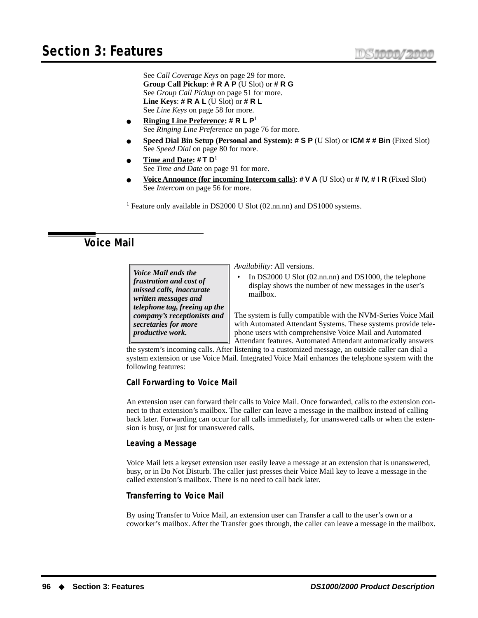See *Call Coverage Keys* [on page 29 for more.](#page-36-0) **Group Call Pickup**: **# R A P** (U Slot) or **# R G** See *Group Call Pickup* [on page 51 for more.](#page-58-0) **Line Keys**: **# R A L** (U Slot) or **# R L** See *Line Keys* [on page 58 for more.](#page-65-0)

- **Ringing Line Preference: # R L P**<sup>1</sup> See *[Ringing Line Preference](#page-83-1)* on page 76 for more.
- **Speed Dial Bin Setup (Personal and System): # S P** (U Slot) or **ICM # # Bin** (Fixed Slot) See *Speed Dial* [on page 80 for more.](#page-87-0)
- **Time and Date: # T D**<sup>1</sup> See *Time and Date* [on page 91 for more.](#page-98-0)
- **Voice Announce (for incoming Intercom calls)**: **# V A** (U Slot) or **# IV**, **# I R** (Fixed Slot) See *Intercom* [on page 56 for more.](#page-63-0)

<sup>1</sup> Feature only available in DS2000 U Slot (02.nn.nn) and DS1000 systems.

# **Voice Mail**

*Voice Mail ends the frustration and cost of missed calls, inaccurate written messages and telephone tag, freeing up the company's receptionists and secretaries for more productive work.*

*Availability:* All versions.

• In DS2000 U Slot (02.nn.nn) and DS1000, the telephone display shows the number of new messages in the user's mailbox.

The system is fully compatible with the NVM-Series Voice Mail with Automated Attendant Systems. These systems provide telephone users with comprehensive Voice Mail and Automated Attendant features. Automated Attendant automatically answers

the system's incoming calls. After listening to a customized message, an outside caller can dial a system extension or use Voice Mail. Integrated Voice Mail enhances the telephone system with the following features:

#### **Call Forwarding to Voice Mail**

An extension user can forward their calls to Voice Mail. Once forwarded, calls to the extension connect to that extension's mailbox. The caller can leave a message in the mailbox instead of calling back later. Forwarding can occur for all calls immediately, for unanswered calls or when the extension is busy, or just for unanswered calls.

#### **Leaving a Message**

Voice Mail lets a keyset extension user easily leave a message at an extension that is unanswered, busy, or in Do Not Disturb. The caller just presses their Voice Mail key to leave a message in the called extension's mailbox. There is no need to call back later.

#### **Transferring to Voice Mail**

By using Transfer to Voice Mail, an extension user can Transfer a call to the user's own or a coworker's mailbox. After the Transfer goes through, the caller can leave a message in the mailbox.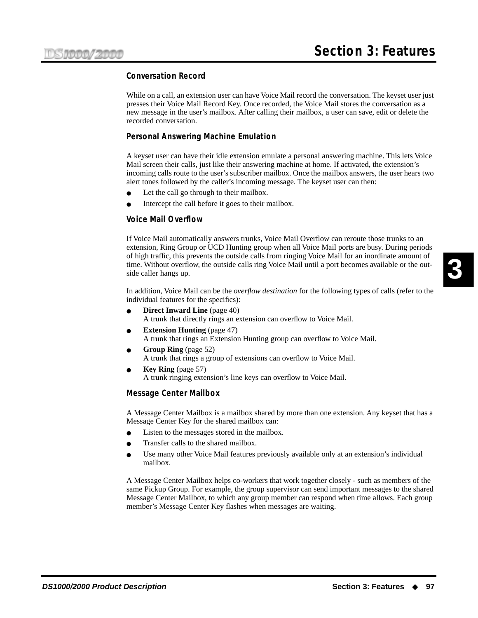#### **Conversation Record**

While on a call, an extension user can have Voice Mail record the conversation. The keyset user just presses their Voice Mail Record Key. Once recorded, the Voice Mail stores the conversation as a new message in the user's mailbox. After calling their mailbox, a user can save, edit or delete the recorded conversation.

#### **Personal Answering Machine Emulation**

A keyset user can have their idle extension emulate a personal answering machine. This lets Voice Mail screen their calls, just like their answering machine at home. If activated, the extension's incoming calls route to the user's subscriber mailbox. Once the mailbox answers, the user hears two alert tones followed by the caller's incoming message. The keyset user can then:

- Let the call go through to their mailbox.
- Intercept the call before it goes to their mailbox.

#### **Voice Mail Overflow**

If Voice Mail automatically answers trunks, Voice Mail Overflow can reroute those trunks to an extension, Ring Group or UCD Hunting group when all Voice Mail ports are busy. During periods of high traffic, this prevents the outside calls from ringing Voice Mail for an inordinate amount of time. Without overflow, the outside calls ring Voice Mail until a port becomes available or the outside caller hangs up.

In addition, Voice Mail can be the *overflow destination* for the following types of calls (refer to the individual features for the specifics):

- **[Direct Inward Line](#page-47-0)** (page 40) A trunk that directly rings an extension can overflow to Voice Mail.
- **[Extension Hunting](#page-54-0)** (page 47) A trunk that rings an Extension Hunting group can overflow to Voice Mail.
- **[Group Ring](#page-59-0)** (page 52) A trunk that rings a group of extensions can overflow to Voice Mail.
- **Key Ring** [\(page 57\)](#page-64-0) A trunk ringing extension's line keys can overflow to Voice Mail.

#### **Message Center Mailbox**

A Message Center Mailbox is a mailbox shared by more than one extension. Any keyset that has a Message Center Key for the shared mailbox can:

- Listen to the messages stored in the mailbox.
- Transfer calls to the shared mailbox.
- Use many other Voice Mail features previously available only at an extension's individual mailbox.

A Message Center Mailbox helps co-workers that work together closely - such as members of the same Pickup Group. For example, the group supervisor can send important messages to the shared Message Center Mailbox, to which any group member can respond when time allows. Each group member's Message Center Key flashes when messages are waiting.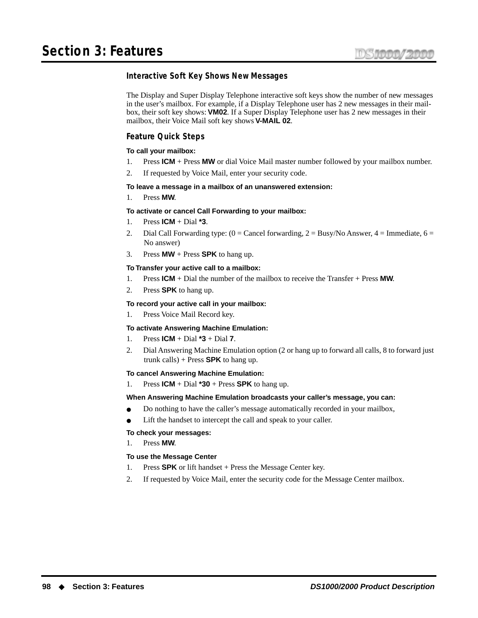#### **Interactive Soft Key Shows New Messages**

The Display and Super Display Telephone interactive soft keys show the number of new messages in the user's mailbox. For example, if a Display Telephone user has 2 new messages in their mailbox, their soft key shows: **VM02**. If a Super Display Telephone user has 2 new messages in their mailbox, their Voice Mail soft key shows **V-MAIL 02**.

#### **Feature Quick Steps**

#### **To call your mailbox:**

- 1. Press **ICM** + Press **MW** or dial Voice Mail master number followed by your mailbox number.
- 2. If requested by Voice Mail, enter your security code.

#### **To leave a message in a mailbox of an unanswered extension:**

1. Press **MW**.

#### **To activate or cancel Call Forwarding to your mailbox:**

- 1. Press **ICM** + Dial **\*3**.
- 2. Dial Call Forwarding type:  $(0 = \text{Cancel forwarding}, 2 = \text{Busy/No Answer}, 4 = \text{Immediate}, 6 = \text{True} \cdot \text{True} \cdot \text{True} \cdot \text{True} \cdot \text{True} \cdot \text{True} \cdot \text{True} \cdot \text{True} \cdot \text{True} \cdot \text{True} \cdot \text{True} \cdot \text{True} \cdot \text{True} \cdot \text{True} \cdot \text{True} \cdot \text{True} \cdot \text{True} \cdot \text{True} \cdot \text{True} \cdot \text{True} \cdot \text{True} \cdot \text{True} \cdot \text$ No answer)
- 3. Press **MW** + Press **SPK** to hang up.

#### **To Transfer your active call to a mailbox:**

- 1. Press **ICM** + Dial the number of the mailbox to receive the Transfer + Press **MW**.
- 2. Press **SPK** to hang up.

#### **To record your active call in your mailbox:**

1. Press Voice Mail Record key.

#### **To activate Answering Machine Emulation:**

- 1. Press **ICM** + Dial **\*3** + Dial **7**.
- 2. Dial Answering Machine Emulation option (2 or hang up to forward all calls, 8 to forward just trunk calls) + Press **SPK** to hang up.

#### **To cancel Answering Machine Emulation:**

1. Press  $ICM + Dial *30 + Press SPK$  to hang up.

#### **When Answering Machine Emulation broadcasts your caller's message, you can:**

- Do nothing to have the caller's message automatically recorded in your mailbox,
- Lift the handset to intercept the call and speak to your caller.

#### **To check your messages:**

1. Press **MW**.

#### **To use the Message Center**

- 1. Press **SPK** or lift handset + Press the Message Center key.
- 2. If requested by Voice Mail, enter the security code for the Message Center mailbox.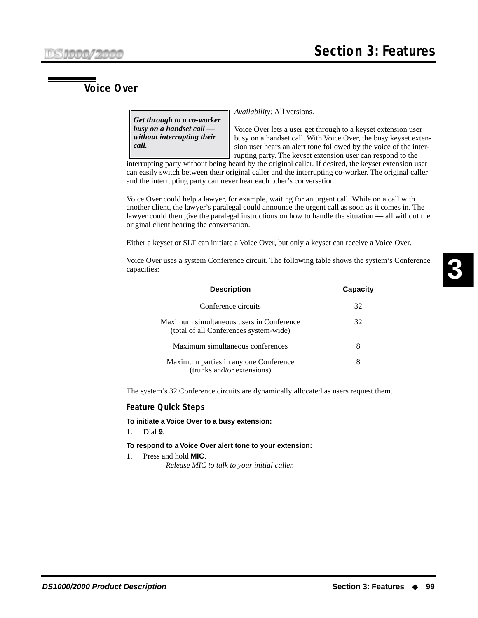# **Voice Over**

*Get through to a co-worker busy on a handset call without interrupting their call.*

*Availability:* All versions.

Voice Over lets a user get through to a keyset extension user busy on a handset call. With Voice Over, the busy keyset extension user hears an alert tone followed by the voice of the interrupting party. The keyset extension user can respond to the

interrupting party without being heard by the original caller. If desired, the keyset extension user can easily switch between their original caller and the interrupting co-worker. The original caller and the interrupting party can never hear each other's conversation.

Voice Over could help a lawyer, for example, waiting for an urgent call. While on a call with another client, the lawyer's paralegal could announce the urgent call as soon as it comes in. The lawyer could then give the paralegal instructions on how to handle the situation — all without the original client hearing the conversation.

Either a keyset or SLT can initiate a Voice Over, but only a keyset can receive a Voice Over.

Voice Over uses a system Conference circuit. The following table shows the system's Conference capacities:

| <b>Description</b>                                                                 | <b>Capacity</b> |
|------------------------------------------------------------------------------------|-----------------|
| Conference circuits                                                                | 32              |
| Maximum simultaneous users in Conference<br>(total of all Conferences system-wide) | 32              |
| Maximum simultaneous conferences                                                   | x               |
| Maximum parties in any one Conference<br>(trunks and/or extensions)                | x               |

The system's 32 Conference circuits are dynamically allocated as users request them.

#### **Feature Quick Steps**

**To initiate a Voice Over to a busy extension:**

1. Dial **9**.

#### **To respond to a Voice Over alert tone to your extension:**

1. Press and hold **MIC**. *Release MIC to talk to your initial caller.*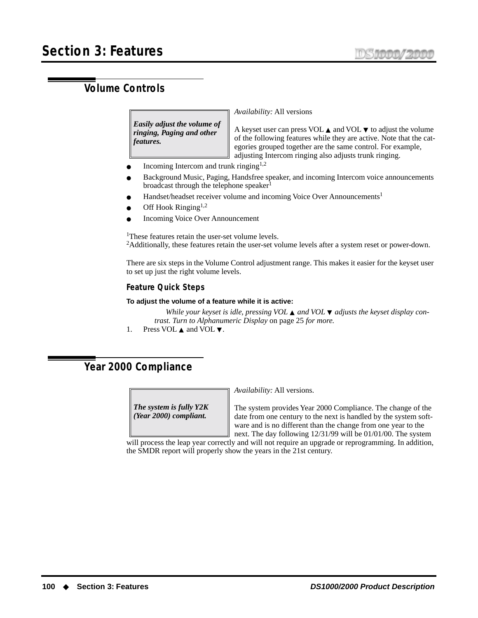# **Volume Controls**

*Easily adjust the volume of ringing, Paging and other features.*

*Availability:* All versions

A keyset user can press VOL  $\blacktriangle$  and VOL  $\nabla$  to adjust the volume of the following features while they are active. Note that the categories grouped together are the same control. For example, adjusting Intercom ringing also adjusts trunk ringing.

- Incoming Intercom and trunk ringing<sup>1,2</sup>
- Background Music, Paging, Handsfree speaker, and incoming Intercom voice announcements broadcast through the telephone speaker<sup>1</sup>
- Handset/headset receiver volume and incoming Voice Over Announcements<sup>1</sup>
- Off Hook Ringing<sup>1,2</sup>
- **Incoming Voice Over Announcement**

<sup>1</sup>These features retain the user-set volume levels.  $2$ Additionally, these features retain the user-set volume levels after a system reset or power-down.

There are six steps in the Volume Control adjustment range. This makes it easier for the keyset user to set up just the right volume levels.

#### **Feature Quick Steps**

#### **To adjust the volume of a feature while it is active:**

*While your keyset is idle, pressing VOL* ▲ *and VOL* ▼ *adjusts the keyset display contrast. Turn to [Alphanumeric Display](#page-32-0)* on page 25 *for more.*

1. Press VOL ▲ and VOL ▼.

# **Year 2000 Compliance**

*The system is fully Y2K (Year 2000) compliant.*

*Availability:* All versions.

The system provides Year 2000 Compliance. The change of the date from one century to the next is handled by the system software and is no different than the change from one year to the next. The day following 12/31/99 will be 01/01/00. The system

will process the leap year correctly and will not require an upgrade or reprogramming. In addition, the SMDR report will properly show the years in the 21st century.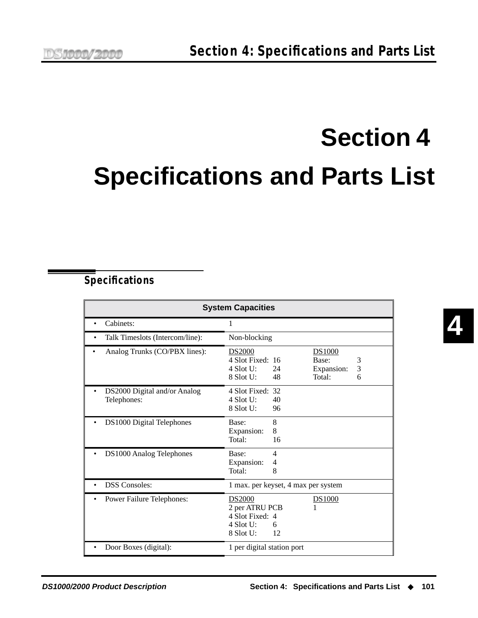# **Section 4 Specifications and Parts List**

## **Specifications**

| <b>System Capacities</b>                    |                                             |                                              |                                                |             |
|---------------------------------------------|---------------------------------------------|----------------------------------------------|------------------------------------------------|-------------|
| Cabinets:                                   | 1                                           |                                              |                                                |             |
| Talk Timeslots (Intercom/line):             |                                             | Non-blocking                                 |                                                |             |
| Analog Trunks (CO/PBX lines):               | <b>DS2000</b><br>$4$ Slot U:<br>$8$ Slot U: | 4 Slot Fixed: 16<br>24<br>48                 | <b>DS1000</b><br>Base:<br>Expansion:<br>Total: | 3<br>3<br>6 |
| DS2000 Digital and/or Analog<br>Telephones: | $4$ Slot U:<br>$8$ Slot U:                  | 4 Slot Fixed: 32<br>40<br>96                 |                                                |             |
| DS1000 Digital Telephones                   | Base:<br>Total:                             | 8<br>8<br>Expansion:<br>16                   |                                                |             |
| DS1000 Analog Telephones                    | Base:<br>Expansion:<br>Total:               | 4<br>$\overline{4}$<br>8                     |                                                |             |
| <b>DSS</b> Consoles:                        |                                             | 1 max. per keyset, 4 max per system          |                                                |             |
| Power Failure Telephones:                   | <b>DS2000</b><br>$4$ Slot U:<br>$8$ Slot U: | 2 per ATRU PCB<br>4 Slot Fixed: 4<br>6<br>12 | <b>DS1000</b>                                  |             |
| Door Boxes (digital):                       |                                             | 1 per digital station port                   |                                                |             |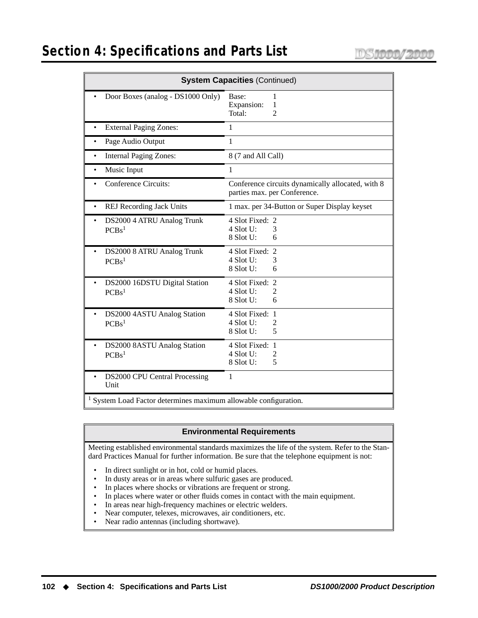# **Section 4: Specifications and Parts List**

| <b>System Capacities (Continued)</b>                           |                                                                                   |  |  |
|----------------------------------------------------------------|-----------------------------------------------------------------------------------|--|--|
| Door Boxes (analog - DS1000 Only)                              | Base:<br>1<br>Expansion:<br>1<br>$\overline{2}$<br>Total:                         |  |  |
| <b>External Paging Zones:</b>                                  | 1                                                                                 |  |  |
| Page Audio Output                                              | 1                                                                                 |  |  |
| <b>Internal Paging Zones:</b>                                  | 8 (7 and All Call)                                                                |  |  |
| Music Input                                                    | 1                                                                                 |  |  |
| <b>Conference Circuits:</b>                                    | Conference circuits dynamically allocated, with 8<br>parties max. per Conference. |  |  |
| <b>REJ Recording Jack Units</b>                                | 1 max. per 34-Button or Super Display keyset                                      |  |  |
| DS2000 4 ATRU Analog Trunk<br>PCBs <sup>1</sup>                | 4 Slot Fixed: 2<br>$4$ Slot U:<br>3<br>8 Slot U:<br>6                             |  |  |
| DS2000 8 ATRU Analog Trunk<br>PCBs <sup>1</sup>                | 4 Slot Fixed: 2<br>$4$ Slot U:<br>3<br>8 Slot U:<br>6                             |  |  |
| DS2000 16DSTU Digital Station<br>PCBs <sup>1</sup>             | 4 Slot Fixed: 2<br>4 Slot U:<br>2<br>8 Slot U:<br>6                               |  |  |
| DS2000 4ASTU Analog Station<br>PCBs <sup>1</sup>               | 4 Slot Fixed: 1<br>4 Slot U:<br>2<br>8 Slot U:<br>5                               |  |  |
| DS2000 8ASTU Analog Station<br>PCBs <sup>1</sup>               | 4 Slot Fixed: 1<br>4 Slot U:<br>$\overline{2}$<br>8 Slot U:<br>5                  |  |  |
| <b>DS2000 CPU Central Processing</b><br>Unit                   | 1                                                                                 |  |  |
| System Load Factor determines maximum allowable configuration. |                                                                                   |  |  |

#### **Environmental Requirements**

Meeting established environmental standards maximizes the life of the system. Refer to the Standard Practices Manual for further information. Be sure that the telephone equipment is not:

- In direct sunlight or in hot, cold or humid places.
- In dusty areas or in areas where sulfuric gases are produced.
- In places where shocks or vibrations are frequent or strong.
- In places where water or other fluids comes in contact with the main equipment.
- In areas near high-frequency machines or electric welders.
- Near computer, telexes, microwaves, air conditioners, etc.
- Near radio antennas (including shortwave).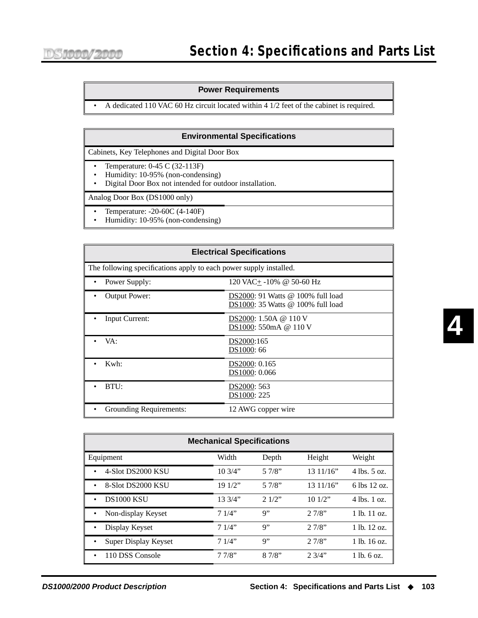#### **Power Requirements**

• A dedicated 110 VAC 60 Hz circuit located within 4 1/2 feet of the cabinet is required.

#### **Environmental Specifications**

Cabinets, Key Telephones and Digital Door Box

- Temperature: 0-45 C (32-113F)
- Humidity: 10-95% (non-condensing)
- Digital Door Box not intended for outdoor installation.

Analog Door Box (DS1000 only)

- Temperature: -20-60C (4-140F)
- Humidity: 10-95% (non-condensing)

| <b>Electrical Specifications</b>                                   |                                                                        |  |  |
|--------------------------------------------------------------------|------------------------------------------------------------------------|--|--|
| The following specifications apply to each power supply installed. |                                                                        |  |  |
| Power Supply:                                                      | $120 \text{ VAC} + -10\% \text{ @ } 50\text{-}60 \text{ Hz}$           |  |  |
| <b>Output Power:</b>                                               | DS2000: 91 Watts @ 100% full load<br>DS1000: 35 Watts @ 100% full load |  |  |
| Input Current:                                                     | DS2000: 1.50A @ 110 V<br>DS1000: 550mA @ 110 V                         |  |  |
| VA:                                                                | DS2000:165<br>DS1000: 66                                               |  |  |
| Kwh:                                                               | DS2000: 0.165<br>DS1000: 0.066                                         |  |  |
| BTU:                                                               | DS2000: 563<br>DS1000: 225                                             |  |  |
| Grounding Requirements:                                            | 12 AWG copper wire                                                     |  |  |

| <b>Mechanical Specifications</b> |         |       |          |                  |  |
|----------------------------------|---------|-------|----------|------------------|--|
| Equipment                        | Width   | Depth | Height   | Weight           |  |
| 4-Slot DS2000 KSU                | 10.3/4" | 57/8" | 1311/16" | $4$ lbs. $5$ oz. |  |
| 8-Slot DS2000 KSU                | 191/2"  | 57/8" | 1311/16" | 6 lbs 12 oz.     |  |
| <b>DS1000 KSU</b><br>٠           | 13.3/4" | 21/2" | 101/2"   | $4$ lbs. 1 oz.   |  |
| Non-display Keyset               | 71/4"   | Q''   | 27/8"    | $1$ lb. $11$ oz. |  |
| Display Keyset                   | 71/4"   | Q''   | 27/8"    | $1$ lb. $12$ oz. |  |
| Super Display Keyset             | 71/4"   | Q''   | 27/8"    | $1$ lb. $16$ oz. |  |
| 110 DSS Console<br>٠             | 77/8"   | 87/8" | 2.3/4"   | $1$ lb. $6$ oz.  |  |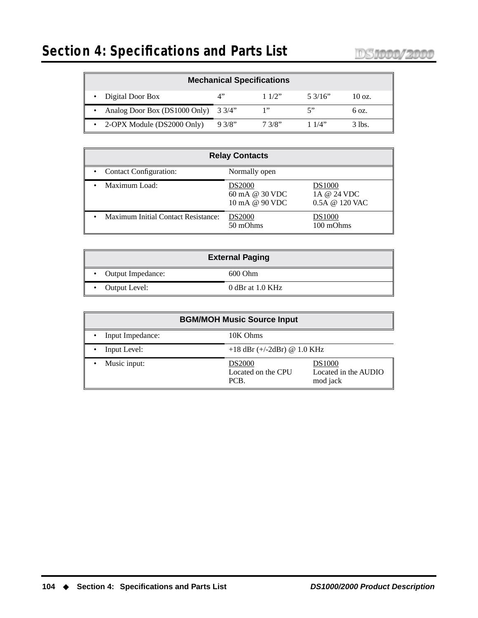| <b>Mechanical Specifications</b>                                  |        |        |       |        |  |
|-------------------------------------------------------------------|--------|--------|-------|--------|--|
| Digital Door Box<br>⁄l''<br>11/2"<br>5.3/16"<br>$10 \text{ oz}$ . |        |        |       |        |  |
| Analog Door Box (DS1000 Only) 3 3/4"                              |        | 1"     |       | 6 oz.  |  |
| 2-OPX Module (DS2000 Only)                                        | 9.3/8" | 7.3/8" | 11/4" | 3 lbs. |  |

| <b>Relay Contacts</b>                      |                                                     |                                                    |  |
|--------------------------------------------|-----------------------------------------------------|----------------------------------------------------|--|
| <b>Contact Configuration:</b>              | Normally open                                       |                                                    |  |
| Maximum Load:                              | <b>DS2000</b><br>60 mA @ 30 VDC<br>10 mA @ $90$ VDC | <b>DS1000</b><br>1A @ 24 VDC<br>$0.5A \ @ 120$ VAC |  |
| <b>Maximum Initial Contact Resistance:</b> | <b>DS2000</b><br>50 mOhms                           | <b>DS1000</b><br>100 mOhms                         |  |

| <b>External Paging</b> |                  |  |
|------------------------|------------------|--|
| Output Impedance:      | 600 Ohm          |  |
| Output Level:          | 0 dBr at 1.0 KHz |  |

| <b>BGM/MOH Music Source Input</b> |                                             |                                                   |  |
|-----------------------------------|---------------------------------------------|---------------------------------------------------|--|
| Input Impedance:                  | 10K Ohms                                    |                                                   |  |
| Input Level:                      | $+18$ dBr ( $+/-2$ dBr) @ 1.0 KHz           |                                                   |  |
| Music input:                      | <b>DS2000</b><br>Located on the CPU<br>PCB. | <b>DS1000</b><br>Located in the AUDIO<br>mod jack |  |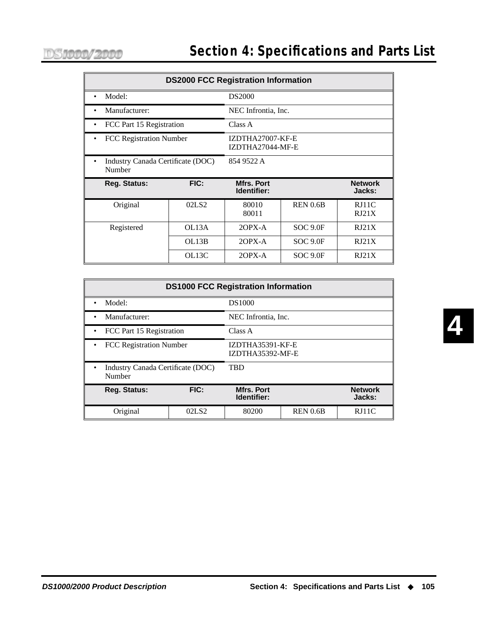| <b>DS2000 FCC Registration Information</b>  |                    |                                      |                 |                          |  |
|---------------------------------------------|--------------------|--------------------------------------|-----------------|--------------------------|--|
| Model:                                      |                    | <b>DS2000</b>                        |                 |                          |  |
| Manufacturer:                               |                    | NEC Infrontia, Inc.                  |                 |                          |  |
| FCC Part 15 Registration                    |                    | Class A                              |                 |                          |  |
| FCC Registration Number                     |                    | IZDTHA27007-KF-E<br>IZDTHA27044-MF-E |                 |                          |  |
| Industry Canada Certificate (DOC)<br>Number |                    | 854 9522 A                           |                 |                          |  |
| Reg. Status:                                | FIC:               | Mfrs. Port<br>Identifier:            |                 | <b>Network</b><br>Jacks: |  |
| Original                                    | 02LS <sub>2</sub>  | 80010<br>80011                       | <b>REN 0.6B</b> | RJ11C<br>RJ21X           |  |
| Registered                                  | OL <sub>13</sub> A | $2$ OPX-A                            | <b>SOC 9.0F</b> | RJ21X                    |  |
|                                             | OL13B              | $2$ OPX-A                            | SOC 9.0F        | RJ21X                    |  |
|                                             | OL <sub>13</sub> C | $2$ OPX-A                            | <b>SOC 9.0F</b> | RJ21X                    |  |

| <b>DS1000 FCC Registration Information</b> |                                                 |                                      |                 |                          |
|--------------------------------------------|-------------------------------------------------|--------------------------------------|-----------------|--------------------------|
| Model:                                     |                                                 | <b>DS1000</b>                        |                 |                          |
| Manufacturer:<br>٠                         |                                                 | NEC Infrontia, Inc.                  |                 |                          |
| • FCC Part 15 Registration                 |                                                 | Class A                              |                 |                          |
| <b>FCC Registration Number</b>             |                                                 | IZDTHA35391-KF-E<br>IZDTHA35392-MF-E |                 |                          |
| Number                                     | <b>TRD</b><br>Industry Canada Certificate (DOC) |                                      |                 |                          |
| <b>Reg. Status:</b>                        | FIC:                                            | <b>Mfrs. Port</b><br>Identifier:     |                 | <b>Network</b><br>Jacks: |
| Original                                   | 02LS2                                           | 80200                                | <b>REN 0.6B</b> | RJ11C                    |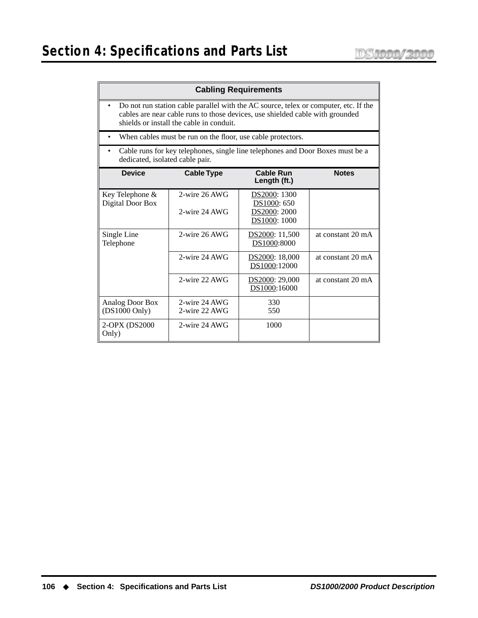#### **Cabling Requirements**

- Do not run station cable parallel with the AC source, telex or computer, etc. If the cables are near cable runs to those devices, use shielded cable with grounded shields or install the cable in conduit.
- When cables must be run on the floor, use cable protectors.
- Cable runs for key telephones, single line telephones and Door Boxes must be a dedicated, isolated cable pair.

| <b>Device</b>                              | <b>Cable Type</b>              | <b>Cable Run</b><br>Length (ft.)                            | <b>Notes</b>      |
|--------------------------------------------|--------------------------------|-------------------------------------------------------------|-------------------|
| Key Telephone &<br>Digital Door Box        | 2-wire 26 AWG<br>2-wire 24 AWG | DS2000: 1300<br>DS1000: 650<br>DS2000: 2000<br>DS1000: 1000 |                   |
| Single Line<br>Telephone                   | 2-wire 26 AWG                  | DS2000: 11,500<br>DS1000:8000                               | at constant 20 mA |
|                                            | 2-wire 24 AWG                  | DS2000: 18,000<br>DS1000:12000                              | at constant 20 mA |
|                                            | 2-wire 22 AWG                  | DS2000: 29,000<br>DS1000:16000                              | at constant 20 mA |
| Analog Door Box<br>$(DS1000 \text{ Only})$ | 2-wire 24 AWG<br>2-wire 22 AWG | 330<br>550                                                  |                   |
| 2-OPX (DS2000)<br>Only)                    | 2-wire 24 AWG                  | 1000                                                        |                   |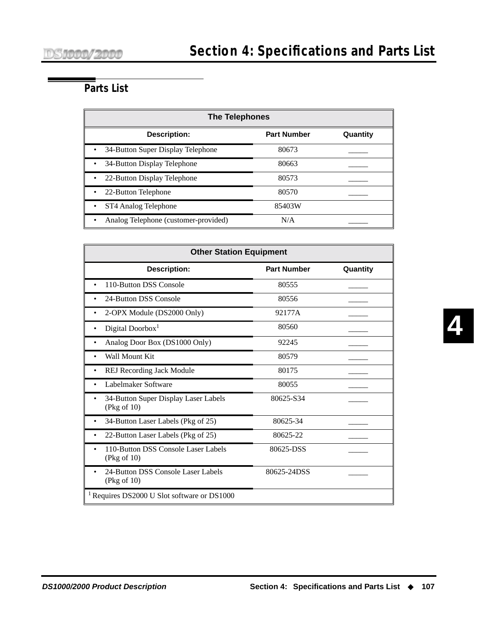# **Parts List**

| <b>The Telephones</b>                |                    |          |  |  |
|--------------------------------------|--------------------|----------|--|--|
| <b>Description:</b>                  | <b>Part Number</b> | Quantity |  |  |
| 34-Button Super Display Telephone    | 80673              |          |  |  |
| 34-Button Display Telephone          | 80663              |          |  |  |
| 22-Button Display Telephone<br>٠     | 80573              |          |  |  |
| 22-Button Telephone<br>٠             | 80570              |          |  |  |
| ST4 Analog Telephone                 | 85403W             |          |  |  |
| Analog Telephone (customer-provided) | N/A                |          |  |  |

| <b>Other Station Equipment</b>                         |                    |          |
|--------------------------------------------------------|--------------------|----------|
| <b>Description:</b>                                    | <b>Part Number</b> | Quantity |
| 110-Button DSS Console<br>$\bullet$                    | 80555              |          |
| 24-Button DSS Console                                  | 80556              |          |
| 2-OPX Module (DS2000 Only)                             | 92177A             |          |
| Digital Doorbox <sup>1</sup>                           | 80560              |          |
| Analog Door Box (DS1000 Only)<br>٠                     | 92245              |          |
| Wall Mount Kit                                         | 80579              |          |
| <b>REJ Recording Jack Module</b>                       | 80175              |          |
| Labelmaker Software                                    | 80055              |          |
| 34-Button Super Display Laser Labels<br>(Pkg of 10)    | 80625-834          |          |
| 34-Button Laser Labels (Pkg of 25)                     | 80625-34           |          |
| 22-Button Laser Labels (Pkg of 25)                     | 80625-22           |          |
| 110-Button DSS Console Laser Labels<br>(Pkg of 10)     | 80625-DSS          |          |
| 24-Button DSS Console Laser Labels<br>(Pkg of 10)      | 80625-24DSS        |          |
| <sup>1</sup> Requires DS2000 U Slot software or DS1000 |                    |          |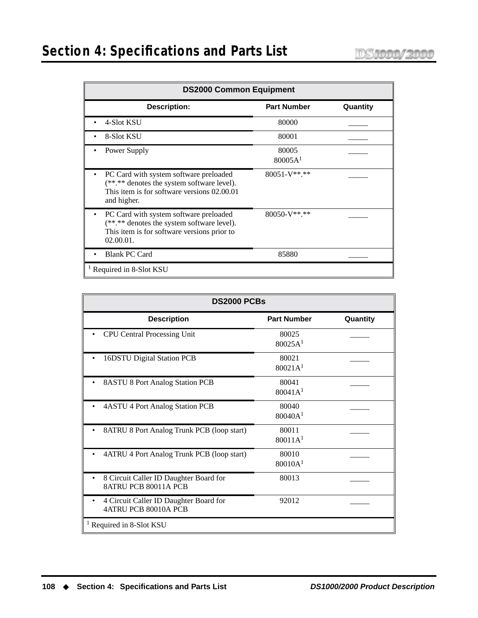# **Section 4: Specifications and Parts List**

| <b>DS2000 Common Equipment</b>                                                                                                                           |                              |          |
|----------------------------------------------------------------------------------------------------------------------------------------------------------|------------------------------|----------|
| <b>Description:</b>                                                                                                                                      | <b>Part Number</b>           | Quantity |
| 4-Slot KSU                                                                                                                                               | 80000                        |          |
| 8-Slot KSU                                                                                                                                               | 80001                        |          |
| Power Supply                                                                                                                                             | 80005<br>80005A <sup>1</sup> |          |
| PC Card with system software preloaded<br>(**.** denotes the system software level).<br>This item is for software versions 02.00.01<br>and higher.       | 80051-V**.**                 |          |
| PC Card with system software preloaded<br>٠<br>(**.** denotes the system software level).<br>This item is for software versions prior to<br>$02.00.01$ . | $80050-V**.**$               |          |
| <b>Blank PC Card</b>                                                                                                                                     | 85880                        |          |
| <sup>1</sup> Required in 8-Slot KSU                                                                                                                      |                              |          |

| <b>DS2000 PCBs</b>                                                    |                              |          |
|-----------------------------------------------------------------------|------------------------------|----------|
| <b>Description</b>                                                    | <b>Part Number</b>           | Quantity |
| <b>CPU Central Processing Unit</b>                                    | 80025<br>80025A <sup>1</sup> |          |
| 16DSTU Digital Station PCB                                            | 80021<br>80021A <sup>1</sup> |          |
| 8ASTU 8 Port Analog Station PCB                                       | 80041<br>80041A <sup>1</sup> |          |
| 4ASTU 4 Port Analog Station PCB                                       | 80040<br>80040A <sup>1</sup> |          |
| 8ATRU 8 Port Analog Trunk PCB (loop start)                            | 80011<br>80011A <sup>1</sup> |          |
| 4ATRU 4 Port Analog Trunk PCB (loop start)                            | 80010<br>80010A <sup>1</sup> |          |
| 8 Circuit Caller ID Daughter Board for<br><b>8ATRU PCB 80011A PCB</b> | 80013                        |          |
| 4 Circuit Caller ID Daughter Board for<br>4ATRU PCB 80010A PCB        | 92012                        |          |
| <sup>1</sup> Required in 8-Slot KSU                                   |                              |          |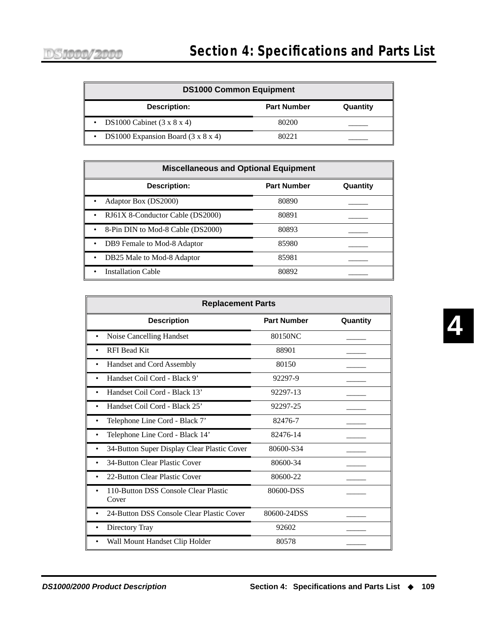| <b>DS1000 Common Equipment</b>                              |                    |          |
|-------------------------------------------------------------|--------------------|----------|
| Description:                                                | <b>Part Number</b> | Quantity |
| • DS1000 Cabinet $(3 \times 8 \times 4)$                    | 80200              |          |
| DS1000 Expansion Board $(3 \times 8 \times 4)$<br>$\bullet$ | 80221              |          |

| <b>Miscellaneous and Optional Equipment</b> |                    |          |
|---------------------------------------------|--------------------|----------|
| <b>Description:</b>                         | <b>Part Number</b> | Quantity |
| Adaptor Box (DS2000)                        | 80890              |          |
| RJ61X 8-Conductor Cable (DS2000)            | 80891              |          |
| 8-Pin DIN to Mod-8 Cable (DS2000)           | 80893              |          |
| DB9 Female to Mod-8 Adaptor                 | 85980              |          |
| DB25 Male to Mod-8 Adaptor                  | 85981              |          |
| <b>Installation Cable</b>                   | 80892              |          |

| <b>Replacement Parts</b>                               |                    |          |
|--------------------------------------------------------|--------------------|----------|
| <b>Description</b>                                     | <b>Part Number</b> | Quantity |
| Noise Cancelling Handset<br>$\bullet$                  | 80150NC            |          |
| RFI Bead Kit<br>$\bullet$                              | 88901              |          |
| Handset and Cord Assembly<br>$\bullet$                 | 80150              |          |
| Handset Coil Cord - Black 9'<br>$\bullet$              | 92297-9            |          |
| Handset Coil Cord - Black 13'<br>٠                     | 92297-13           |          |
| Handset Coil Cord - Black 25'                          | 92297-25           |          |
| Telephone Line Cord - Black 7'                         | 82476-7            |          |
| Telephone Line Cord - Black 14'                        | 82476-14           |          |
| 34-Button Super Display Clear Plastic Cover            | 80600-S34          |          |
| 34-Button Clear Plastic Cover                          | 80600-34           |          |
| 22-Button Clear Plastic Cover                          | 80600-22           |          |
| 110-Button DSS Console Clear Plastic<br>Cover          | 80600-DSS          |          |
| 24-Button DSS Console Clear Plastic Cover<br>$\bullet$ | 80600-24DSS        |          |
| Directory Tray<br>٠                                    | 92602              |          |
| Wall Mount Handset Clip Holder                         | 80578              |          |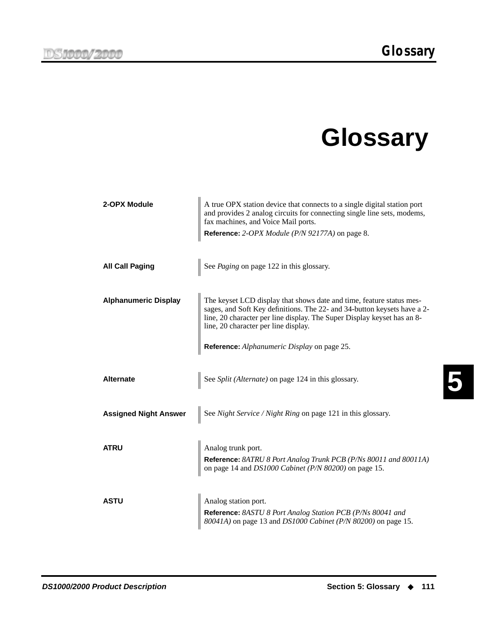# **Glossary**

| 2-OPX Module                 | A true OPX station device that connects to a single digital station port<br>and provides 2 analog circuits for connecting single line sets, modems,<br>fax machines, and Voice Mail ports.                                                                          |
|------------------------------|---------------------------------------------------------------------------------------------------------------------------------------------------------------------------------------------------------------------------------------------------------------------|
|                              | Reference: 2-OPX Module (P/N 92177A) on page 8.                                                                                                                                                                                                                     |
|                              |                                                                                                                                                                                                                                                                     |
| <b>All Call Paging</b>       | See Paging on page 122 in this glossary.                                                                                                                                                                                                                            |
|                              |                                                                                                                                                                                                                                                                     |
| <b>Alphanumeric Display</b>  | The keyset LCD display that shows date and time, feature status mes-<br>sages, and Soft Key definitions. The 22- and 34-button keysets have a 2-<br>line, 20 character per line display. The Super Display keyset has an 8-<br>line, 20 character per line display. |
|                              | Reference: Alphanumeric Display on page 25.                                                                                                                                                                                                                         |
|                              |                                                                                                                                                                                                                                                                     |
| <b>Alternate</b>             | See Split (Alternate) on page 124 in this glossary.                                                                                                                                                                                                                 |
|                              |                                                                                                                                                                                                                                                                     |
| <b>Assigned Night Answer</b> | See Night Service / Night Ring on page 121 in this glossary.                                                                                                                                                                                                        |
|                              |                                                                                                                                                                                                                                                                     |
| <b>ATRU</b>                  | Analog trunk port.                                                                                                                                                                                                                                                  |
|                              | Reference: 8ATRU 8 Port Analog Trunk PCB (P/Ns 80011 and 80011A)<br>on page 14 and DS1000 Cabinet (P/N 80200) on page 15.                                                                                                                                           |
|                              |                                                                                                                                                                                                                                                                     |
| <b>ASTU</b>                  | Analog station port.                                                                                                                                                                                                                                                |
|                              | Reference: 8ASTU 8 Port Analog Station PCB (P/Ns 80041 and<br>80041A) on page 13 and DS1000 Cabinet (P/N 80200) on page 15.                                                                                                                                         |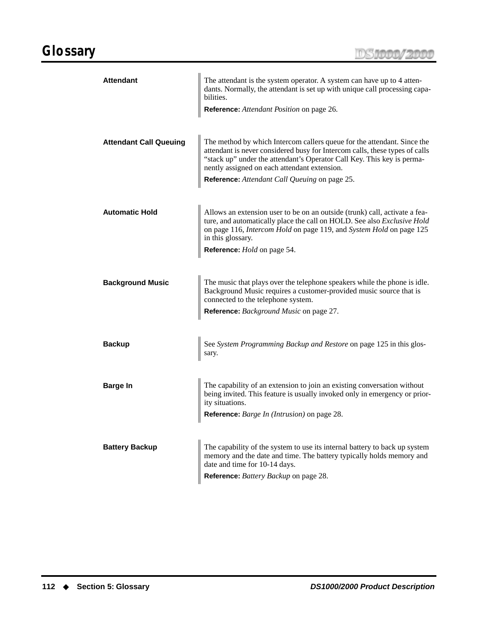<span id="page-119-1"></span><span id="page-119-0"></span>

| <b>Attendant</b>              | The attendant is the system operator. A system can have up to 4 atten-<br>dants. Normally, the attendant is set up with unique call processing capa-<br>bilities.<br>Reference: Attendant Position on page 26.                                                                                                                    |
|-------------------------------|-----------------------------------------------------------------------------------------------------------------------------------------------------------------------------------------------------------------------------------------------------------------------------------------------------------------------------------|
| <b>Attendant Call Queuing</b> | The method by which Intercom callers queue for the attendant. Since the<br>attendant is never considered busy for Intercom calls, these types of calls<br>"stack up" under the attendant's Operator Call Key. This key is perma-<br>nently assigned on each attendant extension.<br>Reference: Attendant Call Queuing on page 25. |
| <b>Automatic Hold</b>         | Allows an extension user to be on an outside (trunk) call, activate a fea-<br>ture, and automatically place the call on HOLD. See also Exclusive Hold<br>on page 116, Intercom Hold on page 119, and System Hold on page 125<br>in this glossary.<br>Reference: <i>Hold</i> on page 54.                                           |
| <b>Background Music</b>       | The music that plays over the telephone speakers while the phone is idle.<br>Background Music requires a customer-provided music source that is<br>connected to the telephone system.<br><b>Reference:</b> Background Music on page 27.                                                                                           |
| <b>Backup</b>                 | See System Programming Backup and Restore on page 125 in this glos-<br>sary.                                                                                                                                                                                                                                                      |
| <b>Barge In</b><br>Ш          | The capability of an extension to join an existing conversation without<br>being invited. This feature is usually invoked only in emergency or prior-<br>ity situations.<br>Reference: Barge In (Intrusion) on page 28.                                                                                                           |
| <b>Battery Backup</b>         | The capability of the system to use its internal battery to back up system<br>memory and the date and time. The battery typically holds memory and<br>date and time for 10-14 days.<br>Reference: Battery Backup on page 28.                                                                                                      |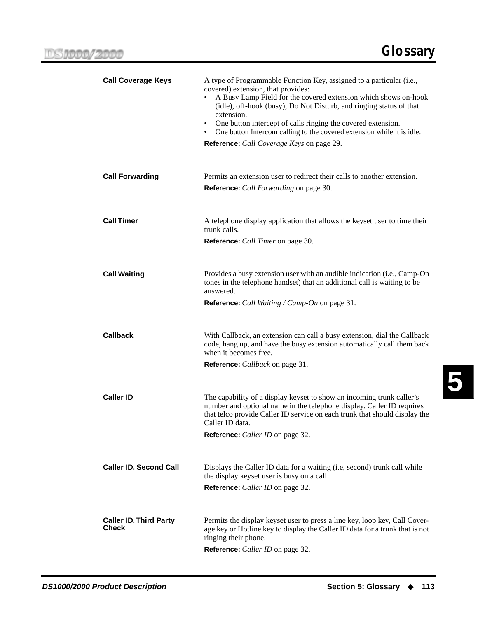**5**

<span id="page-120-0"></span>

| <b>Call Coverage Keys</b>                     | A type of Programmable Function Key, assigned to a particular (i.e.,<br>covered) extension, that provides:<br>A Busy Lamp Field for the covered extension which shows on-hook<br>(idle), off-hook (busy), Do Not Disturb, and ringing status of that<br>extension.<br>One button intercept of calls ringing the covered extension.<br>One button Intercom calling to the covered extension while it is idle.<br>$\bullet$<br>Reference: Call Coverage Keys on page 29. |
|-----------------------------------------------|------------------------------------------------------------------------------------------------------------------------------------------------------------------------------------------------------------------------------------------------------------------------------------------------------------------------------------------------------------------------------------------------------------------------------------------------------------------------|
| <b>Call Forwarding</b>                        | Permits an extension user to redirect their calls to another extension.<br>Reference: Call Forwarding on page 30.                                                                                                                                                                                                                                                                                                                                                      |
| <b>Call Timer</b>                             | A telephone display application that allows the keyset user to time their<br>trunk calls.<br>Reference: Call Timer on page 30.                                                                                                                                                                                                                                                                                                                                         |
| <b>Call Waiting</b>                           | Provides a busy extension user with an audible indication (i.e., Camp-On<br>tones in the telephone handset) that an additional call is waiting to be<br>answered.<br>Reference: Call Waiting / Camp-On on page 31.                                                                                                                                                                                                                                                     |
| <b>Callback</b>                               | With Callback, an extension can call a busy extension, dial the Callback<br>code, hang up, and have the busy extension automatically call them back<br>when it becomes free.<br><b>Reference:</b> <i>Callback</i> on page 31.                                                                                                                                                                                                                                          |
| <b>Caller ID</b>                              | The capability of a display keyset to show an incoming trunk caller's<br>number and optional name in the telephone display. Caller ID requires<br>that telco provide Caller ID service on each trunk that should display the<br>Caller ID data.<br>Reference: Caller ID on page 32.                                                                                                                                                                                    |
| <b>Caller ID, Second Call</b>                 | Displays the Caller ID data for a waiting (i.e, second) trunk call while<br>the display keyset user is busy on a call.<br>Reference: Caller ID on page 32.                                                                                                                                                                                                                                                                                                             |
| <b>Caller ID, Third Party</b><br><b>Check</b> | Permits the display keyset user to press a line key, loop key, Call Cover-<br>age key or Hotline key to display the Caller ID data for a trunk that is not<br>ringing their phone.<br>Reference: Caller ID on page 32.                                                                                                                                                                                                                                                 |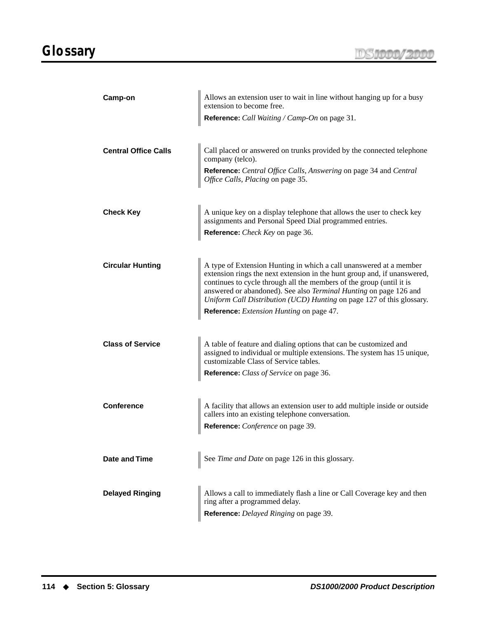<span id="page-121-0"></span>

| Camp-on                     | Allows an extension user to wait in line without hanging up for a busy                                                                                                                                                                                                                                                                                               |
|-----------------------------|----------------------------------------------------------------------------------------------------------------------------------------------------------------------------------------------------------------------------------------------------------------------------------------------------------------------------------------------------------------------|
|                             | extension to become free.<br>Reference: <i>Call Waiting / Camp-On</i> on page 31.                                                                                                                                                                                                                                                                                    |
| <b>Central Office Calls</b> | Call placed or answered on trunks provided by the connected telephone                                                                                                                                                                                                                                                                                                |
|                             | company (telco).<br><b>Reference:</b> <i>Central Office Calls, Answering</i> on page 34 and <i>Central Office Calls, Placing</i> on page 35.                                                                                                                                                                                                                         |
|                             |                                                                                                                                                                                                                                                                                                                                                                      |
| <b>Check Key</b>            | A unique key on a display telephone that allows the user to check key assignments and Personal Speed Dial programmed entries.<br>Reference: <i>Check Key</i> on page 36.                                                                                                                                                                                             |
|                             |                                                                                                                                                                                                                                                                                                                                                                      |
|                             |                                                                                                                                                                                                                                                                                                                                                                      |
| <b>Circular Hunting</b>     | A type of Extension Hunting in which a call unanswered at a member<br>extension rings the next extension in the hunt group and, if unanswered,<br>continues to cycle through all the members of the group (until it is<br>answered or abandoned). See also Terminal Hunting on page 126 and<br>Uniform Call Distribution (UCD) Hunting on page 127 of this glossary. |
|                             | Reference: Extension Hunting on page 47.                                                                                                                                                                                                                                                                                                                             |
| <b>Class of Service</b>     | A table of feature and dialing options that can be customized and<br>assigned to individual or multiple extensions. The system has 15 unique, customizable Class of Service tables.                                                                                                                                                                                  |
|                             | Reference: Class of Service on page 36.                                                                                                                                                                                                                                                                                                                              |
|                             |                                                                                                                                                                                                                                                                                                                                                                      |
| <b>Conference</b>           | A facility that allows an extension user to add multiple inside or outside callers into an existing telephone conversation.<br>Reference: <i>Conference</i> on page 39.                                                                                                                                                                                              |
|                             |                                                                                                                                                                                                                                                                                                                                                                      |
|                             |                                                                                                                                                                                                                                                                                                                                                                      |
| <b>Date and Time</b>        | See Time and Date on page 126 in this glossary.                                                                                                                                                                                                                                                                                                                      |
| <b>Delayed Ringing</b>      | Allows a call to immediately flash a line or Call Coverage key and then<br>ring after a programmed delay.                                                                                                                                                                                                                                                            |
|                             | Reference: Delayed Ringing on page 39.                                                                                                                                                                                                                                                                                                                               |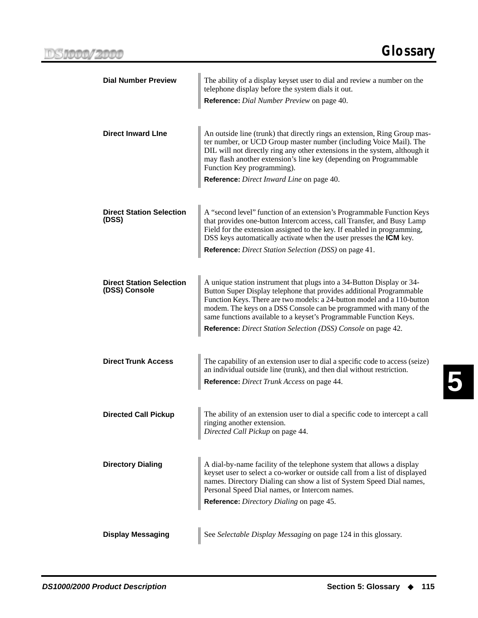| <b>Dial Number Preview</b>                       | The ability of a display keyset user to dial and review a number on the<br>telephone display before the system dials it out.                                                                                                                                                                                                                                                                                                            |
|--------------------------------------------------|-----------------------------------------------------------------------------------------------------------------------------------------------------------------------------------------------------------------------------------------------------------------------------------------------------------------------------------------------------------------------------------------------------------------------------------------|
|                                                  | Reference: Dial Number Preview on page 40.                                                                                                                                                                                                                                                                                                                                                                                              |
| <b>Direct Inward Line</b>                        | An outside line (trunk) that directly rings an extension, Ring Group mas-<br>ter number, or UCD Group master number (including Voice Mail). The<br>DIL will not directly ring any other extensions in the system, although it<br>may flash another extension's line key (depending on Programmable<br>Function Key programming).<br>Reference: Direct Inward Line on page 40.                                                           |
| <b>Direct Station Selection</b><br>(DSS)         | A "second level" function of an extension's Programmable Function Keys<br>that provides one-button Intercom access, call Transfer, and Busy Lamp<br>Field for the extension assigned to the key. If enabled in programming,<br>DSS keys automatically activate when the user presses the <b>ICM</b> key.<br>Reference: Direct Station Selection (DSS) on page 41.                                                                       |
| <b>Direct Station Selection</b><br>(DSS) Console | A unique station instrument that plugs into a 34-Button Display or 34-<br>Button Super Display telephone that provides additional Programmable<br>Function Keys. There are two models: a 24-button model and a 110-button<br>modem. The keys on a DSS Console can be programmed with many of the<br>same functions available to a keyset's Programmable Function Keys.<br>Reference: Direct Station Selection (DSS) Console on page 42. |
| <b>Direct Trunk Access</b>                       | The capability of an extension user to dial a specific code to access (seize)<br>an individual outside line (trunk), and then dial without restriction.<br>Reference: Direct Trunk Access on page 44.                                                                                                                                                                                                                                   |
| <b>Directed Call Pickup</b>                      | The ability of an extension user to dial a specific code to intercept a call<br>ringing another extension.<br>Directed Call Pickup on page 44.                                                                                                                                                                                                                                                                                          |
| <b>Directory Dialing</b>                         | A dial-by-name facility of the telephone system that allows a display<br>keyset user to select a co-worker or outside call from a list of displayed<br>names. Directory Dialing can show a list of System Speed Dial names,<br>Personal Speed Dial names, or Intercom names.<br>Reference: Directory Dialing on page 45.                                                                                                                |
| <b>Display Messaging</b>                         | See Selectable Display Messaging on page 124 in this glossary.                                                                                                                                                                                                                                                                                                                                                                          |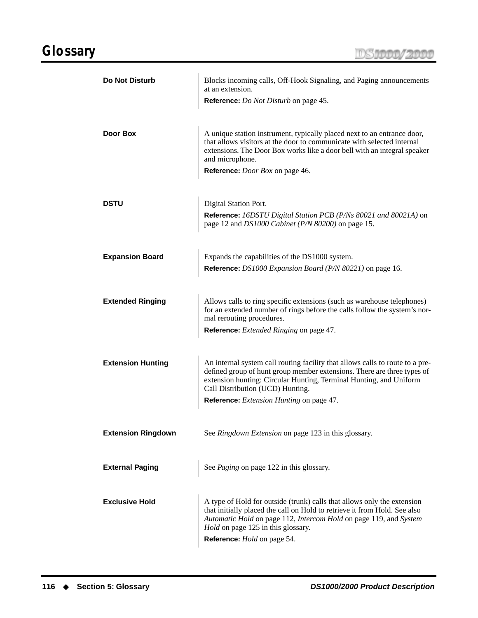<span id="page-123-0"></span>

| <b>Do Not Disturb</b>     | Blocks incoming calls, Off-Hook Signaling, and Paging announcements<br>at an extension.<br><b>Reference:</b> <i>Do Not Disturb</i> on page 45.                                                                                                                                                                 |
|---------------------------|----------------------------------------------------------------------------------------------------------------------------------------------------------------------------------------------------------------------------------------------------------------------------------------------------------------|
| Door Box                  | A unique station instrument, typically placed next to an entrance door,<br>that allows visitors at the door to communicate with selected internal<br>extensions. The Door Box works like a door bell with an integral speaker<br>and microphone.<br>Reference: <i>Door Box</i> on page 46.                     |
| <b>DSTU</b>               | Digital Station Port.<br><b>Reference:</b> 16DSTU Digital Station PCB (P/Ns 80021 and 80021A) on<br>page 12 and DS1000 Cabinet (P/N 80200) on page 15.                                                                                                                                                         |
| <b>Expansion Board</b>    | Expands the capabilities of the DS1000 system.<br>Reference: DS1000 Expansion Board (P/N 80221) on page 16.                                                                                                                                                                                                    |
| <b>Extended Ringing</b>   | Allows calls to ring specific extensions (such as warehouse telephones)<br>for an extended number of rings before the calls follow the system's nor-<br>mal rerouting procedures.<br>Reference: <i>Extended Ringing</i> on page 47.                                                                            |
| <b>Extension Hunting</b>  | An internal system call routing facility that allows calls to route to a pre-<br>defined group of hunt group member extensions. There are three types of<br>extension hunting: Circular Hunting, Terminal Hunting, and Uniform<br>Call Distribution (UCD) Hunting.<br>Reference: Extension Hunting on page 47. |
| <b>Extension Ringdown</b> | See Ringdown Extension on page 123 in this glossary.                                                                                                                                                                                                                                                           |
| <b>External Paging</b>    | See Paging on page 122 in this glossary.                                                                                                                                                                                                                                                                       |
| <b>Exclusive Hold</b>     | A type of Hold for outside (trunk) calls that allows only the extension<br>that initially placed the call on Hold to retrieve it from Hold. See also<br>Automatic Hold on page 112, Intercom Hold on page 119, and System<br><i>Hold</i> on page 125 in this glossary.<br>Reference: <i>Hold</i> on page 54.   |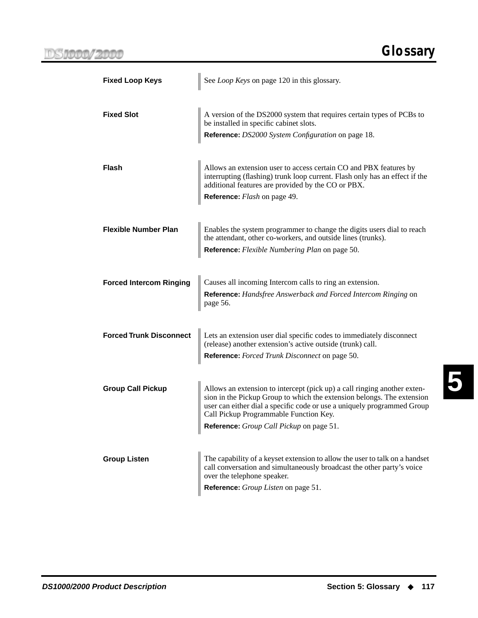| <b>Fixed Loop Keys</b>         | See Loop Keys on page 120 in this glossary.                                                                                                                                                            |  |  |  |  |  |
|--------------------------------|--------------------------------------------------------------------------------------------------------------------------------------------------------------------------------------------------------|--|--|--|--|--|
|                                |                                                                                                                                                                                                        |  |  |  |  |  |
| <b>Fixed Slot</b>              | A version of the DS2000 system that requires certain types of PCBs to<br>be installed in specific cabinet slots.                                                                                       |  |  |  |  |  |
|                                | Reference: DS2000 System Configuration on page 18.                                                                                                                                                     |  |  |  |  |  |
|                                |                                                                                                                                                                                                        |  |  |  |  |  |
| Flash                          | Allows an extension user to access certain CO and PBX features by<br>interrupting (flashing) trunk loop current. Flash only has an effect if the<br>additional features are provided by the CO or PBX. |  |  |  |  |  |
|                                | <b>Reference:</b> <i>Flash</i> on page 49.                                                                                                                                                             |  |  |  |  |  |
|                                |                                                                                                                                                                                                        |  |  |  |  |  |
| <b>Flexible Number Plan</b>    | Enables the system programmer to change the digits users dial to reach<br>the attendant, other co-workers, and outside lines (trunks).                                                                 |  |  |  |  |  |
|                                | Reference: Flexible Numbering Plan on page 50.                                                                                                                                                         |  |  |  |  |  |
|                                |                                                                                                                                                                                                        |  |  |  |  |  |
| <b>Forced Intercom Ringing</b> | Causes all incoming Intercom calls to ring an extension.<br>Reference: Handsfree Answerback and Forced Intercom Ringing on                                                                             |  |  |  |  |  |
|                                | page 56.                                                                                                                                                                                               |  |  |  |  |  |
| <b>Forced Trunk Disconnect</b> | Lets an extension user dial specific codes to immediately disconnect                                                                                                                                   |  |  |  |  |  |
|                                | (release) another extension's active outside (trunk) call.                                                                                                                                             |  |  |  |  |  |
|                                | Reference: Forced Trunk Disconnect on page 50.                                                                                                                                                         |  |  |  |  |  |
| <b>Group Call Pickup</b>       | Allows an extension to intercept (pick up) a call ringing another exten-                                                                                                                               |  |  |  |  |  |
|                                | sion in the Pickup Group to which the extension belongs. The extension<br>user can either dial a specific code or use a uniquely programmed Group                                                      |  |  |  |  |  |
|                                | Call Pickup Programmable Function Key.                                                                                                                                                                 |  |  |  |  |  |
|                                | Reference: Group Call Pickup on page 51.                                                                                                                                                               |  |  |  |  |  |
| <b>Group Listen</b>            | The capability of a keyset extension to allow the user to talk on a handset                                                                                                                            |  |  |  |  |  |
|                                | call conversation and simultaneously broadcast the other party's voice<br>over the telephone speaker.                                                                                                  |  |  |  |  |  |
|                                | Reference: Group Listen on page 51.                                                                                                                                                                    |  |  |  |  |  |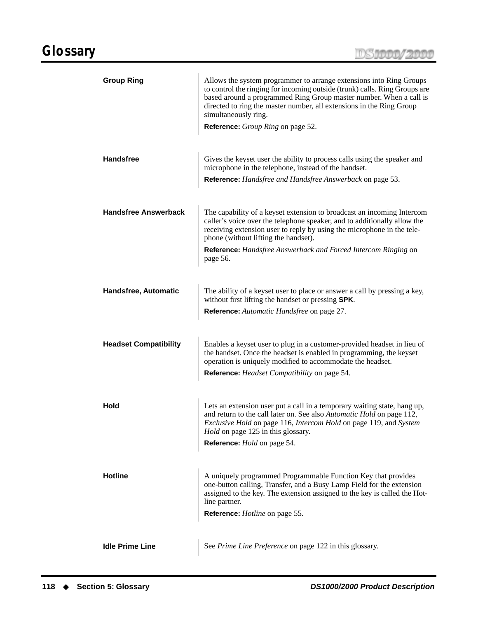<span id="page-125-0"></span>

| <b>Group Ring</b>            | Allows the system programmer to arrange extensions into Ring Groups<br>to control the ringing for incoming outside (trunk) calls. Ring Groups are<br>based around a programmed Ring Group master number. When a call is<br>directed to ring the master number, all extensions in the Ring Group<br>simultaneously ring.<br>Reference: Group Ring on page 52. |  |  |  |  |
|------------------------------|--------------------------------------------------------------------------------------------------------------------------------------------------------------------------------------------------------------------------------------------------------------------------------------------------------------------------------------------------------------|--|--|--|--|
| <b>Handsfree</b>             | Gives the keyset user the ability to process calls using the speaker and<br>microphone in the telephone, instead of the handset.<br>Reference: Handsfree and Handsfree Answerback on page 53.                                                                                                                                                                |  |  |  |  |
| <b>Handsfree Answerback</b>  | The capability of a keyset extension to broadcast an incoming Intercom<br>caller's voice over the telephone speaker, and to additionally allow the<br>receiving extension user to reply by using the microphone in the tele-<br>phone (without lifting the handset).<br>Reference: Handsfree Answerback and Forced Intercom Ringing on<br>page 56.           |  |  |  |  |
| Handsfree, Automatic         | The ability of a keyset user to place or answer a call by pressing a key,<br>without first lifting the handset or pressing SPK.<br>Reference: Automatic Handsfree on page 27.                                                                                                                                                                                |  |  |  |  |
| <b>Headset Compatibility</b> | Enables a keyset user to plug in a customer-provided headset in lieu of<br>the handset. Once the headset is enabled in programming, the keyset<br>operation is uniquely modified to accommodate the headset.<br>Reference: Headset Compatibility on page 54.                                                                                                 |  |  |  |  |
| Hold                         | Lets an extension user put a call in a temporary waiting state, hang up,<br>and return to the call later on. See also Automatic Hold on page 112,<br>Exclusive Hold on page 116, Intercom Hold on page 119, and System<br>Hold on page 125 in this glossary.<br>Reference: Hold on page 54.                                                                  |  |  |  |  |
| <b>Hotline</b>               | A uniquely programmed Programmable Function Key that provides<br>one-button calling, Transfer, and a Busy Lamp Field for the extension<br>assigned to the key. The extension assigned to the key is called the Hot-<br>line partner.<br>Reference: Hotline on page 55.                                                                                       |  |  |  |  |
| <b>Idle Prime Line</b>       | See Prime Line Preference on page 122 in this glossary.                                                                                                                                                                                                                                                                                                      |  |  |  |  |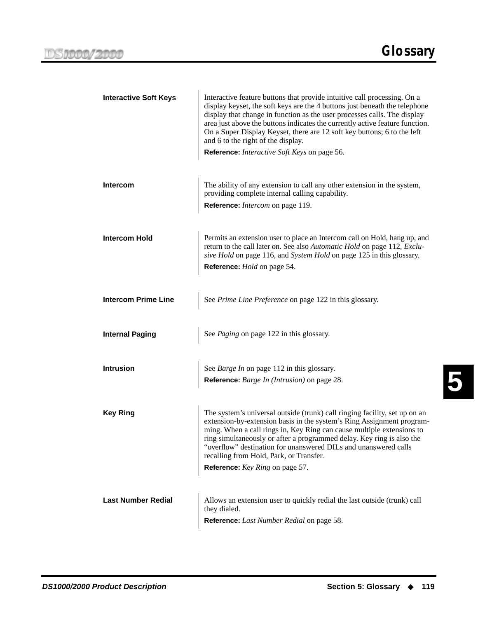**5**

<span id="page-126-2"></span><span id="page-126-1"></span><span id="page-126-0"></span>

| <b>Interactive Soft Keys</b> | Interactive feature buttons that provide intuitive call processing. On a<br>display keyset, the soft keys are the 4 buttons just beneath the telephone<br>display that change in function as the user processes calls. The display<br>area just above the buttons indicates the currently active feature function.<br>On a Super Display Keyset, there are 12 soft key buttons; 6 to the left<br>and 6 to the right of the display.<br>Reference: Interactive Soft Keys on page 56. |  |  |  |  |
|------------------------------|-------------------------------------------------------------------------------------------------------------------------------------------------------------------------------------------------------------------------------------------------------------------------------------------------------------------------------------------------------------------------------------------------------------------------------------------------------------------------------------|--|--|--|--|
| <b>Intercom</b>              | The ability of any extension to call any other extension in the system,<br>providing complete internal calling capability.<br>Reference: Intercom on page 119.                                                                                                                                                                                                                                                                                                                      |  |  |  |  |
|                              |                                                                                                                                                                                                                                                                                                                                                                                                                                                                                     |  |  |  |  |
| <b>Intercom Hold</b>         | Permits an extension user to place an Intercom call on Hold, hang up, and<br>return to the call later on. See also Automatic Hold on page 112, Exclu-<br>sive Hold on page 116, and System Hold on page 125 in this glossary.                                                                                                                                                                                                                                                       |  |  |  |  |
|                              | Reference: Hold on page 54.                                                                                                                                                                                                                                                                                                                                                                                                                                                         |  |  |  |  |
|                              |                                                                                                                                                                                                                                                                                                                                                                                                                                                                                     |  |  |  |  |
| <b>Intercom Prime Line</b>   | See Prime Line Preference on page 122 in this glossary.                                                                                                                                                                                                                                                                                                                                                                                                                             |  |  |  |  |
|                              |                                                                                                                                                                                                                                                                                                                                                                                                                                                                                     |  |  |  |  |
| <b>Internal Paging</b>       | See Paging on page 122 in this glossary.                                                                                                                                                                                                                                                                                                                                                                                                                                            |  |  |  |  |
|                              |                                                                                                                                                                                                                                                                                                                                                                                                                                                                                     |  |  |  |  |
| <b>Intrusion</b>             | See <i>Barge In</i> on page 112 in this glossary.<br>Reference: <i>Barge In (Intrusion)</i> on page 28.                                                                                                                                                                                                                                                                                                                                                                             |  |  |  |  |
|                              |                                                                                                                                                                                                                                                                                                                                                                                                                                                                                     |  |  |  |  |
|                              |                                                                                                                                                                                                                                                                                                                                                                                                                                                                                     |  |  |  |  |
| <b>Key Ring</b>              | The system's universal outside (trunk) call ringing facility, set up on an<br>extension-by-extension basis in the system's Ring Assignment program-<br>ming. When a call rings in, Key Ring can cause multiple extensions to<br>ring simultaneously or after a programmed delay. Key ring is also the<br>"overflow" destination for unanswered DILs and unanswered calls<br>recalling from Hold, Park, or Transfer.                                                                 |  |  |  |  |
|                              | Reference: Key Ring on page 57.                                                                                                                                                                                                                                                                                                                                                                                                                                                     |  |  |  |  |
|                              |                                                                                                                                                                                                                                                                                                                                                                                                                                                                                     |  |  |  |  |
| <b>Last Number Redial</b>    | Allows an extension user to quickly redial the last outside (trunk) call<br>they dialed.                                                                                                                                                                                                                                                                                                                                                                                            |  |  |  |  |
|                              | Reference: Last Number Redial on page 58.                                                                                                                                                                                                                                                                                                                                                                                                                                           |  |  |  |  |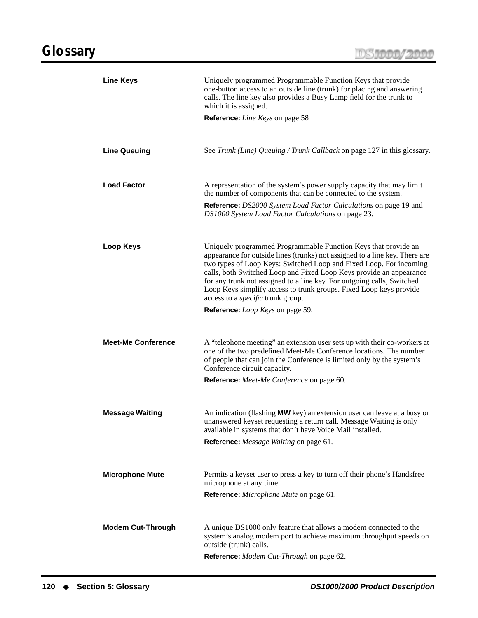DS1000/2000

<span id="page-127-0"></span>

| <b>Line Keys</b>          | Uniquely programmed Programmable Function Keys that provide<br>one-button access to an outside line (trunk) for placing and answering<br>calls. The line key also provides a Busy Lamp field for the trunk to<br>which it is assigned.<br>Reference: Line Keys on page 58                                                                                                                                                                                                                                                         |  |  |  |  |
|---------------------------|-----------------------------------------------------------------------------------------------------------------------------------------------------------------------------------------------------------------------------------------------------------------------------------------------------------------------------------------------------------------------------------------------------------------------------------------------------------------------------------------------------------------------------------|--|--|--|--|
| <b>Line Queuing</b>       | See Trunk (Line) Queuing / Trunk Callback on page 127 in this glossary.                                                                                                                                                                                                                                                                                                                                                                                                                                                           |  |  |  |  |
| <b>Load Factor</b>        | A representation of the system's power supply capacity that may limit<br>the number of components that can be connected to the system.<br>Reference: DS2000 System Load Factor Calculations on page 19 and<br>DS1000 System Load Factor Calculations on page 23.                                                                                                                                                                                                                                                                  |  |  |  |  |
| Loop Keys                 | Uniquely programmed Programmable Function Keys that provide an<br>appearance for outside lines (trunks) not assigned to a line key. There are<br>two types of Loop Keys: Switched Loop and Fixed Loop. For incoming<br>calls, both Switched Loop and Fixed Loop Keys provide an appearance<br>for any trunk not assigned to a line key. For outgoing calls, Switched<br>Loop Keys simplify access to trunk groups. Fixed Loop keys provide<br>access to a <i>specific</i> trunk group.<br>Reference: <i>Loop Keys</i> on page 59. |  |  |  |  |
| <b>Meet-Me Conference</b> | A "telephone meeting" an extension user sets up with their co-workers at<br>one of the two predefined Meet-Me Conference locations. The number<br>of people that can join the Conference is limited only by the system's<br>Conference circuit capacity.<br>Reference: Meet-Me Conference on page 60.                                                                                                                                                                                                                             |  |  |  |  |
| <b>Message Waiting</b>    | An indication (flashing MW key) an extension user can leave at a busy or<br>unanswered keyset requesting a return call. Message Waiting is only<br>available in systems that don't have Voice Mail installed.<br>Reference: Message Waiting on page 61.                                                                                                                                                                                                                                                                           |  |  |  |  |
| <b>Microphone Mute</b>    | Permits a keyset user to press a key to turn off their phone's Handsfree<br>microphone at any time.<br>Reference: Microphone Mute on page 61.                                                                                                                                                                                                                                                                                                                                                                                     |  |  |  |  |
| <b>Modem Cut-Through</b>  | A unique DS1000 only feature that allows a modem connected to the<br>system's analog modem port to achieve maximum throughput speeds on<br>outside (trunk) calls.<br>Reference: Modem Cut-Through on page 62.                                                                                                                                                                                                                                                                                                                     |  |  |  |  |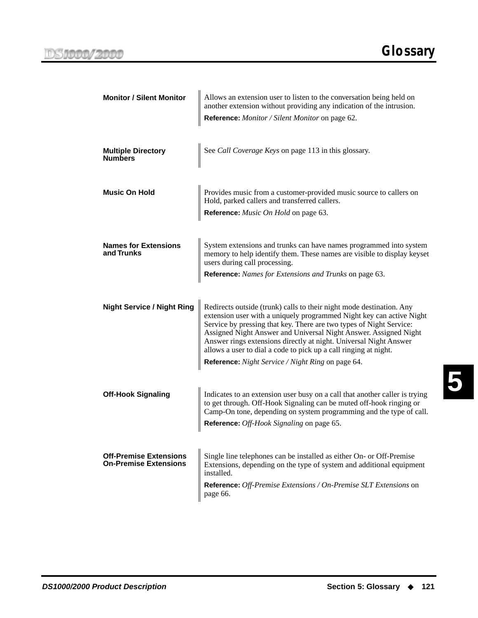<span id="page-128-1"></span><span id="page-128-0"></span>

| <b>Monitor / Silent Monitor</b>                               | Allows an extension user to listen to the conversation being held on<br>another extension without providing any indication of the intrusion.<br>Reference: Monitor / Silent Monitor on page 62.                                                                                                                                                                                                                                                                                       |  |  |  |  |  |  |
|---------------------------------------------------------------|---------------------------------------------------------------------------------------------------------------------------------------------------------------------------------------------------------------------------------------------------------------------------------------------------------------------------------------------------------------------------------------------------------------------------------------------------------------------------------------|--|--|--|--|--|--|
| <b>Multiple Directory</b><br><b>Numbers</b>                   | See Call Coverage Keys on page 113 in this glossary.                                                                                                                                                                                                                                                                                                                                                                                                                                  |  |  |  |  |  |  |
| <b>Music On Hold</b>                                          | Provides music from a customer-provided music source to callers on<br>Hold, parked callers and transferred callers.<br>Reference: Music On Hold on page 63.                                                                                                                                                                                                                                                                                                                           |  |  |  |  |  |  |
| <b>Names for Extensions</b><br>and Trunks                     | System extensions and trunks can have names programmed into system<br>memory to help identify them. These names are visible to display keyset<br>users during call processing.<br>Reference: Names for Extensions and Trunks on page 63.                                                                                                                                                                                                                                              |  |  |  |  |  |  |
| <b>Night Service / Night Ring</b>                             | Redirects outside (trunk) calls to their night mode destination. Any<br>extension user with a uniquely programmed Night key can active Night<br>Service by pressing that key. There are two types of Night Service:<br>Assigned Night Answer and Universal Night Answer. Assigned Night<br>Answer rings extensions directly at night. Universal Night Answer<br>allows a user to dial a code to pick up a call ringing at night.<br>Reference: Night Service / Night Ring on page 64. |  |  |  |  |  |  |
| <b>Off-Hook Signaling</b>                                     | Indicates to an extension user busy on a call that another caller is trying<br>to get through. Off-Hook Signaling can be muted off-hook ringing or<br>Camp-On tone, depending on system programming and the type of call.<br>Reference: Off-Hook Signaling on page 65.                                                                                                                                                                                                                |  |  |  |  |  |  |
| <b>Off-Premise Extensions</b><br><b>On-Premise Extensions</b> | Single line telephones can be installed as either On- or Off-Premise<br>Extensions, depending on the type of system and additional equipment<br>installed.<br>Reference: Off-Premise Extensions / On-Premise SLT Extensions on<br>page 66.                                                                                                                                                                                                                                            |  |  |  |  |  |  |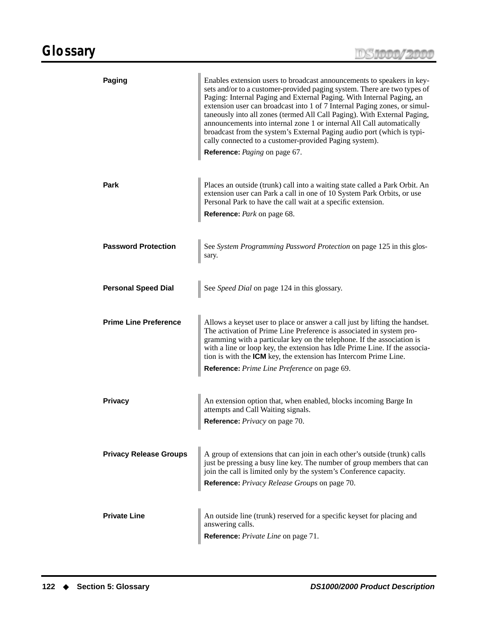<span id="page-129-1"></span><span id="page-129-0"></span>

| <b>Paging</b>                 | Enables extension users to broadcast announcements to speakers in key-<br>sets and/or to a customer-provided paging system. There are two types of<br>Paging: Internal Paging and External Paging. With Internal Paging, an<br>extension user can broadcast into 1 of 7 Internal Paging zones, or simul-<br>taneously into all zones (termed All Call Paging). With External Paging,<br>announcements into internal zone 1 or internal All Call automatically<br>broadcast from the system's External Paging audio port (which is typi-<br>cally connected to a customer-provided Paging system).<br>Reference: Paging on page 67. |  |  |  |  |
|-------------------------------|------------------------------------------------------------------------------------------------------------------------------------------------------------------------------------------------------------------------------------------------------------------------------------------------------------------------------------------------------------------------------------------------------------------------------------------------------------------------------------------------------------------------------------------------------------------------------------------------------------------------------------|--|--|--|--|
| Park                          | Places an outside (trunk) call into a waiting state called a Park Orbit. An<br>extension user can Park a call in one of 10 System Park Orbits, or use<br>Personal Park to have the call wait at a specific extension.<br>Reference: Park on page 68.                                                                                                                                                                                                                                                                                                                                                                               |  |  |  |  |
| <b>Password Protection</b>    | See System Programming Password Protection on page 125 in this glos-<br>sary.                                                                                                                                                                                                                                                                                                                                                                                                                                                                                                                                                      |  |  |  |  |
| <b>Personal Speed Dial</b>    | See Speed Dial on page 124 in this glossary.                                                                                                                                                                                                                                                                                                                                                                                                                                                                                                                                                                                       |  |  |  |  |
| <b>Prime Line Preference</b>  | Allows a keyset user to place or answer a call just by lifting the handset.<br>The activation of Prime Line Preference is associated in system pro-<br>gramming with a particular key on the telephone. If the association is<br>with a line or loop key, the extension has Idle Prime Line. If the associa-<br>tion is with the <b>ICM</b> key, the extension has Intercom Prime Line.<br>Reference: Prime Line Preference on page 69.                                                                                                                                                                                            |  |  |  |  |
| <b>Privacy</b>                | An extension option that, when enabled, blocks incoming Barge In<br>attempts and Call Waiting signals.<br>Reference: Privacy on page 70.                                                                                                                                                                                                                                                                                                                                                                                                                                                                                           |  |  |  |  |
| <b>Privacy Release Groups</b> | A group of extensions that can join in each other's outside (trunk) calls<br>just be pressing a busy line key. The number of group members that can<br>join the call is limited only by the system's Conference capacity.<br>Reference: Privacy Release Groups on page 70.                                                                                                                                                                                                                                                                                                                                                         |  |  |  |  |
| <b>Private Line</b>           | An outside line (trunk) reserved for a specific keyset for placing and<br>answering calls.<br>Reference: Private Line on page 71.                                                                                                                                                                                                                                                                                                                                                                                                                                                                                                  |  |  |  |  |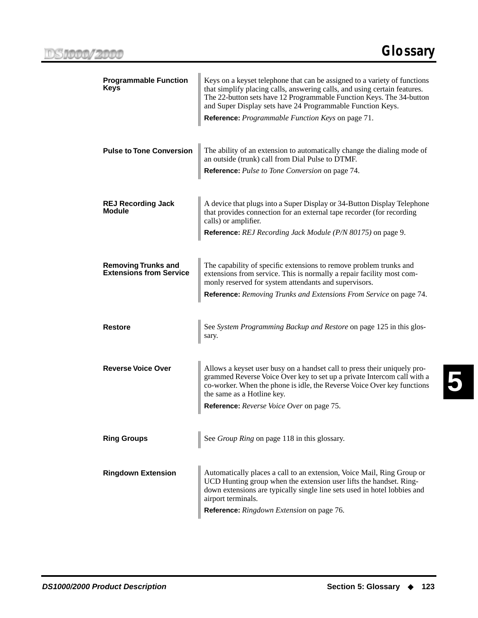<span id="page-130-0"></span>

| <b>Programmable Function</b><br>Keys                         | Keys on a keyset telephone that can be assigned to a variety of functions<br>that simplify placing calls, answering calls, and using certain features.<br>The 22-button sets have 12 Programmable Function Keys. The 34-button<br>and Super Display sets have 24 Programmable Function Keys.<br><b>Reference:</b> <i>Programmable Function Keys</i> on page 71. |  |  |  |  |
|--------------------------------------------------------------|-----------------------------------------------------------------------------------------------------------------------------------------------------------------------------------------------------------------------------------------------------------------------------------------------------------------------------------------------------------------|--|--|--|--|
| <b>Pulse to Tone Conversion</b>                              | The ability of an extension to automatically change the dialing mode of<br>an outside (trunk) call from Dial Pulse to DTMF.<br>Reference: Pulse to Tone Conversion on page 74.                                                                                                                                                                                  |  |  |  |  |
| <b>REJ Recording Jack</b><br>Module                          | A device that plugs into a Super Display or 34-Button Display Telephone<br>that provides connection for an external tape recorder (for recording<br>calls) or amplifier.<br><b>Reference:</b> REJ Recording Jack Module (P/N 80175) on page 9.                                                                                                                  |  |  |  |  |
| <b>Removing Trunks and</b><br><b>Extensions from Service</b> | The capability of specific extensions to remove problem trunks and<br>extensions from service. This is normally a repair facility most com-<br>monly reserved for system attendants and supervisors.<br>Reference: Removing Trunks and Extensions From Service on page 74.                                                                                      |  |  |  |  |
| Restore                                                      | See System Programming Backup and Restore on page 125 in this glos-<br>sary.                                                                                                                                                                                                                                                                                    |  |  |  |  |
| <b>Reverse Voice Over</b>                                    | Allows a keyset user busy on a handset call to press their uniquely pro-<br>grammed Reverse Voice Over key to set up a private Intercom call with a<br>co-worker. When the phone is idle, the Reverse Voice Over key functions<br>the same as a Hotline key.<br>Reference: Reverse Voice Over on page 75.                                                       |  |  |  |  |
| <b>Ring Groups</b>                                           | See Group Ring on page 118 in this glossary.                                                                                                                                                                                                                                                                                                                    |  |  |  |  |
| <b>Ringdown Extension</b>                                    | Automatically places a call to an extension, Voice Mail, Ring Group or<br>UCD Hunting group when the extension user lifts the handset. Ring-<br>down extensions are typically single line sets used in hotel lobbies and<br>airport terminals.<br>Reference: Ringdown Extension on page 76.                                                                     |  |  |  |  |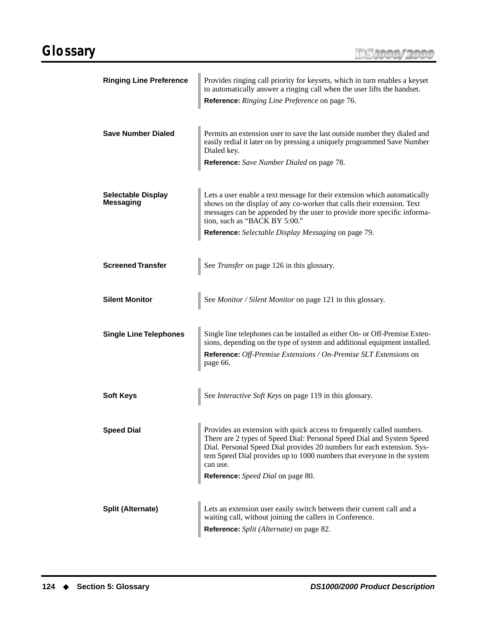<span id="page-131-2"></span><span id="page-131-1"></span><span id="page-131-0"></span>

| <b>Ringing Line Preference</b>                | Provides ringing call priority for keysets, which in turn enables a keyset<br>to automatically answer a ringing call when the user lifts the handset.<br>Reference: Ringing Line Preference on page 76.                                                                                                                                             |  |  |  |  |  |  |
|-----------------------------------------------|-----------------------------------------------------------------------------------------------------------------------------------------------------------------------------------------------------------------------------------------------------------------------------------------------------------------------------------------------------|--|--|--|--|--|--|
| <b>Save Number Dialed</b>                     | Permits an extension user to save the last outside number they dialed and<br>easily redial it later on by pressing a uniquely programmed Save Number<br>Dialed key.<br>Reference: Save Number Dialed on page 78.                                                                                                                                    |  |  |  |  |  |  |
| <b>Selectable Display</b><br><b>Messaging</b> | Lets a user enable a text message for their extension which automatically<br>shows on the display of any co-worker that calls their extension. Text<br>messages can be appended by the user to provide more specific informa-<br>tion, such as "BACK BY 5:00."<br><b>Reference:</b> Selectable Display Messaging on page 79.                        |  |  |  |  |  |  |
| <b>Screened Transfer</b>                      | See Transfer on page 126 in this glossary.                                                                                                                                                                                                                                                                                                          |  |  |  |  |  |  |
| <b>Silent Monitor</b>                         | See Monitor / Silent Monitor on page 121 in this glossary.                                                                                                                                                                                                                                                                                          |  |  |  |  |  |  |
| <b>Single Line Telephones</b>                 | Single line telephones can be installed as either On- or Off-Premise Exten-<br>sions, depending on the type of system and additional equipment installed.<br>Reference: Off-Premise Extensions / On-Premise SLT Extensions on<br>page 66.                                                                                                           |  |  |  |  |  |  |
| <b>Soft Keys</b>                              | See Interactive Soft Keys on page 119 in this glossary.                                                                                                                                                                                                                                                                                             |  |  |  |  |  |  |
| <b>Speed Dial</b>                             | Provides an extension with quick access to frequently called numbers.<br>There are 2 types of Speed Dial: Personal Speed Dial and System Speed<br>Dial. Personal Speed Dial provides 20 numbers for each extension. Sys-<br>tem Speed Dial provides up to 1000 numbers that everyone in the system<br>can use.<br>Reference: Speed Dial on page 80. |  |  |  |  |  |  |
| <b>Split (Alternate)</b>                      | Lets an extension user easily switch between their current call and a<br>waiting call, without joining the callers in Conference.<br><b>Reference:</b> Split (Alternate) on page 82.                                                                                                                                                                |  |  |  |  |  |  |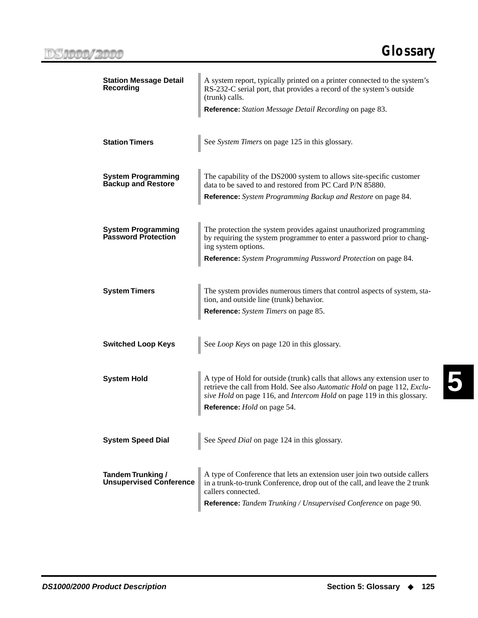<span id="page-132-4"></span><span id="page-132-3"></span><span id="page-132-2"></span><span id="page-132-1"></span><span id="page-132-0"></span>

| <b>Station Message Detail</b><br><b>Recording</b>          | A system report, typically printed on a printer connected to the system's<br>RS-232-C serial port, that provides a record of the system's outside<br>(trunk) calls.<br>Reference: Station Message Detail Recording on page 83.                                         |  |  |  |  |
|------------------------------------------------------------|------------------------------------------------------------------------------------------------------------------------------------------------------------------------------------------------------------------------------------------------------------------------|--|--|--|--|
| <b>Station Timers</b>                                      | See System Timers on page 125 in this glossary.                                                                                                                                                                                                                        |  |  |  |  |
| <b>System Programming</b><br><b>Backup and Restore</b>     | The capability of the DS2000 system to allows site-specific customer<br>data to be saved to and restored from PC Card P/N 85880.<br><b>Reference:</b> System Programming Backup and Restore on page 84.                                                                |  |  |  |  |
| <b>System Programming</b><br><b>Password Protection</b>    | The protection the system provides against unauthorized programming<br>by requiring the system programmer to enter a password prior to chang-<br>ing system options.<br>Reference: System Programming Password Protection on page 84.                                  |  |  |  |  |
| <b>System Timers</b>                                       | The system provides numerous timers that control aspects of system, sta-<br>tion, and outside line (trunk) behavior.<br>Reference: System Timers on page 85.                                                                                                           |  |  |  |  |
| <b>Switched Loop Keys</b>                                  | See Loop Keys on page 120 in this glossary.                                                                                                                                                                                                                            |  |  |  |  |
| <b>System Hold</b>                                         | A type of Hold for outside (trunk) calls that allows any extension user to<br>retrieve the call from Hold. See also Automatic Hold on page 112, Exclu-<br>sive Hold on page 116, and Intercom Hold on page 119 in this glossary.<br>Reference: <i>Hold</i> on page 54. |  |  |  |  |
| <b>System Speed Dial</b>                                   | See Speed Dial on page 124 in this glossary.                                                                                                                                                                                                                           |  |  |  |  |
| <b>Tandem Trunking /</b><br><b>Unsupervised Conference</b> | A type of Conference that lets an extension user join two outside callers<br>in a trunk-to-trunk Conference, drop out of the call, and leave the 2 trunk<br>callers connected.<br>Reference: Tandem Trunking / Unsupervised Conference on page 90.                     |  |  |  |  |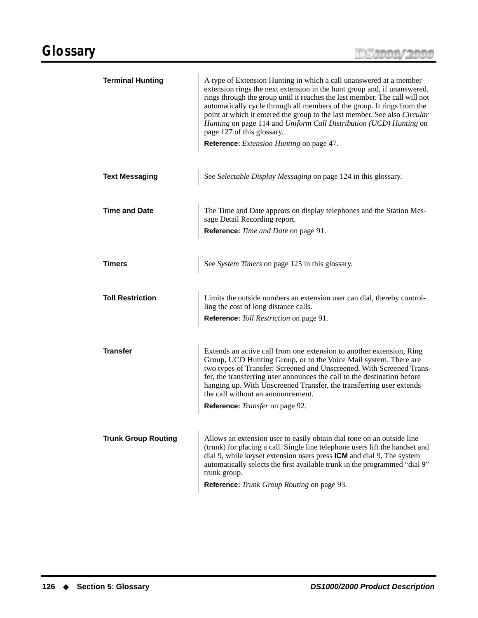<span id="page-133-2"></span><span id="page-133-1"></span><span id="page-133-0"></span>

| <b>Terminal Hunting</b>    | A type of Extension Hunting in which a call unanswered at a member<br>extension rings the next extension in the hunt group and, if unanswered,<br>rings through the group until it reaches the last member. The call will not<br>automatically cycle through all members of the group. It rings from the<br>point at which it entered the group to the last member. See also Circular<br>Hunting on page 114 and Uniform Call Distribution (UCD) Hunting on<br>page 127 of this glossary.<br>Reference: Extension Hunting on page 47. |  |  |  |  |
|----------------------------|---------------------------------------------------------------------------------------------------------------------------------------------------------------------------------------------------------------------------------------------------------------------------------------------------------------------------------------------------------------------------------------------------------------------------------------------------------------------------------------------------------------------------------------|--|--|--|--|
| <b>Text Messaging</b>      | See Selectable Display Messaging on page 124 in this glossary.                                                                                                                                                                                                                                                                                                                                                                                                                                                                        |  |  |  |  |
| <b>Time and Date</b>       | The Time and Date appears on display telephones and the Station Mes-<br>sage Detail Recording report.<br>Reference: Time and Date on page 91.                                                                                                                                                                                                                                                                                                                                                                                         |  |  |  |  |
| Timers                     | See System Timers on page 125 in this glossary.                                                                                                                                                                                                                                                                                                                                                                                                                                                                                       |  |  |  |  |
| <b>Toll Restriction</b>    | Limits the outside numbers an extension user can dial, thereby control-<br>ling the cost of long distance calls.<br>Reference: Toll Restriction on page 91.                                                                                                                                                                                                                                                                                                                                                                           |  |  |  |  |
| <b>Transfer</b>            | Extends an active call from one extension to another extension, Ring<br>Group, UCD Hunting Group, or to the Voice Mail system. There are<br>two types of Transfer: Screened and Unscreened. With Screened Trans-<br>fer, the transferring user announces the call to the destination before<br>hanging up. With Unscreened Transfer, the transferring user extends<br>the call without an announcement.<br>Reference: Transfer on page 92.                                                                                            |  |  |  |  |
| <b>Trunk Group Routing</b> | Allows an extension user to easily obtain dial tone on an outside line<br>(trunk) for placing a call. Single line telephone users lift the handset and<br>dial 9, while keyset extension users press ICM and dial 9, The system<br>automatically selects the first available trunk in the programmed "dial 9"<br>trunk group.<br>Reference: Trunk Group Routing on page 93.                                                                                                                                                           |  |  |  |  |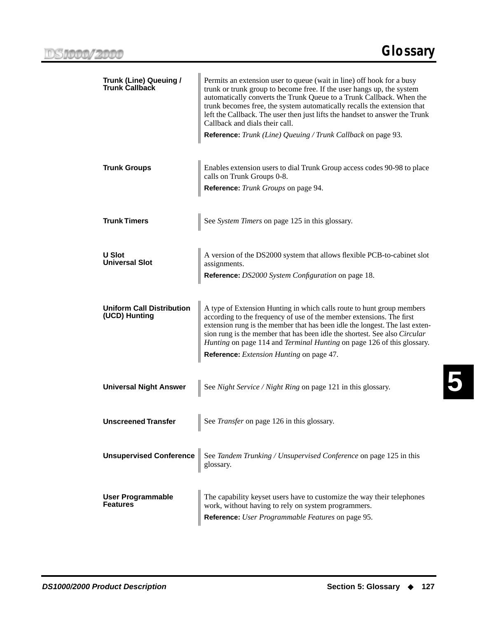**5**

<span id="page-134-1"></span><span id="page-134-0"></span>

| Trunk (Line) Queuing /<br><b>Trunk Callback</b>   | Permits an extension user to queue (wait in line) off hook for a busy<br>trunk or trunk group to become free. If the user hangs up, the system<br>automatically converts the Trunk Queue to a Trunk Callback. When the<br>trunk becomes free, the system automatically recalls the extension that<br>left the Callback. The user then just lifts the handset to answer the Trunk<br>Callback and dials their call.<br>Reference: Trunk (Line) Queuing / Trunk Callback on page 93. |  |  |  |  |  |
|---------------------------------------------------|------------------------------------------------------------------------------------------------------------------------------------------------------------------------------------------------------------------------------------------------------------------------------------------------------------------------------------------------------------------------------------------------------------------------------------------------------------------------------------|--|--|--|--|--|
| <b>Trunk Groups</b>                               | Enables extension users to dial Trunk Group access codes 90-98 to place<br>calls on Trunk Groups 0-8.<br>Reference: Trunk Groups on page 94.                                                                                                                                                                                                                                                                                                                                       |  |  |  |  |  |
| <b>Trunk Timers</b>                               | See System Timers on page 125 in this glossary.                                                                                                                                                                                                                                                                                                                                                                                                                                    |  |  |  |  |  |
| <b>U Slot</b><br><b>Universal Slot</b>            | A version of the DS2000 system that allows flexible PCB-to-cabinet slot<br>assignments.<br>Reference: DS2000 System Configuration on page 18.                                                                                                                                                                                                                                                                                                                                      |  |  |  |  |  |
| <b>Uniform Call Distribution</b><br>(UCD) Hunting | A type of Extension Hunting in which calls route to hunt group members<br>according to the frequency of use of the member extensions. The first<br>extension rung is the member that has been idle the longest. The last exten-<br>sion rung is the member that has been idle the shortest. See also Circular<br><i>Hunting</i> on page 114 and <i>Terminal Hunting</i> on page 126 of this glossary.<br><b>Reference:</b> <i>Extension Hunting</i> on page 47.                    |  |  |  |  |  |
| <b>Universal Night Answer</b>                     | See Night Service / Night Ring on page 121 in this glossary.                                                                                                                                                                                                                                                                                                                                                                                                                       |  |  |  |  |  |
| <b>Unscreened Transfer</b>                        | See Transfer on page 126 in this glossary.                                                                                                                                                                                                                                                                                                                                                                                                                                         |  |  |  |  |  |
| <b>Unsupervised Conference</b>                    | See Tandem Trunking / Unsupervised Conference on page 125 in this<br>glossary.                                                                                                                                                                                                                                                                                                                                                                                                     |  |  |  |  |  |
| <b>User Programmable</b><br><b>Features</b>       | The capability keyset users have to customize the way their telephones<br>work, without having to rely on system programmers.<br>Reference: User Programmable Features on page 95.                                                                                                                                                                                                                                                                                                 |  |  |  |  |  |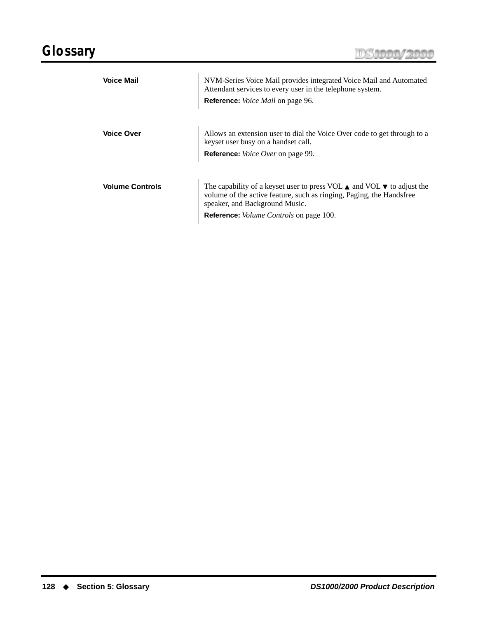# **Glossary**

|  | INVY <b>KAMA / AMA</b> |  |  |  |
|--|------------------------|--|--|--|
|  | <b>UR THEFTER</b>      |  |  |  |
|  |                        |  |  |  |

| <b>Voice Mail</b>      | NVM-Series Voice Mail provides integrated Voice Mail and Automated<br>Attendant services to every user in the telephone system.<br>Reference: Voice Mail on page 96.                                                                                            |
|------------------------|-----------------------------------------------------------------------------------------------------------------------------------------------------------------------------------------------------------------------------------------------------------------|
| <b>Voice Over</b>      | Allows an extension user to dial the Voice Over code to get through to a<br>keyset user busy on a handset call.<br><b>Reference:</b> <i>Voice Over</i> on page 99.                                                                                              |
| <b>Volume Controls</b> | The capability of a keyset user to press VOL $\blacktriangle$ and VOL $\nabla$ to adjust the<br>volume of the active feature, such as ringing, Paging, the Handsfree<br>speaker, and Background Music.<br><b>Reference:</b> <i>Volume Controls</i> on page 100. |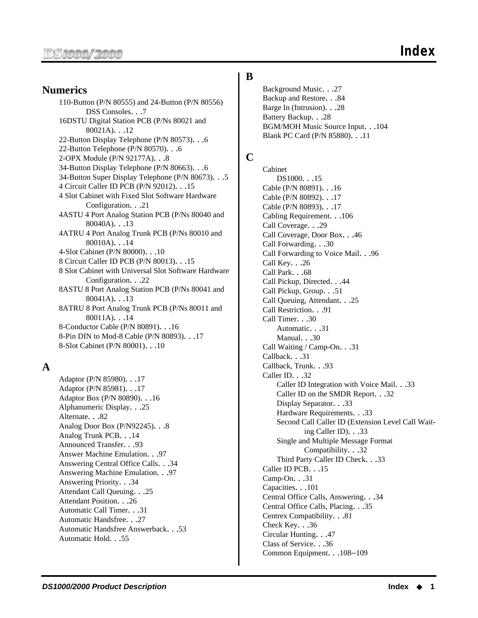#### **Numerics**

110-Button (P/N 80555) and 24-Button (P/N 80556) DSS Consoles. . .7 16DSTU Digital Station PCB (P/Ns 80021 and 80021A). . .12 22-Button Display Telephone (P/N 80573). . .6 22-Button Telephone (P/N 80570). . .6 2-OPX Module (P/N 92177A). . .8 34-Button Display Telephone (P/N 80663). . .6 34-Button Super Display Telephone (P/N 80673). . .5 4 Circuit Caller ID PCB (P/N 92012). . .15 4 Slot Cabinet with Fixed Slot Software Hardware Configuration. . .21 4ASTU 4 Port Analog Station PCB (P/Ns 80040 and 80040A). . .13 4ATRU 4 Port Analog Trunk PCB (P/Ns 80010 and 80010A). . .14 4-Slot Cabinet (P/N 80000). . .10 8 Circuit Caller ID PCB (P/N 80013). . .15 8 Slot Cabinet with Universal Slot Software Hardware Configuration. . .22 8ASTU 8 Port Analog Station PCB (P/Ns 80041 and 80041A). . .13 8ATRU 8 Port Analog Trunk PCB (P/Ns 80011 and 80011A). . .14 8-Conductor Cable (P/N 80891). . .16 8-Pin DIN to Mod-8 Cable (P/N 80893). . .17 8-Slot Cabinet (P/N 80001). . .10

#### **A**

Adaptor (P/N 85980). . .17 Adaptor (P/N 85981). . .17 Adaptor Box (P/N 80890). . .16 Alphanumeric Display. . .25 Alternate. . .82 Analog Door Box (P/N92245). . .8 Analog Trunk PCB. . .14 Announced Transfer. . .93 Answer Machine Emulation. . .97 Answering Central Office Calls. . .34 Answering Machine Emulation. . .97 Answering Priority. . .34 Attendant Call Queuing. . .25 Attendant Position. . .26 Automatic Call Timer. . .31 Automatic Handsfree. . .27 Automatic Handsfree Answerback. . .53 Automatic Hold. . .55

#### **B**

Background Music. . .27 Backup and Restore. . .84 Barge In (Intrusion). . .28 Battery Backup. . .28 BGM/MOH Music Source Input. . .104 Blank PC Card (P/N 85880). . .11

### **C**

Cabinet DS1000. . .15 Cable (P/N 80891). . .16 Cable (P/N 80892). . .17 Cable (P/N 80893). . .17 Cabling Requirement. . .106 Call Coverage. . .29 Call Coverage, Door Box. . .46 Call Forwarding. . .30 Call Forwarding to Voice Mail. . .96 Call Key. . .26 Call Park. . .68 Call Pickup, Directed. . .44 Call Pickup, Group. . .51 Call Queuing, Attendant. . .25 Call Restriction. . .91 Call Timer. . .30 Automatic. . .31 Manual. . .30 Call Waiting / Camp-On. . .31 Callback. . .31 Callback, Trunk. . .93 Caller ID. . .32 Caller ID Integration with Voice Mail. . .33 Caller ID on the SMDR Report. . .32 Display Separator. . .33 Hardware Requirements. . .33 Second Call Caller ID (Extension Level Call Waiting Caller ID). . .33 Single and Multiple Message Format Compatibility. . .32 Third Party Caller ID Check. . .33 Caller ID PCB. . .15 Camp-On. . .31 Capacities. . .101 Central Office Calls, Answering. . .34 Central Office Calls, Placing. . .35 Centrex Compatibility. . .81 Check Key. . .36 Circular Hunting. . .47 Class of Service. . .36 Common Equipment. . .108–109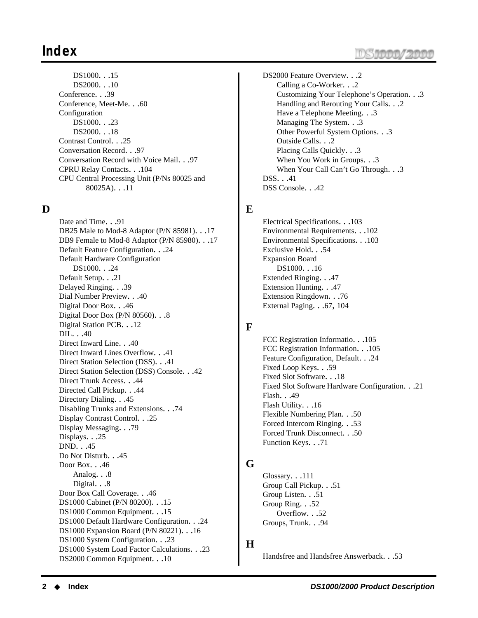## **Index**

DS1000. . .15 DS2000. . .10 Conference. . .39 Conference, Meet-Me. . .60 Configuration DS1000. . .23 DS2000. . .18 Contrast Control. . .25 Conversation Record. . .97 Conversation Record with Voice Mail. . .97 CPRU Relay Contacts. . .104 CPU Central Processing Unit (P/Ns 80025 and 80025A). . .11

#### **D**

Date and Time. . .91 DB25 Male to Mod-8 Adaptor (P/N 85981). . .17 DB9 Female to Mod-8 Adaptor (P/N 85980). . .17 Default Feature Configuration. . .24 Default Hardware Configuration DS1000. . .24 Default Setup. . .21 Delayed Ringing. . .39 Dial Number Preview. . .40 Digital Door Box. . .46 Digital Door Box (P/N 80560). . .8 Digital Station PCB. . .12 DIL. . .40 Direct Inward Line. . .40 Direct Inward Lines Overflow. . .41 Direct Station Selection (DSS). . .41 Direct Station Selection (DSS) Console. . .42 Direct Trunk Access. . .44 Directed Call Pickup. . .44 Directory Dialing. . .45 Disabling Trunks and Extensions. . .74 Display Contrast Control. . .25 Display Messaging. . .79 Displays. . .25 DND. . .45 Do Not Disturb. . .45 Door Box. . .46 Analog. . .8 Digital. . .8 Door Box Call Coverage. . .46 DS1000 Cabinet (P/N 80200). . .15 DS1000 Common Equipment. . .15 DS1000 Default Hardware Configuration. . .24 DS1000 Expansion Board (P/N 80221). . .16 DS1000 System Configuration. . .23 DS1000 System Load Factor Calculations. . .23 DS2000 Common Equipment. . .10

DS2000 Feature Overview. . .2 Calling a Co-Worker. . .2 Customizing Your Telephone's Operation. . .3 Handling and Rerouting Your Calls. . .2 Have a Telephone Meeting. . .3 Managing The System. . .3 Other Powerful System Options. . .3 Outside Calls. . .2 Placing Calls Quickly. . .3 When You Work in Groups. . .3 When Your Call Can't Go Through. . .3 DSS. . .41 DSS Console. . .42

#### **E**

Electrical Specifications. . .103 Environmental Requirements. . .102 Environmental Specifications. . .103 Exclusive Hold. . .54 Expansion Board DS1000. . .16 Extended Ringing. . .47 Extension Hunting. . .47 Extension Ringdown. . .76 External Paging. . .67, 104

#### **F**

FCC Registration Informatio. . .105 FCC Registration Information. . .105 Feature Configuration, Default. . .24 Fixed Loop Keys. . .59 Fixed Slot Software. . .18 Fixed Slot Software Hardware Configuration. . .21 Flash. . .49 Flash Utility. . .16 Flexible Numbering Plan. . .50 Forced Intercom Ringing. . .53 Forced Trunk Disconnect. . .50 Function Keys. . .71

#### **G**

Glossary. . .111 Group Call Pickup. . .51 Group Listen. . .51 Group Ring. . .52 Overflow. . .52 Groups, Trunk. . .94

#### **H**

Handsfree and Handsfree Answerback. . .53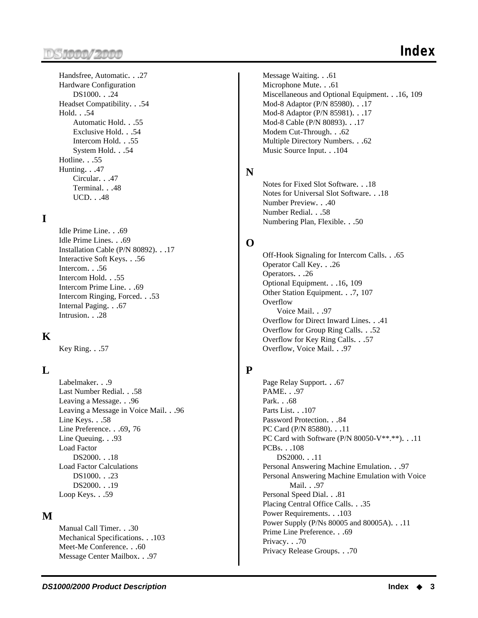#### )S**iooo/2000**

Handsfree, Automatic. . .27 Hardware Configuration DS1000. . .24 Headset Compatibility. . .54 Hold. . .54 Automatic Hold. . .55 Exclusive Hold. . .54 Intercom Hold. . .55 System Hold. . .54 Hotline. . .55 Hunting. . .47 Circular. . .47 Terminal. . .48 UCD. . .48

#### **I**

Idle Prime Line. . .69 Idle Prime Lines. . .69 Installation Cable (P/N 80892). . .17 Interactive Soft Keys. . .56 Intercom. . .56 Intercom Hold. . .55 Intercom Prime Line. . .69 Intercom Ringing, Forced. . .53 Internal Paging. . .67 Intrusion. . .28

#### **K**

Key Ring. . .57

#### **L**

Labelmaker. . .9 Last Number Redial. . .58 Leaving a Message. . .96 Leaving a Message in Voice Mail. . .96 Line Keys. . .58 Line Preference. . .69, 76 Line Queuing. . .93 Load Factor DS2000. . .18 Load Factor Calculations DS1000. . .23 DS2000. . .19 Loop Keys. . .59

#### **M**

Manual Call Timer. . .30 Mechanical Specifications. . .103 Meet-Me Conference. . .60 Message Center Mailbox. . .97

Message Waiting. . .61 Microphone Mute. . .61 Miscellaneous and Optional Equipment. . .16, 109 Mod-8 Adaptor (P/N 85980). . .17 Mod-8 Adaptor (P/N 85981). . .17 Mod-8 Cable (P/N 80893). . .17 Modem Cut-Through. . .62 Multiple Directory Numbers. . .62 Music Source Input. . .104

#### **N**

Notes for Fixed Slot Software. . .18 Notes for Universal Slot Software. . .18 Number Preview. . .40 Number Redial. . .58 Numbering Plan, Flexible. . .50

#### **O**

Off-Hook Signaling for Intercom Calls. . .65 Operator Call Key. . .26 Operators. . .26 Optional Equipment. . .16, 109 Other Station Equipment. . .7, 107 **Overflow** Voice Mail. . .97 Overflow for Direct Inward Lines. . .41 Overflow for Group Ring Calls. . .52 Overflow for Key Ring Calls. . .57 Overflow, Voice Mail. . .97

#### **P**

Page Relay Support. . .67 PAME. . .97 Park. . .68 Parts List. . . 107 Password Protection. . .84 PC Card (P/N 85880). . .11 PC Card with Software (P/N 80050-V\*\*.\*\*). . .11 PCBs. . .108 DS2000. . .11 Personal Answering Machine Emulation. . .97 Personal Answering Machine Emulation with Voice Mail. . .97 Personal Speed Dial. . .81 Placing Central Office Calls. . .35 Power Requirements. . .103 Power Supply (P/Ns 80005 and 80005A). . .11 Prime Line Preference. . .69 Privacy. . .70 Privacy Release Groups. . .70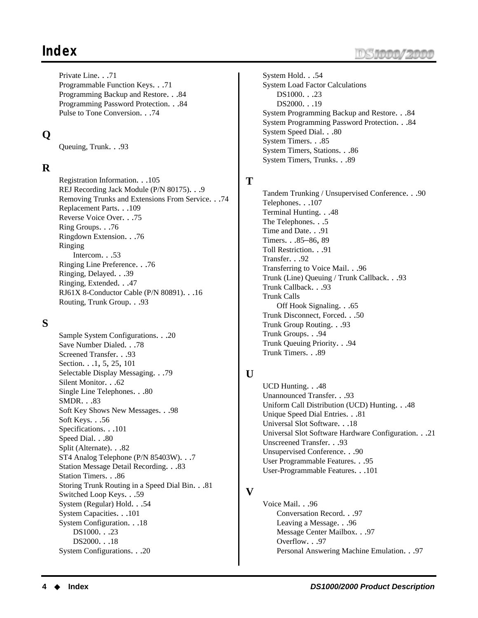## **Index**

Private Line. . .71 Programmable Function Keys. . .71 Programming Backup and Restore. . .84 Programming Password Protection. . .84 Pulse to Tone Conversion. . .74

#### **Q**

Queuing, Trunk. . .93

#### **R**

Registration Information. . .105 REJ Recording Jack Module (P/N 80175). . .9 Removing Trunks and Extensions From Service. . .74 Replacement Parts. . .109 Reverse Voice Over. . .75 Ring Groups. . .76 Ringdown Extension. . .76 Ringing Intercom. . .53 Ringing Line Preference. . .76 Ringing, Delayed. . .39 Ringing, Extended. . .47 RJ61X 8-Conductor Cable (P/N 80891). . .16 Routing, Trunk Group. . .93

#### **S**

Sample System Configurations. . .20 Save Number Dialed. . .78 Screened Transfer. . .93 Section. . .1, 5, 25, 101 Selectable Display Messaging. . .79 Silent Monitor. . .62 Single Line Telephones. . .80 SMDR. . .83 Soft Key Shows New Messages. . .98 Soft Keys. . .56 Specifications. . .101 Speed Dial. . .80 Split (Alternate). . .82 ST4 Analog Telephone (P/N 85403W). . .7 Station Message Detail Recording. . .83 Station Timers. . .86 Storing Trunk Routing in a Speed Dial Bin. . .81 Switched Loop Keys. . .59 System (Regular) Hold. . .54 System Capacities. . .101 System Configuration. . .18 DS1000. . .23 DS2000. . .18 System Configurations. . .20

System Hold. . .54 System Load Factor Calculations DS1000. . .23 DS2000. . .19 System Programming Backup and Restore. . .84 System Programming Password Protection. . .84 System Speed Dial. . .80 System Timers. . .85 System Timers, Stations. . .86 System Timers, Trunks. . .89

#### **T**

Tandem Trunking / Unsupervised Conference. . .90 Telephones. . .107 Terminal Hunting. . .48 The Telephones. . .5 Time and Date. . .91 Timers. . .85–86, 89 Toll Restriction. . .91 Transfer. . .92 Transferring to Voice Mail. . .96 Trunk (Line) Queuing / Trunk Callback. . .93 Trunk Callback. . .93 Trunk Calls Off Hook Signaling. . .65 Trunk Disconnect, Forced. . .50 Trunk Group Routing. . .93 Trunk Groups. . .94 Trunk Queuing Priority. . .94 Trunk Timers. . .89

#### **U**

UCD Hunting. . .48 Unannounced Transfer. . .93 Uniform Call Distribution (UCD) Hunting. . .48 Unique Speed Dial Entries. . .81 Universal Slot Software. . .18 Universal Slot Software Hardware Configuration. . .21 Unscreened Transfer. . .93 Unsupervised Conference. . .90 User Programmable Features. . .95 User-Programmable Features. . .101

#### **V**

Voice Mail. . .96 Conversation Record. . .97 Leaving a Message. . .96 Message Center Mailbox. . .97 Overflow. . .97 Personal Answering Machine Emulation. . .97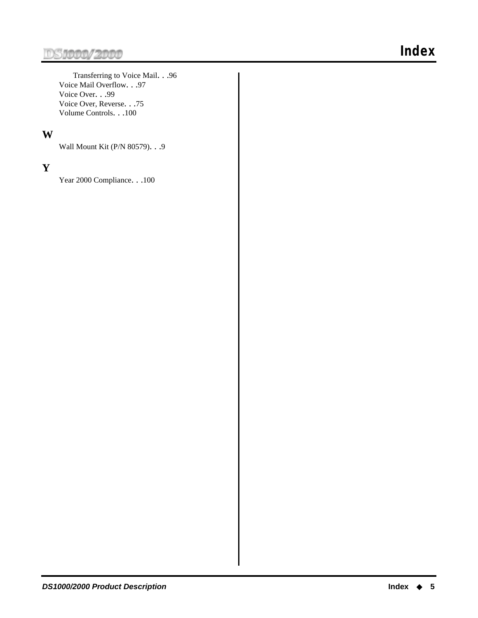Transferring to Voice Mail. . .96 Voice Mail Overflow. . .97 Voice Over. . .99 Voice Over, Reverse. . .75 Volume Controls. . .100

#### **W**

Wall Mount Kit (P/N 80579). . .9

#### **Y**

Year 2000 Compliance. . .100